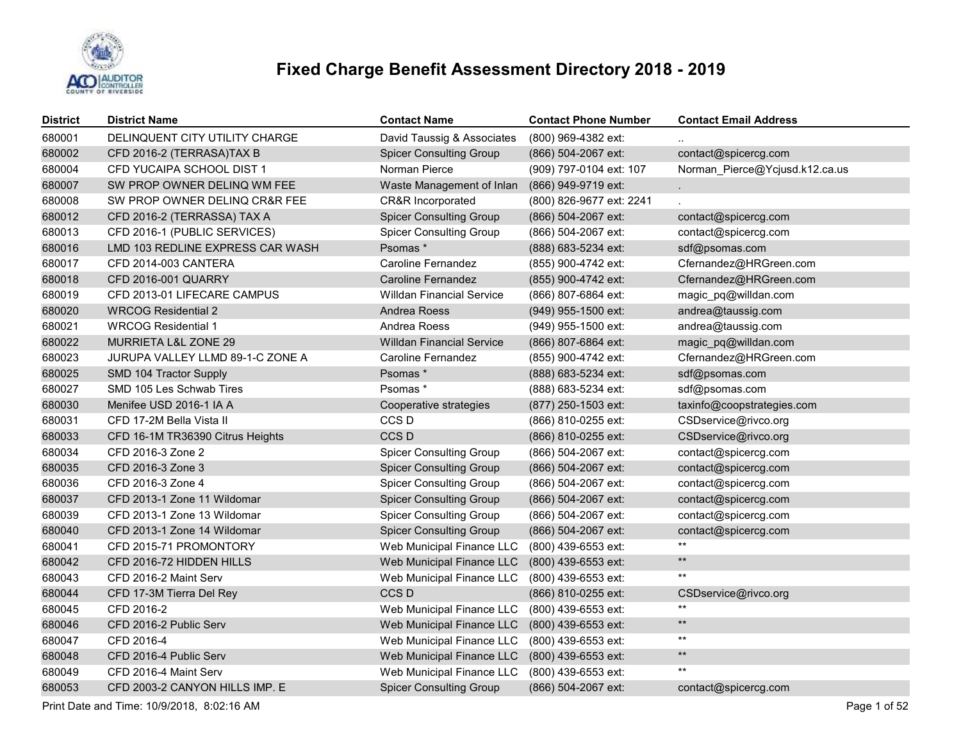

| <b>District</b> | <b>District Name</b>             | <b>Contact Name</b>              | <b>Contact Phone Number</b> | <b>Contact Email Address</b>   |
|-----------------|----------------------------------|----------------------------------|-----------------------------|--------------------------------|
| 680001          | DELINQUENT CITY UTILITY CHARGE   | David Taussig & Associates       | (800) 969-4382 ext:         |                                |
| 680002          | CFD 2016-2 (TERRASA)TAX B        | <b>Spicer Consulting Group</b>   | (866) 504-2067 ext:         | contact@spicercg.com           |
| 680004          | CFD YUCAIPA SCHOOL DIST 1        | Norman Pierce                    | (909) 797-0104 ext: 107     | Norman_Pierce@Ycjusd.k12.ca.us |
| 680007          | SW PROP OWNER DELINQ WM FEE      | Waste Management of Inlan        | (866) 949-9719 ext:         |                                |
| 680008          | SW PROP OWNER DELINQ CR&R FEE    | CR&R Incorporated                | (800) 826-9677 ext: 2241    |                                |
| 680012          | CFD 2016-2 (TERRASSA) TAX A      | <b>Spicer Consulting Group</b>   | (866) 504-2067 ext:         | contact@spicercg.com           |
| 680013          | CFD 2016-1 (PUBLIC SERVICES)     | <b>Spicer Consulting Group</b>   | (866) 504-2067 ext:         | contact@spicercg.com           |
| 680016          | LMD 103 REDLINE EXPRESS CAR WASH | Psomas*                          | (888) 683-5234 ext:         | sdf@psomas.com                 |
| 680017          | CFD 2014-003 CANTERA             | <b>Caroline Fernandez</b>        | (855) 900-4742 ext:         | Cfernandez@HRGreen.com         |
| 680018          | CFD 2016-001 QUARRY              | <b>Caroline Fernandez</b>        | (855) 900-4742 ext:         | Cfernandez@HRGreen.com         |
| 680019          | CFD 2013-01 LIFECARE CAMPUS      | <b>Willdan Financial Service</b> | (866) 807-6864 ext:         | magic_pq@willdan.com           |
| 680020          | <b>WRCOG Residential 2</b>       | <b>Andrea Roess</b>              | (949) 955-1500 ext:         | andrea@taussig.com             |
| 680021          | <b>WRCOG Residential 1</b>       | Andrea Roess                     | (949) 955-1500 ext:         | andrea@taussig.com             |
| 680022          | MURRIETA L&L ZONE 29             | <b>Willdan Financial Service</b> | (866) 807-6864 ext:         | magic pq@willdan.com           |
| 680023          | JURUPA VALLEY LLMD 89-1-C ZONE A | <b>Caroline Fernandez</b>        | (855) 900-4742 ext:         | Cfernandez@HRGreen.com         |
| 680025          | SMD 104 Tractor Supply           | Psomas*                          | (888) 683-5234 ext:         | sdf@psomas.com                 |
| 680027          | SMD 105 Les Schwab Tires         | Psomas *                         | (888) 683-5234 ext:         | sdf@psomas.com                 |
| 680030          | Menifee USD 2016-1 IA A          | Cooperative strategies           | (877) 250-1503 ext:         | taxinfo@coopstrategies.com     |
| 680031          | CFD 17-2M Bella Vista II         | CCS D                            | (866) 810-0255 ext:         | CSDservice@rivco.org           |
| 680033          | CFD 16-1M TR36390 Citrus Heights | CCS <sub>D</sub>                 | (866) 810-0255 ext:         | CSDservice@rivco.org           |
| 680034          | CFD 2016-3 Zone 2                | <b>Spicer Consulting Group</b>   | (866) 504-2067 ext:         | contact@spicercg.com           |
| 680035          | CFD 2016-3 Zone 3                | <b>Spicer Consulting Group</b>   | (866) 504-2067 ext:         | contact@spicercg.com           |
| 680036          | CFD 2016-3 Zone 4                | <b>Spicer Consulting Group</b>   | (866) 504-2067 ext:         | contact@spicercg.com           |
| 680037          | CFD 2013-1 Zone 11 Wildomar      | <b>Spicer Consulting Group</b>   | (866) 504-2067 ext:         | contact@spicercg.com           |
| 680039          | CFD 2013-1 Zone 13 Wildomar      | <b>Spicer Consulting Group</b>   | (866) 504-2067 ext:         | contact@spicercg.com           |
| 680040          | CFD 2013-1 Zone 14 Wildomar      | <b>Spicer Consulting Group</b>   | (866) 504-2067 ext:         | contact@spicercg.com           |
| 680041          | CFD 2015-71 PROMONTORY           | Web Municipal Finance LLC        | (800) 439-6553 ext:         | **                             |
| 680042          | CFD 2016-72 HIDDEN HILLS         | Web Municipal Finance LLC        | (800) 439-6553 ext:         | $\star\star$                   |
| 680043          | CFD 2016-2 Maint Serv            | Web Municipal Finance LLC        | (800) 439-6553 ext:         | **                             |
| 680044          | CFD 17-3M Tierra Del Rey         | CCS <sub>D</sub>                 | (866) 810-0255 ext:         | CSDservice@rivco.org           |
| 680045          | CFD 2016-2                       | Web Municipal Finance LLC        | (800) 439-6553 ext:         | **                             |
| 680046          | CFD 2016-2 Public Serv           | Web Municipal Finance LLC        | (800) 439-6553 ext:         | $^{\star\star}$                |
| 680047          | CFD 2016-4                       | Web Municipal Finance LLC        | (800) 439-6553 ext:         | $***$                          |
| 680048          | CFD 2016-4 Public Serv           | Web Municipal Finance LLC        | (800) 439-6553 ext:         | $^{\star\star}$                |
| 680049          | CFD 2016-4 Maint Serv            | Web Municipal Finance LLC        | (800) 439-6553 ext:         | $^{\star\star}$                |
| 680053          | CFD 2003-2 CANYON HILLS IMP. E   | <b>Spicer Consulting Group</b>   | (866) 504-2067 ext:         | contact@spicercg.com           |

Print Date and Time: 10/9/2018, 8:02:16 AM Page 1 of 52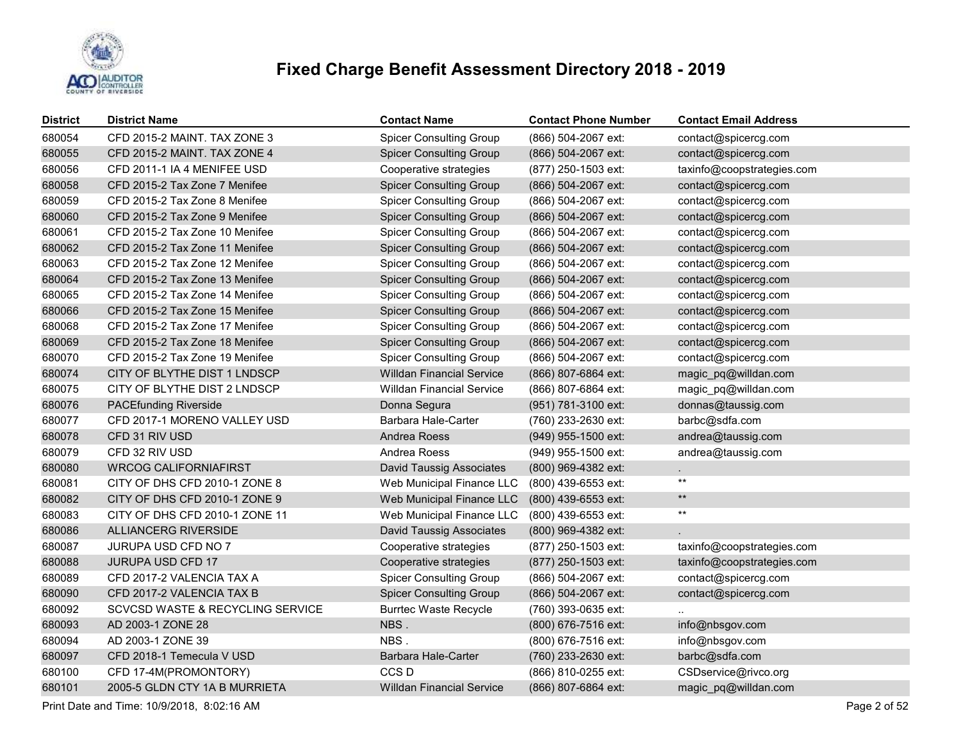

| <b>District</b> | <b>District Name</b>             | <b>Contact Name</b>              | <b>Contact Phone Number</b> | <b>Contact Email Address</b> |
|-----------------|----------------------------------|----------------------------------|-----------------------------|------------------------------|
| 680054          | CFD 2015-2 MAINT. TAX ZONE 3     | <b>Spicer Consulting Group</b>   | (866) 504-2067 ext:         | contact@spicercg.com         |
| 680055          | CFD 2015-2 MAINT. TAX ZONE 4     | <b>Spicer Consulting Group</b>   | (866) 504-2067 ext:         | contact@spicercg.com         |
| 680056          | CFD 2011-1 IA 4 MENIFEE USD      | Cooperative strategies           | (877) 250-1503 ext:         | taxinfo@coopstrategies.com   |
| 680058          | CFD 2015-2 Tax Zone 7 Menifee    | <b>Spicer Consulting Group</b>   | (866) 504-2067 ext:         | contact@spicercg.com         |
| 680059          | CFD 2015-2 Tax Zone 8 Menifee    | <b>Spicer Consulting Group</b>   | (866) 504-2067 ext:         | contact@spicercg.com         |
| 680060          | CFD 2015-2 Tax Zone 9 Menifee    | <b>Spicer Consulting Group</b>   | (866) 504-2067 ext:         | contact@spicercg.com         |
| 680061          | CFD 2015-2 Tax Zone 10 Menifee   | <b>Spicer Consulting Group</b>   | (866) 504-2067 ext:         | contact@spicercg.com         |
| 680062          | CFD 2015-2 Tax Zone 11 Menifee   | <b>Spicer Consulting Group</b>   | (866) 504-2067 ext:         | contact@spicercg.com         |
| 680063          | CFD 2015-2 Tax Zone 12 Menifee   | <b>Spicer Consulting Group</b>   | (866) 504-2067 ext:         | contact@spicercg.com         |
| 680064          | CFD 2015-2 Tax Zone 13 Menifee   | <b>Spicer Consulting Group</b>   | (866) 504-2067 ext:         | contact@spicercg.com         |
| 680065          | CFD 2015-2 Tax Zone 14 Menifee   | <b>Spicer Consulting Group</b>   | (866) 504-2067 ext:         | contact@spicercg.com         |
| 680066          | CFD 2015-2 Tax Zone 15 Menifee   | <b>Spicer Consulting Group</b>   | (866) 504-2067 ext:         | contact@spicercg.com         |
| 680068          | CFD 2015-2 Tax Zone 17 Menifee   | <b>Spicer Consulting Group</b>   | (866) 504-2067 ext:         | contact@spicercg.com         |
| 680069          | CFD 2015-2 Tax Zone 18 Menifee   | <b>Spicer Consulting Group</b>   | (866) 504-2067 ext:         | contact@spicercg.com         |
| 680070          | CFD 2015-2 Tax Zone 19 Menifee   | <b>Spicer Consulting Group</b>   | (866) 504-2067 ext:         | contact@spicercg.com         |
| 680074          | CITY OF BLYTHE DIST 1 LNDSCP     | <b>Willdan Financial Service</b> | (866) 807-6864 ext:         | magic_pq@willdan.com         |
| 680075          | CITY OF BLYTHE DIST 2 LNDSCP     | <b>Willdan Financial Service</b> | (866) 807-6864 ext:         | magic_pq@willdan.com         |
| 680076          | <b>PACEfunding Riverside</b>     | Donna Segura                     | (951) 781-3100 ext:         | donnas@taussig.com           |
| 680077          | CFD 2017-1 MORENO VALLEY USD     | Barbara Hale-Carter              | (760) 233-2630 ext:         | barbc@sdfa.com               |
| 680078          | CFD 31 RIV USD                   | Andrea Roess                     | (949) 955-1500 ext:         | andrea@taussig.com           |
| 680079          | CFD 32 RIV USD                   | Andrea Roess                     | (949) 955-1500 ext:         | andrea@taussig.com           |
| 680080          | <b>WRCOG CALIFORNIAFIRST</b>     | <b>David Taussig Associates</b>  | (800) 969-4382 ext:         | L.                           |
| 680081          | CITY OF DHS CFD 2010-1 ZONE 8    | Web Municipal Finance LLC        | (800) 439-6553 ext:         | $***$                        |
| 680082          | CITY OF DHS CFD 2010-1 ZONE 9    | Web Municipal Finance LLC        | (800) 439-6553 ext:         | $\star\star$                 |
| 680083          | CITY OF DHS CFD 2010-1 ZONE 11   | Web Municipal Finance LLC        | (800) 439-6553 ext:         | $\star\star$                 |
| 680086          | ALLIANCERG RIVERSIDE             | David Taussig Associates         | (800) 969-4382 ext:         |                              |
| 680087          | JURUPA USD CFD NO 7              | Cooperative strategies           | (877) 250-1503 ext:         | taxinfo@coopstrategies.com   |
| 680088          | JURUPA USD CFD 17                | Cooperative strategies           | (877) 250-1503 ext:         | taxinfo@coopstrategies.com   |
| 680089          | CFD 2017-2 VALENCIA TAX A        | <b>Spicer Consulting Group</b>   | (866) 504-2067 ext:         | contact@spicercg.com         |
| 680090          | CFD 2017-2 VALENCIA TAX B        | <b>Spicer Consulting Group</b>   | (866) 504-2067 ext:         | contact@spicercg.com         |
| 680092          | SCVCSD WASTE & RECYCLING SERVICE | <b>Burrtec Waste Recycle</b>     | (760) 393-0635 ext:         |                              |
| 680093          | AD 2003-1 ZONE 28                | NBS.                             | (800) 676-7516 ext:         | info@nbsgov.com              |
| 680094          | AD 2003-1 ZONE 39                | NBS.                             | (800) 676-7516 ext:         | info@nbsgov.com              |
| 680097          | CFD 2018-1 Temecula V USD        | Barbara Hale-Carter              | (760) 233-2630 ext:         | barbc@sdfa.com               |
| 680100          | CFD 17-4M(PROMONTORY)            | CCS <sub>D</sub>                 | (866) 810-0255 ext:         | CSDservice@rivco.org         |
| 680101          | 2005-5 GLDN CTY 1A B MURRIETA    | <b>Willdan Financial Service</b> | (866) 807-6864 ext:         | magic_pq@willdan.com         |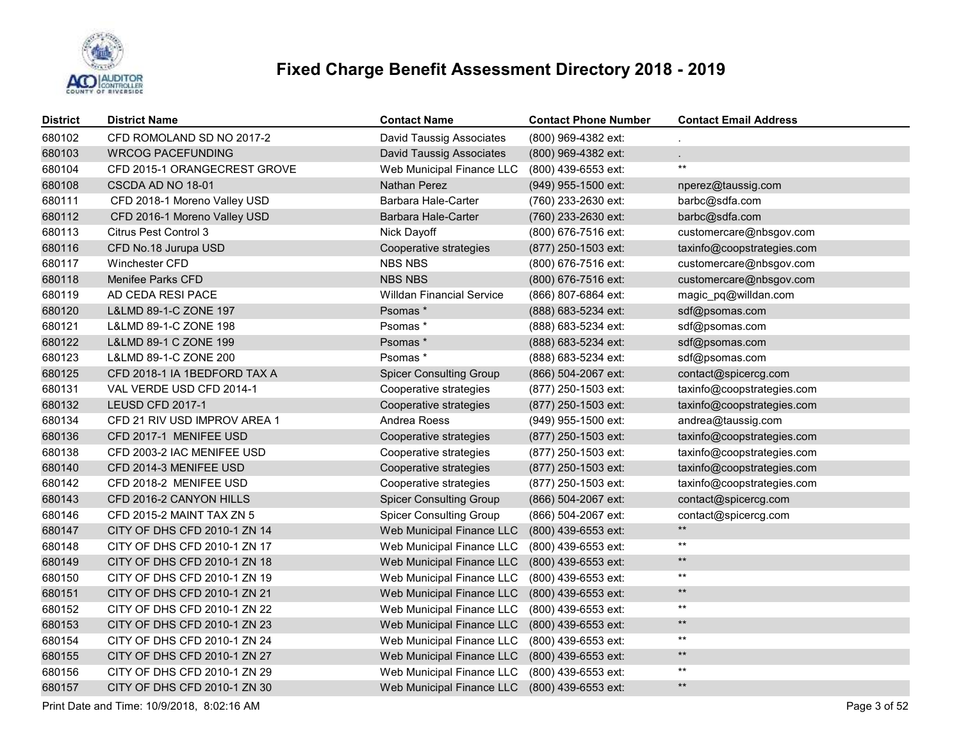

| <b>District</b> | <b>District Name</b>         | <b>Contact Name</b>              | <b>Contact Phone Number</b> | <b>Contact Email Address</b> |
|-----------------|------------------------------|----------------------------------|-----------------------------|------------------------------|
| 680102          | CFD ROMOLAND SD NO 2017-2    | <b>David Taussig Associates</b>  | (800) 969-4382 ext:         |                              |
| 680103          | <b>WRCOG PACEFUNDING</b>     | <b>David Taussig Associates</b>  | (800) 969-4382 ext:         |                              |
| 680104          | CFD 2015-1 ORANGECREST GROVE | Web Municipal Finance LLC        | (800) 439-6553 ext:         | $^{\star\star}$              |
| 680108          | CSCDA AD NO 18-01            | <b>Nathan Perez</b>              | (949) 955-1500 ext:         | nperez@taussig.com           |
| 680111          | CFD 2018-1 Moreno Valley USD | Barbara Hale-Carter              | (760) 233-2630 ext:         | barbc@sdfa.com               |
| 680112          | CFD 2016-1 Moreno Valley USD | Barbara Hale-Carter              | (760) 233-2630 ext:         | barbc@sdfa.com               |
| 680113          | <b>Citrus Pest Control 3</b> | Nick Dayoff                      | (800) 676-7516 ext:         | customercare@nbsgov.com      |
| 680116          | CFD No.18 Jurupa USD         | Cooperative strategies           | (877) 250-1503 ext:         | taxinfo@coopstrategies.com   |
| 680117          | <b>Winchester CFD</b>        | <b>NBS NBS</b>                   | (800) 676-7516 ext:         | customercare@nbsgov.com      |
| 680118          | <b>Menifee Parks CFD</b>     | <b>NBS NBS</b>                   | (800) 676-7516 ext:         | customercare@nbsgov.com      |
| 680119          | AD CEDA RESI PACE            | <b>Willdan Financial Service</b> | (866) 807-6864 ext:         | magic_pq@willdan.com         |
| 680120          | L&LMD 89-1-C ZONE 197        | Psomas *                         | (888) 683-5234 ext:         | sdf@psomas.com               |
| 680121          | L&LMD 89-1-C ZONE 198        | Psomas*                          | (888) 683-5234 ext:         | sdf@psomas.com               |
| 680122          | L&LMD 89-1 C ZONE 199        | Psomas *                         | (888) 683-5234 ext:         | sdf@psomas.com               |
| 680123          | L&LMD 89-1-C ZONE 200        | Psomas*                          | (888) 683-5234 ext:         | sdf@psomas.com               |
| 680125          | CFD 2018-1 IA 1BEDFORD TAX A | <b>Spicer Consulting Group</b>   | (866) 504-2067 ext:         | contact@spicercg.com         |
| 680131          | VAL VERDE USD CFD 2014-1     | Cooperative strategies           | (877) 250-1503 ext:         | taxinfo@coopstrategies.com   |
| 680132          | <b>LEUSD CFD 2017-1</b>      | Cooperative strategies           | (877) 250-1503 ext:         | taxinfo@coopstrategies.com   |
| 680134          | CFD 21 RIV USD IMPROV AREA 1 | Andrea Roess                     | (949) 955-1500 ext:         | andrea@taussig.com           |
| 680136          | CFD 2017-1 MENIFEE USD       | Cooperative strategies           | (877) 250-1503 ext:         | taxinfo@coopstrategies.com   |
| 680138          | CFD 2003-2 IAC MENIFEE USD   | Cooperative strategies           | (877) 250-1503 ext:         | taxinfo@coopstrategies.com   |
| 680140          | CFD 2014-3 MENIFEE USD       | Cooperative strategies           | (877) 250-1503 ext:         | taxinfo@coopstrategies.com   |
| 680142          | CFD 2018-2 MENIFEE USD       | Cooperative strategies           | (877) 250-1503 ext:         | taxinfo@coopstrategies.com   |
| 680143          | CFD 2016-2 CANYON HILLS      | <b>Spicer Consulting Group</b>   | (866) 504-2067 ext:         | contact@spicercg.com         |
| 680146          | CFD 2015-2 MAINT TAX ZN 5    | <b>Spicer Consulting Group</b>   | (866) 504-2067 ext:         | contact@spicercg.com         |
| 680147          | CITY OF DHS CFD 2010-1 ZN 14 | Web Municipal Finance LLC        | (800) 439-6553 ext:         | $\star\star$                 |
| 680148          | CITY OF DHS CFD 2010-1 ZN 17 | Web Municipal Finance LLC        | (800) 439-6553 ext:         | $\star\star$                 |
| 680149          | CITY OF DHS CFD 2010-1 ZN 18 | Web Municipal Finance LLC        | (800) 439-6553 ext:         | $\star\star$                 |
| 680150          | CITY OF DHS CFD 2010-1 ZN 19 | Web Municipal Finance LLC        | (800) 439-6553 ext:         | $^{\star\star}$              |
| 680151          | CITY OF DHS CFD 2010-1 ZN 21 | Web Municipal Finance LLC        | (800) 439-6553 ext:         | $\star\star$                 |
| 680152          | CITY OF DHS CFD 2010-1 ZN 22 | Web Municipal Finance LLC        | (800) 439-6553 ext:         | $^{\star\star}$              |
| 680153          | CITY OF DHS CFD 2010-1 ZN 23 | Web Municipal Finance LLC        | (800) 439-6553 ext:         | $\star\star$                 |
| 680154          | CITY OF DHS CFD 2010-1 ZN 24 | Web Municipal Finance LLC        | (800) 439-6553 ext:         | $\star\star$                 |
| 680155          | CITY OF DHS CFD 2010-1 ZN 27 | Web Municipal Finance LLC        | (800) 439-6553 ext:         | $\star\star$                 |
| 680156          | CITY OF DHS CFD 2010-1 ZN 29 | Web Municipal Finance LLC        | (800) 439-6553 ext:         | $\star\star$                 |
| 680157          | CITY OF DHS CFD 2010-1 ZN 30 | Web Municipal Finance LLC        | (800) 439-6553 ext:         | $\star\star$                 |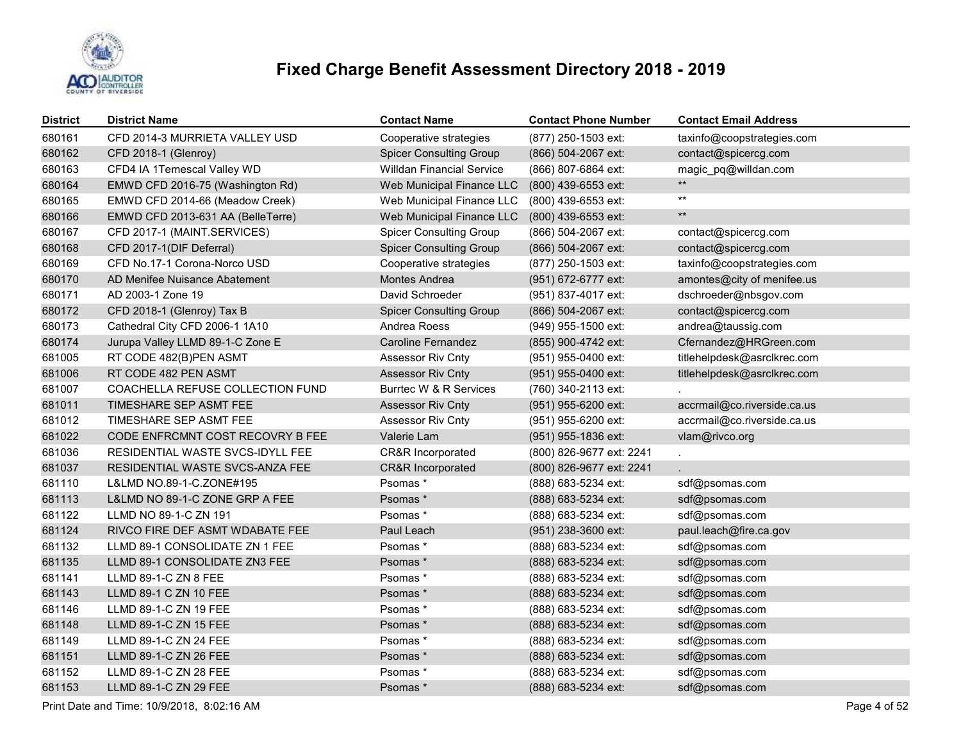

| District | <b>District Name</b>              | <b>Contact Name</b>              | <b>Contact Phone Number</b> | <b>Contact Email Address</b> |
|----------|-----------------------------------|----------------------------------|-----------------------------|------------------------------|
| 680161   | CFD 2014-3 MURRIETA VALLEY USD    | Cooperative strategies           | (877) 250-1503 ext:         | taxinfo@coopstrategies.com   |
| 680162   | CFD 2018-1 (Glenroy)              | <b>Spicer Consulting Group</b>   | (866) 504-2067 ext:         | contact@spicercg.com         |
| 680163   | CFD4 IA 1Temescal Valley WD       | <b>Willdan Financial Service</b> | (866) 807-6864 ext:         | magic pq@willdan.com         |
| 680164   | EMWD CFD 2016-75 (Washington Rd)  | Web Municipal Finance LLC        | (800) 439-6553 ext:         | $***$                        |
| 680165   | EMWD CFD 2014-66 (Meadow Creek)   | Web Municipal Finance LLC        | (800) 439-6553 ext:         | $^{\star\star}$              |
| 680166   | EMWD CFD 2013-631 AA (BelleTerre) | Web Municipal Finance LLC        | (800) 439-6553 ext:         | $\star\star$                 |
| 680167   | CFD 2017-1 (MAINT.SERVICES)       | <b>Spicer Consulting Group</b>   | (866) 504-2067 ext:         | contact@spicercg.com         |
| 680168   | CFD 2017-1(DIF Deferral)          | <b>Spicer Consulting Group</b>   | (866) 504-2067 ext:         | contact@spicercg.com         |
| 680169   | CFD No.17-1 Corona-Norco USD      | Cooperative strategies           | (877) 250-1503 ext:         | taxinfo@coopstrategies.com   |
| 680170   | AD Menifee Nuisance Abatement     | Montes Andrea                    | (951) 672-6777 ext:         | amontes@city of menifee.us   |
| 680171   | AD 2003-1 Zone 19                 | David Schroeder                  | (951) 837-4017 ext:         | dschroeder@nbsgov.com        |
| 680172   | CFD 2018-1 (Glenroy) Tax B        | <b>Spicer Consulting Group</b>   | (866) 504-2067 ext:         | contact@spicercg.com         |
| 680173   | Cathedral City CFD 2006-1 1A10    | Andrea Roess                     | (949) 955-1500 ext:         | andrea@taussig.com           |
| 680174   | Jurupa Valley LLMD 89-1-C Zone E  | <b>Caroline Fernandez</b>        | (855) 900-4742 ext:         | Cfernandez@HRGreen.com       |
| 681005   | RT CODE 482(B)PEN ASMT            | Assessor Riv Cnty                | (951) 955-0400 ext:         | titlehelpdesk@asrclkrec.com  |
| 681006   | RT CODE 482 PEN ASMT              | <b>Assessor Riv Cnty</b>         | (951) 955-0400 ext:         | titlehelpdesk@asrclkrec.com  |
| 681007   | COACHELLA REFUSE COLLECTION FUND  | Burrtec W & R Services           | (760) 340-2113 ext:         |                              |
| 681011   | TIMESHARE SEP ASMT FEE            | <b>Assessor Riv Cnty</b>         | (951) 955-6200 ext:         | accrmail@co.riverside.ca.us  |
| 681012   | TIMESHARE SEP ASMT FEE            | <b>Assessor Riv Cnty</b>         | (951) 955-6200 ext:         | accrmail@co.riverside.ca.us  |
| 681022   | CODE ENFRCMNT COST RECOVRY B FEE  | Valerie Lam                      | (951) 955-1836 ext:         | vlam@rivco.org               |
| 681036   | RESIDENTIAL WASTE SVCS-IDYLL FEE  | <b>CR&amp;R Incorporated</b>     | (800) 826-9677 ext: 2241    |                              |
| 681037   | RESIDENTIAL WASTE SVCS-ANZA FEE   | CR&R Incorporated                | (800) 826-9677 ext: 2241    |                              |
| 681110   | L&LMD NO.89-1-C.ZONE#195          | Psomas*                          | (888) 683-5234 ext:         | sdf@psomas.com               |
| 681113   | L&LMD NO 89-1-C ZONE GRP A FEE    | Psomas*                          | (888) 683-5234 ext:         | sdf@psomas.com               |
| 681122   | LLMD NO 89-1-C ZN 191             | Psomas *                         | (888) 683-5234 ext:         | sdf@psomas.com               |
| 681124   | RIVCO FIRE DEF ASMT WDABATE FEE   | Paul Leach                       | (951) 238-3600 ext:         | paul.leach@fire.ca.gov       |
| 681132   | LLMD 89-1 CONSOLIDATE ZN 1 FEE    | Psomas*                          | (888) 683-5234 ext:         | sdf@psomas.com               |
| 681135   | LLMD 89-1 CONSOLIDATE ZN3 FEE     | Psomas*                          | (888) 683-5234 ext:         | sdf@psomas.com               |
| 681141   | LLMD 89-1-C ZN 8 FEE              | Psomas *                         | (888) 683-5234 ext:         | sdf@psomas.com               |
| 681143   | LLMD 89-1 C ZN 10 FEE             | Psomas*                          | (888) 683-5234 ext:         | sdf@psomas.com               |
| 681146   | LLMD 89-1-C ZN 19 FEE             | Psomas *                         | (888) 683-5234 ext:         | sdf@psomas.com               |
| 681148   | LLMD 89-1-C ZN 15 FEE             | Psomas*                          | (888) 683-5234 ext:         | sdf@psomas.com               |
| 681149   | LLMD 89-1-C ZN 24 FEE             | Psomas *                         | (888) 683-5234 ext:         | sdf@psomas.com               |
| 681151   | LLMD 89-1-C ZN 26 FEE             | Psomas*                          | (888) 683-5234 ext:         | sdf@psomas.com               |
| 681152   | LLMD 89-1-C ZN 28 FEE             | Psomas *                         | (888) 683-5234 ext:         | sdf@psomas.com               |
| 681153   | LLMD 89-1-C ZN 29 FEE             | Psomas*                          | (888) 683-5234 ext:         | sdf@psomas.com               |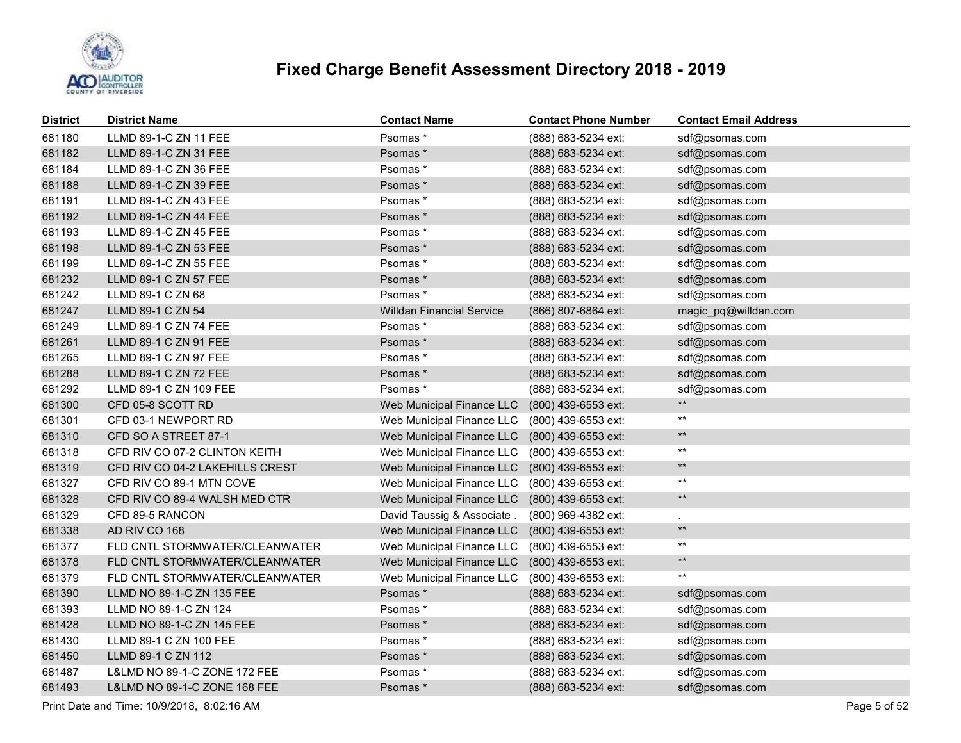

| <b>District</b> | <b>District Name</b>            | <b>Contact Name</b>              | <b>Contact Phone Number</b> | <b>Contact Email Address</b> |
|-----------------|---------------------------------|----------------------------------|-----------------------------|------------------------------|
| 681180          | LLMD 89-1-C ZN 11 FEE           | Psomas*                          | (888) 683-5234 ext:         | sdf@psomas.com               |
| 681182          | LLMD 89-1-C ZN 31 FEE           | Psomas*                          | (888) 683-5234 ext:         | sdf@psomas.com               |
| 681184          | LLMD 89-1-C ZN 36 FEE           | Psomas*                          | (888) 683-5234 ext:         | sdf@psomas.com               |
| 681188          | LLMD 89-1-C ZN 39 FEE           | Psomas *                         | (888) 683-5234 ext:         | sdf@psomas.com               |
| 681191          | LLMD 89-1-C ZN 43 FEE           | Psomas *                         | (888) 683-5234 ext:         | sdf@psomas.com               |
| 681192          | LLMD 89-1-C ZN 44 FEE           | Psomas*                          | (888) 683-5234 ext:         | sdf@psomas.com               |
| 681193          | LLMD 89-1-C ZN 45 FEE           | Psomas *                         | (888) 683-5234 ext:         | sdf@psomas.com               |
| 681198          | LLMD 89-1-C ZN 53 FEE           | Psomas *                         | (888) 683-5234 ext:         | sdf@psomas.com               |
| 681199          | LLMD 89-1-C ZN 55 FEE           | Psomas *                         | (888) 683-5234 ext:         | sdf@psomas.com               |
| 681232          | LLMD 89-1 C ZN 57 FEE           | Psomas*                          | (888) 683-5234 ext:         | sdf@psomas.com               |
| 681242          | LLMD 89-1 C ZN 68               | Psomas*                          | (888) 683-5234 ext:         | sdf@psomas.com               |
| 681247          | LLMD 89-1 C ZN 54               | <b>Willdan Financial Service</b> | (866) 807-6864 ext:         | magic_pq@willdan.com         |
| 681249          | LLMD 89-1 C ZN 74 FEE           | Psomas *                         | (888) 683-5234 ext:         | sdf@psomas.com               |
| 681261          | LLMD 89-1 C ZN 91 FEE           | Psomas*                          | (888) 683-5234 ext:         | sdf@psomas.com               |
| 681265          | LLMD 89-1 C ZN 97 FEE           | Psomas*                          | (888) 683-5234 ext:         | sdf@psomas.com               |
| 681288          | LLMD 89-1 C ZN 72 FEE           | Psomas *                         | (888) 683-5234 ext:         | sdf@psomas.com               |
| 681292          | LLMD 89-1 C ZN 109 FEE          | Psomas *                         | (888) 683-5234 ext:         | sdf@psomas.com               |
| 681300          | CFD 05-8 SCOTT RD               | Web Municipal Finance LLC        | (800) 439-6553 ext:         | $**$                         |
| 681301          | CFD 03-1 NEWPORT RD             | Web Municipal Finance LLC        | (800) 439-6553 ext:         | $***$                        |
| 681310          | CFD SO A STREET 87-1            | Web Municipal Finance LLC        | (800) 439-6553 ext:         | $**$                         |
| 681318          | CFD RIV CO 07-2 CLINTON KEITH   | Web Municipal Finance LLC        | (800) 439-6553 ext:         | $***$                        |
| 681319          | CFD RIV CO 04-2 LAKEHILLS CREST | Web Municipal Finance LLC        | (800) 439-6553 ext:         | $***$                        |
| 681327          | CFD RIV CO 89-1 MTN COVE        | Web Municipal Finance LLC        | (800) 439-6553 ext:         | $***$                        |
| 681328          | CFD RIV CO 89-4 WALSH MED CTR   | Web Municipal Finance LLC        | (800) 439-6553 ext:         | $\star\star$                 |
| 681329          | CFD 89-5 RANCON                 | David Taussig & Associate.       | (800) 969-4382 ext:         |                              |
| 681338          | AD RIV CO 168                   | Web Municipal Finance LLC        | (800) 439-6553 ext:         | $\star\star$                 |
| 681377          | FLD CNTL STORMWATER/CLEANWATER  | Web Municipal Finance LLC        | (800) 439-6553 ext:         | $^{\star\star}$              |
| 681378          | FLD CNTL STORMWATER/CLEANWATER  | Web Municipal Finance LLC        | (800) 439-6553 ext:         | $***$                        |
| 681379          | FLD CNTL STORMWATER/CLEANWATER  | Web Municipal Finance LLC        | (800) 439-6553 ext:         | $***$                        |
| 681390          | LLMD NO 89-1-C ZN 135 FEE       | Psomas*                          | (888) 683-5234 ext:         | sdf@psomas.com               |
| 681393          | LLMD NO 89-1-C ZN 124           | Psomas*                          | (888) 683-5234 ext:         | sdf@psomas.com               |
| 681428          | LLMD NO 89-1-C ZN 145 FEE       | Psomas*                          | (888) 683-5234 ext:         | sdf@psomas.com               |
| 681430          | LLMD 89-1 C ZN 100 FEE          | Psomas*                          | (888) 683-5234 ext:         | sdf@psomas.com               |
| 681450          | LLMD 89-1 C ZN 112              | Psomas*                          | (888) 683-5234 ext:         | sdf@psomas.com               |
| 681487          | L&LMD NO 89-1-C ZONE 172 FEE    | Psomas *                         | (888) 683-5234 ext:         | sdf@psomas.com               |
| 681493          | L&LMD NO 89-1-C ZONE 168 FEE    | Psomas*                          | (888) 683-5234 ext:         | sdf@psomas.com               |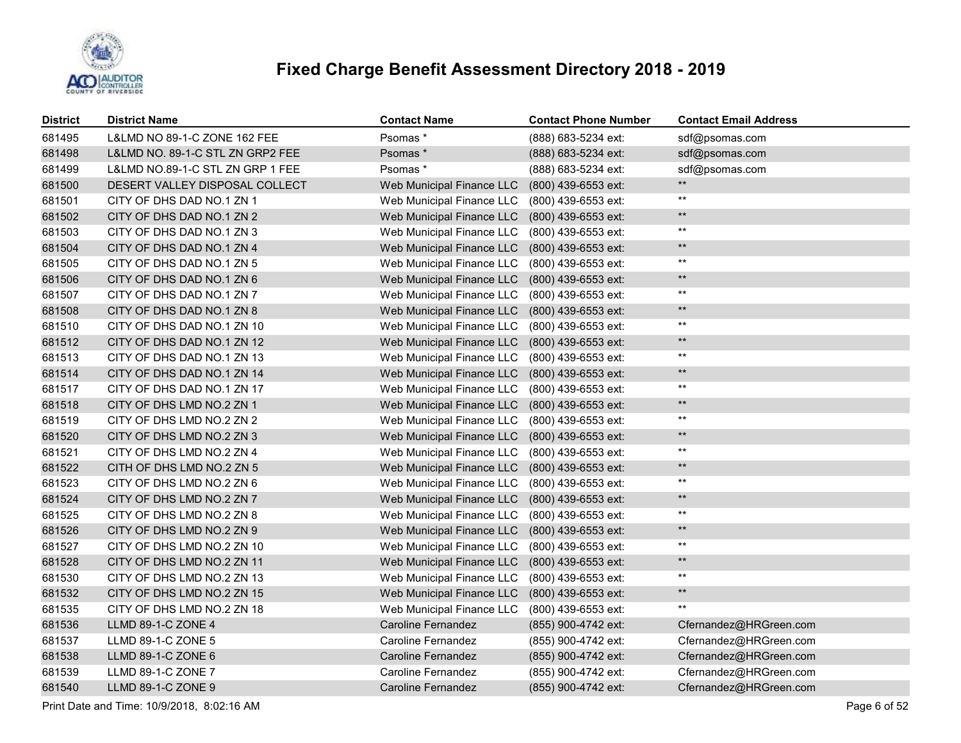

| <b>District</b> | <b>District Name</b>             | Contact Name              | <b>Contact Phone Number</b> | <b>Contact Email Address</b> |
|-----------------|----------------------------------|---------------------------|-----------------------------|------------------------------|
| 681495          | L&LMD NO 89-1-C ZONE 162 FEE     | Psomas*                   | (888) 683-5234 ext:         | sdf@psomas.com               |
| 681498          | L&LMD NO. 89-1-C STL ZN GRP2 FEE | Psomas *                  | (888) 683-5234 ext:         | sdf@psomas.com               |
| 681499          | L&LMD NO.89-1-C STL ZN GRP 1 FEE | Psomas *                  | (888) 683-5234 ext:         | sdf@psomas.com               |
| 681500          | DESERT VALLEY DISPOSAL COLLECT   | Web Municipal Finance LLC | (800) 439-6553 ext:         | $***$                        |
| 681501          | CITY OF DHS DAD NO.1 ZN 1        | Web Municipal Finance LLC | (800) 439-6553 ext:         | $***$                        |
| 681502          | CITY OF DHS DAD NO.1 ZN 2        | Web Municipal Finance LLC | (800) 439-6553 ext:         | $\star\star$                 |
| 681503          | CITY OF DHS DAD NO.1 ZN 3        | Web Municipal Finance LLC | (800) 439-6553 ext:         | $^{\star\star}$              |
| 681504          | CITY OF DHS DAD NO.1 ZN 4        | Web Municipal Finance LLC | (800) 439-6553 ext:         | $\star\star$                 |
| 681505          | CITY OF DHS DAD NO.1 ZN 5        | Web Municipal Finance LLC | (800) 439-6553 ext:         | $^{\star\star}$              |
| 681506          | CITY OF DHS DAD NO.1 ZN 6        | Web Municipal Finance LLC | (800) 439-6553 ext:         | $\star\star$                 |
| 681507          | CITY OF DHS DAD NO.1 ZN 7        | Web Municipal Finance LLC | (800) 439-6553 ext:         | $***$                        |
| 681508          | CITY OF DHS DAD NO.1 ZN 8        | Web Municipal Finance LLC | (800) 439-6553 ext:         | $\star\star$                 |
| 681510          | CITY OF DHS DAD NO.1 ZN 10       | Web Municipal Finance LLC | (800) 439-6553 ext:         | $^{\star\star}$              |
| 681512          | CITY OF DHS DAD NO.1 ZN 12       | Web Municipal Finance LLC | (800) 439-6553 ext:         | $\star\star$                 |
| 681513          | CITY OF DHS DAD NO.1 ZN 13       | Web Municipal Finance LLC | (800) 439-6553 ext:         | $^{\star\star}$              |
| 681514          | CITY OF DHS DAD NO.1 ZN 14       | Web Municipal Finance LLC | (800) 439-6553 ext:         | $***$                        |
| 681517          | CITY OF DHS DAD NO.1 ZN 17       | Web Municipal Finance LLC | (800) 439-6553 ext:         | $^{\star\star}$              |
| 681518          | CITY OF DHS LMD NO.2 ZN 1        | Web Municipal Finance LLC | (800) 439-6553 ext:         | $\star\star$                 |
| 681519          | CITY OF DHS LMD NO.2 ZN 2        | Web Municipal Finance LLC | (800) 439-6553 ext:         | $^{\star\star}$              |
| 681520          | CITY OF DHS LMD NO.2 ZN 3        | Web Municipal Finance LLC | (800) 439-6553 ext:         | $\star\star$                 |
| 681521          | CITY OF DHS LMD NO.2 ZN 4        | Web Municipal Finance LLC | (800) 439-6553 ext:         | $\star\star$                 |
| 681522          | CITH OF DHS LMD NO.2 ZN 5        | Web Municipal Finance LLC | (800) 439-6553 ext:         | $\star\star$                 |
| 681523          | CITY OF DHS LMD NO.2 ZN 6        | Web Municipal Finance LLC | (800) 439-6553 ext:         | $***$                        |
| 681524          | CITY OF DHS LMD NO.2 ZN 7        | Web Municipal Finance LLC | (800) 439-6553 ext:         | $***$                        |
| 681525          | CITY OF DHS LMD NO.2 ZN 8        | Web Municipal Finance LLC | (800) 439-6553 ext:         | $^{\star\star}$              |
| 681526          | CITY OF DHS LMD NO.2 ZN 9        | Web Municipal Finance LLC | (800) 439-6553 ext:         | $\star\star$                 |
| 681527          | CITY OF DHS LMD NO.2 ZN 10       | Web Municipal Finance LLC | (800) 439-6553 ext:         | $^{\star\star}$              |
| 681528          | CITY OF DHS LMD NO.2 ZN 11       | Web Municipal Finance LLC | (800) 439-6553 ext:         | $\star\star$                 |
| 681530          | CITY OF DHS LMD NO.2 ZN 13       | Web Municipal Finance LLC | (800) 439-6553 ext:         | $***$                        |
| 681532          | CITY OF DHS LMD NO.2 ZN 15       | Web Municipal Finance LLC | (800) 439-6553 ext:         | $\star\star$                 |
| 681535          | CITY OF DHS LMD NO.2 ZN 18       | Web Municipal Finance LLC | (800) 439-6553 ext:         | $***$                        |
| 681536          | LLMD 89-1-C ZONE 4               | <b>Caroline Fernandez</b> | (855) 900-4742 ext:         | Cfernandez@HRGreen.com       |
| 681537          | LLMD 89-1-C ZONE 5               | <b>Caroline Fernandez</b> | (855) 900-4742 ext:         | Cfernandez@HRGreen.com       |
| 681538          | LLMD 89-1-C ZONE 6               | <b>Caroline Fernandez</b> | (855) 900-4742 ext:         | Cfernandez@HRGreen.com       |
| 681539          | LLMD 89-1-C ZONE 7               | <b>Caroline Fernandez</b> | (855) 900-4742 ext:         | Cfernandez@HRGreen.com       |
| 681540          | LLMD 89-1-C ZONE 9               | <b>Caroline Fernandez</b> | (855) 900-4742 ext:         | Cfernandez@HRGreen.com       |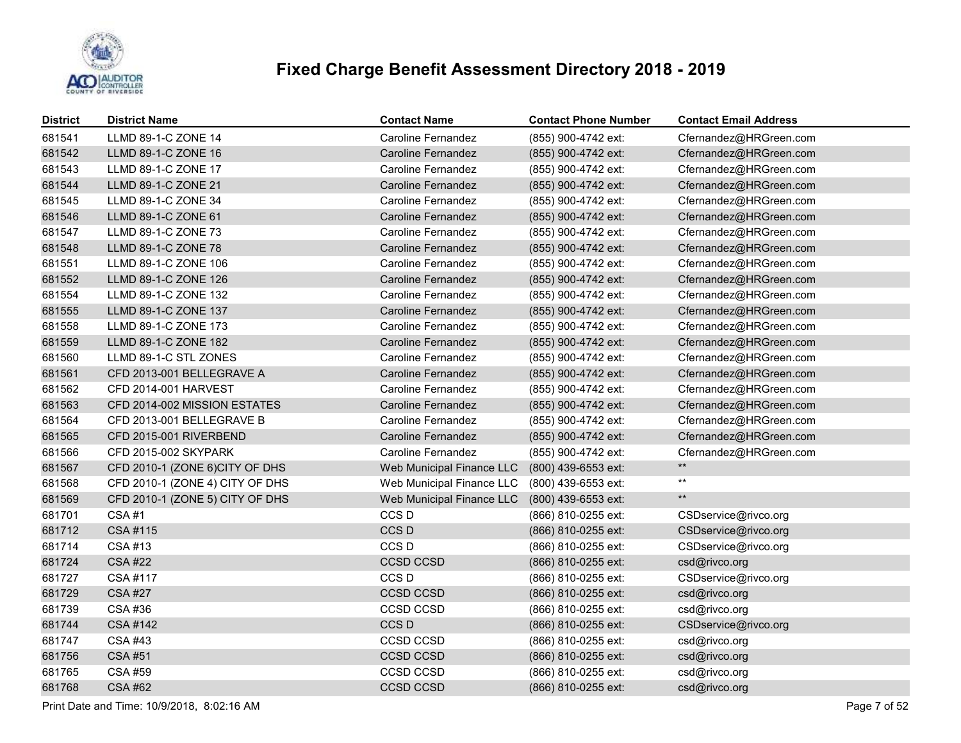

| <b>District</b> | <b>District Name</b>            | <b>Contact Name</b>       | <b>Contact Phone Number</b> | <b>Contact Email Address</b> |
|-----------------|---------------------------------|---------------------------|-----------------------------|------------------------------|
| 681541          | LLMD 89-1-C ZONE 14             | Caroline Fernandez        | (855) 900-4742 ext:         | Cfernandez@HRGreen.com       |
| 681542          | LLMD 89-1-C ZONE 16             | Caroline Fernandez        | (855) 900-4742 ext:         | Cfernandez@HRGreen.com       |
| 681543          | LLMD 89-1-C ZONE 17             | <b>Caroline Fernandez</b> | (855) 900-4742 ext:         | Cfernandez@HRGreen.com       |
| 681544          | LLMD 89-1-C ZONE 21             | <b>Caroline Fernandez</b> | (855) 900-4742 ext:         | Cfernandez@HRGreen.com       |
| 681545          | LLMD 89-1-C ZONE 34             | Caroline Fernandez        | (855) 900-4742 ext:         | Cfernandez@HRGreen.com       |
| 681546          | LLMD 89-1-C ZONE 61             | <b>Caroline Fernandez</b> | (855) 900-4742 ext:         | Cfernandez@HRGreen.com       |
| 681547          | LLMD 89-1-C ZONE 73             | <b>Caroline Fernandez</b> | (855) 900-4742 ext:         | Cfernandez@HRGreen.com       |
| 681548          | LLMD 89-1-C ZONE 78             | <b>Caroline Fernandez</b> | (855) 900-4742 ext:         | Cfernandez@HRGreen.com       |
| 681551          | LLMD 89-1-C ZONE 106            | <b>Caroline Fernandez</b> | (855) 900-4742 ext:         | Cfernandez@HRGreen.com       |
| 681552          | LLMD 89-1-C ZONE 126            | <b>Caroline Fernandez</b> | (855) 900-4742 ext:         | Cfernandez@HRGreen.com       |
| 681554          | LLMD 89-1-C ZONE 132            | Caroline Fernandez        | (855) 900-4742 ext:         | Cfernandez@HRGreen.com       |
| 681555          | LLMD 89-1-C ZONE 137            | Caroline Fernandez        | (855) 900-4742 ext:         | Cfernandez@HRGreen.com       |
| 681558          | LLMD 89-1-C ZONE 173            | Caroline Fernandez        | (855) 900-4742 ext:         | Cfernandez@HRGreen.com       |
| 681559          | LLMD 89-1-C ZONE 182            | Caroline Fernandez        | (855) 900-4742 ext:         | Cfernandez@HRGreen.com       |
| 681560          | LLMD 89-1-C STL ZONES           | <b>Caroline Fernandez</b> | (855) 900-4742 ext:         | Cfernandez@HRGreen.com       |
| 681561          | CFD 2013-001 BELLEGRAVE A       | <b>Caroline Fernandez</b> | (855) 900-4742 ext:         | Cfernandez@HRGreen.com       |
| 681562          | CFD 2014-001 HARVEST            | Caroline Fernandez        | (855) 900-4742 ext:         | Cfernandez@HRGreen.com       |
| 681563          | CFD 2014-002 MISSION ESTATES    | <b>Caroline Fernandez</b> | (855) 900-4742 ext:         | Cfernandez@HRGreen.com       |
| 681564          | CFD 2013-001 BELLEGRAVE B       | <b>Caroline Fernandez</b> | (855) 900-4742 ext:         | Cfernandez@HRGreen.com       |
| 681565          | CFD 2015-001 RIVERBEND          | <b>Caroline Fernandez</b> | (855) 900-4742 ext:         | Cfernandez@HRGreen.com       |
| 681566          | CFD 2015-002 SKYPARK            | <b>Caroline Fernandez</b> | (855) 900-4742 ext:         | Cfernandez@HRGreen.com       |
| 681567          | CFD 2010-1 (ZONE 6)CITY OF DHS  | Web Municipal Finance LLC | (800) 439-6553 ext:         | $***$                        |
| 681568          | CFD 2010-1 (ZONE 4) CITY OF DHS | Web Municipal Finance LLC | (800) 439-6553 ext:         | $^{\star\star}$              |
| 681569          | CFD 2010-1 (ZONE 5) CITY OF DHS | Web Municipal Finance LLC | (800) 439-6553 ext:         | $***$                        |
| 681701          | <b>CSA#1</b>                    | CCS D                     | (866) 810-0255 ext:         | CSDservice@rivco.org         |
| 681712          | CSA #115                        | CCS D                     | (866) 810-0255 ext:         | CSDservice@rivco.org         |
| 681714          | CSA #13                         | CCS <sub>D</sub>          | (866) 810-0255 ext:         | CSDservice@rivco.org         |
| 681724          | <b>CSA #22</b>                  | CCSD CCSD                 | (866) 810-0255 ext:         | csd@rivco.org                |
| 681727          | CSA #117                        | CCS <sub>D</sub>          | (866) 810-0255 ext:         | CSDservice@rivco.org         |
| 681729          | <b>CSA #27</b>                  | <b>CCSD CCSD</b>          | (866) 810-0255 ext:         | csd@rivco.org                |
| 681739          | CSA #36                         | CCSD CCSD                 | (866) 810-0255 ext:         | csd@rivco.org                |
| 681744          | <b>CSA #142</b>                 | CCS <sub>D</sub>          | (866) 810-0255 ext:         | CSDservice@rivco.org         |
| 681747          | <b>CSA #43</b>                  | <b>CCSD CCSD</b>          | (866) 810-0255 ext:         | csd@rivco.org                |
| 681756          | <b>CSA #51</b>                  | <b>CCSD CCSD</b>          | (866) 810-0255 ext:         | csd@rivco.org                |
| 681765          | <b>CSA #59</b>                  | CCSD CCSD                 | (866) 810-0255 ext:         | csd@rivco.org                |
| 681768          | <b>CSA #62</b>                  | <b>CCSD CCSD</b>          | (866) 810-0255 ext:         | csd@rivco.org                |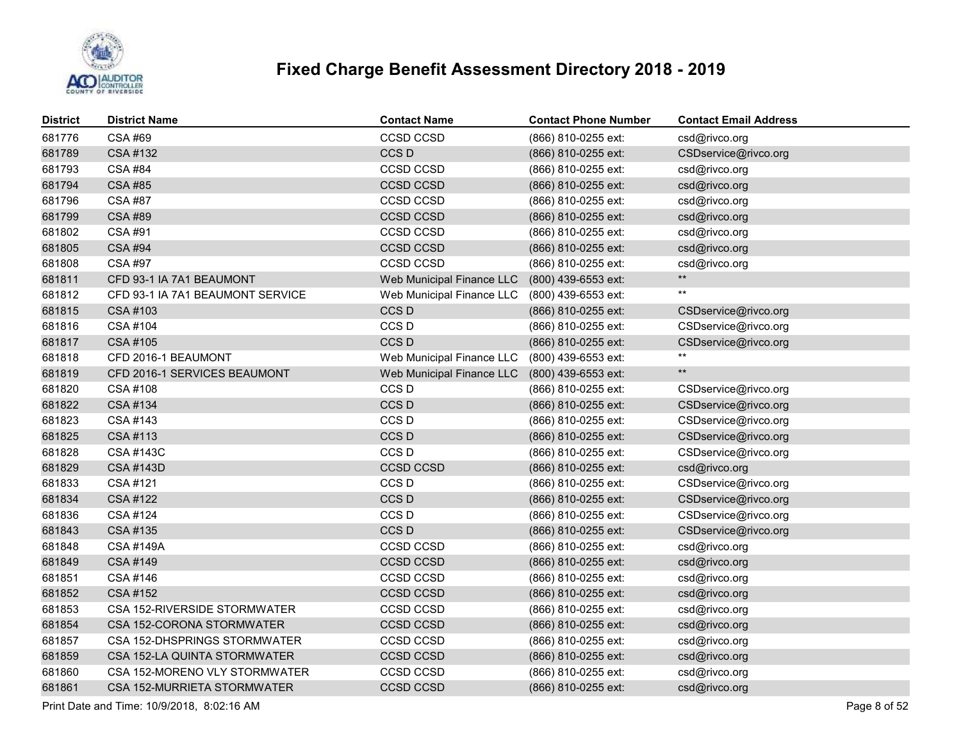

| <b>District</b> | <b>District Name</b>             | <b>Contact Name</b>       | <b>Contact Phone Number</b> | <b>Contact Email Address</b> |
|-----------------|----------------------------------|---------------------------|-----------------------------|------------------------------|
| 681776          | CSA #69                          | CCSD CCSD                 | (866) 810-0255 ext:         | csd@rivco.org                |
| 681789          | <b>CSA #132</b>                  | CCS <sub>D</sub>          | (866) 810-0255 ext:         | CSDservice@rivco.org         |
| 681793          | <b>CSA #84</b>                   | CCSD CCSD                 | (866) 810-0255 ext:         | csd@rivco.org                |
| 681794          | <b>CSA #85</b>                   | <b>CCSD CCSD</b>          | (866) 810-0255 ext:         | csd@rivco.org                |
| 681796          | CSA #87                          | CCSD CCSD                 | (866) 810-0255 ext:         | csd@rivco.org                |
| 681799          | <b>CSA#89</b>                    | <b>CCSD CCSD</b>          | (866) 810-0255 ext:         | csd@rivco.org                |
| 681802          | CSA #91                          | CCSD CCSD                 | (866) 810-0255 ext:         | csd@rivco.org                |
| 681805          | <b>CSA #94</b>                   | <b>CCSD CCSD</b>          | (866) 810-0255 ext:         | csd@rivco.org                |
| 681808          | CSA #97                          | CCSD CCSD                 | (866) 810-0255 ext:         | csd@rivco.org                |
| 681811          | CFD 93-1 IA 7A1 BEAUMONT         | Web Municipal Finance LLC | (800) 439-6553 ext:         | $**$                         |
| 681812          | CFD 93-1 IA 7A1 BEAUMONT SERVICE | Web Municipal Finance LLC | (800) 439-6553 ext:         | $***$                        |
| 681815          | CSA #103                         | CCS <sub>D</sub>          | (866) 810-0255 ext:         | CSDservice@rivco.org         |
| 681816          | CSA #104                         | CCS <sub>D</sub>          | (866) 810-0255 ext:         | CSDservice@rivco.org         |
| 681817          | CSA #105                         | CCS <sub>D</sub>          | (866) 810-0255 ext:         | CSDservice@rivco.org         |
| 681818          | CFD 2016-1 BEAUMONT              | Web Municipal Finance LLC | (800) 439-6553 ext:         | $***$                        |
| 681819          | CFD 2016-1 SERVICES BEAUMONT     | Web Municipal Finance LLC | (800) 439-6553 ext:         | $\star\star$                 |
| 681820          | CSA #108                         | CCS <sub>D</sub>          | (866) 810-0255 ext:         | CSDservice@rivco.org         |
| 681822          | CSA #134                         | CCS <sub>D</sub>          | (866) 810-0255 ext:         | CSDservice@rivco.org         |
| 681823          | CSA #143                         | CCS D                     | (866) 810-0255 ext:         | CSDservice@rivco.org         |
| 681825          | CSA #113                         | CCS D                     | (866) 810-0255 ext:         | CSDservice@rivco.org         |
| 681828          | <b>CSA #143C</b>                 | CCS <sub>D</sub>          | (866) 810-0255 ext:         | CSDservice@rivco.org         |
| 681829          | <b>CSA #143D</b>                 | <b>CCSD CCSD</b>          | (866) 810-0255 ext:         | csd@rivco.org                |
| 681833          | CSA #121                         | CCS <sub>D</sub>          | (866) 810-0255 ext:         | CSDservice@rivco.org         |
| 681834          | <b>CSA #122</b>                  | CCS <sub>D</sub>          | (866) 810-0255 ext:         | CSDservice@rivco.org         |
| 681836          | CSA #124                         | CCS D                     | (866) 810-0255 ext:         | CSDservice@rivco.org         |
| 681843          | CSA #135                         | CCS D                     | (866) 810-0255 ext:         | CSDservice@rivco.org         |
| 681848          | <b>CSA #149A</b>                 | CCSD CCSD                 | (866) 810-0255 ext:         | csd@rivco.org                |
| 681849          | CSA #149                         | CCSD CCSD                 | (866) 810-0255 ext:         | csd@rivco.org                |
| 681851          | CSA #146                         | CCSD CCSD                 | (866) 810-0255 ext:         | csd@rivco.org                |
| 681852          | <b>CSA #152</b>                  | CCSD CCSD                 | (866) 810-0255 ext:         | csd@rivco.org                |
| 681853          | CSA 152-RIVERSIDE STORMWATER     | CCSD CCSD                 | (866) 810-0255 ext:         | csd@rivco.org                |
| 681854          | CSA 152-CORONA STORMWATER        | CCSD CCSD                 | (866) 810-0255 ext:         | csd@rivco.org                |
| 681857          | CSA 152-DHSPRINGS STORMWATER     | CCSD CCSD                 | (866) 810-0255 ext:         | csd@rivco.org                |
| 681859          | CSA 152-LA QUINTA STORMWATER     | CCSD CCSD                 | (866) 810-0255 ext:         | csd@rivco.org                |
| 681860          | CSA 152-MORENO VLY STORMWATER    | CCSD CCSD                 | (866) 810-0255 ext:         | csd@rivco.org                |
| 681861          | CSA 152-MURRIETA STORMWATER      | <b>CCSD CCSD</b>          | (866) 810-0255 ext:         | csd@rivco.org                |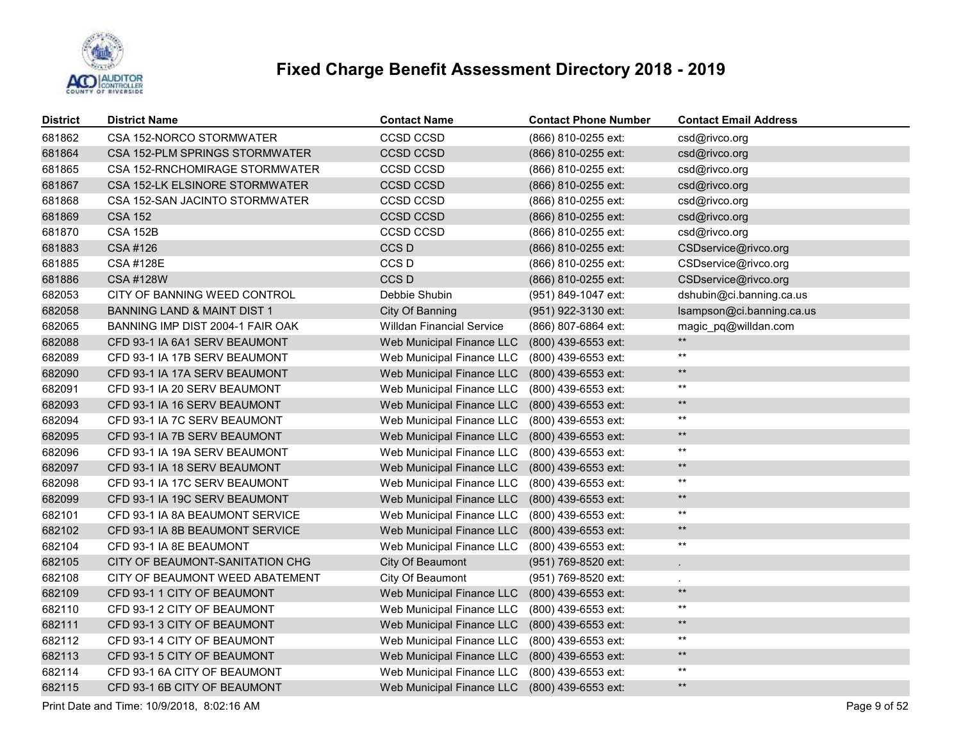

| <b>District</b> | <b>District Name</b>                   | <b>Contact Name</b>                           | <b>Contact Phone Number</b> | <b>Contact Email Address</b> |
|-----------------|----------------------------------------|-----------------------------------------------|-----------------------------|------------------------------|
| 681862          | CSA 152-NORCO STORMWATER               | <b>CCSD CCSD</b>                              | (866) 810-0255 ext:         | csd@rivco.org                |
| 681864          | CSA 152-PLM SPRINGS STORMWATER         | <b>CCSD CCSD</b>                              | (866) 810-0255 ext:         | csd@rivco.org                |
| 681865          | CSA 152-RNCHOMIRAGE STORMWATER         | CCSD CCSD                                     | (866) 810-0255 ext:         | csd@rivco.org                |
| 681867          | CSA 152-LK ELSINORE STORMWATER         | <b>CCSD CCSD</b>                              | (866) 810-0255 ext:         | csd@rivco.org                |
| 681868          | CSA 152-SAN JACINTO STORMWATER         | <b>CCSD CCSD</b>                              | (866) 810-0255 ext:         | csd@rivco.org                |
| 681869          | <b>CSA 152</b>                         | <b>CCSD CCSD</b>                              | (866) 810-0255 ext:         | csd@rivco.org                |
| 681870          | <b>CSA 152B</b>                        | CCSD CCSD                                     | (866) 810-0255 ext:         | csd@rivco.org                |
| 681883          | CSA #126                               | CCS D                                         | (866) 810-0255 ext:         | CSDservice@rivco.org         |
| 681885          | <b>CSA #128E</b>                       | CCS <sub>D</sub>                              | (866) 810-0255 ext:         | CSDservice@rivco.org         |
| 681886          | CSA #128W                              | CCS D                                         | (866) 810-0255 ext:         | CSDservice@rivco.org         |
| 682053          | CITY OF BANNING WEED CONTROL           | Debbie Shubin                                 | (951) 849-1047 ext:         | dshubin@ci.banning.ca.us     |
| 682058          | <b>BANNING LAND &amp; MAINT DIST 1</b> | City Of Banning                               | (951) 922-3130 ext:         | Isampson@ci.banning.ca.us    |
| 682065          | BANNING IMP DIST 2004-1 FAIR OAK       | <b>Willdan Financial Service</b>              | (866) 807-6864 ext:         | magic pq@willdan.com         |
| 682088          | CFD 93-1 IA 6A1 SERV BEAUMONT          | Web Municipal Finance LLC                     | (800) 439-6553 ext:         | $\star\star$                 |
| 682089          | CFD 93-1 IA 17B SERV BEAUMONT          | Web Municipal Finance LLC                     | (800) 439-6553 ext:         | $***$                        |
| 682090          | CFD 93-1 IA 17A SERV BEAUMONT          | Web Municipal Finance LLC                     | (800) 439-6553 ext:         | $\star\star$                 |
| 682091          | CFD 93-1 IA 20 SERV BEAUMONT           | Web Municipal Finance LLC                     | (800) 439-6553 ext:         | $***$                        |
| 682093          | CFD 93-1 IA 16 SERV BEAUMONT           | Web Municipal Finance LLC                     | (800) 439-6553 ext:         | $\star\star$                 |
| 682094          | CFD 93-1 IA 7C SERV BEAUMONT           | Web Municipal Finance LLC                     | (800) 439-6553 ext:         | $***$                        |
| 682095          | CFD 93-1 IA 7B SERV BEAUMONT           | Web Municipal Finance LLC                     | (800) 439-6553 ext:         | $\star\star$                 |
| 682096          | CFD 93-1 IA 19A SERV BEAUMONT          | Web Municipal Finance LLC                     | (800) 439-6553 ext:         | $^{\star\star}$              |
| 682097          | CFD 93-1 IA 18 SERV BEAUMONT           | Web Municipal Finance LLC                     | (800) 439-6553 ext:         | $\star\star$                 |
| 682098          | CFD 93-1 IA 17C SERV BEAUMONT          | Web Municipal Finance LLC                     | (800) 439-6553 ext:         | $^{\star\star}$              |
| 682099          | CFD 93-1 IA 19C SERV BEAUMONT          | Web Municipal Finance LLC                     | (800) 439-6553 ext:         | $\star\star$                 |
| 682101          | CFD 93-1 IA 8A BEAUMONT SERVICE        | Web Municipal Finance LLC                     | (800) 439-6553 ext:         | $^{\star\star}$              |
| 682102          | CFD 93-1 IA 8B BEAUMONT SERVICE        | Web Municipal Finance LLC                     | (800) 439-6553 ext:         | $\star\star$                 |
| 682104          | CFD 93-1 IA 8E BEAUMONT                | Web Municipal Finance LLC                     | (800) 439-6553 ext:         | $***$                        |
| 682105          | CITY OF BEAUMONT-SANITATION CHG        | City Of Beaumont                              | (951) 769-8520 ext:         |                              |
| 682108          | CITY OF BEAUMONT WEED ABATEMENT        | City Of Beaumont                              | (951) 769-8520 ext:         |                              |
| 682109          | CFD 93-1 1 CITY OF BEAUMONT            | Web Municipal Finance LLC                     | (800) 439-6553 ext:         | $\star\star$                 |
| 682110          | CFD 93-1 2 CITY OF BEAUMONT            | Web Municipal Finance LLC                     | (800) 439-6553 ext:         | $***$                        |
| 682111          | CFD 93-1 3 CITY OF BEAUMONT            | Web Municipal Finance LLC                     | (800) 439-6553 ext:         | $***$                        |
| 682112          | CFD 93-1 4 CITY OF BEAUMONT            | Web Municipal Finance LLC                     | (800) 439-6553 ext:         | $***$                        |
| 682113          | CFD 93-1 5 CITY OF BEAUMONT            | Web Municipal Finance LLC                     | (800) 439-6553 ext:         | $\star\star$                 |
| 682114          | CFD 93-1 6A CITY OF BEAUMONT           | Web Municipal Finance LLC                     | (800) 439-6553 ext:         | $***$                        |
| 682115          | CFD 93-1 6B CITY OF BEAUMONT           | Web Municipal Finance LLC (800) 439-6553 ext: |                             | $\star\star$                 |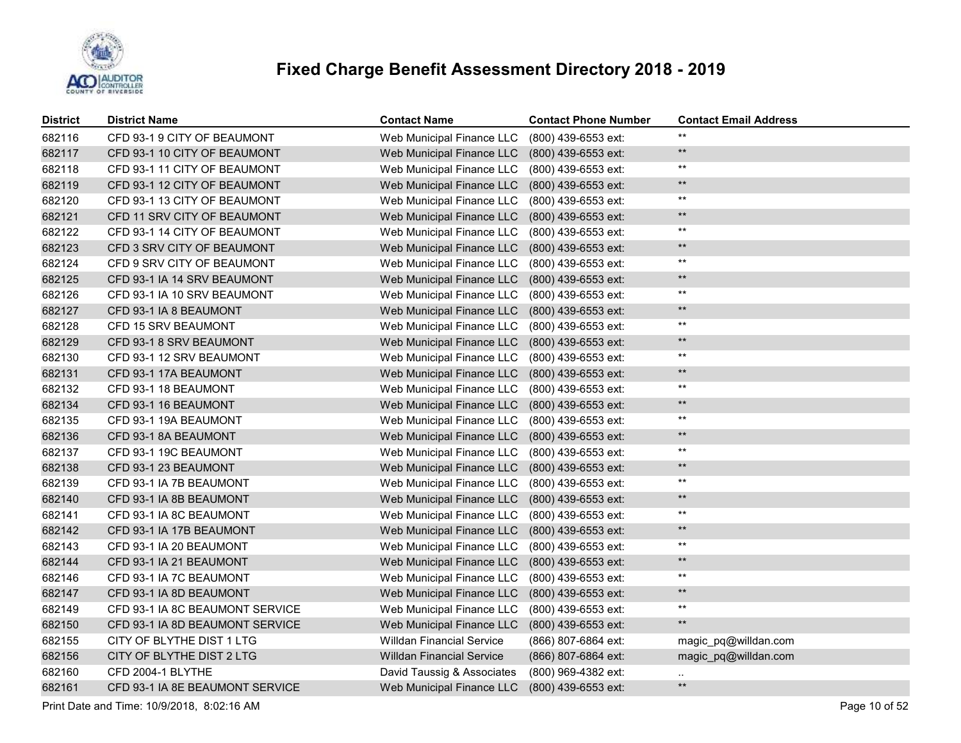

| District | <b>District Name</b>            | <b>Contact Name</b>              | <b>Contact Phone Number</b> | <b>Contact Email Address</b> |
|----------|---------------------------------|----------------------------------|-----------------------------|------------------------------|
| 682116   | CFD 93-1 9 CITY OF BEAUMONT     | Web Municipal Finance LLC        | (800) 439-6553 ext:         | $***$                        |
| 682117   | CFD 93-1 10 CITY OF BEAUMONT    | Web Municipal Finance LLC        | (800) 439-6553 ext:         | $\star\star$                 |
| 682118   | CFD 93-1 11 CITY OF BEAUMONT    | Web Municipal Finance LLC        | (800) 439-6553 ext:         | $***$                        |
| 682119   | CFD 93-1 12 CITY OF BEAUMONT    | Web Municipal Finance LLC        | (800) 439-6553 ext:         | $\star\star$                 |
| 682120   | CFD 93-1 13 CITY OF BEAUMONT    | Web Municipal Finance LLC        | (800) 439-6553 ext:         | $^{\star\star}$              |
| 682121   | CFD 11 SRV CITY OF BEAUMONT     | Web Municipal Finance LLC        | (800) 439-6553 ext:         | $\star\star$                 |
| 682122   | CFD 93-1 14 CITY OF BEAUMONT    | Web Municipal Finance LLC        | (800) 439-6553 ext:         | $^{\star\star}$              |
| 682123   | CFD 3 SRV CITY OF BEAUMONT      | Web Municipal Finance LLC        | (800) 439-6553 ext:         | $\star\star$                 |
| 682124   | CFD 9 SRV CITY OF BEAUMONT      | Web Municipal Finance LLC        | (800) 439-6553 ext:         | $***$                        |
| 682125   | CFD 93-1 IA 14 SRV BEAUMONT     | Web Municipal Finance LLC        | (800) 439-6553 ext:         | $\star\star$                 |
| 682126   | CFD 93-1 IA 10 SRV BEAUMONT     | Web Municipal Finance LLC        | (800) 439-6553 ext:         | $^{\star\star}$              |
| 682127   | CFD 93-1 IA 8 BEAUMONT          | Web Municipal Finance LLC        | (800) 439-6553 ext:         | $\star\star$                 |
| 682128   | CFD 15 SRV BEAUMONT             | Web Municipal Finance LLC        | (800) 439-6553 ext:         | $^{\star\star}$              |
| 682129   | CFD 93-1 8 SRV BEAUMONT         | Web Municipal Finance LLC        | (800) 439-6553 ext:         | $\star\star$                 |
| 682130   | CFD 93-1 12 SRV BEAUMONT        | Web Municipal Finance LLC        | (800) 439-6553 ext:         | $^{\star\star}$              |
| 682131   | CFD 93-1 17A BEAUMONT           | Web Municipal Finance LLC        | (800) 439-6553 ext:         | $\star\star$                 |
| 682132   | CFD 93-1 18 BEAUMONT            | Web Municipal Finance LLC        | (800) 439-6553 ext:         | $^{\star\star}$              |
| 682134   | CFD 93-1 16 BEAUMONT            | Web Municipal Finance LLC        | (800) 439-6553 ext:         | $\star\star$                 |
| 682135   | CFD 93-1 19A BEAUMONT           | Web Municipal Finance LLC        | (800) 439-6553 ext:         | $***$                        |
| 682136   | CFD 93-1 8A BEAUMONT            | Web Municipal Finance LLC        | (800) 439-6553 ext:         | $\star\star$                 |
| 682137   | CFD 93-1 19C BEAUMONT           | Web Municipal Finance LLC        | (800) 439-6553 ext:         | $^{\star\star}$              |
| 682138   | CFD 93-1 23 BEAUMONT            | Web Municipal Finance LLC        | (800) 439-6553 ext:         | $\star\star$                 |
| 682139   | CFD 93-1 IA 7B BEAUMONT         | Web Municipal Finance LLC        | (800) 439-6553 ext:         | $***$                        |
| 682140   | CFD 93-1 IA 8B BEAUMONT         | Web Municipal Finance LLC        | (800) 439-6553 ext:         | $***$                        |
| 682141   | CFD 93-1 IA 8C BEAUMONT         | Web Municipal Finance LLC        | (800) 439-6553 ext:         | $***$                        |
| 682142   | CFD 93-1 IA 17B BEAUMONT        | Web Municipal Finance LLC        | (800) 439-6553 ext:         | $\star\star$                 |
| 682143   | CFD 93-1 IA 20 BEAUMONT         | Web Municipal Finance LLC        | (800) 439-6553 ext:         | $***$                        |
| 682144   | CFD 93-1 IA 21 BEAUMONT         | Web Municipal Finance LLC        | (800) 439-6553 ext:         | $***$                        |
| 682146   | CFD 93-1 IA 7C BEAUMONT         | Web Municipal Finance LLC        | (800) 439-6553 ext:         | $^{\star\star}$              |
| 682147   | CFD 93-1 IA 8D BEAUMONT         | Web Municipal Finance LLC        | (800) 439-6553 ext:         | $\star\star$                 |
| 682149   | CFD 93-1 IA 8C BEAUMONT SERVICE | Web Municipal Finance LLC        | (800) 439-6553 ext:         | $***$                        |
| 682150   | CFD 93-1 IA 8D BEAUMONT SERVICE | Web Municipal Finance LLC        | (800) 439-6553 ext:         | $***$                        |
| 682155   | CITY OF BLYTHE DIST 1 LTG       | <b>Willdan Financial Service</b> | (866) 807-6864 ext:         | magic_pq@willdan.com         |
| 682156   | CITY OF BLYTHE DIST 2 LTG       | <b>Willdan Financial Service</b> | (866) 807-6864 ext:         | magic_pq@willdan.com         |
| 682160   | CFD 2004-1 BLYTHE               | David Taussig & Associates       | (800) 969-4382 ext:         | $\cdot$ .                    |
| 682161   | CFD 93-1 IA 8E BEAUMONT SERVICE | Web Municipal Finance LLC        | $(800)$ 439-6553 ext:       | $***$                        |

Print Date and Time: 10/9/2018, 8:02:16 AM Page 10 of 52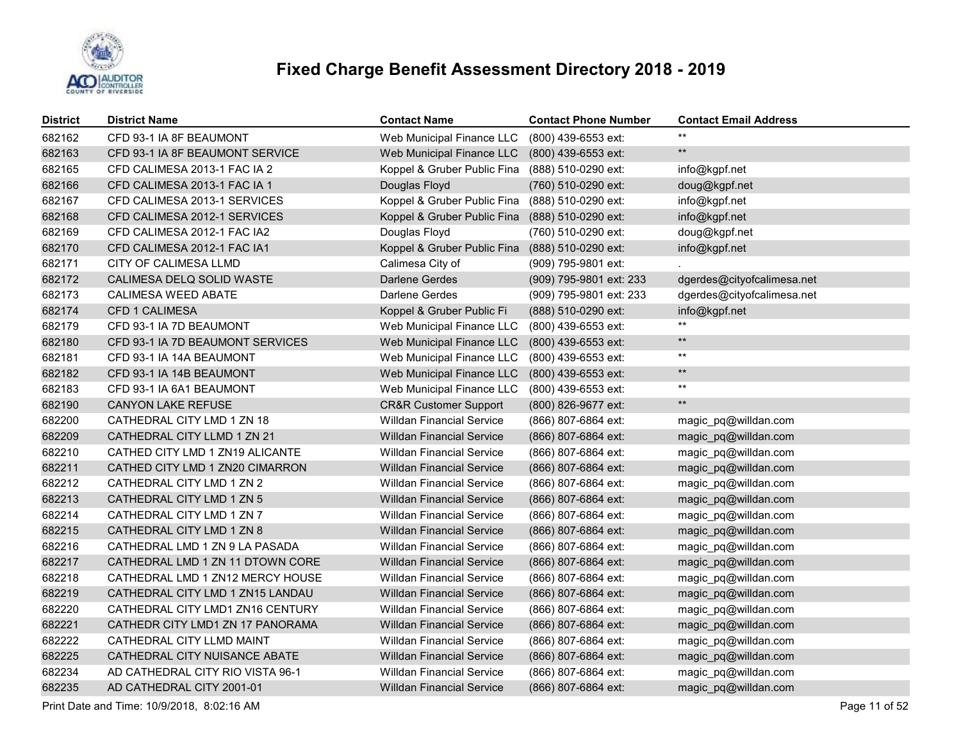

| <b>District</b> | <b>District Name</b>             | <b>Contact Name</b>                             | <b>Contact Phone Number</b> | <b>Contact Email Address</b> |
|-----------------|----------------------------------|-------------------------------------------------|-----------------------------|------------------------------|
| 682162          | CFD 93-1 IA 8F BEAUMONT          | Web Municipal Finance LLC                       | (800) 439-6553 ext:         | $***$                        |
| 682163          | CFD 93-1 IA 8F BEAUMONT SERVICE  | Web Municipal Finance LLC                       | (800) 439-6553 ext:         | $\star\star$                 |
| 682165          | CFD CALIMESA 2013-1 FAC IA 2     | Koppel & Gruber Public Fina                     | (888) 510-0290 ext:         | info@kgpf.net                |
| 682166          | CFD CALIMESA 2013-1 FAC IA 1     | Douglas Floyd                                   | (760) 510-0290 ext:         | doug@kgpf.net                |
| 682167          | CFD CALIMESA 2013-1 SERVICES     | Koppel & Gruber Public Fina                     | (888) 510-0290 ext:         | info@kgpf.net                |
| 682168          | CFD CALIMESA 2012-1 SERVICES     | Koppel & Gruber Public Fina                     | (888) 510-0290 ext:         | info@kgpf.net                |
| 682169          | CFD CALIMESA 2012-1 FAC IA2      | Douglas Floyd                                   | (760) 510-0290 ext:         | doug@kgpf.net                |
| 682170          | CFD CALIMESA 2012-1 FAC IA1      | Koppel & Gruber Public Fina (888) 510-0290 ext: |                             | info@kgpf.net                |
| 682171          | CITY OF CALIMESA LLMD            | Calimesa City of                                | (909) 795-9801 ext:         |                              |
| 682172          | CALIMESA DELQ SOLID WASTE        | Darlene Gerdes                                  | (909) 795-9801 ext: 233     | dgerdes@cityofcalimesa.net   |
| 682173          | <b>CALIMESA WEED ABATE</b>       | Darlene Gerdes                                  | (909) 795-9801 ext: 233     | dgerdes@cityofcalimesa.net   |
| 682174          | <b>CFD 1 CALIMESA</b>            | Koppel & Gruber Public Fi                       | (888) 510-0290 ext:         | info@kgpf.net                |
| 682179          | CFD 93-1 IA 7D BEAUMONT          | Web Municipal Finance LLC                       | (800) 439-6553 ext:         | $***$                        |
| 682180          | CFD 93-1 IA 7D BEAUMONT SERVICES | Web Municipal Finance LLC                       | (800) 439-6553 ext:         | $\star\star$                 |
| 682181          | CFD 93-1 IA 14A BEAUMONT         | Web Municipal Finance LLC                       | (800) 439-6553 ext:         | $\star\star$                 |
| 682182          | CFD 93-1 IA 14B BEAUMONT         | Web Municipal Finance LLC                       | (800) 439-6553 ext:         | $\star\star$                 |
| 682183          | CFD 93-1 IA 6A1 BEAUMONT         | Web Municipal Finance LLC                       | (800) 439-6553 ext:         | $\star\star$                 |
| 682190          | <b>CANYON LAKE REFUSE</b>        | <b>CR&amp;R Customer Support</b>                | (800) 826-9677 ext:         | $\star\star$                 |
| 682200          | CATHEDRAL CITY LMD 1 ZN 18       | <b>Willdan Financial Service</b>                | (866) 807-6864 ext:         | magic_pq@willdan.com         |
| 682209          | CATHEDRAL CITY LLMD 1 ZN 21      | <b>Willdan Financial Service</b>                | (866) 807-6864 ext:         | magic_pq@willdan.com         |
| 682210          | CATHED CITY LMD 1 ZN19 ALICANTE  | <b>Willdan Financial Service</b>                | (866) 807-6864 ext:         | magic_pq@willdan.com         |
| 682211          | CATHED CITY LMD 1 ZN20 CIMARRON  | <b>Willdan Financial Service</b>                | (866) 807-6864 ext:         | magic_pq@willdan.com         |
| 682212          | CATHEDRAL CITY LMD 1 ZN 2        | <b>Willdan Financial Service</b>                | (866) 807-6864 ext:         | magic_pq@willdan.com         |
| 682213          | CATHEDRAL CITY LMD 1 ZN 5        | <b>Willdan Financial Service</b>                | (866) 807-6864 ext:         | magic_pq@willdan.com         |
| 682214          | CATHEDRAL CITY LMD 1 ZN 7        | <b>Willdan Financial Service</b>                | (866) 807-6864 ext:         | magic_pq@willdan.com         |
| 682215          | CATHEDRAL CITY LMD 1 ZN 8        | <b>Willdan Financial Service</b>                | (866) 807-6864 ext:         | magic_pq@willdan.com         |
| 682216          | CATHEDRAL LMD 1 ZN 9 LA PASADA   | <b>Willdan Financial Service</b>                | (866) 807-6864 ext:         | magic_pq@willdan.com         |
| 682217          | CATHEDRAL LMD 1 ZN 11 DTOWN CORE | <b>Willdan Financial Service</b>                | (866) 807-6864 ext:         | magic_pq@willdan.com         |
| 682218          | CATHEDRAL LMD 1 ZN12 MERCY HOUSE | <b>Willdan Financial Service</b>                | (866) 807-6864 ext:         | magic_pq@willdan.com         |
| 682219          | CATHEDRAL CITY LMD 1 ZN15 LANDAU | <b>Willdan Financial Service</b>                | (866) 807-6864 ext:         | magic_pq@willdan.com         |
| 682220          | CATHEDRAL CITY LMD1 ZN16 CENTURY | <b>Willdan Financial Service</b>                | (866) 807-6864 ext:         | magic_pq@willdan.com         |
| 682221          | CATHEDR CITY LMD1 ZN 17 PANORAMA | <b>Willdan Financial Service</b>                | (866) 807-6864 ext:         | magic_pq@willdan.com         |
| 682222          | CATHEDRAL CITY LLMD MAINT        | <b>Willdan Financial Service</b>                | (866) 807-6864 ext:         | magic_pq@willdan.com         |
| 682225          | CATHEDRAL CITY NUISANCE ABATE    | <b>Willdan Financial Service</b>                | (866) 807-6864 ext:         | magic_pq@willdan.com         |
| 682234          | AD CATHEDRAL CITY RIO VISTA 96-1 | <b>Willdan Financial Service</b>                | (866) 807-6864 ext:         | magic_pq@willdan.com         |
| 682235          | AD CATHEDRAL CITY 2001-01        | <b>Willdan Financial Service</b>                | (866) 807-6864 ext:         | magic_pq@willdan.com         |

Print Date and Time: 10/9/2018, 8:02:16 AM Page 11 of 52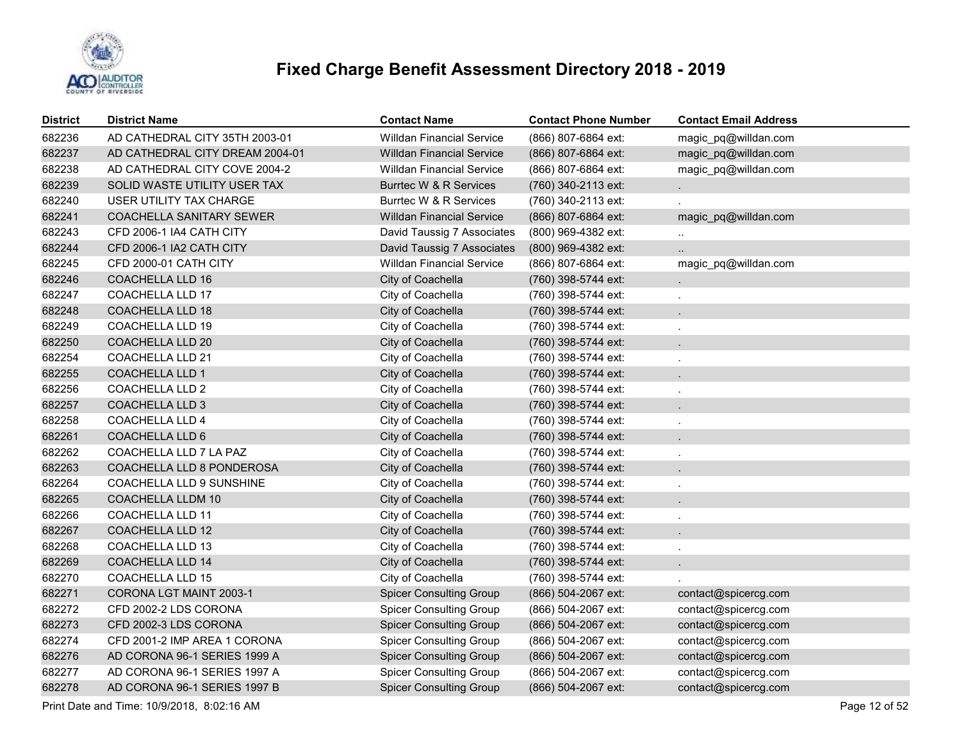

| <b>District</b> | <b>District Name</b>            | <b>Contact Name</b>              | <b>Contact Phone Number</b> | <b>Contact Email Address</b> |
|-----------------|---------------------------------|----------------------------------|-----------------------------|------------------------------|
| 682236          | AD CATHEDRAL CITY 35TH 2003-01  | <b>Willdan Financial Service</b> | (866) 807-6864 ext:         | magic pq@willdan.com         |
| 682237          | AD CATHEDRAL CITY DREAM 2004-01 | <b>Willdan Financial Service</b> | (866) 807-6864 ext:         | magic_pq@willdan.com         |
| 682238          | AD CATHEDRAL CITY COVE 2004-2   | <b>Willdan Financial Service</b> | (866) 807-6864 ext:         | magic_pq@willdan.com         |
| 682239          | SOLID WASTE UTILITY USER TAX    | Burrtec W & R Services           | (760) 340-2113 ext:         |                              |
| 682240          | USER UTILITY TAX CHARGE         | Burrtec W & R Services           | (760) 340-2113 ext:         |                              |
| 682241          | <b>COACHELLA SANITARY SEWER</b> | <b>Willdan Financial Service</b> | (866) 807-6864 ext:         | magic_pq@willdan.com         |
| 682243          | CFD 2006-1 IA4 CATH CITY        | David Taussig 7 Associates       | (800) 969-4382 ext:         | $\ddotsc$                    |
| 682244          | CFD 2006-1 IA2 CATH CITY        | David Taussig 7 Associates       | (800) 969-4382 ext:         |                              |
| 682245          | CFD 2000-01 CATH CITY           | <b>Willdan Financial Service</b> | (866) 807-6864 ext:         | magic_pq@willdan.com         |
| 682246          | <b>COACHELLA LLD 16</b>         | City of Coachella                | (760) 398-5744 ext:         |                              |
| 682247          | <b>COACHELLA LLD 17</b>         | City of Coachella                | (760) 398-5744 ext:         | ä,                           |
| 682248          | <b>COACHELLA LLD 18</b>         | City of Coachella                | (760) 398-5744 ext:         |                              |
| 682249          | <b>COACHELLA LLD 19</b>         | City of Coachella                | (760) 398-5744 ext:         |                              |
| 682250          | <b>COACHELLA LLD 20</b>         | City of Coachella                | (760) 398-5744 ext:         |                              |
| 682254          | <b>COACHELLA LLD 21</b>         | City of Coachella                | (760) 398-5744 ext:         |                              |
| 682255          | <b>COACHELLA LLD 1</b>          | City of Coachella                | (760) 398-5744 ext:         |                              |
| 682256          | COACHELLA LLD 2                 | City of Coachella                | (760) 398-5744 ext:         |                              |
| 682257          | <b>COACHELLA LLD 3</b>          | City of Coachella                | (760) 398-5744 ext:         |                              |
| 682258          | COACHELLA LLD 4                 | City of Coachella                | (760) 398-5744 ext:         |                              |
| 682261          | <b>COACHELLA LLD 6</b>          | City of Coachella                | (760) 398-5744 ext:         |                              |
| 682262          | COACHELLA LLD 7 LA PAZ          | City of Coachella                | (760) 398-5744 ext:         | L.                           |
| 682263          | COACHELLA LLD 8 PONDEROSA       | City of Coachella                | (760) 398-5744 ext:         | $\overline{a}$               |
| 682264          | COACHELLA LLD 9 SUNSHINE        | City of Coachella                | (760) 398-5744 ext:         |                              |
| 682265          | COACHELLA LLDM 10               | City of Coachella                | (760) 398-5744 ext:         | $\mathbf{r}$                 |
| 682266          | <b>COACHELLA LLD 11</b>         | City of Coachella                | (760) 398-5744 ext:         | $\overline{a}$               |
| 682267          | <b>COACHELLA LLD 12</b>         | City of Coachella                | (760) 398-5744 ext:         | $\ddot{\phantom{0}}$         |
| 682268          | COACHELLA LLD 13                | City of Coachella                | (760) 398-5744 ext:         | $\ddot{\phantom{0}}$         |
| 682269          | <b>COACHELLA LLD 14</b>         | City of Coachella                | (760) 398-5744 ext:         | $\blacksquare$               |
| 682270          | COACHELLA LLD 15                | City of Coachella                | (760) 398-5744 ext:         |                              |
| 682271          | CORONA LGT MAINT 2003-1         | <b>Spicer Consulting Group</b>   | $(866)$ 504-2067 ext:       | contact@spicercg.com         |
| 682272          | CFD 2002-2 LDS CORONA           | <b>Spicer Consulting Group</b>   | (866) 504-2067 ext:         | contact@spicercg.com         |
| 682273          | CFD 2002-3 LDS CORONA           | <b>Spicer Consulting Group</b>   | (866) 504-2067 ext:         | contact@spicercg.com         |
| 682274          | CFD 2001-2 IMP AREA 1 CORONA    | <b>Spicer Consulting Group</b>   | (866) 504-2067 ext:         | contact@spicercg.com         |
| 682276          | AD CORONA 96-1 SERIES 1999 A    | <b>Spicer Consulting Group</b>   | (866) 504-2067 ext:         | contact@spicercg.com         |
| 682277          | AD CORONA 96-1 SERIES 1997 A    | <b>Spicer Consulting Group</b>   | (866) 504-2067 ext:         | contact@spicercg.com         |
| 682278          | AD CORONA 96-1 SERIES 1997 B    | <b>Spicer Consulting Group</b>   | (866) 504-2067 ext:         | contact@spicercg.com         |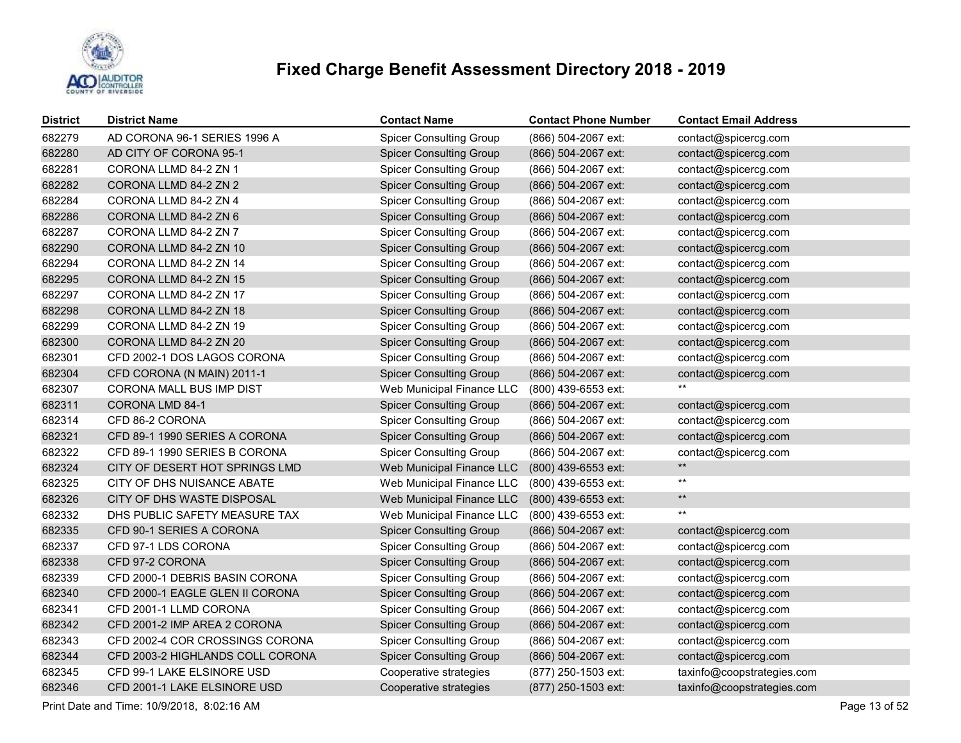

| <b>District</b> | <b>District Name</b>             | <b>Contact Name</b>            | <b>Contact Phone Number</b> | <b>Contact Email Address</b> |
|-----------------|----------------------------------|--------------------------------|-----------------------------|------------------------------|
| 682279          | AD CORONA 96-1 SERIES 1996 A     | <b>Spicer Consulting Group</b> | (866) 504-2067 ext:         | contact@spicercg.com         |
| 682280          | AD CITY OF CORONA 95-1           | <b>Spicer Consulting Group</b> | (866) 504-2067 ext:         | contact@spicercg.com         |
| 682281          | CORONA LLMD 84-2 ZN 1            | <b>Spicer Consulting Group</b> | (866) 504-2067 ext:         | contact@spicercg.com         |
| 682282          | CORONA LLMD 84-2 ZN 2            | <b>Spicer Consulting Group</b> | (866) 504-2067 ext:         | contact@spicercg.com         |
| 682284          | CORONA LLMD 84-2 ZN 4            | <b>Spicer Consulting Group</b> | (866) 504-2067 ext:         | contact@spicercg.com         |
| 682286          | CORONA LLMD 84-2 ZN 6            | <b>Spicer Consulting Group</b> | (866) 504-2067 ext:         | contact@spicercg.com         |
| 682287          | CORONA LLMD 84-2 ZN 7            | <b>Spicer Consulting Group</b> | (866) 504-2067 ext:         | contact@spicercg.com         |
| 682290          | CORONA LLMD 84-2 ZN 10           | <b>Spicer Consulting Group</b> | (866) 504-2067 ext:         | contact@spicercg.com         |
| 682294          | CORONA LLMD 84-2 ZN 14           | <b>Spicer Consulting Group</b> | (866) 504-2067 ext:         | contact@spicercg.com         |
| 682295          | CORONA LLMD 84-2 ZN 15           | <b>Spicer Consulting Group</b> | (866) 504-2067 ext:         | contact@spicercg.com         |
| 682297          | CORONA LLMD 84-2 ZN 17           | <b>Spicer Consulting Group</b> | (866) 504-2067 ext:         | contact@spicercg.com         |
| 682298          | CORONA LLMD 84-2 ZN 18           | <b>Spicer Consulting Group</b> | (866) 504-2067 ext:         | contact@spicercg.com         |
| 682299          | CORONA LLMD 84-2 ZN 19           | <b>Spicer Consulting Group</b> | (866) 504-2067 ext:         | contact@spicercg.com         |
| 682300          | CORONA LLMD 84-2 ZN 20           | <b>Spicer Consulting Group</b> | (866) 504-2067 ext:         | contact@spicercg.com         |
| 682301          | CFD 2002-1 DOS LAGOS CORONA      | <b>Spicer Consulting Group</b> | (866) 504-2067 ext:         | contact@spicercg.com         |
| 682304          | CFD CORONA (N MAIN) 2011-1       | <b>Spicer Consulting Group</b> | (866) 504-2067 ext:         | contact@spicercg.com         |
| 682307          | CORONA MALL BUS IMP DIST         | Web Municipal Finance LLC      | (800) 439-6553 ext:         | **                           |
| 682311          | CORONA LMD 84-1                  | <b>Spicer Consulting Group</b> | (866) 504-2067 ext:         | contact@spicercg.com         |
| 682314          | CFD 86-2 CORONA                  | <b>Spicer Consulting Group</b> | (866) 504-2067 ext:         | contact@spicercg.com         |
| 682321          | CFD 89-1 1990 SERIES A CORONA    | <b>Spicer Consulting Group</b> | (866) 504-2067 ext:         | contact@spicercg.com         |
| 682322          | CFD 89-1 1990 SERIES B CORONA    | <b>Spicer Consulting Group</b> | (866) 504-2067 ext:         | contact@spicercg.com         |
| 682324          | CITY OF DESERT HOT SPRINGS LMD   | Web Municipal Finance LLC      | (800) 439-6553 ext:         | $^{\star\star}$              |
| 682325          | CITY OF DHS NUISANCE ABATE       | Web Municipal Finance LLC      | (800) 439-6553 ext:         | $\star\star$                 |
| 682326          | CITY OF DHS WASTE DISPOSAL       | Web Municipal Finance LLC      | (800) 439-6553 ext:         | $\star\star$                 |
| 682332          | DHS PUBLIC SAFETY MEASURE TAX    | Web Municipal Finance LLC      | (800) 439-6553 ext:         | $***$                        |
| 682335          | CFD 90-1 SERIES A CORONA         | <b>Spicer Consulting Group</b> | (866) 504-2067 ext:         | contact@spicercg.com         |
| 682337          | CFD 97-1 LDS CORONA              | <b>Spicer Consulting Group</b> | (866) 504-2067 ext:         | contact@spicercg.com         |
| 682338          | CFD 97-2 CORONA                  | <b>Spicer Consulting Group</b> | (866) 504-2067 ext:         | contact@spicercg.com         |
| 682339          | CFD 2000-1 DEBRIS BASIN CORONA   | <b>Spicer Consulting Group</b> | (866) 504-2067 ext:         | contact@spicercg.com         |
| 682340          | CFD 2000-1 EAGLE GLEN II CORONA  | <b>Spicer Consulting Group</b> | (866) 504-2067 ext:         | contact@spicercg.com         |
| 682341          | CFD 2001-1 LLMD CORONA           | <b>Spicer Consulting Group</b> | (866) 504-2067 ext:         | contact@spicercg.com         |
| 682342          | CFD 2001-2 IMP AREA 2 CORONA     | <b>Spicer Consulting Group</b> | (866) 504-2067 ext:         | contact@spicercg.com         |
| 682343          | CFD 2002-4 COR CROSSINGS CORONA  | <b>Spicer Consulting Group</b> | (866) 504-2067 ext:         | contact@spicercg.com         |
| 682344          | CFD 2003-2 HIGHLANDS COLL CORONA | <b>Spicer Consulting Group</b> | (866) 504-2067 ext:         | contact@spicercg.com         |
| 682345          | CFD 99-1 LAKE ELSINORE USD       | Cooperative strategies         | (877) 250-1503 ext:         | taxinfo@coopstrategies.com   |
| 682346          | CFD 2001-1 LAKE ELSINORE USD     | Cooperative strategies         | (877) 250-1503 ext:         | taxinfo@coopstrategies.com   |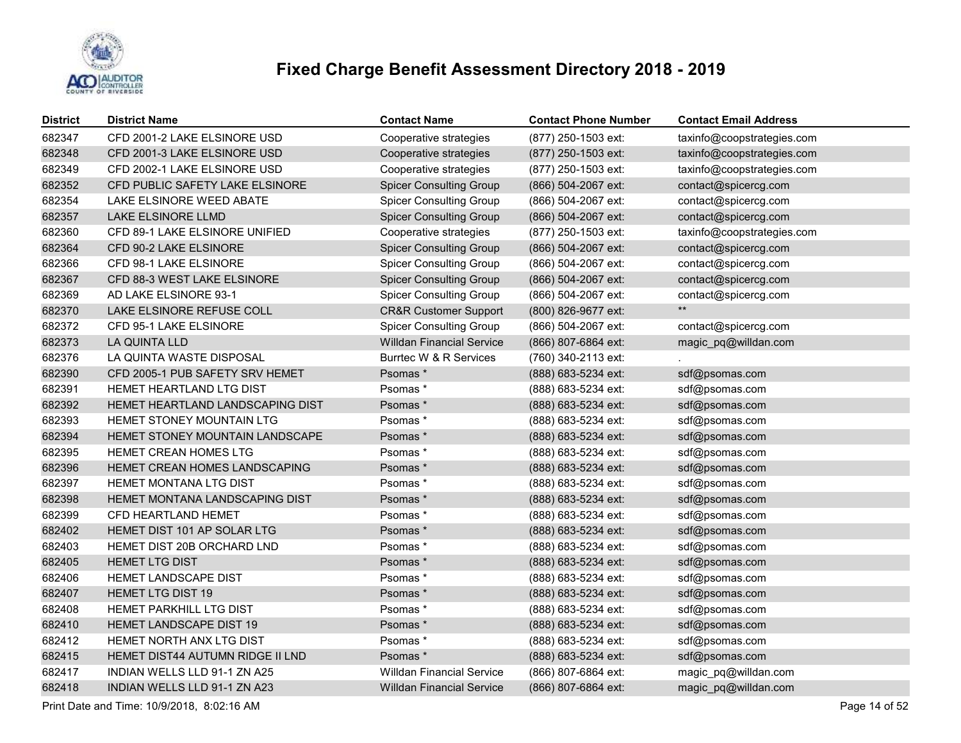

| <b>District</b> | <b>District Name</b>             | <b>Contact Name</b>              | <b>Contact Phone Number</b> | <b>Contact Email Address</b> |
|-----------------|----------------------------------|----------------------------------|-----------------------------|------------------------------|
| 682347          | CFD 2001-2 LAKE ELSINORE USD     | Cooperative strategies           | (877) 250-1503 ext:         | taxinfo@coopstrategies.com   |
| 682348          | CFD 2001-3 LAKE ELSINORE USD     | Cooperative strategies           | (877) 250-1503 ext:         | taxinfo@coopstrategies.com   |
| 682349          | CFD 2002-1 LAKE ELSINORE USD     | Cooperative strategies           | (877) 250-1503 ext:         | taxinfo@coopstrategies.com   |
| 682352          | CFD PUBLIC SAFETY LAKE ELSINORE  | <b>Spicer Consulting Group</b>   | (866) 504-2067 ext:         | contact@spicercg.com         |
| 682354          | LAKE ELSINORE WEED ABATE         | <b>Spicer Consulting Group</b>   | (866) 504-2067 ext:         | contact@spicercg.com         |
| 682357          | LAKE ELSINORE LLMD               | <b>Spicer Consulting Group</b>   | (866) 504-2067 ext:         | contact@spicercg.com         |
| 682360          | CFD 89-1 LAKE ELSINORE UNIFIED   | Cooperative strategies           | (877) 250-1503 ext:         | taxinfo@coopstrategies.com   |
| 682364          | CFD 90-2 LAKE ELSINORE           | <b>Spicer Consulting Group</b>   | (866) 504-2067 ext:         | contact@spicercg.com         |
| 682366          | CFD 98-1 LAKE ELSINORE           | <b>Spicer Consulting Group</b>   | (866) 504-2067 ext:         | contact@spicercg.com         |
| 682367          | CFD 88-3 WEST LAKE ELSINORE      | <b>Spicer Consulting Group</b>   | (866) 504-2067 ext:         | contact@spicercg.com         |
| 682369          | AD LAKE ELSINORE 93-1            | <b>Spicer Consulting Group</b>   | (866) 504-2067 ext:         | contact@spicercg.com         |
| 682370          | LAKE ELSINORE REFUSE COLL        | <b>CR&amp;R Customer Support</b> | (800) 826-9677 ext:         | $***$                        |
| 682372          | CFD 95-1 LAKE ELSINORE           | <b>Spicer Consulting Group</b>   | (866) 504-2067 ext:         | contact@spicercg.com         |
| 682373          | LA QUINTA LLD                    | <b>Willdan Financial Service</b> | (866) 807-6864 ext:         | magic_pq@willdan.com         |
| 682376          | LA QUINTA WASTE DISPOSAL         | Burrtec W & R Services           | (760) 340-2113 ext:         |                              |
| 682390          | CFD 2005-1 PUB SAFETY SRV HEMET  | Psomas*                          | (888) 683-5234 ext:         | sdf@psomas.com               |
| 682391          | HEMET HEARTLAND LTG DIST         | Psomas *                         | (888) 683-5234 ext:         | sdf@psomas.com               |
| 682392          | HEMET HEARTLAND LANDSCAPING DIST | Psomas*                          | (888) 683-5234 ext:         | sdf@psomas.com               |
| 682393          | HEMET STONEY MOUNTAIN LTG        | Psomas *                         | (888) 683-5234 ext:         | sdf@psomas.com               |
| 682394          | HEMET STONEY MOUNTAIN LANDSCAPE  | Psomas*                          | (888) 683-5234 ext:         | sdf@psomas.com               |
| 682395          | HEMET CREAN HOMES LTG            | Psomas *                         | (888) 683-5234 ext:         | sdf@psomas.com               |
| 682396          | HEMET CREAN HOMES LANDSCAPING    | Psomas*                          | (888) 683-5234 ext:         | sdf@psomas.com               |
| 682397          | HEMET MONTANA LTG DIST           | Psomas*                          | (888) 683-5234 ext:         | sdf@psomas.com               |
| 682398          | HEMET MONTANA LANDSCAPING DIST   | Psomas*                          | (888) 683-5234 ext:         | sdf@psomas.com               |
| 682399          | CFD HEARTLAND HEMET              | Psomas*                          | (888) 683-5234 ext:         | sdf@psomas.com               |
| 682402          | HEMET DIST 101 AP SOLAR LTG      | Psomas*                          | (888) 683-5234 ext:         | sdf@psomas.com               |
| 682403          | HEMET DIST 20B ORCHARD LND       | Psomas*                          | (888) 683-5234 ext:         | sdf@psomas.com               |
| 682405          | <b>HEMET LTG DIST</b>            | Psomas*                          | (888) 683-5234 ext:         | sdf@psomas.com               |
| 682406          | HEMET LANDSCAPE DIST             | Psomas*                          | (888) 683-5234 ext:         | sdf@psomas.com               |
| 682407          | <b>HEMET LTG DIST 19</b>         | Psomas*                          | (888) 683-5234 ext:         | sdf@psomas.com               |
| 682408          | HEMET PARKHILL LTG DIST          | Psomas*                          | (888) 683-5234 ext:         | sdf@psomas.com               |
| 682410          | HEMET LANDSCAPE DIST 19          | Psomas*                          | (888) 683-5234 ext:         | sdf@psomas.com               |
| 682412          | HEMET NORTH ANX LTG DIST         | Psomas*                          | (888) 683-5234 ext:         | sdf@psomas.com               |
| 682415          | HEMET DIST44 AUTUMN RIDGE II LND | Psomas*                          | (888) 683-5234 ext:         | sdf@psomas.com               |
| 682417          | INDIAN WELLS LLD 91-1 ZN A25     | <b>Willdan Financial Service</b> | (866) 807-6864 ext:         | magic_pq@willdan.com         |
| 682418          | INDIAN WELLS LLD 91-1 ZN A23     | <b>Willdan Financial Service</b> | (866) 807-6864 ext:         | magic_pq@willdan.com         |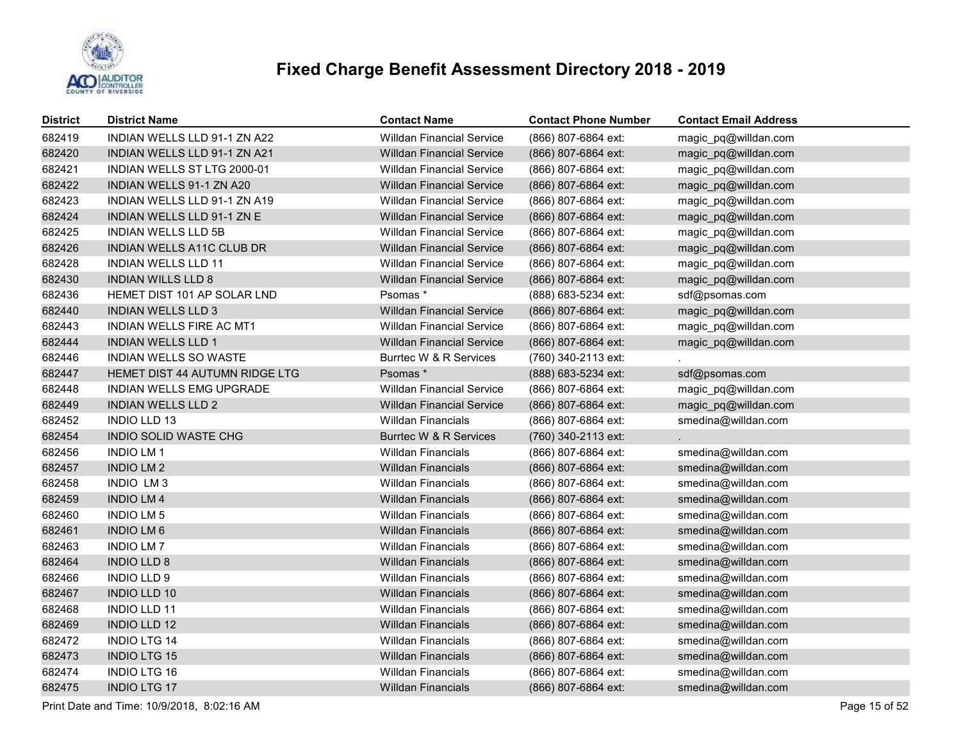

| <b>District</b> | <b>District Name</b>              | <b>Contact Name</b>              | <b>Contact Phone Number</b> | <b>Contact Email Address</b> |
|-----------------|-----------------------------------|----------------------------------|-----------------------------|------------------------------|
| 682419          | INDIAN WELLS LLD 91-1 ZN A22      | <b>Willdan Financial Service</b> | (866) 807-6864 ext:         | magic pq@willdan.com         |
| 682420          | INDIAN WELLS LLD 91-1 ZN A21      | <b>Willdan Financial Service</b> | (866) 807-6864 ext:         | magic_pq@willdan.com         |
| 682421          | INDIAN WELLS ST LTG 2000-01       | <b>Willdan Financial Service</b> | (866) 807-6864 ext:         | magic_pq@willdan.com         |
| 682422          | INDIAN WELLS 91-1 ZN A20          | <b>Willdan Financial Service</b> | (866) 807-6864 ext:         | magic_pq@willdan.com         |
| 682423          | INDIAN WELLS LLD 91-1 ZN A19      | <b>Willdan Financial Service</b> | (866) 807-6864 ext:         | magic_pq@willdan.com         |
| 682424          | <b>INDIAN WELLS LLD 91-1 ZN E</b> | <b>Willdan Financial Service</b> | (866) 807-6864 ext:         | magic_pq@willdan.com         |
| 682425          | <b>INDIAN WELLS LLD 5B</b>        | <b>Willdan Financial Service</b> | (866) 807-6864 ext:         | magic_pq@willdan.com         |
| 682426          | INDIAN WELLS A11C CLUB DR         | <b>Willdan Financial Service</b> | (866) 807-6864 ext:         | magic_pq@willdan.com         |
| 682428          | <b>INDIAN WELLS LLD 11</b>        | <b>Willdan Financial Service</b> | (866) 807-6864 ext:         | magic_pq@willdan.com         |
| 682430          | <b>INDIAN WILLS LLD 8</b>         | <b>Willdan Financial Service</b> | (866) 807-6864 ext:         | magic_pq@willdan.com         |
| 682436          | HEMET DIST 101 AP SOLAR LND       | Psomas *                         | (888) 683-5234 ext:         | sdf@psomas.com               |
| 682440          | <b>INDIAN WELLS LLD 3</b>         | <b>Willdan Financial Service</b> | (866) 807-6864 ext:         | magic_pq@willdan.com         |
| 682443          | <b>INDIAN WELLS FIRE AC MT1</b>   | <b>Willdan Financial Service</b> | (866) 807-6864 ext:         | magic_pq@willdan.com         |
| 682444          | <b>INDIAN WELLS LLD 1</b>         | <b>Willdan Financial Service</b> | (866) 807-6864 ext:         | magic_pq@willdan.com         |
| 682446          | <b>INDIAN WELLS SO WASTE</b>      | Burrtec W & R Services           | (760) 340-2113 ext:         |                              |
| 682447          | HEMET DIST 44 AUTUMN RIDGE LTG    | Psomas*                          | (888) 683-5234 ext:         | sdf@psomas.com               |
| 682448          | INDIAN WELLS EMG UPGRADE          | <b>Willdan Financial Service</b> | (866) 807-6864 ext:         | magic_pq@willdan.com         |
| 682449          | <b>INDIAN WELLS LLD 2</b>         | <b>Willdan Financial Service</b> | (866) 807-6864 ext:         | magic_pq@willdan.com         |
| 682452          | <b>INDIO LLD 13</b>               | <b>Willdan Financials</b>        | (866) 807-6864 ext:         | smedina@willdan.com          |
| 682454          | INDIO SOLID WASTE CHG             | Burrtec W & R Services           | (760) 340-2113 ext:         |                              |
| 682456          | <b>INDIO LM1</b>                  | <b>Willdan Financials</b>        | (866) 807-6864 ext:         | smedina@willdan.com          |
| 682457          | <b>INDIO LM2</b>                  | <b>Willdan Financials</b>        | (866) 807-6864 ext:         | smedina@willdan.com          |
| 682458          | INDIO LM3                         | <b>Willdan Financials</b>        | (866) 807-6864 ext:         | smedina@willdan.com          |
| 682459          | <b>INDIO LM4</b>                  | <b>Willdan Financials</b>        | (866) 807-6864 ext:         | smedina@willdan.com          |
| 682460          | <b>INDIO LM 5</b>                 | <b>Willdan Financials</b>        | (866) 807-6864 ext:         | smedina@willdan.com          |
| 682461          | <b>INDIO LM6</b>                  | <b>Willdan Financials</b>        | (866) 807-6864 ext:         | smedina@willdan.com          |
| 682463          | <b>INDIO LM7</b>                  | <b>Willdan Financials</b>        | (866) 807-6864 ext:         | smedina@willdan.com          |
| 682464          | <b>INDIO LLD 8</b>                | <b>Willdan Financials</b>        | (866) 807-6864 ext:         | smedina@willdan.com          |
| 682466          | <b>INDIO LLD 9</b>                | <b>Willdan Financials</b>        | (866) 807-6864 ext:         | smedina@willdan.com          |
| 682467          | <b>INDIO LLD 10</b>               | <b>Willdan Financials</b>        | (866) 807-6864 ext:         | smedina@willdan.com          |
| 682468          | <b>INDIO LLD 11</b>               | <b>Willdan Financials</b>        | (866) 807-6864 ext:         | smedina@willdan.com          |
| 682469          | <b>INDIO LLD 12</b>               | <b>Willdan Financials</b>        | (866) 807-6864 ext:         | smedina@willdan.com          |
| 682472          | <b>INDIO LTG 14</b>               | Willdan Financials               | (866) 807-6864 ext:         | smedina@willdan.com          |
| 682473          | <b>INDIO LTG 15</b>               | <b>Willdan Financials</b>        | (866) 807-6864 ext:         | smedina@willdan.com          |
| 682474          | <b>INDIO LTG 16</b>               | <b>Willdan Financials</b>        | (866) 807-6864 ext:         | smedina@willdan.com          |
| 682475          | <b>INDIO LTG 17</b>               | Willdan Financials               | (866) 807-6864 ext:         | smedina@willdan.com          |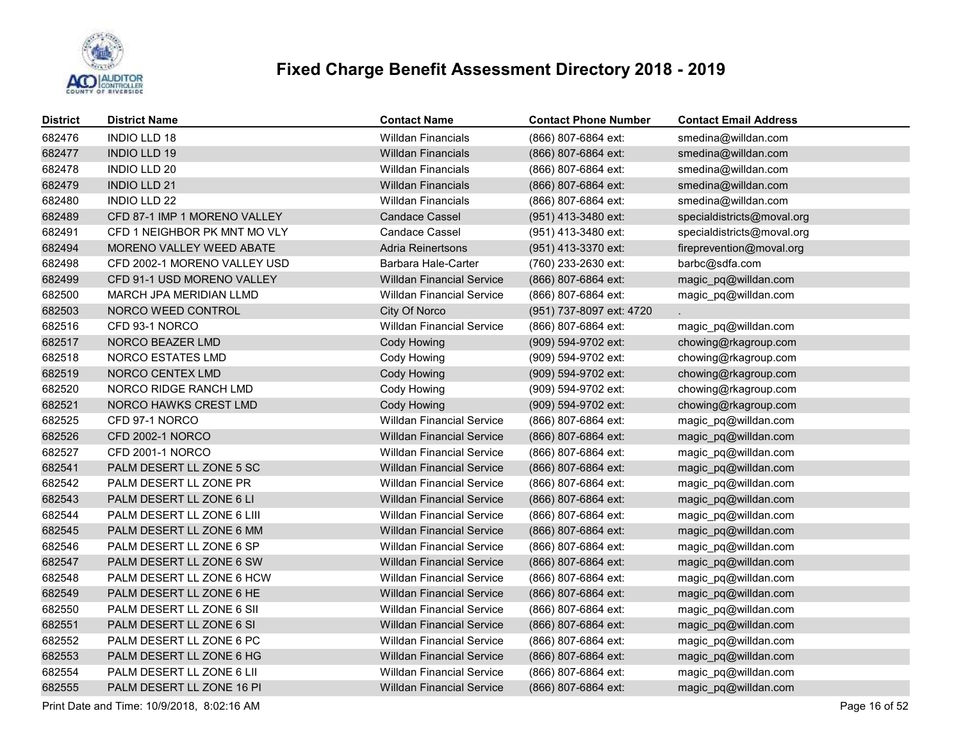

| <b>District</b> | <b>District Name</b>            | <b>Contact Name</b>              | <b>Contact Phone Number</b> | <b>Contact Email Address</b> |
|-----------------|---------------------------------|----------------------------------|-----------------------------|------------------------------|
| 682476          | <b>INDIO LLD 18</b>             | <b>Willdan Financials</b>        | (866) 807-6864 ext:         | smedina@willdan.com          |
| 682477          | <b>INDIO LLD 19</b>             | <b>Willdan Financials</b>        | (866) 807-6864 ext:         | smedina@willdan.com          |
| 682478          | <b>INDIO LLD 20</b>             | <b>Willdan Financials</b>        | (866) 807-6864 ext:         | smedina@willdan.com          |
| 682479          | INDIO LLD 21                    | <b>Willdan Financials</b>        | (866) 807-6864 ext:         | smedina@willdan.com          |
| 682480          | <b>INDIO LLD 22</b>             | Willdan Financials               | (866) 807-6864 ext:         | smedina@willdan.com          |
| 682489          | CFD 87-1 IMP 1 MORENO VALLEY    | <b>Candace Cassel</b>            | (951) 413-3480 ext:         | specialdistricts@moval.org   |
| 682491          | CFD 1 NEIGHBOR PK MNT MO VLY    | <b>Candace Cassel</b>            | (951) 413-3480 ext:         | specialdistricts@moval.org   |
| 682494          | <b>MORENO VALLEY WEED ABATE</b> | <b>Adria Reinertsons</b>         | (951) 413-3370 ext:         | fireprevention@moval.org     |
| 682498          | CFD 2002-1 MORENO VALLEY USD    | Barbara Hale-Carter              | (760) 233-2630 ext:         | barbc@sdfa.com               |
| 682499          | CFD 91-1 USD MORENO VALLEY      | <b>Willdan Financial Service</b> | (866) 807-6864 ext:         | magic_pq@willdan.com         |
| 682500          | MARCH JPA MERIDIAN LLMD         | <b>Willdan Financial Service</b> | (866) 807-6864 ext:         | magic_pq@willdan.com         |
| 682503          | NORCO WEED CONTROL              | City Of Norco                    | (951) 737-8097 ext: 4720    |                              |
| 682516          | CFD 93-1 NORCO                  | <b>Willdan Financial Service</b> | (866) 807-6864 ext:         | magic_pq@willdan.com         |
| 682517          | NORCO BEAZER LMD                | Cody Howing                      | (909) 594-9702 ext:         | chowing@rkagroup.com         |
| 682518          | NORCO ESTATES LMD               | Cody Howing                      | (909) 594-9702 ext:         | chowing@rkagroup.com         |
| 682519          | NORCO CENTEX LMD                | <b>Cody Howing</b>               | (909) 594-9702 ext:         | chowing@rkagroup.com         |
| 682520          | NORCO RIDGE RANCH LMD           | Cody Howing                      | (909) 594-9702 ext:         | chowing@rkagroup.com         |
| 682521          | NORCO HAWKS CREST LMD           | <b>Cody Howing</b>               | (909) 594-9702 ext:         | chowing@rkagroup.com         |
| 682525          | CFD 97-1 NORCO                  | <b>Willdan Financial Service</b> | (866) 807-6864 ext:         | magic_pq@willdan.com         |
| 682526          | <b>CFD 2002-1 NORCO</b>         | <b>Willdan Financial Service</b> | (866) 807-6864 ext:         | magic_pq@willdan.com         |
| 682527          | <b>CFD 2001-1 NORCO</b>         | <b>Willdan Financial Service</b> | (866) 807-6864 ext:         | magic_pq@willdan.com         |
| 682541          | PALM DESERT LL ZONE 5 SC        | <b>Willdan Financial Service</b> | (866) 807-6864 ext:         | magic_pq@willdan.com         |
| 682542          | PALM DESERT LL ZONE PR          | <b>Willdan Financial Service</b> | (866) 807-6864 ext:         | magic_pq@willdan.com         |
| 682543          | PALM DESERT LL ZONE 6 LI        | <b>Willdan Financial Service</b> | (866) 807-6864 ext:         | magic_pq@willdan.com         |
| 682544          | PALM DESERT LL ZONE 6 LIII      | <b>Willdan Financial Service</b> | (866) 807-6864 ext:         | magic_pq@willdan.com         |
| 682545          | PALM DESERT LL ZONE 6 MM        | <b>Willdan Financial Service</b> | (866) 807-6864 ext:         | magic_pq@willdan.com         |
| 682546          | PALM DESERT LL ZONE 6 SP        | <b>Willdan Financial Service</b> | (866) 807-6864 ext:         | magic_pq@willdan.com         |
| 682547          | PALM DESERT LL ZONE 6 SW        | <b>Willdan Financial Service</b> | (866) 807-6864 ext:         | magic_pq@willdan.com         |
| 682548          | PALM DESERT LL ZONE 6 HCW       | <b>Willdan Financial Service</b> | (866) 807-6864 ext:         | magic_pq@willdan.com         |
| 682549          | PALM DESERT LL ZONE 6 HE        | <b>Willdan Financial Service</b> | (866) 807-6864 ext:         | magic_pq@willdan.com         |
| 682550          | PALM DESERT LL ZONE 6 SII       | <b>Willdan Financial Service</b> | (866) 807-6864 ext:         | magic_pq@willdan.com         |
| 682551          | PALM DESERT LL ZONE 6 SI        | <b>Willdan Financial Service</b> | (866) 807-6864 ext:         | magic_pq@willdan.com         |
| 682552          | PALM DESERT LL ZONE 6 PC        | <b>Willdan Financial Service</b> | (866) 807-6864 ext:         | magic_pq@willdan.com         |
| 682553          | PALM DESERT LL ZONE 6 HG        | <b>Willdan Financial Service</b> | (866) 807-6864 ext:         | magic_pq@willdan.com         |
| 682554          | PALM DESERT LL ZONE 6 LII       | <b>Willdan Financial Service</b> | (866) 807-6864 ext:         | magic_pq@willdan.com         |
| 682555          | PALM DESERT LL ZONE 16 PI       | <b>Willdan Financial Service</b> | (866) 807-6864 ext:         | magic pq@willdan.com         |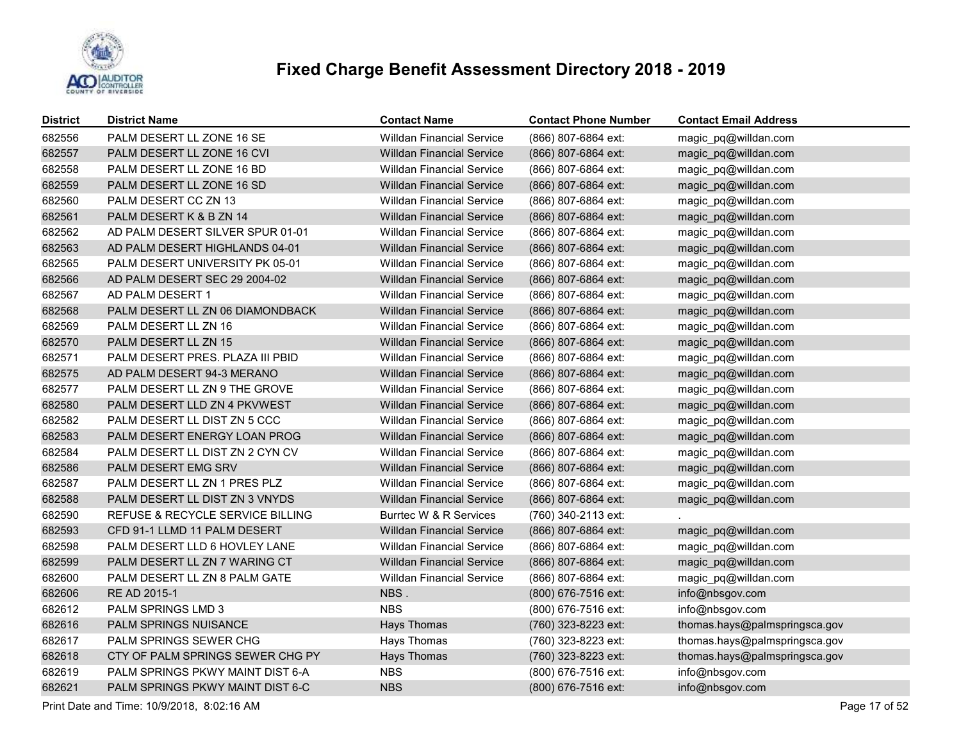

| <b>District</b> | <b>District Name</b>             | <b>Contact Name</b>              | <b>Contact Phone Number</b> | <b>Contact Email Address</b>  |
|-----------------|----------------------------------|----------------------------------|-----------------------------|-------------------------------|
| 682556          | PALM DESERT LL ZONE 16 SE        | <b>Willdan Financial Service</b> | (866) 807-6864 ext:         | magic_pq@willdan.com          |
| 682557          | PALM DESERT LL ZONE 16 CVI       | <b>Willdan Financial Service</b> | (866) 807-6864 ext:         | magic_pq@willdan.com          |
| 682558          | PALM DESERT LL ZONE 16 BD        | <b>Willdan Financial Service</b> | (866) 807-6864 ext:         | magic_pq@willdan.com          |
| 682559          | PALM DESERT LL ZONE 16 SD        | <b>Willdan Financial Service</b> | (866) 807-6864 ext:         | magic_pq@willdan.com          |
| 682560          | PALM DESERT CC ZN 13             | <b>Willdan Financial Service</b> | (866) 807-6864 ext:         | magic_pq@willdan.com          |
| 682561          | PALM DESERT K & B ZN 14          | <b>Willdan Financial Service</b> | (866) 807-6864 ext:         | magic_pq@willdan.com          |
| 682562          | AD PALM DESERT SILVER SPUR 01-01 | <b>Willdan Financial Service</b> | (866) 807-6864 ext:         | magic_pq@willdan.com          |
| 682563          | AD PALM DESERT HIGHLANDS 04-01   | <b>Willdan Financial Service</b> | (866) 807-6864 ext:         | magic_pq@willdan.com          |
| 682565          | PALM DESERT UNIVERSITY PK 05-01  | <b>Willdan Financial Service</b> | (866) 807-6864 ext:         | magic_pq@willdan.com          |
| 682566          | AD PALM DESERT SEC 29 2004-02    | <b>Willdan Financial Service</b> | (866) 807-6864 ext:         | magic_pq@willdan.com          |
| 682567          | AD PALM DESERT 1                 | <b>Willdan Financial Service</b> | (866) 807-6864 ext:         | magic_pq@willdan.com          |
| 682568          | PALM DESERT LL ZN 06 DIAMONDBACK | <b>Willdan Financial Service</b> | (866) 807-6864 ext:         | magic_pq@willdan.com          |
| 682569          | PALM DESERT LL ZN 16             | <b>Willdan Financial Service</b> | (866) 807-6864 ext:         | magic_pq@willdan.com          |
| 682570          | PALM DESERT LL ZN 15             | <b>Willdan Financial Service</b> | (866) 807-6864 ext:         | magic_pq@willdan.com          |
| 682571          | PALM DESERT PRES. PLAZA III PBID | <b>Willdan Financial Service</b> | (866) 807-6864 ext:         | magic_pq@willdan.com          |
| 682575          | AD PALM DESERT 94-3 MERANO       | <b>Willdan Financial Service</b> | (866) 807-6864 ext:         | magic_pq@willdan.com          |
| 682577          | PALM DESERT LL ZN 9 THE GROVE    | <b>Willdan Financial Service</b> | (866) 807-6864 ext:         | magic_pq@willdan.com          |
| 682580          | PALM DESERT LLD ZN 4 PKVWEST     | <b>Willdan Financial Service</b> | (866) 807-6864 ext:         | magic_pq@willdan.com          |
| 682582          | PALM DESERT LL DIST ZN 5 CCC     | <b>Willdan Financial Service</b> | (866) 807-6864 ext:         | magic_pq@willdan.com          |
| 682583          | PALM DESERT ENERGY LOAN PROG     | <b>Willdan Financial Service</b> | (866) 807-6864 ext:         | magic_pq@willdan.com          |
| 682584          | PALM DESERT LL DIST ZN 2 CYN CV  | <b>Willdan Financial Service</b> | (866) 807-6864 ext:         | magic pq@willdan.com          |
| 682586          | PALM DESERT EMG SRV              | <b>Willdan Financial Service</b> | (866) 807-6864 ext:         | magic_pq@willdan.com          |
| 682587          | PALM DESERT LL ZN 1 PRES PLZ     | <b>Willdan Financial Service</b> | (866) 807-6864 ext:         | magic_pq@willdan.com          |
| 682588          | PALM DESERT LL DIST ZN 3 VNYDS   | <b>Willdan Financial Service</b> | (866) 807-6864 ext:         | magic_pq@willdan.com          |
| 682590          | REFUSE & RECYCLE SERVICE BILLING | Burrtec W & R Services           | (760) 340-2113 ext:         |                               |
| 682593          | CFD 91-1 LLMD 11 PALM DESERT     | <b>Willdan Financial Service</b> | (866) 807-6864 ext:         | magic_pq@willdan.com          |
| 682598          | PALM DESERT LLD 6 HOVLEY LANE    | <b>Willdan Financial Service</b> | (866) 807-6864 ext:         | magic_pq@willdan.com          |
| 682599          | PALM DESERT LL ZN 7 WARING CT    | <b>Willdan Financial Service</b> | (866) 807-6864 ext:         | magic_pq@willdan.com          |
| 682600          | PALM DESERT LL ZN 8 PALM GATE    | <b>Willdan Financial Service</b> | (866) 807-6864 ext:         | magic_pq@willdan.com          |
| 682606          | RE AD 2015-1                     | NBS.                             | (800) 676-7516 ext:         | info@nbsgov.com               |
| 682612          | <b>PALM SPRINGS LMD 3</b>        | <b>NBS</b>                       | (800) 676-7516 ext:         | info@nbsgov.com               |
| 682616          | PALM SPRINGS NUISANCE            | Hays Thomas                      | (760) 323-8223 ext:         | thomas.hays@palmspringsca.gov |
| 682617          | PALM SPRINGS SEWER CHG           | Hays Thomas                      | (760) 323-8223 ext:         | thomas.hays@palmspringsca.gov |
| 682618          | CTY OF PALM SPRINGS SEWER CHG PY | Hays Thomas                      | (760) 323-8223 ext:         | thomas.hays@palmspringsca.gov |
| 682619          | PALM SPRINGS PKWY MAINT DIST 6-A | <b>NBS</b>                       | (800) 676-7516 ext:         | info@nbsgov.com               |
| 682621          | PALM SPRINGS PKWY MAINT DIST 6-C | <b>NBS</b>                       | (800) 676-7516 ext:         | info@nbsgov.com               |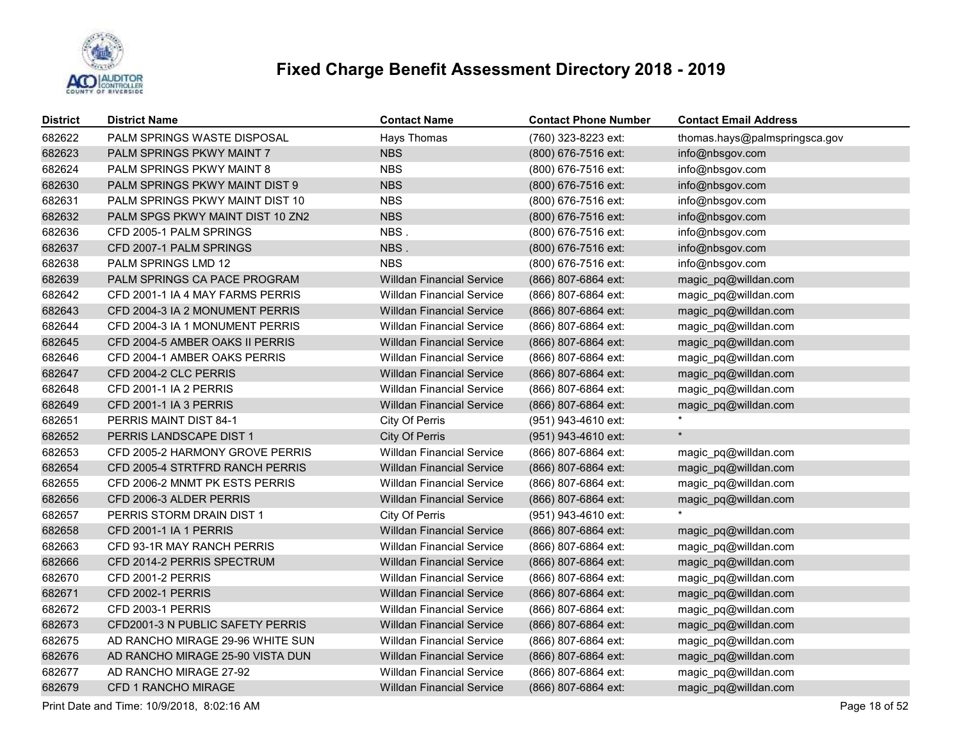

| <b>District</b> | <b>District Name</b>             | <b>Contact Name</b>              | <b>Contact Phone Number</b> | <b>Contact Email Address</b>  |
|-----------------|----------------------------------|----------------------------------|-----------------------------|-------------------------------|
| 682622          | PALM SPRINGS WASTE DISPOSAL      | <b>Hays Thomas</b>               | (760) 323-8223 ext:         | thomas.hays@palmspringsca.gov |
| 682623          | PALM SPRINGS PKWY MAINT 7        | <b>NBS</b>                       | (800) 676-7516 ext:         | info@nbsgov.com               |
| 682624          | PALM SPRINGS PKWY MAINT 8        | <b>NBS</b>                       | (800) 676-7516 ext:         | info@nbsgov.com               |
| 682630          | PALM SPRINGS PKWY MAINT DIST 9   | <b>NBS</b>                       | (800) 676-7516 ext:         | info@nbsgov.com               |
| 682631          | PALM SPRINGS PKWY MAINT DIST 10  | <b>NBS</b>                       | (800) 676-7516 ext:         | info@nbsgov.com               |
| 682632          | PALM SPGS PKWY MAINT DIST 10 ZN2 | <b>NBS</b>                       | (800) 676-7516 ext:         | info@nbsgov.com               |
| 682636          | CFD 2005-1 PALM SPRINGS          | NBS.                             | (800) 676-7516 ext:         | info@nbsgov.com               |
| 682637          | CFD 2007-1 PALM SPRINGS          | NBS.                             | (800) 676-7516 ext:         | info@nbsgov.com               |
| 682638          | <b>PALM SPRINGS LMD 12</b>       | <b>NBS</b>                       | (800) 676-7516 ext:         | info@nbsgov.com               |
| 682639          | PALM SPRINGS CA PACE PROGRAM     | <b>Willdan Financial Service</b> | (866) 807-6864 ext:         | magic_pq@willdan.com          |
| 682642          | CFD 2001-1 IA 4 MAY FARMS PERRIS | Willdan Financial Service        | (866) 807-6864 ext:         | magic_pq@willdan.com          |
| 682643          | CFD 2004-3 IA 2 MONUMENT PERRIS  | <b>Willdan Financial Service</b> | (866) 807-6864 ext:         | magic_pq@willdan.com          |
| 682644          | CFD 2004-3 IA 1 MONUMENT PERRIS  | Willdan Financial Service        | (866) 807-6864 ext:         | magic_pq@willdan.com          |
| 682645          | CFD 2004-5 AMBER OAKS II PERRIS  | <b>Willdan Financial Service</b> | (866) 807-6864 ext:         | magic_pq@willdan.com          |
| 682646          | CFD 2004-1 AMBER OAKS PERRIS     | <b>Willdan Financial Service</b> | (866) 807-6864 ext:         | magic_pq@willdan.com          |
| 682647          | CFD 2004-2 CLC PERRIS            | <b>Willdan Financial Service</b> | (866) 807-6864 ext:         | magic_pq@willdan.com          |
| 682648          | CFD 2001-1 IA 2 PERRIS           | <b>Willdan Financial Service</b> | (866) 807-6864 ext:         | magic_pq@willdan.com          |
| 682649          | CFD 2001-1 IA 3 PERRIS           | <b>Willdan Financial Service</b> | (866) 807-6864 ext:         | magic_pq@willdan.com          |
| 682651          | PERRIS MAINT DIST 84-1           | City Of Perris                   | (951) 943-4610 ext:         |                               |
| 682652          | <b>PERRIS LANDSCAPE DIST 1</b>   | City Of Perris                   | (951) 943-4610 ext:         | $\star$                       |
| 682653          | CFD 2005-2 HARMONY GROVE PERRIS  | <b>Willdan Financial Service</b> | (866) 807-6864 ext:         | magic_pq@willdan.com          |
| 682654          | CFD 2005-4 STRTFRD RANCH PERRIS  | <b>Willdan Financial Service</b> | (866) 807-6864 ext:         | magic_pq@willdan.com          |
| 682655          | CFD 2006-2 MNMT PK ESTS PERRIS   | <b>Willdan Financial Service</b> | (866) 807-6864 ext:         | magic_pq@willdan.com          |
| 682656          | CFD 2006-3 ALDER PERRIS          | <b>Willdan Financial Service</b> | (866) 807-6864 ext:         | magic_pq@willdan.com          |
| 682657          | PERRIS STORM DRAIN DIST 1        | City Of Perris                   | (951) 943-4610 ext:         |                               |
| 682658          | CFD 2001-1 IA 1 PERRIS           | <b>Willdan Financial Service</b> | (866) 807-6864 ext:         | magic_pq@willdan.com          |
| 682663          | CFD 93-1R MAY RANCH PERRIS       | <b>Willdan Financial Service</b> | (866) 807-6864 ext:         | magic_pq@willdan.com          |
| 682666          | CFD 2014-2 PERRIS SPECTRUM       | <b>Willdan Financial Service</b> | (866) 807-6864 ext:         | magic_pq@willdan.com          |
| 682670          | CFD 2001-2 PERRIS                | <b>Willdan Financial Service</b> | (866) 807-6864 ext:         | magic_pq@willdan.com          |
| 682671          | CFD 2002-1 PERRIS                | <b>Willdan Financial Service</b> | (866) 807-6864 ext:         | magic_pq@willdan.com          |
| 682672          | CFD 2003-1 PERRIS                | <b>Willdan Financial Service</b> | (866) 807-6864 ext:         | magic_pq@willdan.com          |
| 682673          | CFD2001-3 N PUBLIC SAFETY PERRIS | <b>Willdan Financial Service</b> | (866) 807-6864 ext:         | magic_pq@willdan.com          |
| 682675          | AD RANCHO MIRAGE 29-96 WHITE SUN | <b>Willdan Financial Service</b> | (866) 807-6864 ext:         | magic_pq@willdan.com          |
| 682676          | AD RANCHO MIRAGE 25-90 VISTA DUN | <b>Willdan Financial Service</b> | (866) 807-6864 ext:         | magic_pq@willdan.com          |
| 682677          | AD RANCHO MIRAGE 27-92           | <b>Willdan Financial Service</b> | (866) 807-6864 ext:         | magic_pq@willdan.com          |
| 682679          | CFD 1 RANCHO MIRAGE              | <b>Willdan Financial Service</b> | (866) 807-6864 ext:         | magic_pq@willdan.com          |
|                 |                                  |                                  |                             |                               |

Print Date and Time: 10/9/2018, 8:02:16 AM Page 18 of 52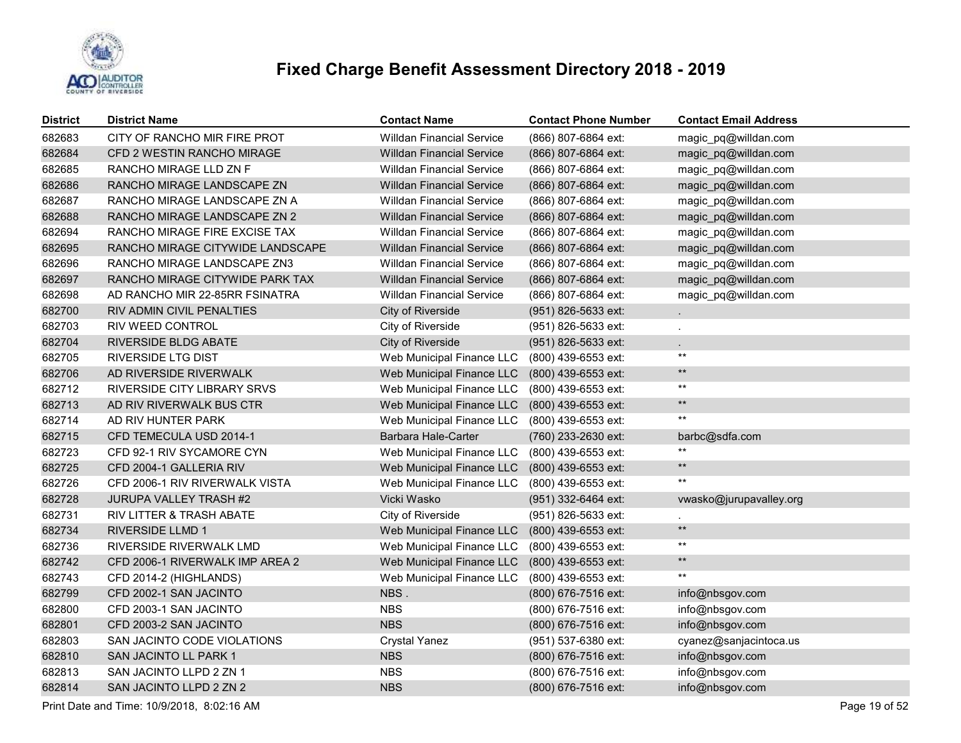

| <b>District</b> | <b>District Name</b>                | <b>Contact Name</b>              | <b>Contact Phone Number</b> | <b>Contact Email Address</b> |
|-----------------|-------------------------------------|----------------------------------|-----------------------------|------------------------------|
| 682683          | CITY OF RANCHO MIR FIRE PROT        | <b>Willdan Financial Service</b> | (866) 807-6864 ext:         | magic_pq@willdan.com         |
| 682684          | CFD 2 WESTIN RANCHO MIRAGE          | <b>Willdan Financial Service</b> | (866) 807-6864 ext:         | magic_pq@willdan.com         |
| 682685          | RANCHO MIRAGE LLD ZN F              | <b>Willdan Financial Service</b> | (866) 807-6864 ext:         | magic_pq@willdan.com         |
| 682686          | RANCHO MIRAGE LANDSCAPE ZN          | <b>Willdan Financial Service</b> | (866) 807-6864 ext:         | magic_pq@willdan.com         |
| 682687          | RANCHO MIRAGE LANDSCAPE ZN A        | Willdan Financial Service        | (866) 807-6864 ext:         | magic_pq@willdan.com         |
| 682688          | RANCHO MIRAGE LANDSCAPE ZN 2        | <b>Willdan Financial Service</b> | (866) 807-6864 ext:         | magic_pq@willdan.com         |
| 682694          | RANCHO MIRAGE FIRE EXCISE TAX       | <b>Willdan Financial Service</b> | (866) 807-6864 ext:         | magic_pq@willdan.com         |
| 682695          | RANCHO MIRAGE CITYWIDE LANDSCAPE    | <b>Willdan Financial Service</b> | (866) 807-6864 ext:         | magic_pq@willdan.com         |
| 682696          | RANCHO MIRAGE LANDSCAPE ZN3         | <b>Willdan Financial Service</b> | (866) 807-6864 ext:         | magic_pq@willdan.com         |
| 682697          | RANCHO MIRAGE CITYWIDE PARK TAX     | <b>Willdan Financial Service</b> | (866) 807-6864 ext:         | magic_pq@willdan.com         |
| 682698          | AD RANCHO MIR 22-85RR FSINATRA      | <b>Willdan Financial Service</b> | (866) 807-6864 ext:         | magic_pq@willdan.com         |
| 682700          | RIV ADMIN CIVIL PENALTIES           | City of Riverside                | (951) 826-5633 ext:         |                              |
| 682703          | RIV WEED CONTROL                    | City of Riverside                | (951) 826-5633 ext:         |                              |
| 682704          | <b>RIVERSIDE BLDG ABATE</b>         | City of Riverside                | (951) 826-5633 ext:         | $\mathbf{r}$                 |
| 682705          | <b>RIVERSIDE LTG DIST</b>           | Web Municipal Finance LLC        | (800) 439-6553 ext:         | $***$                        |
| 682706          | AD RIVERSIDE RIVERWALK              | Web Municipal Finance LLC        | (800) 439-6553 ext:         | $\star\star$                 |
| 682712          | RIVERSIDE CITY LIBRARY SRVS         | Web Municipal Finance LLC        | (800) 439-6553 ext:         | $\star\star$                 |
| 682713          | AD RIV RIVERWALK BUS CTR            | Web Municipal Finance LLC        | (800) 439-6553 ext:         | $\star\star$                 |
| 682714          | AD RIV HUNTER PARK                  | Web Municipal Finance LLC        | (800) 439-6553 ext:         | $***$                        |
| 682715          | CFD TEMECULA USD 2014-1             | Barbara Hale-Carter              | (760) 233-2630 ext:         | barbc@sdfa.com               |
| 682723          | CFD 92-1 RIV SYCAMORE CYN           | Web Municipal Finance LLC        | (800) 439-6553 ext:         | $***$                        |
| 682725          | CFD 2004-1 GALLERIA RIV             | Web Municipal Finance LLC        | (800) 439-6553 ext:         | $\star\star$                 |
| 682726          | CFD 2006-1 RIV RIVERWALK VISTA      | Web Municipal Finance LLC        | (800) 439-6553 ext:         | $***$                        |
| 682728          | <b>JURUPA VALLEY TRASH #2</b>       | Vicki Wasko                      | $(951)$ 332-6464 ext:       | vwasko@jurupavalley.org      |
| 682731          | <b>RIV LITTER &amp; TRASH ABATE</b> | City of Riverside                | (951) 826-5633 ext:         |                              |
| 682734          | <b>RIVERSIDE LLMD 1</b>             | Web Municipal Finance LLC        | (800) 439-6553 ext:         | $***$                        |
| 682736          | RIVERSIDE RIVERWALK LMD             | Web Municipal Finance LLC        | (800) 439-6553 ext:         | $***$                        |
| 682742          | CFD 2006-1 RIVERWALK IMP AREA 2     | Web Municipal Finance LLC        | (800) 439-6553 ext:         | $\star\star$                 |
| 682743          | CFD 2014-2 (HIGHLANDS)              | Web Municipal Finance LLC        | (800) 439-6553 ext:         | $***$                        |
| 682799          | CFD 2002-1 SAN JACINTO              | NBS.                             | (800) 676-7516 ext:         | info@nbsgov.com              |
| 682800          | CFD 2003-1 SAN JACINTO              | <b>NBS</b>                       | (800) 676-7516 ext:         | info@nbsgov.com              |
| 682801          | CFD 2003-2 SAN JACINTO              | <b>NBS</b>                       | (800) 676-7516 ext:         | info@nbsgov.com              |
| 682803          | SAN JACINTO CODE VIOLATIONS         | <b>Crystal Yanez</b>             | (951) 537-6380 ext:         | cyanez@sanjacintoca.us       |
| 682810          | SAN JACINTO LL PARK 1               | <b>NBS</b>                       | (800) 676-7516 ext:         | info@nbsgov.com              |
| 682813          | SAN JACINTO LLPD 2 ZN 1             | <b>NBS</b>                       | (800) 676-7516 ext:         | info@nbsgov.com              |
| 682814          | SAN JACINTO LLPD 2 ZN 2             | <b>NBS</b>                       | (800) 676-7516 ext:         | info@nbsgov.com              |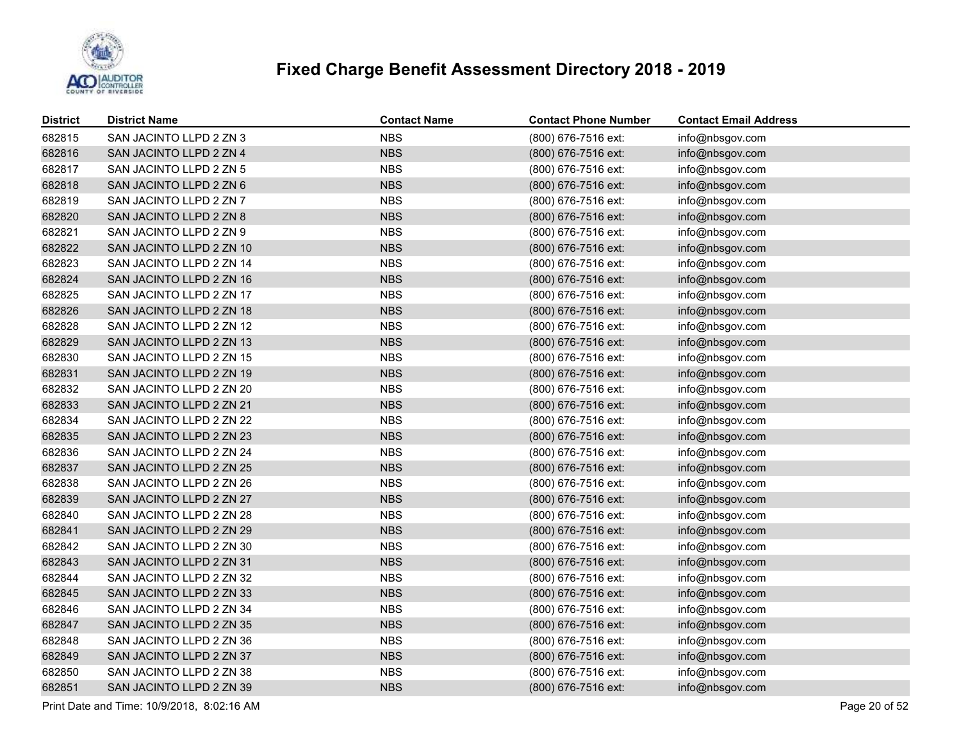

| <b>District</b> | <b>District Name</b>     | <b>Contact Name</b> | <b>Contact Phone Number</b> | <b>Contact Email Address</b> |
|-----------------|--------------------------|---------------------|-----------------------------|------------------------------|
| 682815          | SAN JACINTO LLPD 2 ZN 3  | <b>NBS</b>          | (800) 676-7516 ext:         | info@nbsgov.com              |
| 682816          | SAN JACINTO LLPD 2 ZN 4  | <b>NBS</b>          | (800) 676-7516 ext:         | info@nbsgov.com              |
| 682817          | SAN JACINTO LLPD 2 ZN 5  | <b>NBS</b>          | (800) 676-7516 ext:         | info@nbsgov.com              |
| 682818          | SAN JACINTO LLPD 2 ZN 6  | <b>NBS</b>          | (800) 676-7516 ext:         | info@nbsgov.com              |
| 682819          | SAN JACINTO LLPD 2 ZN 7  | <b>NBS</b>          | (800) 676-7516 ext:         | info@nbsgov.com              |
| 682820          | SAN JACINTO LLPD 2 ZN 8  | <b>NBS</b>          | (800) 676-7516 ext:         | info@nbsgov.com              |
| 682821          | SAN JACINTO LLPD 2 ZN 9  | <b>NBS</b>          | (800) 676-7516 ext:         | info@nbsgov.com              |
| 682822          | SAN JACINTO LLPD 2 ZN 10 | <b>NBS</b>          | (800) 676-7516 ext:         | info@nbsgov.com              |
| 682823          | SAN JACINTO LLPD 2 ZN 14 | <b>NBS</b>          | (800) 676-7516 ext:         | info@nbsgov.com              |
| 682824          | SAN JACINTO LLPD 2 ZN 16 | <b>NBS</b>          | (800) 676-7516 ext:         | info@nbsgov.com              |
| 682825          | SAN JACINTO LLPD 2 ZN 17 | <b>NBS</b>          | (800) 676-7516 ext:         | info@nbsgov.com              |
| 682826          | SAN JACINTO LLPD 2 ZN 18 | <b>NBS</b>          | (800) 676-7516 ext:         | info@nbsgov.com              |
| 682828          | SAN JACINTO LLPD 2 ZN 12 | <b>NBS</b>          | (800) 676-7516 ext:         | info@nbsgov.com              |
| 682829          | SAN JACINTO LLPD 2 ZN 13 | <b>NBS</b>          | (800) 676-7516 ext:         | info@nbsgov.com              |
| 682830          | SAN JACINTO LLPD 2 ZN 15 | <b>NBS</b>          | (800) 676-7516 ext:         | info@nbsgov.com              |
| 682831          | SAN JACINTO LLPD 2 ZN 19 | <b>NBS</b>          | (800) 676-7516 ext:         | info@nbsgov.com              |
| 682832          | SAN JACINTO LLPD 2 ZN 20 | <b>NBS</b>          | (800) 676-7516 ext:         | info@nbsgov.com              |
| 682833          | SAN JACINTO LLPD 2 ZN 21 | <b>NBS</b>          | (800) 676-7516 ext:         | info@nbsgov.com              |
| 682834          | SAN JACINTO LLPD 2 ZN 22 | <b>NBS</b>          | (800) 676-7516 ext:         | info@nbsgov.com              |
| 682835          | SAN JACINTO LLPD 2 ZN 23 | <b>NBS</b>          | (800) 676-7516 ext:         | info@nbsgov.com              |
| 682836          | SAN JACINTO LLPD 2 ZN 24 | <b>NBS</b>          | (800) 676-7516 ext:         | info@nbsgov.com              |
| 682837          | SAN JACINTO LLPD 2 ZN 25 | <b>NBS</b>          | (800) 676-7516 ext:         | info@nbsgov.com              |
| 682838          | SAN JACINTO LLPD 2 ZN 26 | <b>NBS</b>          | (800) 676-7516 ext:         | info@nbsgov.com              |
| 682839          | SAN JACINTO LLPD 2 ZN 27 | <b>NBS</b>          | (800) 676-7516 ext:         | info@nbsgov.com              |
| 682840          | SAN JACINTO LLPD 2 ZN 28 | <b>NBS</b>          | (800) 676-7516 ext:         | info@nbsgov.com              |
| 682841          | SAN JACINTO LLPD 2 ZN 29 | <b>NBS</b>          | (800) 676-7516 ext:         | info@nbsgov.com              |
| 682842          | SAN JACINTO LLPD 2 ZN 30 | <b>NBS</b>          | (800) 676-7516 ext:         | info@nbsgov.com              |
| 682843          | SAN JACINTO LLPD 2 ZN 31 | <b>NBS</b>          | (800) 676-7516 ext:         | info@nbsgov.com              |
| 682844          | SAN JACINTO LLPD 2 ZN 32 | <b>NBS</b>          | (800) 676-7516 ext:         | info@nbsgov.com              |
| 682845          | SAN JACINTO LLPD 2 ZN 33 | <b>NBS</b>          | (800) 676-7516 ext:         | info@nbsgov.com              |
| 682846          | SAN JACINTO LLPD 2 ZN 34 | <b>NBS</b>          | (800) 676-7516 ext:         | info@nbsgov.com              |
| 682847          | SAN JACINTO LLPD 2 ZN 35 | <b>NBS</b>          | (800) 676-7516 ext:         | info@nbsgov.com              |
| 682848          | SAN JACINTO LLPD 2 ZN 36 | <b>NBS</b>          | (800) 676-7516 ext:         | info@nbsgov.com              |
| 682849          | SAN JACINTO LLPD 2 ZN 37 | <b>NBS</b>          | (800) 676-7516 ext:         | info@nbsgov.com              |
| 682850          | SAN JACINTO LLPD 2 ZN 38 | <b>NBS</b>          | (800) 676-7516 ext:         | info@nbsgov.com              |
| 682851          | SAN JACINTO LLPD 2 ZN 39 | <b>NBS</b>          | (800) 676-7516 ext:         | info@nbsgov.com              |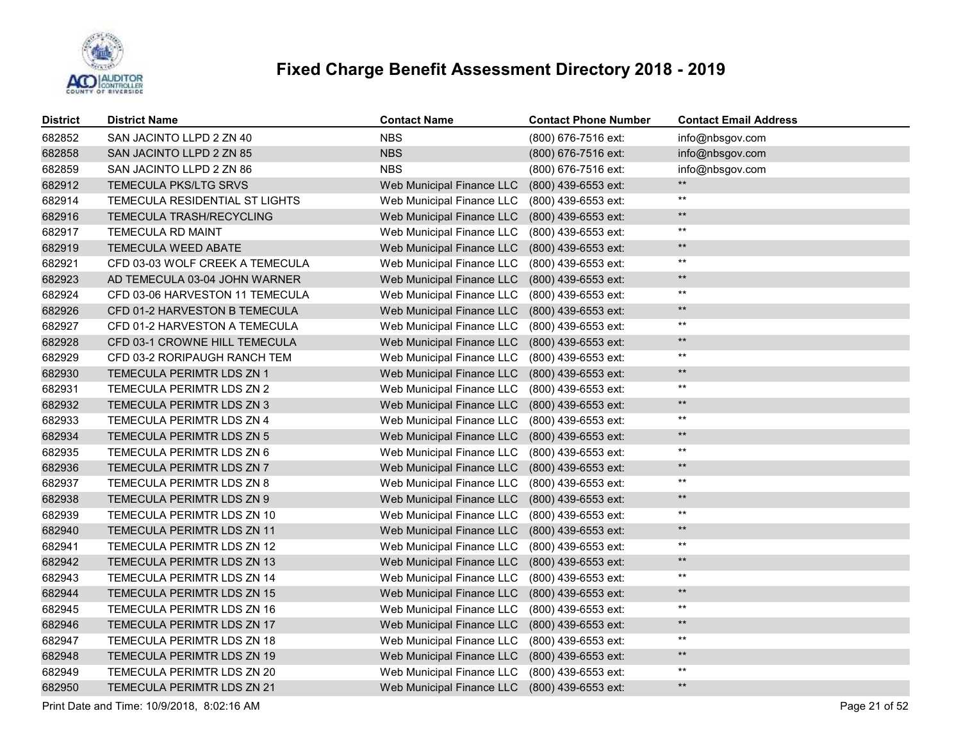

| <b>District</b> | <b>District Name</b>             | <b>Contact Name</b>       | <b>Contact Phone Number</b> | <b>Contact Email Address</b> |
|-----------------|----------------------------------|---------------------------|-----------------------------|------------------------------|
| 682852          | SAN JACINTO LLPD 2 ZN 40         | <b>NBS</b>                | (800) 676-7516 ext:         | info@nbsgov.com              |
| 682858          | SAN JACINTO LLPD 2 ZN 85         | <b>NBS</b>                | (800) 676-7516 ext:         | info@nbsgov.com              |
| 682859          | SAN JACINTO LLPD 2 ZN 86         | <b>NBS</b>                | (800) 676-7516 ext:         | info@nbsgov.com              |
| 682912          | <b>TEMECULA PKS/LTG SRVS</b>     | Web Municipal Finance LLC | (800) 439-6553 ext:         | $***$                        |
| 682914          | TEMECULA RESIDENTIAL ST LIGHTS   | Web Municipal Finance LLC | (800) 439-6553 ext:         | $^{\star\star}$              |
| 682916          | <b>TEMECULA TRASH/RECYCLING</b>  | Web Municipal Finance LLC | (800) 439-6553 ext:         | $***$                        |
| 682917          | TEMECULA RD MAINT                | Web Municipal Finance LLC | (800) 439-6553 ext:         | $^{\star\star}$              |
| 682919          | <b>TEMECULA WEED ABATE</b>       | Web Municipal Finance LLC | (800) 439-6553 ext:         | $\star\star$                 |
| 682921          | CFD 03-03 WOLF CREEK A TEMECULA  | Web Municipal Finance LLC | (800) 439-6553 ext:         | $***$                        |
| 682923          | AD TEMECULA 03-04 JOHN WARNER    | Web Municipal Finance LLC | (800) 439-6553 ext:         | $\star\star$                 |
| 682924          | CFD 03-06 HARVESTON 11 TEMECULA  | Web Municipal Finance LLC | (800) 439-6553 ext:         | $^{\star\star}$              |
| 682926          | CFD 01-2 HARVESTON B TEMECULA    | Web Municipal Finance LLC | (800) 439-6553 ext:         | $\star\star$                 |
| 682927          | CFD 01-2 HARVESTON A TEMECULA    | Web Municipal Finance LLC | (800) 439-6553 ext:         | $^{\star\star}$              |
| 682928          | CFD 03-1 CROWNE HILL TEMECULA    | Web Municipal Finance LLC | (800) 439-6553 ext:         | $\star\star$                 |
| 682929          | CFD 03-2 RORIPAUGH RANCH TEM     | Web Municipal Finance LLC | (800) 439-6553 ext:         | $***$                        |
| 682930          | <b>TEMECULA PERIMTR LDS ZN 1</b> | Web Municipal Finance LLC | (800) 439-6553 ext:         | $\star\star$                 |
| 682931          | TEMECULA PERIMTR LDS ZN 2        | Web Municipal Finance LLC | (800) 439-6553 ext:         | $***$                        |
| 682932          | TEMECULA PERIMTR LDS ZN 3        | Web Municipal Finance LLC | (800) 439-6553 ext:         | $\star\star$                 |
| 682933          | TEMECULA PERIMTR LDS ZN 4        | Web Municipal Finance LLC | (800) 439-6553 ext:         | $***$                        |
| 682934          | <b>TEMECULA PERIMTR LDS ZN 5</b> | Web Municipal Finance LLC | (800) 439-6553 ext:         | $\star\star$                 |
| 682935          | TEMECULA PERIMTR LDS ZN 6        | Web Municipal Finance LLC | (800) 439-6553 ext:         | $^{\star\star}$              |
| 682936          | TEMECULA PERIMTR LDS ZN 7        | Web Municipal Finance LLC | (800) 439-6553 ext:         | $\star\star$                 |
| 682937          | TEMECULA PERIMTR LDS ZN 8        | Web Municipal Finance LLC | (800) 439-6553 ext:         | $***$                        |
| 682938          | TEMECULA PERIMTR LDS ZN 9        | Web Municipal Finance LLC | (800) 439-6553 ext:         | $\star\star$                 |
| 682939          | TEMECULA PERIMTR LDS ZN 10       | Web Municipal Finance LLC | (800) 439-6553 ext:         | $^{\star\star}$              |
| 682940          | TEMECULA PERIMTR LDS ZN 11       | Web Municipal Finance LLC | (800) 439-6553 ext:         | $\star\star$                 |
| 682941          | TEMECULA PERIMTR LDS ZN 12       | Web Municipal Finance LLC | (800) 439-6553 ext:         | $^{\star\star}$              |
| 682942          | TEMECULA PERIMTR LDS ZN 13       | Web Municipal Finance LLC | (800) 439-6553 ext:         | $\star\star$                 |
| 682943          | TEMECULA PERIMTR LDS ZN 14       | Web Municipal Finance LLC | (800) 439-6553 ext:         | $***$                        |
| 682944          | TEMECULA PERIMTR LDS ZN 15       | Web Municipal Finance LLC | (800) 439-6553 ext:         | $\star\star$                 |
| 682945          | TEMECULA PERIMTR LDS ZN 16       | Web Municipal Finance LLC | (800) 439-6553 ext:         | $***$                        |
| 682946          | TEMECULA PERIMTR LDS ZN 17       | Web Municipal Finance LLC | (800) 439-6553 ext:         | $\star\star$                 |
| 682947          | TEMECULA PERIMTR LDS ZN 18       | Web Municipal Finance LLC | (800) 439-6553 ext:         | $***$                        |
| 682948          | TEMECULA PERIMTR LDS ZN 19       | Web Municipal Finance LLC | (800) 439-6553 ext:         | $\star\star$                 |
| 682949          | TEMECULA PERIMTR LDS ZN 20       | Web Municipal Finance LLC | (800) 439-6553 ext:         | $***$                        |
| 682950          | TEMECULA PERIMTR LDS ZN 21       | Web Municipal Finance LLC | (800) 439-6553 ext:         | $\star\star$                 |

Print Date and Time: 10/9/2018, 8:02:16 AM Page 21 of 52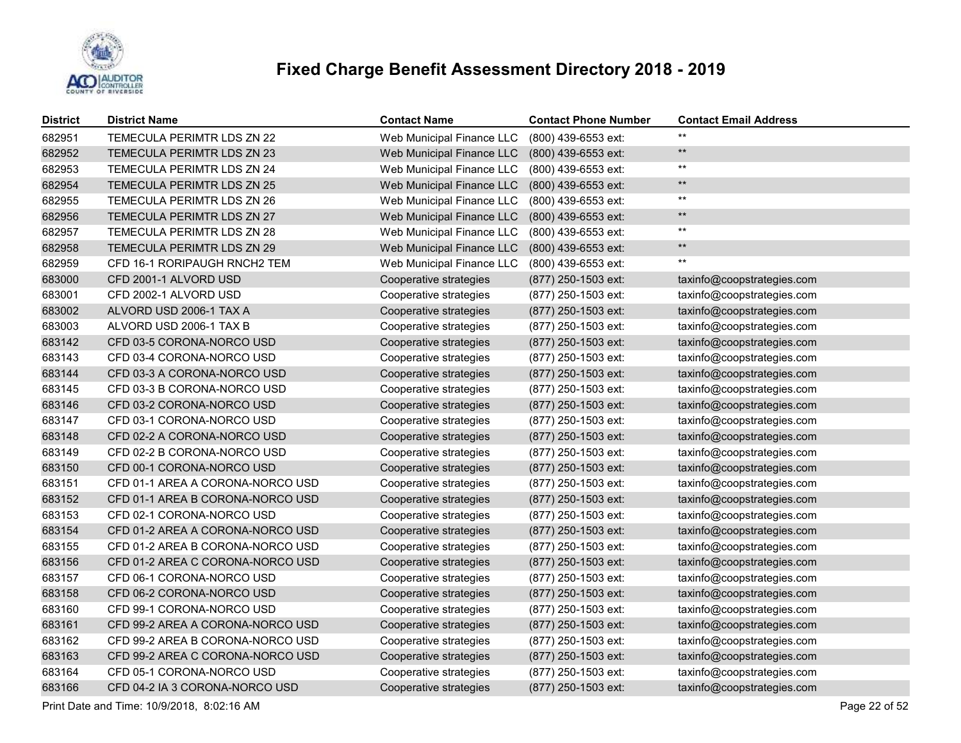

| <b>District</b> | <b>District Name</b>             | <b>Contact Name</b>       | <b>Contact Phone Number</b> | <b>Contact Email Address</b> |
|-----------------|----------------------------------|---------------------------|-----------------------------|------------------------------|
| 682951          | TEMECULA PERIMTR LDS ZN 22       | Web Municipal Finance LLC | (800) 439-6553 ext:         | $***$                        |
| 682952          | TEMECULA PERIMTR LDS ZN 23       | Web Municipal Finance LLC | (800) 439-6553 ext:         | $\star\star$                 |
| 682953          | TEMECULA PERIMTR LDS ZN 24       | Web Municipal Finance LLC | (800) 439-6553 ext:         | $\star\star$                 |
| 682954          | TEMECULA PERIMTR LDS ZN 25       | Web Municipal Finance LLC | (800) 439-6553 ext:         | $\star\star$                 |
| 682955          | TEMECULA PERIMTR LDS ZN 26       | Web Municipal Finance LLC | (800) 439-6553 ext:         | $\star\star$                 |
| 682956          | TEMECULA PERIMTR LDS ZN 27       | Web Municipal Finance LLC | (800) 439-6553 ext:         | $\star\star$                 |
| 682957          | TEMECULA PERIMTR LDS ZN 28       | Web Municipal Finance LLC | (800) 439-6553 ext:         | $\star\star$                 |
| 682958          | TEMECULA PERIMTR LDS ZN 29       | Web Municipal Finance LLC | (800) 439-6553 ext:         | $\star\star$                 |
| 682959          | CFD 16-1 RORIPAUGH RNCH2 TEM     | Web Municipal Finance LLC | (800) 439-6553 ext:         | $^{\star\star}$              |
| 683000          | CFD 2001-1 ALVORD USD            | Cooperative strategies    | (877) 250-1503 ext:         | taxinfo@coopstrategies.com   |
| 683001          | CFD 2002-1 ALVORD USD            | Cooperative strategies    | (877) 250-1503 ext:         | taxinfo@coopstrategies.com   |
| 683002          | ALVORD USD 2006-1 TAX A          | Cooperative strategies    | (877) 250-1503 ext:         | taxinfo@coopstrategies.com   |
| 683003          | ALVORD USD 2006-1 TAX B          | Cooperative strategies    | (877) 250-1503 ext:         | taxinfo@coopstrategies.com   |
| 683142          | CFD 03-5 CORONA-NORCO USD        | Cooperative strategies    | (877) 250-1503 ext:         | taxinfo@coopstrategies.com   |
| 683143          | CFD 03-4 CORONA-NORCO USD        | Cooperative strategies    | (877) 250-1503 ext:         | taxinfo@coopstrategies.com   |
| 683144          | CFD 03-3 A CORONA-NORCO USD      | Cooperative strategies    | (877) 250-1503 ext:         | taxinfo@coopstrategies.com   |
| 683145          | CFD 03-3 B CORONA-NORCO USD      | Cooperative strategies    | (877) 250-1503 ext:         | taxinfo@coopstrategies.com   |
| 683146          | CFD 03-2 CORONA-NORCO USD        | Cooperative strategies    | (877) 250-1503 ext:         | taxinfo@coopstrategies.com   |
| 683147          | CFD 03-1 CORONA-NORCO USD        | Cooperative strategies    | (877) 250-1503 ext:         | taxinfo@coopstrategies.com   |
| 683148          | CFD 02-2 A CORONA-NORCO USD      | Cooperative strategies    | (877) 250-1503 ext:         | taxinfo@coopstrategies.com   |
| 683149          | CFD 02-2 B CORONA-NORCO USD      | Cooperative strategies    | (877) 250-1503 ext:         | taxinfo@coopstrategies.com   |
| 683150          | CFD 00-1 CORONA-NORCO USD        | Cooperative strategies    | (877) 250-1503 ext:         | taxinfo@coopstrategies.com   |
| 683151          | CFD 01-1 AREA A CORONA-NORCO USD | Cooperative strategies    | (877) 250-1503 ext:         | taxinfo@coopstrategies.com   |
| 683152          | CFD 01-1 AREA B CORONA-NORCO USD | Cooperative strategies    | (877) 250-1503 ext:         | taxinfo@coopstrategies.com   |
| 683153          | CFD 02-1 CORONA-NORCO USD        | Cooperative strategies    | (877) 250-1503 ext:         | taxinfo@coopstrategies.com   |
| 683154          | CFD 01-2 AREA A CORONA-NORCO USD | Cooperative strategies    | (877) 250-1503 ext:         | taxinfo@coopstrategies.com   |
| 683155          | CFD 01-2 AREA B CORONA-NORCO USD | Cooperative strategies    | (877) 250-1503 ext:         | taxinfo@coopstrategies.com   |
| 683156          | CFD 01-2 AREA C CORONA-NORCO USD | Cooperative strategies    | (877) 250-1503 ext:         | taxinfo@coopstrategies.com   |
| 683157          | CFD 06-1 CORONA-NORCO USD        | Cooperative strategies    | (877) 250-1503 ext:         | taxinfo@coopstrategies.com   |
| 683158          | CFD 06-2 CORONA-NORCO USD        | Cooperative strategies    | (877) 250-1503 ext:         | taxinfo@coopstrategies.com   |
| 683160          | CFD 99-1 CORONA-NORCO USD        | Cooperative strategies    | (877) 250-1503 ext:         | taxinfo@coopstrategies.com   |
| 683161          | CFD 99-2 AREA A CORONA-NORCO USD | Cooperative strategies    | (877) 250-1503 ext:         | taxinfo@coopstrategies.com   |
| 683162          | CFD 99-2 AREA B CORONA-NORCO USD | Cooperative strategies    | (877) 250-1503 ext:         | taxinfo@coopstrategies.com   |
| 683163          | CFD 99-2 AREA C CORONA-NORCO USD | Cooperative strategies    | (877) 250-1503 ext:         | taxinfo@coopstrategies.com   |
| 683164          | CFD 05-1 CORONA-NORCO USD        | Cooperative strategies    | (877) 250-1503 ext:         | taxinfo@coopstrategies.com   |
| 683166          | CFD 04-2 IA 3 CORONA-NORCO USD   | Cooperative strategies    | (877) 250-1503 ext:         | taxinfo@coopstrategies.com   |

Print Date and Time: 10/9/2018, 8:02:16 AM Page 22 of 52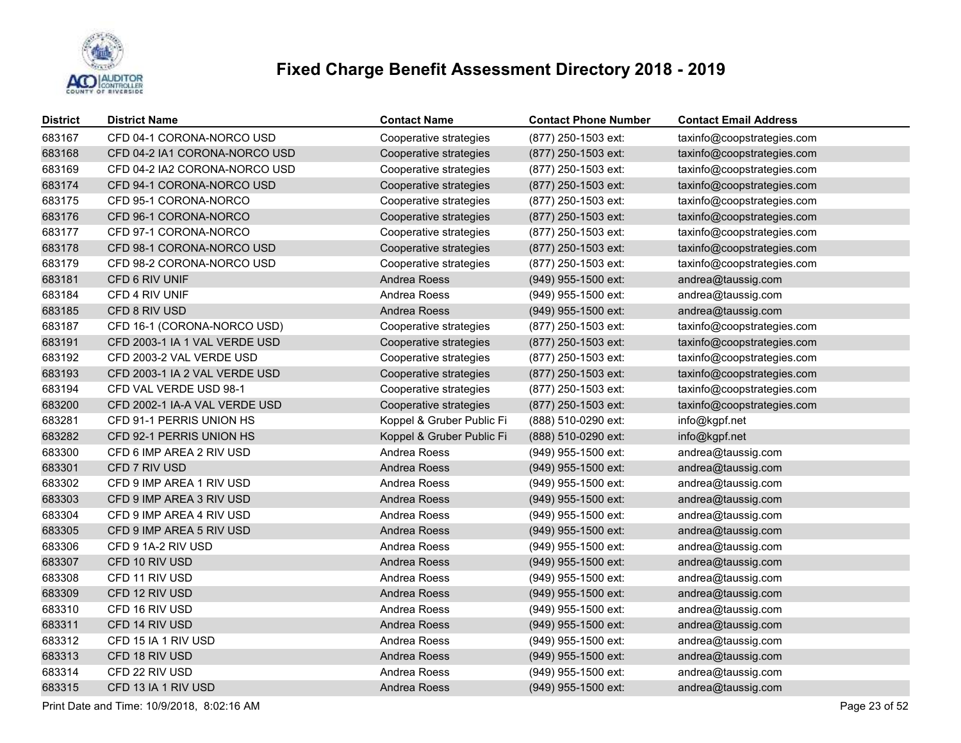

| <b>District</b> | <b>District Name</b>          | <b>Contact Name</b>       | <b>Contact Phone Number</b> | <b>Contact Email Address</b> |
|-----------------|-------------------------------|---------------------------|-----------------------------|------------------------------|
| 683167          | CFD 04-1 CORONA-NORCO USD     | Cooperative strategies    | (877) 250-1503 ext:         | taxinfo@coopstrategies.com   |
| 683168          | CFD 04-2 IA1 CORONA-NORCO USD | Cooperative strategies    | (877) 250-1503 ext:         | taxinfo@coopstrategies.com   |
| 683169          | CFD 04-2 IA2 CORONA-NORCO USD | Cooperative strategies    | (877) 250-1503 ext:         | taxinfo@coopstrategies.com   |
| 683174          | CFD 94-1 CORONA-NORCO USD     | Cooperative strategies    | (877) 250-1503 ext:         | taxinfo@coopstrategies.com   |
| 683175          | CFD 95-1 CORONA-NORCO         | Cooperative strategies    | (877) 250-1503 ext:         | taxinfo@coopstrategies.com   |
| 683176          | CFD 96-1 CORONA-NORCO         | Cooperative strategies    | (877) 250-1503 ext:         | taxinfo@coopstrategies.com   |
| 683177          | CFD 97-1 CORONA-NORCO         | Cooperative strategies    | (877) 250-1503 ext:         | taxinfo@coopstrategies.com   |
| 683178          | CFD 98-1 CORONA-NORCO USD     | Cooperative strategies    | (877) 250-1503 ext:         | taxinfo@coopstrategies.com   |
| 683179          | CFD 98-2 CORONA-NORCO USD     | Cooperative strategies    | (877) 250-1503 ext:         | taxinfo@coopstrategies.com   |
| 683181          | CFD 6 RIV UNIF                | Andrea Roess              | (949) 955-1500 ext:         | andrea@taussig.com           |
| 683184          | CFD 4 RIV UNIF                | Andrea Roess              | (949) 955-1500 ext:         | andrea@taussig.com           |
| 683185          | CFD 8 RIV USD                 | Andrea Roess              | (949) 955-1500 ext:         | andrea@taussig.com           |
| 683187          | CFD 16-1 (CORONA-NORCO USD)   | Cooperative strategies    | (877) 250-1503 ext:         | taxinfo@coopstrategies.com   |
| 683191          | CFD 2003-1 IA 1 VAL VERDE USD | Cooperative strategies    | (877) 250-1503 ext:         | taxinfo@coopstrategies.com   |
| 683192          | CFD 2003-2 VAL VERDE USD      | Cooperative strategies    | (877) 250-1503 ext:         | taxinfo@coopstrategies.com   |
| 683193          | CFD 2003-1 IA 2 VAL VERDE USD | Cooperative strategies    | (877) 250-1503 ext:         | taxinfo@coopstrategies.com   |
| 683194          | CFD VAL VERDE USD 98-1        | Cooperative strategies    | (877) 250-1503 ext:         | taxinfo@coopstrategies.com   |
| 683200          | CFD 2002-1 IA-A VAL VERDE USD | Cooperative strategies    | (877) 250-1503 ext:         | taxinfo@coopstrategies.com   |
| 683281          | CFD 91-1 PERRIS UNION HS      | Koppel & Gruber Public Fi | (888) 510-0290 ext:         | info@kgpf.net                |
| 683282          | CFD 92-1 PERRIS UNION HS      | Koppel & Gruber Public Fi | (888) 510-0290 ext:         | info@kgpf.net                |
| 683300          | CFD 6 IMP AREA 2 RIV USD      | Andrea Roess              | (949) 955-1500 ext:         | andrea@taussig.com           |
| 683301          | CFD 7 RIV USD                 | Andrea Roess              | (949) 955-1500 ext:         | andrea@taussig.com           |
| 683302          | CFD 9 IMP AREA 1 RIV USD      | Andrea Roess              | (949) 955-1500 ext:         | andrea@taussig.com           |
| 683303          | CFD 9 IMP AREA 3 RIV USD      | Andrea Roess              | (949) 955-1500 ext:         | andrea@taussig.com           |
| 683304          | CFD 9 IMP AREA 4 RIV USD      | Andrea Roess              | (949) 955-1500 ext:         | andrea@taussig.com           |
| 683305          | CFD 9 IMP AREA 5 RIV USD      | Andrea Roess              | (949) 955-1500 ext:         | andrea@taussig.com           |
| 683306          | CFD 9 1A-2 RIV USD            | Andrea Roess              | (949) 955-1500 ext:         | andrea@taussig.com           |
| 683307          | CFD 10 RIV USD                | Andrea Roess              | (949) 955-1500 ext:         | andrea@taussig.com           |
| 683308          | CFD 11 RIV USD                | Andrea Roess              | (949) 955-1500 ext:         | andrea@taussig.com           |
| 683309          | CFD 12 RIV USD                | Andrea Roess              | (949) 955-1500 ext:         | andrea@taussig.com           |
| 683310          | CFD 16 RIV USD                | Andrea Roess              | (949) 955-1500 ext:         | andrea@taussig.com           |
| 683311          | CFD 14 RIV USD                | Andrea Roess              | (949) 955-1500 ext:         | andrea@taussig.com           |
| 683312          | CFD 15 IA 1 RIV USD           | Andrea Roess              | (949) 955-1500 ext:         | andrea@taussig.com           |
| 683313          | CFD 18 RIV USD                | Andrea Roess              | (949) 955-1500 ext:         | andrea@taussig.com           |
| 683314          | CFD 22 RIV USD                | Andrea Roess              | (949) 955-1500 ext:         | andrea@taussig.com           |
| 683315          | CFD 13 IA 1 RIV USD           | Andrea Roess              | (949) 955-1500 ext:         | andrea@taussig.com           |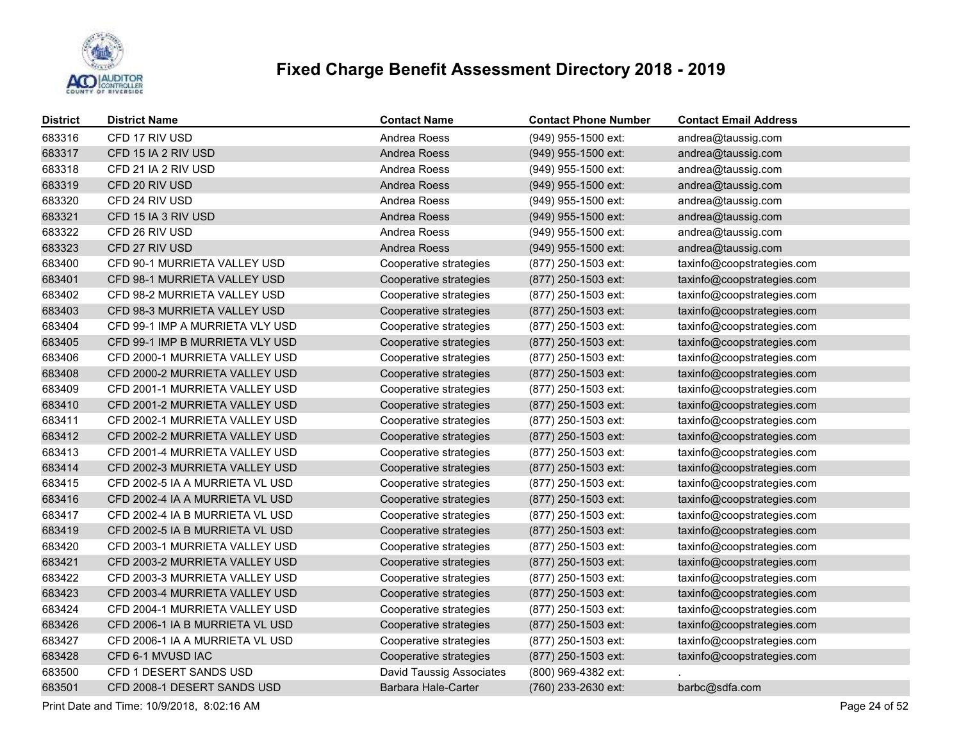

| <b>District</b> | <b>District Name</b>            | <b>Contact Name</b>             | <b>Contact Phone Number</b> | <b>Contact Email Address</b> |
|-----------------|---------------------------------|---------------------------------|-----------------------------|------------------------------|
| 683316          | CFD 17 RIV USD                  | Andrea Roess                    | $(949)$ 955-1500 ext:       | andrea@taussig.com           |
| 683317          | CFD 15 IA 2 RIV USD             | Andrea Roess                    | (949) 955-1500 ext:         | andrea@taussig.com           |
| 683318          | CFD 21 IA 2 RIV USD             | Andrea Roess                    | (949) 955-1500 ext:         | andrea@taussig.com           |
| 683319          | CFD 20 RIV USD                  | Andrea Roess                    | (949) 955-1500 ext:         | andrea@taussig.com           |
| 683320          | CFD 24 RIV USD                  | Andrea Roess                    | (949) 955-1500 ext:         | andrea@taussig.com           |
| 683321          | CFD 15 IA 3 RIV USD             | Andrea Roess                    | (949) 955-1500 ext:         | andrea@taussig.com           |
| 683322          | CFD 26 RIV USD                  | Andrea Roess                    | (949) 955-1500 ext:         | andrea@taussig.com           |
| 683323          | CFD 27 RIV USD                  | Andrea Roess                    | (949) 955-1500 ext:         | andrea@taussig.com           |
| 683400          | CFD 90-1 MURRIETA VALLEY USD    | Cooperative strategies          | (877) 250-1503 ext:         | taxinfo@coopstrategies.com   |
| 683401          | CFD 98-1 MURRIETA VALLEY USD    | Cooperative strategies          | (877) 250-1503 ext:         | taxinfo@coopstrategies.com   |
| 683402          | CFD 98-2 MURRIETA VALLEY USD    | Cooperative strategies          | (877) 250-1503 ext:         | taxinfo@coopstrategies.com   |
| 683403          | CFD 98-3 MURRIETA VALLEY USD    | Cooperative strategies          | (877) 250-1503 ext:         | taxinfo@coopstrategies.com   |
| 683404          | CFD 99-1 IMP A MURRIETA VLY USD | Cooperative strategies          | (877) 250-1503 ext:         | taxinfo@coopstrategies.com   |
| 683405          | CFD 99-1 IMP B MURRIETA VLY USD | Cooperative strategies          | (877) 250-1503 ext:         | taxinfo@coopstrategies.com   |
| 683406          | CFD 2000-1 MURRIETA VALLEY USD  | Cooperative strategies          | (877) 250-1503 ext:         | taxinfo@coopstrategies.com   |
| 683408          | CFD 2000-2 MURRIETA VALLEY USD  | Cooperative strategies          | (877) 250-1503 ext:         | taxinfo@coopstrategies.com   |
| 683409          | CFD 2001-1 MURRIETA VALLEY USD  | Cooperative strategies          | (877) 250-1503 ext:         | taxinfo@coopstrategies.com   |
| 683410          | CFD 2001-2 MURRIETA VALLEY USD  | Cooperative strategies          | (877) 250-1503 ext:         | taxinfo@coopstrategies.com   |
| 683411          | CFD 2002-1 MURRIETA VALLEY USD  | Cooperative strategies          | (877) 250-1503 ext:         | taxinfo@coopstrategies.com   |
| 683412          | CFD 2002-2 MURRIETA VALLEY USD  | Cooperative strategies          | (877) 250-1503 ext:         | taxinfo@coopstrategies.com   |
| 683413          | CFD 2001-4 MURRIETA VALLEY USD  | Cooperative strategies          | (877) 250-1503 ext:         | taxinfo@coopstrategies.com   |
| 683414          | CFD 2002-3 MURRIETA VALLEY USD  | Cooperative strategies          | (877) 250-1503 ext:         | taxinfo@coopstrategies.com   |
| 683415          | CFD 2002-5 IA A MURRIETA VL USD | Cooperative strategies          | (877) 250-1503 ext:         | taxinfo@coopstrategies.com   |
| 683416          | CFD 2002-4 IA A MURRIETA VL USD | Cooperative strategies          | (877) 250-1503 ext:         | taxinfo@coopstrategies.com   |
| 683417          | CFD 2002-4 IA B MURRIETA VL USD | Cooperative strategies          | (877) 250-1503 ext:         | taxinfo@coopstrategies.com   |
| 683419          | CFD 2002-5 IA B MURRIETA VL USD | Cooperative strategies          | (877) 250-1503 ext:         | taxinfo@coopstrategies.com   |
| 683420          | CFD 2003-1 MURRIETA VALLEY USD  | Cooperative strategies          | (877) 250-1503 ext:         | taxinfo@coopstrategies.com   |
| 683421          | CFD 2003-2 MURRIETA VALLEY USD  | Cooperative strategies          | (877) 250-1503 ext:         | taxinfo@coopstrategies.com   |
| 683422          | CFD 2003-3 MURRIETA VALLEY USD  | Cooperative strategies          | (877) 250-1503 ext:         | taxinfo@coopstrategies.com   |
| 683423          | CFD 2003-4 MURRIETA VALLEY USD  | Cooperative strategies          | (877) 250-1503 ext:         | taxinfo@coopstrategies.com   |
| 683424          | CFD 2004-1 MURRIETA VALLEY USD  | Cooperative strategies          | (877) 250-1503 ext:         | taxinfo@coopstrategies.com   |
| 683426          | CFD 2006-1 IA B MURRIETA VL USD | Cooperative strategies          | (877) 250-1503 ext:         | taxinfo@coopstrategies.com   |
| 683427          | CFD 2006-1 IA A MURRIETA VL USD | Cooperative strategies          | (877) 250-1503 ext:         | taxinfo@coopstrategies.com   |
| 683428          | CFD 6-1 MVUSD IAC               | Cooperative strategies          | (877) 250-1503 ext:         | taxinfo@coopstrategies.com   |
| 683500          | CFD 1 DESERT SANDS USD          | <b>David Taussig Associates</b> | (800) 969-4382 ext:         |                              |
| 683501          | CFD 2008-1 DESERT SANDS USD     | Barbara Hale-Carter             | (760) 233-2630 ext:         | barbc@sdfa.com               |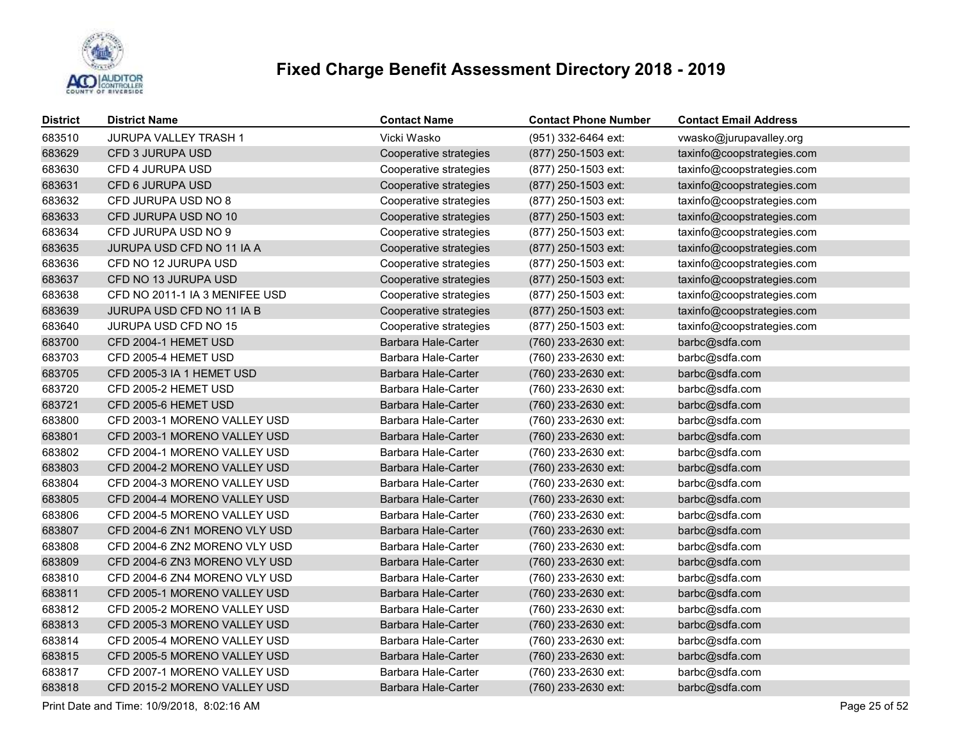

| <b>District</b> | <b>District Name</b>           | <b>Contact Name</b>        | <b>Contact Phone Number</b> | <b>Contact Email Address</b> |
|-----------------|--------------------------------|----------------------------|-----------------------------|------------------------------|
| 683510          | JURUPA VALLEY TRASH 1          | Vicki Wasko                | (951) 332-6464 ext:         | vwasko@jurupavalley.org      |
| 683629          | CFD 3 JURUPA USD               | Cooperative strategies     | (877) 250-1503 ext:         | taxinfo@coopstrategies.com   |
| 683630          | CFD 4 JURUPA USD               | Cooperative strategies     | (877) 250-1503 ext:         | taxinfo@coopstrategies.com   |
| 683631          | CFD 6 JURUPA USD               | Cooperative strategies     | (877) 250-1503 ext:         | taxinfo@coopstrategies.com   |
| 683632          | CFD JURUPA USD NO 8            | Cooperative strategies     | (877) 250-1503 ext:         | taxinfo@coopstrategies.com   |
| 683633          | CFD JURUPA USD NO 10           | Cooperative strategies     | (877) 250-1503 ext:         | taxinfo@coopstrategies.com   |
| 683634          | CFD JURUPA USD NO 9            | Cooperative strategies     | (877) 250-1503 ext:         | taxinfo@coopstrategies.com   |
| 683635          | JURUPA USD CFD NO 11 IA A      | Cooperative strategies     | (877) 250-1503 ext:         | taxinfo@coopstrategies.com   |
| 683636          | CFD NO 12 JURUPA USD           | Cooperative strategies     | (877) 250-1503 ext:         | taxinfo@coopstrategies.com   |
| 683637          | CFD NO 13 JURUPA USD           | Cooperative strategies     | (877) 250-1503 ext:         | taxinfo@coopstrategies.com   |
| 683638          | CFD NO 2011-1 IA 3 MENIFEE USD | Cooperative strategies     | (877) 250-1503 ext:         | taxinfo@coopstrategies.com   |
| 683639          | JURUPA USD CFD NO 11 IA B      | Cooperative strategies     | (877) 250-1503 ext:         | taxinfo@coopstrategies.com   |
| 683640          | JURUPA USD CFD NO 15           | Cooperative strategies     | (877) 250-1503 ext:         | taxinfo@coopstrategies.com   |
| 683700          | CFD 2004-1 HEMET USD           | Barbara Hale-Carter        | (760) 233-2630 ext:         | barbc@sdfa.com               |
| 683703          | CFD 2005-4 HEMET USD           | Barbara Hale-Carter        | (760) 233-2630 ext:         | barbc@sdfa.com               |
| 683705          | CFD 2005-3 IA 1 HEMET USD      | Barbara Hale-Carter        | (760) 233-2630 ext:         | barbc@sdfa.com               |
| 683720          | CFD 2005-2 HEMET USD           | Barbara Hale-Carter        | (760) 233-2630 ext:         | barbc@sdfa.com               |
| 683721          | CFD 2005-6 HEMET USD           | <b>Barbara Hale-Carter</b> | (760) 233-2630 ext:         | barbc@sdfa.com               |
| 683800          | CFD 2003-1 MORENO VALLEY USD   | Barbara Hale-Carter        | (760) 233-2630 ext:         | barbc@sdfa.com               |
| 683801          | CFD 2003-1 MORENO VALLEY USD   | Barbara Hale-Carter        | (760) 233-2630 ext:         | barbc@sdfa.com               |
| 683802          | CFD 2004-1 MORENO VALLEY USD   | Barbara Hale-Carter        | (760) 233-2630 ext:         | barbc@sdfa.com               |
| 683803          | CFD 2004-2 MORENO VALLEY USD   | Barbara Hale-Carter        | (760) 233-2630 ext:         | barbc@sdfa.com               |
| 683804          | CFD 2004-3 MORENO VALLEY USD   | Barbara Hale-Carter        | (760) 233-2630 ext:         | barbc@sdfa.com               |
| 683805          | CFD 2004-4 MORENO VALLEY USD   | Barbara Hale-Carter        | (760) 233-2630 ext:         | barbc@sdfa.com               |
| 683806          | CFD 2004-5 MORENO VALLEY USD   | Barbara Hale-Carter        | (760) 233-2630 ext:         | barbc@sdfa.com               |
| 683807          | CFD 2004-6 ZN1 MORENO VLY USD  | Barbara Hale-Carter        | (760) 233-2630 ext:         | barbc@sdfa.com               |
| 683808          | CFD 2004-6 ZN2 MORENO VLY USD  | <b>Barbara Hale-Carter</b> | (760) 233-2630 ext:         | barbc@sdfa.com               |
| 683809          | CFD 2004-6 ZN3 MORENO VLY USD  | Barbara Hale-Carter        | (760) 233-2630 ext:         | barbc@sdfa.com               |
| 683810          | CFD 2004-6 ZN4 MORENO VLY USD  | Barbara Hale-Carter        | (760) 233-2630 ext:         | barbc@sdfa.com               |
| 683811          | CFD 2005-1 MORENO VALLEY USD   | Barbara Hale-Carter        | (760) 233-2630 ext:         | barbc@sdfa.com               |
| 683812          | CFD 2005-2 MORENO VALLEY USD   | Barbara Hale-Carter        | (760) 233-2630 ext:         | barbc@sdfa.com               |
| 683813          | CFD 2005-3 MORENO VALLEY USD   | Barbara Hale-Carter        | (760) 233-2630 ext:         | barbc@sdfa.com               |
| 683814          | CFD 2005-4 MORENO VALLEY USD   | Barbara Hale-Carter        | (760) 233-2630 ext:         | barbc@sdfa.com               |
| 683815          | CFD 2005-5 MORENO VALLEY USD   | Barbara Hale-Carter        | (760) 233-2630 ext:         | barbc@sdfa.com               |
| 683817          | CFD 2007-1 MORENO VALLEY USD   | Barbara Hale-Carter        | (760) 233-2630 ext:         | barbc@sdfa.com               |
| 683818          | CFD 2015-2 MORENO VALLEY USD   | Barbara Hale-Carter        | (760) 233-2630 ext:         | barbc@sdfa.com               |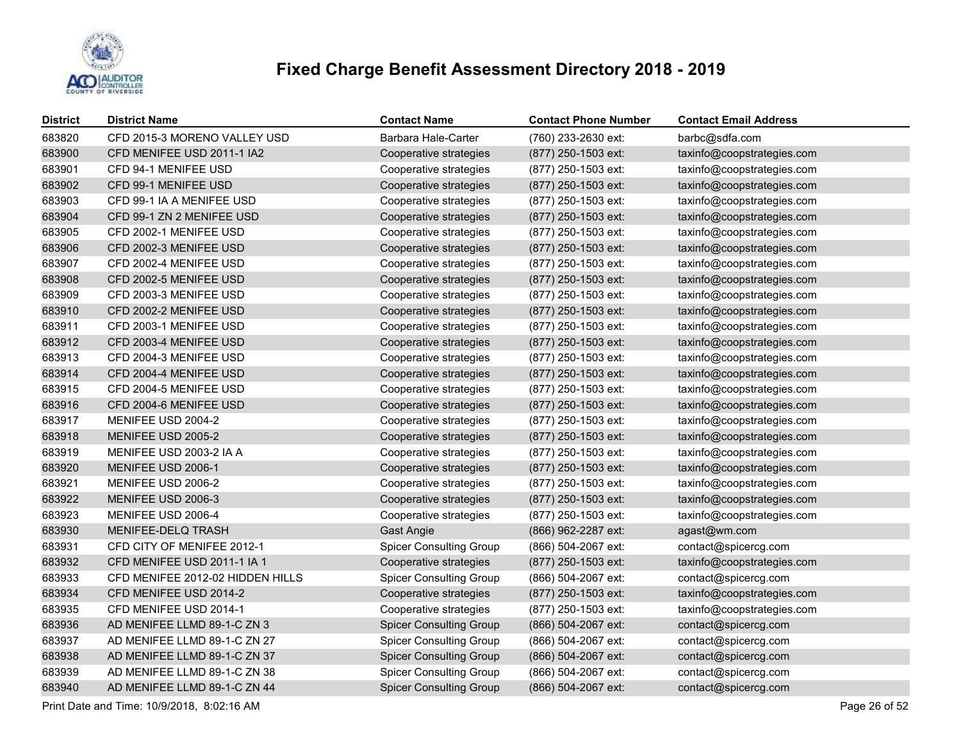

| <b>District</b> | <b>District Name</b>             | <b>Contact Name</b>            | <b>Contact Phone Number</b> | <b>Contact Email Address</b> |
|-----------------|----------------------------------|--------------------------------|-----------------------------|------------------------------|
| 683820          | CFD 2015-3 MORENO VALLEY USD     | Barbara Hale-Carter            | (760) 233-2630 ext:         | barbc@sdfa.com               |
| 683900          | CFD MENIFEE USD 2011-1 IA2       | Cooperative strategies         | (877) 250-1503 ext:         | taxinfo@coopstrategies.com   |
| 683901          | CFD 94-1 MENIFEE USD             | Cooperative strategies         | (877) 250-1503 ext:         | taxinfo@coopstrategies.com   |
| 683902          | CFD 99-1 MENIFEE USD             | Cooperative strategies         | (877) 250-1503 ext:         | taxinfo@coopstrategies.com   |
| 683903          | CFD 99-1 IA A MENIFEE USD        | Cooperative strategies         | (877) 250-1503 ext:         | taxinfo@coopstrategies.com   |
| 683904          | CFD 99-1 ZN 2 MENIFEE USD        | Cooperative strategies         | (877) 250-1503 ext:         | taxinfo@coopstrategies.com   |
| 683905          | CFD 2002-1 MENIFEE USD           | Cooperative strategies         | (877) 250-1503 ext:         | taxinfo@coopstrategies.com   |
| 683906          | CFD 2002-3 MENIFEE USD           | Cooperative strategies         | (877) 250-1503 ext:         | taxinfo@coopstrategies.com   |
| 683907          | CFD 2002-4 MENIFEE USD           | Cooperative strategies         | (877) 250-1503 ext:         | taxinfo@coopstrategies.com   |
| 683908          | CFD 2002-5 MENIFEE USD           | Cooperative strategies         | (877) 250-1503 ext:         | taxinfo@coopstrategies.com   |
| 683909          | CFD 2003-3 MENIFEE USD           | Cooperative strategies         | (877) 250-1503 ext:         | taxinfo@coopstrategies.com   |
| 683910          | CFD 2002-2 MENIFEE USD           | Cooperative strategies         | (877) 250-1503 ext:         | taxinfo@coopstrategies.com   |
| 683911          | CFD 2003-1 MENIFEE USD           | Cooperative strategies         | (877) 250-1503 ext:         | taxinfo@coopstrategies.com   |
| 683912          | CFD 2003-4 MENIFEE USD           | Cooperative strategies         | (877) 250-1503 ext:         | taxinfo@coopstrategies.com   |
| 683913          | CFD 2004-3 MENIFEE USD           | Cooperative strategies         | (877) 250-1503 ext:         | taxinfo@coopstrategies.com   |
| 683914          | CFD 2004-4 MENIFEE USD           | Cooperative strategies         | (877) 250-1503 ext:         | taxinfo@coopstrategies.com   |
| 683915          | CFD 2004-5 MENIFEE USD           | Cooperative strategies         | (877) 250-1503 ext:         | taxinfo@coopstrategies.com   |
| 683916          | CFD 2004-6 MENIFEE USD           | Cooperative strategies         | (877) 250-1503 ext:         | taxinfo@coopstrategies.com   |
| 683917          | MENIFEE USD 2004-2               | Cooperative strategies         | (877) 250-1503 ext:         | taxinfo@coopstrategies.com   |
| 683918          | MENIFEE USD 2005-2               | Cooperative strategies         | (877) 250-1503 ext:         | taxinfo@coopstrategies.com   |
| 683919          | MENIFEE USD 2003-2 IA A          | Cooperative strategies         | (877) 250-1503 ext:         | taxinfo@coopstrategies.com   |
| 683920          | MENIFEE USD 2006-1               | Cooperative strategies         | (877) 250-1503 ext:         | taxinfo@coopstrategies.com   |
| 683921          | MENIFEE USD 2006-2               | Cooperative strategies         | (877) 250-1503 ext:         | taxinfo@coopstrategies.com   |
| 683922          | MENIFEE USD 2006-3               | Cooperative strategies         | (877) 250-1503 ext:         | taxinfo@coopstrategies.com   |
| 683923          | MENIFEE USD 2006-4               | Cooperative strategies         | (877) 250-1503 ext:         | taxinfo@coopstrategies.com   |
| 683930          | MENIFEE-DELQ TRASH               | Gast Angie                     | (866) 962-2287 ext:         | agast@wm.com                 |
| 683931          | CFD CITY OF MENIFEE 2012-1       | <b>Spicer Consulting Group</b> | (866) 504-2067 ext:         | contact@spicercg.com         |
| 683932          | CFD MENIFEE USD 2011-1 IA 1      | Cooperative strategies         | (877) 250-1503 ext:         | taxinfo@coopstrategies.com   |
| 683933          | CFD MENIFEE 2012-02 HIDDEN HILLS | <b>Spicer Consulting Group</b> | (866) 504-2067 ext:         | contact@spicercg.com         |
| 683934          | CFD MENIFEE USD 2014-2           | Cooperative strategies         | (877) 250-1503 ext:         | taxinfo@coopstrategies.com   |
| 683935          | CFD MENIFEE USD 2014-1           | Cooperative strategies         | (877) 250-1503 ext:         | taxinfo@coopstrategies.com   |
| 683936          | AD MENIFEE LLMD 89-1-C ZN 3      | <b>Spicer Consulting Group</b> | (866) 504-2067 ext:         | contact@spicercg.com         |
| 683937          | AD MENIFEE LLMD 89-1-C ZN 27     | <b>Spicer Consulting Group</b> | (866) 504-2067 ext:         | contact@spicercg.com         |
| 683938          | AD MENIFEE LLMD 89-1-C ZN 37     | <b>Spicer Consulting Group</b> | $(866)$ 504-2067 ext:       | contact@spicercg.com         |
| 683939          | AD MENIFEE LLMD 89-1-C ZN 38     | <b>Spicer Consulting Group</b> | (866) 504-2067 ext:         | contact@spicercg.com         |
| 683940          | AD MENIFEE LLMD 89-1-C ZN 44     | <b>Spicer Consulting Group</b> | (866) 504-2067 ext:         | contact@spicercg.com         |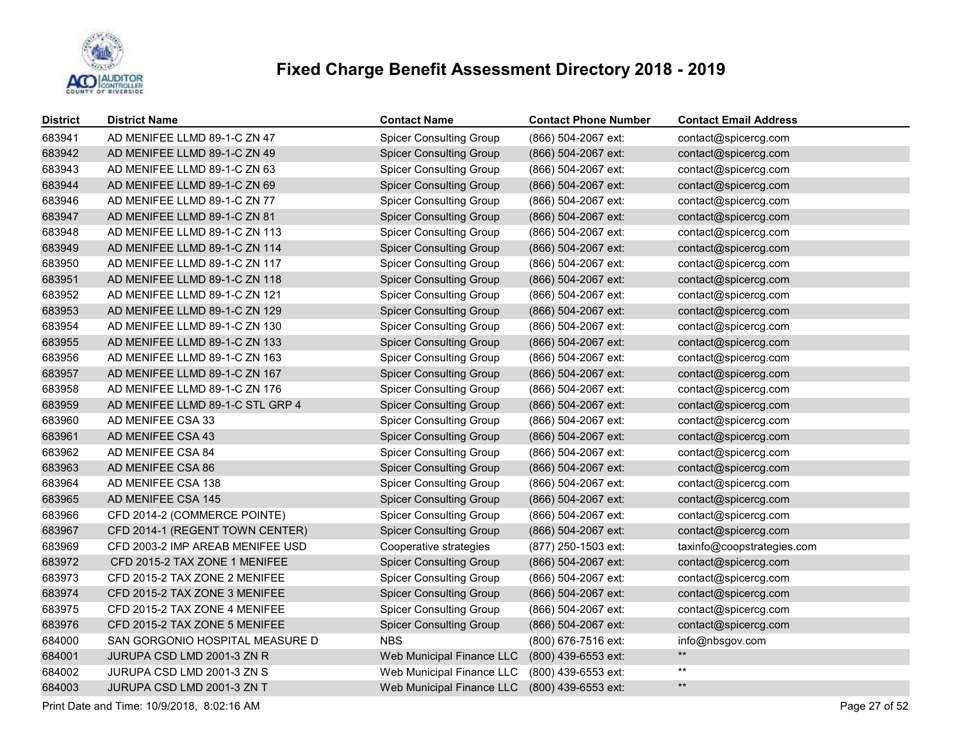

| <b>District</b> | <b>District Name</b>             | <b>Contact Name</b>            | <b>Contact Phone Number</b> | <b>Contact Email Address</b> |
|-----------------|----------------------------------|--------------------------------|-----------------------------|------------------------------|
| 683941          | AD MENIFEE LLMD 89-1-C ZN 47     | <b>Spicer Consulting Group</b> | (866) 504-2067 ext:         | contact@spicercg.com         |
| 683942          | AD MENIFEE LLMD 89-1-C ZN 49     | <b>Spicer Consulting Group</b> | (866) 504-2067 ext:         | contact@spicercg.com         |
| 683943          | AD MENIFEE LLMD 89-1-C ZN 63     | <b>Spicer Consulting Group</b> | (866) 504-2067 ext:         | contact@spicercg.com         |
| 683944          | AD MENIFEE LLMD 89-1-C ZN 69     | <b>Spicer Consulting Group</b> | (866) 504-2067 ext:         | contact@spicercg.com         |
| 683946          | AD MENIFEE LLMD 89-1-C ZN 77     | <b>Spicer Consulting Group</b> | (866) 504-2067 ext:         | contact@spicercg.com         |
| 683947          | AD MENIFEE LLMD 89-1-C ZN 81     | <b>Spicer Consulting Group</b> | (866) 504-2067 ext:         | contact@spicercg.com         |
| 683948          | AD MENIFEE LLMD 89-1-C ZN 113    | <b>Spicer Consulting Group</b> | (866) 504-2067 ext:         | contact@spicercg.com         |
| 683949          | AD MENIFEE LLMD 89-1-C ZN 114    | <b>Spicer Consulting Group</b> | (866) 504-2067 ext:         | contact@spicercg.com         |
| 683950          | AD MENIFEE LLMD 89-1-C ZN 117    | <b>Spicer Consulting Group</b> | (866) 504-2067 ext:         | contact@spicercg.com         |
| 683951          | AD MENIFEE LLMD 89-1-C ZN 118    | <b>Spicer Consulting Group</b> | (866) 504-2067 ext:         | contact@spicercg.com         |
| 683952          | AD MENIFEE LLMD 89-1-C ZN 121    | <b>Spicer Consulting Group</b> | (866) 504-2067 ext:         | contact@spicercg.com         |
| 683953          | AD MENIFEE LLMD 89-1-C ZN 129    | <b>Spicer Consulting Group</b> | (866) 504-2067 ext:         | contact@spicercg.com         |
| 683954          | AD MENIFEE LLMD 89-1-C ZN 130    | <b>Spicer Consulting Group</b> | (866) 504-2067 ext:         | contact@spicercg.com         |
| 683955          | AD MENIFEE LLMD 89-1-C ZN 133    | <b>Spicer Consulting Group</b> | (866) 504-2067 ext:         | contact@spicercg.com         |
| 683956          | AD MENIFEE LLMD 89-1-C ZN 163    | <b>Spicer Consulting Group</b> | (866) 504-2067 ext:         | contact@spicercg.com         |
| 683957          | AD MENIFEE LLMD 89-1-C ZN 167    | <b>Spicer Consulting Group</b> | (866) 504-2067 ext:         | contact@spicercg.com         |
| 683958          | AD MENIFEE LLMD 89-1-C ZN 176    | <b>Spicer Consulting Group</b> | (866) 504-2067 ext:         | contact@spicercg.com         |
| 683959          | AD MENIFEE LLMD 89-1-C STL GRP 4 | <b>Spicer Consulting Group</b> | (866) 504-2067 ext:         | contact@spicercg.com         |
| 683960          | AD MENIFEE CSA 33                | <b>Spicer Consulting Group</b> | (866) 504-2067 ext:         | contact@spicercg.com         |
| 683961          | AD MENIFEE CSA 43                | <b>Spicer Consulting Group</b> | (866) 504-2067 ext:         | contact@spicercg.com         |
| 683962          | AD MENIFEE CSA 84                | <b>Spicer Consulting Group</b> | (866) 504-2067 ext:         | contact@spicercg.com         |
| 683963          | AD MENIFEE CSA 86                | <b>Spicer Consulting Group</b> | (866) 504-2067 ext:         | contact@spicercg.com         |
| 683964          | AD MENIFEE CSA 138               | <b>Spicer Consulting Group</b> | (866) 504-2067 ext:         | contact@spicercg.com         |
| 683965          | AD MENIFEE CSA 145               | <b>Spicer Consulting Group</b> | (866) 504-2067 ext:         | contact@spicercg.com         |
| 683966          | CFD 2014-2 (COMMERCE POINTE)     | <b>Spicer Consulting Group</b> | (866) 504-2067 ext:         | contact@spicercg.com         |
| 683967          | CFD 2014-1 (REGENT TOWN CENTER)  | <b>Spicer Consulting Group</b> | (866) 504-2067 ext:         | contact@spicercg.com         |
| 683969          | CFD 2003-2 IMP AREAB MENIFEE USD | Cooperative strategies         | (877) 250-1503 ext:         | taxinfo@coopstrategies.com   |
| 683972          | CFD 2015-2 TAX ZONE 1 MENIFEE    | <b>Spicer Consulting Group</b> | (866) 504-2067 ext:         | contact@spicercg.com         |
| 683973          | CFD 2015-2 TAX ZONE 2 MENIFEE    | <b>Spicer Consulting Group</b> | (866) 504-2067 ext:         | contact@spicercg.com         |
| 683974          | CFD 2015-2 TAX ZONE 3 MENIFEE    | <b>Spicer Consulting Group</b> | (866) 504-2067 ext:         | contact@spicercg.com         |
| 683975          | CFD 2015-2 TAX ZONE 4 MENIFEE    | <b>Spicer Consulting Group</b> | (866) 504-2067 ext:         | contact@spicercg.com         |
| 683976          | CFD 2015-2 TAX ZONE 5 MENIFEE    | <b>Spicer Consulting Group</b> | (866) 504-2067 ext:         | contact@spicercg.com         |
| 684000          | SAN GORGONIO HOSPITAL MEASURE D  | <b>NBS</b>                     | (800) 676-7516 ext:         | info@nbsgov.com              |
| 684001          | JURUPA CSD LMD 2001-3 ZN R       | Web Municipal Finance LLC      | (800) 439-6553 ext:         | $**$                         |
| 684002          | JURUPA CSD LMD 2001-3 ZN S       | Web Municipal Finance LLC      | (800) 439-6553 ext:         | $***$                        |
| 684003          | JURUPA CSD LMD 2001-3 ZN T       | Web Municipal Finance LLC      | (800) 439-6553 ext:         | $***$                        |

Print Date and Time: 10/9/2018, 8:02:16 AM Page 27 of 52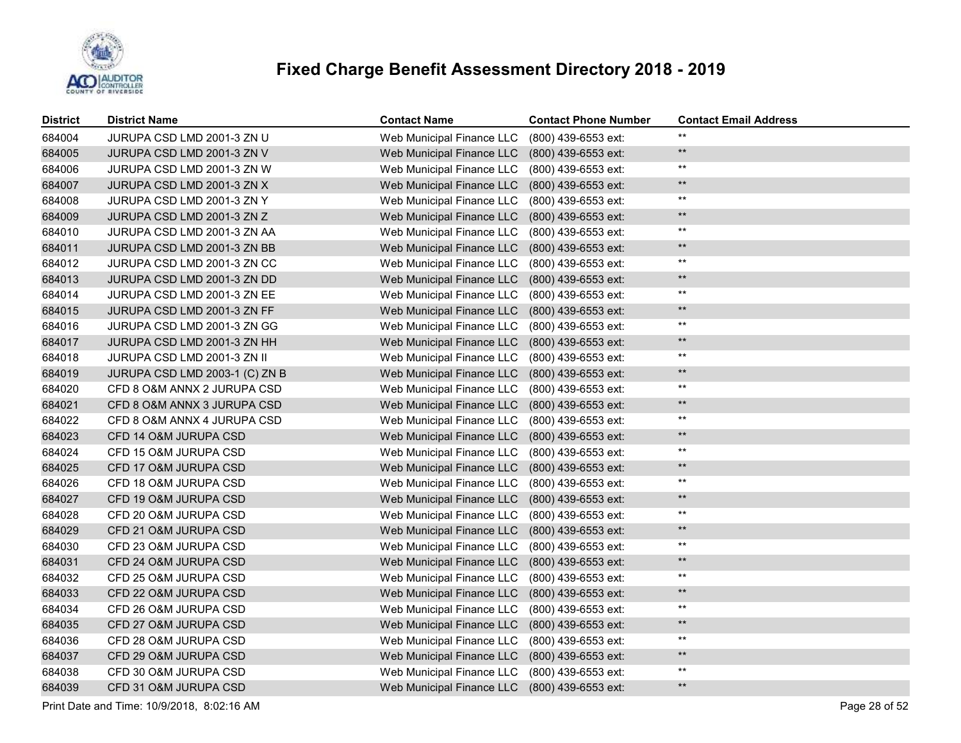

| <b>District</b> | <b>District Name</b>           | <b>Contact Name</b>       | <b>Contact Phone Number</b> | <b>Contact Email Address</b> |
|-----------------|--------------------------------|---------------------------|-----------------------------|------------------------------|
| 684004          | JURUPA CSD LMD 2001-3 ZN U     | Web Municipal Finance LLC | (800) 439-6553 ext:         | $***$                        |
| 684005          | JURUPA CSD LMD 2001-3 ZN V     | Web Municipal Finance LLC | (800) 439-6553 ext:         | $\star\star$                 |
| 684006          | JURUPA CSD LMD 2001-3 ZN W     | Web Municipal Finance LLC | (800) 439-6553 ext:         | $***$                        |
| 684007          | JURUPA CSD LMD 2001-3 ZN X     | Web Municipal Finance LLC | (800) 439-6553 ext:         | $***$                        |
| 684008          | JURUPA CSD LMD 2001-3 ZN Y     | Web Municipal Finance LLC | (800) 439-6553 ext:         | $***$                        |
| 684009          | JURUPA CSD LMD 2001-3 ZN Z     | Web Municipal Finance LLC | (800) 439-6553 ext:         | $***$                        |
| 684010          | JURUPA CSD LMD 2001-3 ZN AA    | Web Municipal Finance LLC | (800) 439-6553 ext:         | $***$                        |
| 684011          | JURUPA CSD LMD 2001-3 ZN BB    | Web Municipal Finance LLC | (800) 439-6553 ext:         | $***$                        |
| 684012          | JURUPA CSD LMD 2001-3 ZN CC    | Web Municipal Finance LLC | (800) 439-6553 ext:         | $***$                        |
| 684013          | JURUPA CSD LMD 2001-3 ZN DD    | Web Municipal Finance LLC | (800) 439-6553 ext:         | $***$                        |
| 684014          | JURUPA CSD LMD 2001-3 ZN EE    | Web Municipal Finance LLC | (800) 439-6553 ext:         | $***$                        |
| 684015          | JURUPA CSD LMD 2001-3 ZN FF    | Web Municipal Finance LLC | (800) 439-6553 ext:         | $***$                        |
| 684016          | JURUPA CSD LMD 2001-3 ZN GG    | Web Municipal Finance LLC | (800) 439-6553 ext:         | $***$                        |
| 684017          | JURUPA CSD LMD 2001-3 ZN HH    | Web Municipal Finance LLC | (800) 439-6553 ext:         | $***$                        |
| 684018          | JURUPA CSD LMD 2001-3 ZN II    | Web Municipal Finance LLC | (800) 439-6553 ext:         | $***$                        |
| 684019          | JURUPA CSD LMD 2003-1 (C) ZN B | Web Municipal Finance LLC | (800) 439-6553 ext:         | $***$                        |
| 684020          | CFD 8 O&M ANNX 2 JURUPA CSD    | Web Municipal Finance LLC | (800) 439-6553 ext:         | $***$                        |
| 684021          | CFD 8 O&M ANNX 3 JURUPA CSD    | Web Municipal Finance LLC | $(800)$ 439-6553 ext:       | $***$                        |
| 684022          | CFD 8 O&M ANNX 4 JURUPA CSD    | Web Municipal Finance LLC | (800) 439-6553 ext:         | $***$                        |
| 684023          | CFD 14 O&M JURUPA CSD          | Web Municipal Finance LLC | (800) 439-6553 ext:         | $***$                        |
| 684024          | CFD 15 O&M JURUPA CSD          | Web Municipal Finance LLC | (800) 439-6553 ext:         | $***$                        |
| 684025          | CFD 17 O&M JURUPA CSD          | Web Municipal Finance LLC | (800) 439-6553 ext:         | $***$                        |
| 684026          | CFD 18 O&M JURUPA CSD          | Web Municipal Finance LLC | (800) 439-6553 ext:         | $***$                        |
| 684027          | CFD 19 O&M JURUPA CSD          | Web Municipal Finance LLC | (800) 439-6553 ext:         | $\star\star$                 |
| 684028          | CFD 20 O&M JURUPA CSD          | Web Municipal Finance LLC | (800) 439-6553 ext:         | $***$                        |
| 684029          | CFD 21 O&M JURUPA CSD          | Web Municipal Finance LLC | (800) 439-6553 ext:         | $***$                        |
| 684030          | CFD 23 O&M JURUPA CSD          | Web Municipal Finance LLC | (800) 439-6553 ext:         | $***$                        |
| 684031          | CFD 24 O&M JURUPA CSD          | Web Municipal Finance LLC | (800) 439-6553 ext:         | $***$                        |
| 684032          | CFD 25 O&M JURUPA CSD          | Web Municipal Finance LLC | (800) 439-6553 ext:         | $***$                        |
| 684033          | CFD 22 O&M JURUPA CSD          | Web Municipal Finance LLC | $(800)$ 439-6553 ext:       | $\star\star$                 |
| 684034          | CFD 26 O&M JURUPA CSD          | Web Municipal Finance LLC | (800) 439-6553 ext:         | $***$                        |
| 684035          | CFD 27 O&M JURUPA CSD          | Web Municipal Finance LLC | (800) 439-6553 ext:         | $***$                        |
| 684036          | CFD 28 O&M JURUPA CSD          | Web Municipal Finance LLC | (800) 439-6553 ext:         | $***$                        |
| 684037          | CFD 29 O&M JURUPA CSD          | Web Municipal Finance LLC | (800) 439-6553 ext:         | $***$                        |
| 684038          | CFD 30 O&M JURUPA CSD          | Web Municipal Finance LLC | (800) 439-6553 ext:         | $***$                        |
| 684039          | CFD 31 O&M JURUPA CSD          | Web Municipal Finance LLC | (800) 439-6553 ext:         | $\star\star$                 |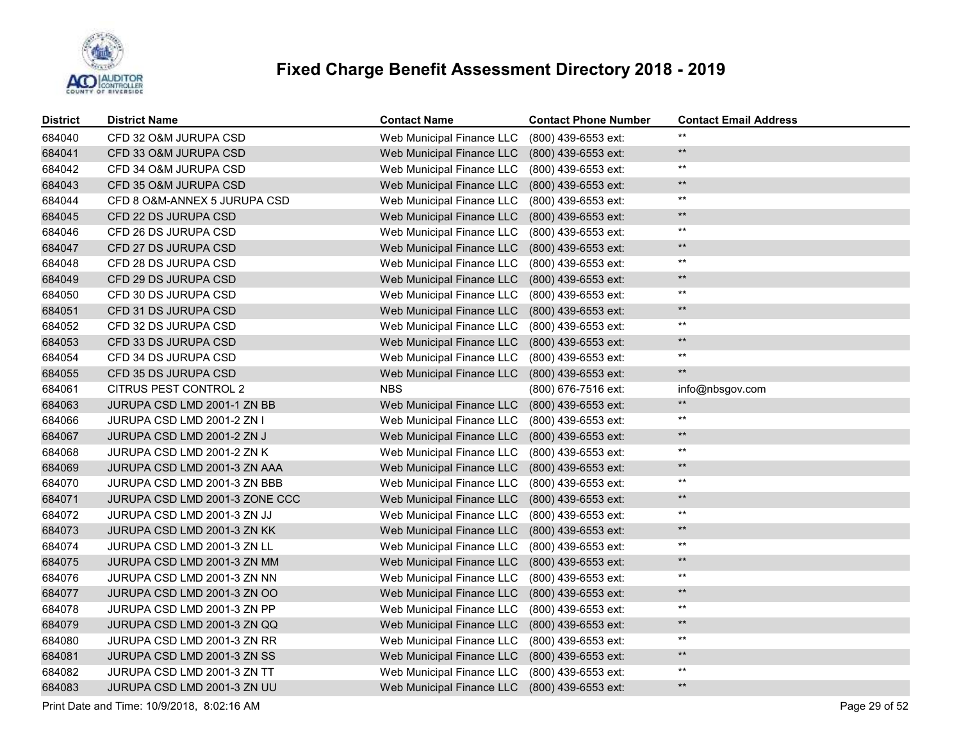

| District | <b>District Name</b>           | <b>Contact Name</b>       | <b>Contact Phone Number</b> | <b>Contact Email Address</b> |
|----------|--------------------------------|---------------------------|-----------------------------|------------------------------|
| 684040   | CFD 32 O&M JURUPA CSD          | Web Municipal Finance LLC | (800) 439-6553 ext:         | $**$                         |
| 684041   | CFD 33 O&M JURUPA CSD          | Web Municipal Finance LLC | (800) 439-6553 ext:         | $***$                        |
| 684042   | CFD 34 O&M JURUPA CSD          | Web Municipal Finance LLC | (800) 439-6553 ext:         | $***$                        |
| 684043   | CFD 35 O&M JURUPA CSD          | Web Municipal Finance LLC | (800) 439-6553 ext:         | $***$                        |
| 684044   | CFD 8 O&M-ANNEX 5 JURUPA CSD   | Web Municipal Finance LLC | (800) 439-6553 ext:         | $***$                        |
| 684045   | CFD 22 DS JURUPA CSD           | Web Municipal Finance LLC | (800) 439-6553 ext:         | $***$                        |
| 684046   | CFD 26 DS JURUPA CSD           | Web Municipal Finance LLC | (800) 439-6553 ext:         | $***$                        |
| 684047   | CFD 27 DS JURUPA CSD           | Web Municipal Finance LLC | (800) 439-6553 ext:         | $***$                        |
| 684048   | CFD 28 DS JURUPA CSD           | Web Municipal Finance LLC | (800) 439-6553 ext:         | $***$                        |
| 684049   | CFD 29 DS JURUPA CSD           | Web Municipal Finance LLC | (800) 439-6553 ext:         | $\star\star$                 |
| 684050   | CFD 30 DS JURUPA CSD           | Web Municipal Finance LLC | (800) 439-6553 ext:         | $***$                        |
| 684051   | CFD 31 DS JURUPA CSD           | Web Municipal Finance LLC | (800) 439-6553 ext:         | $***$                        |
| 684052   | CFD 32 DS JURUPA CSD           | Web Municipal Finance LLC | (800) 439-6553 ext:         | $***$                        |
| 684053   | CFD 33 DS JURUPA CSD           | Web Municipal Finance LLC | (800) 439-6553 ext:         | $***$                        |
| 684054   | CFD 34 DS JURUPA CSD           | Web Municipal Finance LLC | (800) 439-6553 ext:         | $***$                        |
| 684055   | CFD 35 DS JURUPA CSD           | Web Municipal Finance LLC | (800) 439-6553 ext:         | $***$                        |
| 684061   | CITRUS PEST CONTROL 2          | <b>NBS</b>                | (800) 676-7516 ext:         | info@nbsgov.com              |
| 684063   | JURUPA CSD LMD 2001-1 ZN BB    | Web Municipal Finance LLC | (800) 439-6553 ext:         | $***$                        |
| 684066   | JURUPA CSD LMD 2001-2 ZN I     | Web Municipal Finance LLC | (800) 439-6553 ext:         | $***$                        |
| 684067   | JURUPA CSD LMD 2001-2 ZN J     | Web Municipal Finance LLC | (800) 439-6553 ext:         | $***$                        |
| 684068   | JURUPA CSD LMD 2001-2 ZN K     | Web Municipal Finance LLC | (800) 439-6553 ext:         | $***$                        |
| 684069   | JURUPA CSD LMD 2001-3 ZN AAA   | Web Municipal Finance LLC | (800) 439-6553 ext:         | $***$                        |
| 684070   | JURUPA CSD LMD 2001-3 ZN BBB   | Web Municipal Finance LLC | $(800)$ 439-6553 ext:       | $***$                        |
| 684071   | JURUPA CSD LMD 2001-3 ZONE CCC | Web Municipal Finance LLC | (800) 439-6553 ext:         | $***$                        |
| 684072   | JURUPA CSD LMD 2001-3 ZN JJ    | Web Municipal Finance LLC | (800) 439-6553 ext:         | $***$                        |
| 684073   | JURUPA CSD LMD 2001-3 ZN KK    | Web Municipal Finance LLC | (800) 439-6553 ext:         | $**$                         |
| 684074   | JURUPA CSD LMD 2001-3 ZN LL    | Web Municipal Finance LLC | (800) 439-6553 ext:         | $***$                        |
| 684075   | JURUPA CSD LMD 2001-3 ZN MM    | Web Municipal Finance LLC | (800) 439-6553 ext:         | $\star\star$                 |
| 684076   | JURUPA CSD LMD 2001-3 ZN NN    | Web Municipal Finance LLC | $(800)$ 439-6553 ext:       | $***$                        |
| 684077   | JURUPA CSD LMD 2001-3 ZN OO    | Web Municipal Finance LLC | (800) 439-6553 ext:         | **                           |
| 684078   | JURUPA CSD LMD 2001-3 ZN PP    | Web Municipal Finance LLC | (800) 439-6553 ext:         | $***$                        |
| 684079   | JURUPA CSD LMD 2001-3 ZN QQ    | Web Municipal Finance LLC | (800) 439-6553 ext:         | **                           |
| 684080   | JURUPA CSD LMD 2001-3 ZN RR    | Web Municipal Finance LLC | (800) 439-6553 ext:         | $***$                        |
| 684081   | JURUPA CSD LMD 2001-3 ZN SS    | Web Municipal Finance LLC | (800) 439-6553 ext:         | $***$                        |
| 684082   | JURUPA CSD LMD 2001-3 ZN TT    | Web Municipal Finance LLC | (800) 439-6553 ext:         | $***$                        |
| 684083   | JURUPA CSD LMD 2001-3 ZN UU    | Web Municipal Finance LLC | (800) 439-6553 ext:         | $**$                         |

Print Date and Time: 10/9/2018, 8:02:16 AM Page 29 of 52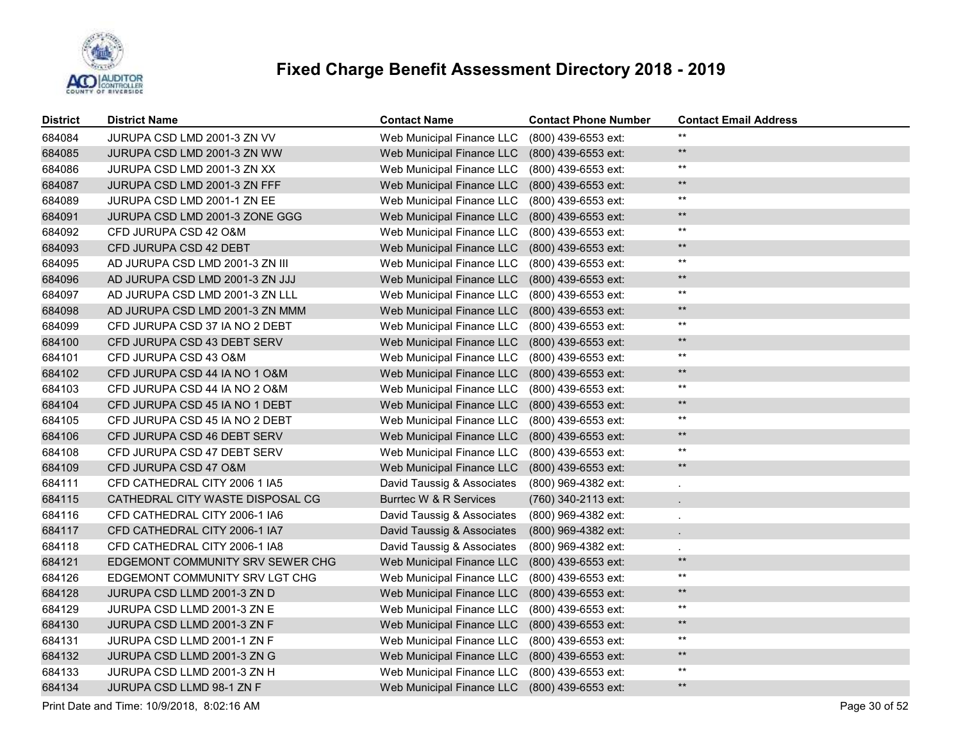

| <b>District</b> | <b>District Name</b>             | <b>Contact Name</b>        | <b>Contact Phone Number</b> | <b>Contact Email Address</b> |
|-----------------|----------------------------------|----------------------------|-----------------------------|------------------------------|
| 684084          | JURUPA CSD LMD 2001-3 ZN VV      | Web Municipal Finance LLC  | (800) 439-6553 ext:         | $***$                        |
| 684085          | JURUPA CSD LMD 2001-3 ZN WW      | Web Municipal Finance LLC  | (800) 439-6553 ext:         | $\star\star$                 |
| 684086          | JURUPA CSD LMD 2001-3 ZN XX      | Web Municipal Finance LLC  | (800) 439-6553 ext:         | $***$                        |
| 684087          | JURUPA CSD LMD 2001-3 ZN FFF     | Web Municipal Finance LLC  | (800) 439-6553 ext:         | $***$                        |
| 684089          | JURUPA CSD LMD 2001-1 ZN EE      | Web Municipal Finance LLC  | (800) 439-6553 ext:         | $***$                        |
| 684091          | JURUPA CSD LMD 2001-3 ZONE GGG   | Web Municipal Finance LLC  | (800) 439-6553 ext:         | $***$                        |
| 684092          | CFD JURUPA CSD 42 O&M            | Web Municipal Finance LLC  | (800) 439-6553 ext:         | $***$                        |
| 684093          | CFD JURUPA CSD 42 DEBT           | Web Municipal Finance LLC  | (800) 439-6553 ext:         | $***$                        |
| 684095          | AD JURUPA CSD LMD 2001-3 ZN III  | Web Municipal Finance LLC  | (800) 439-6553 ext:         | $***$                        |
| 684096          | AD JURUPA CSD LMD 2001-3 ZN JJJ  | Web Municipal Finance LLC  | (800) 439-6553 ext:         | $***$                        |
| 684097          | AD JURUPA CSD LMD 2001-3 ZN LLL  | Web Municipal Finance LLC  | (800) 439-6553 ext:         | $***$                        |
| 684098          | AD JURUPA CSD LMD 2001-3 ZN MMM  | Web Municipal Finance LLC  | (800) 439-6553 ext:         | $***$                        |
| 684099          | CFD JURUPA CSD 37 IA NO 2 DEBT   | Web Municipal Finance LLC  | (800) 439-6553 ext:         | $***$                        |
| 684100          | CFD JURUPA CSD 43 DEBT SERV      | Web Municipal Finance LLC  | (800) 439-6553 ext:         | $***$                        |
| 684101          | CFD JURUPA CSD 43 O&M            | Web Municipal Finance LLC  | (800) 439-6553 ext:         | $***$                        |
| 684102          | CFD JURUPA CSD 44 IA NO 1 O&M    | Web Municipal Finance LLC  | (800) 439-6553 ext:         | $***$                        |
| 684103          | CFD JURUPA CSD 44 IA NO 2 O&M    | Web Municipal Finance LLC  | (800) 439-6553 ext:         | $***$                        |
| 684104          | CFD JURUPA CSD 45 IA NO 1 DEBT   | Web Municipal Finance LLC  | (800) 439-6553 ext:         | $***$                        |
| 684105          | CFD JURUPA CSD 45 IA NO 2 DEBT   | Web Municipal Finance LLC  | (800) 439-6553 ext:         | $***$                        |
| 684106          | CFD JURUPA CSD 46 DEBT SERV      | Web Municipal Finance LLC  | (800) 439-6553 ext:         | $***$                        |
| 684108          | CFD JURUPA CSD 47 DEBT SERV      | Web Municipal Finance LLC  | (800) 439-6553 ext:         | $***$                        |
| 684109          | CFD JURUPA CSD 47 O&M            | Web Municipal Finance LLC  | (800) 439-6553 ext:         | $***$                        |
| 684111          | CFD CATHEDRAL CITY 2006 1 IA5    | David Taussig & Associates | (800) 969-4382 ext:         |                              |
| 684115          | CATHEDRAL CITY WASTE DISPOSAL CG | Burrtec W & R Services     | (760) 340-2113 ext:         | $\mathbf{r}$                 |
| 684116          | CFD CATHEDRAL CITY 2006-1 IA6    | David Taussig & Associates | (800) 969-4382 ext:         |                              |
| 684117          | CFD CATHEDRAL CITY 2006-1 IA7    | David Taussig & Associates | (800) 969-4382 ext:         | $\ddot{\phantom{0}}$         |
| 684118          | CFD CATHEDRAL CITY 2006-1 IA8    | David Taussig & Associates | (800) 969-4382 ext:         |                              |
| 684121          | EDGEMONT COMMUNITY SRV SEWER CHG | Web Municipal Finance LLC  | (800) 439-6553 ext:         | $***$                        |
| 684126          | EDGEMONT COMMUNITY SRV LGT CHG   | Web Municipal Finance LLC  | (800) 439-6553 ext:         | $***$                        |
| 684128          | JURUPA CSD LLMD 2001-3 ZN D      | Web Municipal Finance LLC  | (800) 439-6553 ext:         | $\star\star$                 |
| 684129          | JURUPA CSD LLMD 2001-3 ZN E      | Web Municipal Finance LLC  | (800) 439-6553 ext:         | $***$                        |
| 684130          | JURUPA CSD LLMD 2001-3 ZN F      | Web Municipal Finance LLC  | (800) 439-6553 ext:         | $\star\star$                 |
| 684131          | JURUPA CSD LLMD 2001-1 ZN F      | Web Municipal Finance LLC  | (800) 439-6553 ext:         | $***$                        |
| 684132          | JURUPA CSD LLMD 2001-3 ZN G      | Web Municipal Finance LLC  | (800) 439-6553 ext:         | $\star\star$                 |
| 684133          | JURUPA CSD LLMD 2001-3 ZN H      | Web Municipal Finance LLC  | (800) 439-6553 ext:         | $\star\star$                 |
| 684134          | JURUPA CSD LLMD 98-1 ZN F        | Web Municipal Finance LLC  | (800) 439-6553 ext:         | $\star\star$                 |

Print Date and Time: 10/9/2018, 8:02:16 AM Page 30 of 52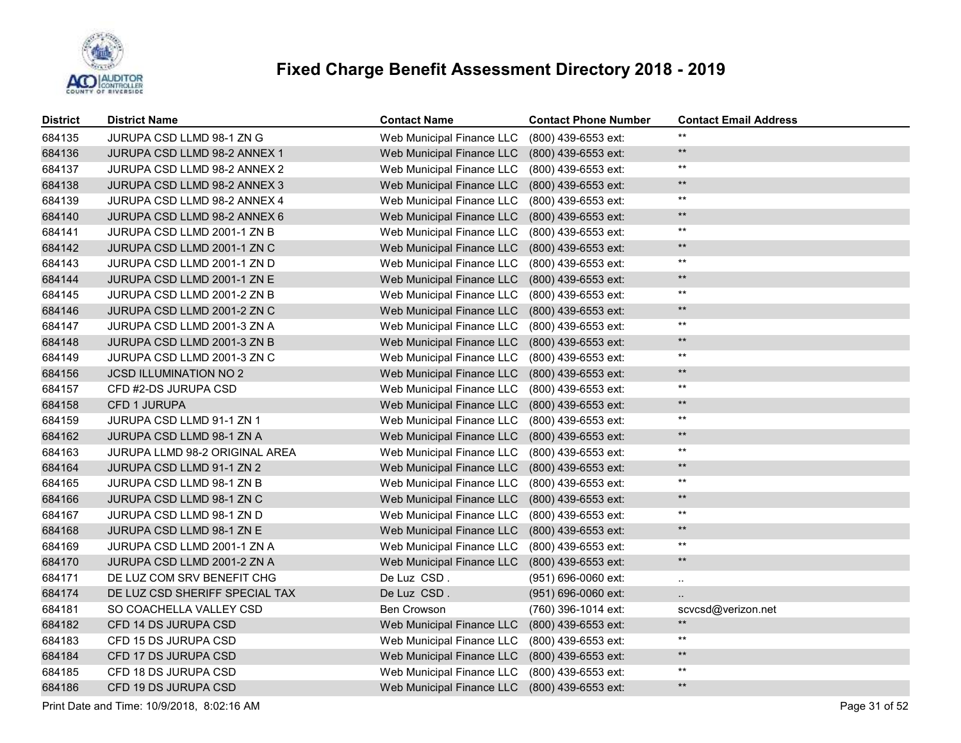

| <b>District</b> | <b>District Name</b>             | <b>Contact Name</b>                           | <b>Contact Phone Number</b> | <b>Contact Email Address</b> |
|-----------------|----------------------------------|-----------------------------------------------|-----------------------------|------------------------------|
| 684135          | JURUPA CSD LLMD 98-1 ZN G        | Web Municipal Finance LLC                     | (800) 439-6553 ext:         | $***$                        |
| 684136          | JURUPA CSD LLMD 98-2 ANNEX 1     | Web Municipal Finance LLC                     | (800) 439-6553 ext:         | $***$                        |
| 684137          | JURUPA CSD LLMD 98-2 ANNEX 2     | Web Municipal Finance LLC                     | (800) 439-6553 ext:         | $***$                        |
| 684138          | JURUPA CSD LLMD 98-2 ANNEX 3     | Web Municipal Finance LLC                     | (800) 439-6553 ext:         | $***$                        |
| 684139          | JURUPA CSD LLMD 98-2 ANNEX 4     | Web Municipal Finance LLC                     | (800) 439-6553 ext:         | $***$                        |
| 684140          | JURUPA CSD LLMD 98-2 ANNEX 6     | Web Municipal Finance LLC                     | (800) 439-6553 ext:         | $***$                        |
| 684141          | JURUPA CSD LLMD 2001-1 ZN B      | Web Municipal Finance LLC                     | (800) 439-6553 ext:         | $***$                        |
| 684142          | JURUPA CSD LLMD 2001-1 ZN C      | Web Municipal Finance LLC                     | (800) 439-6553 ext:         | $***$                        |
| 684143          | JURUPA CSD LLMD 2001-1 ZN D      | Web Municipal Finance LLC                     | (800) 439-6553 ext:         | $***$                        |
| 684144          | JURUPA CSD LLMD 2001-1 ZN E      | Web Municipal Finance LLC                     | (800) 439-6553 ext:         | $***$                        |
| 684145          | JURUPA CSD LLMD 2001-2 ZN B      | Web Municipal Finance LLC                     | (800) 439-6553 ext:         | $***$                        |
| 684146          | JURUPA CSD LLMD 2001-2 ZN C      | Web Municipal Finance LLC                     | (800) 439-6553 ext:         | $***$                        |
| 684147          | JURUPA CSD LLMD 2001-3 ZN A      | Web Municipal Finance LLC                     | (800) 439-6553 ext:         | $***$                        |
| 684148          | JURUPA CSD LLMD 2001-3 ZN B      | Web Municipal Finance LLC                     | (800) 439-6553 ext:         | $***$                        |
| 684149          | JURUPA CSD LLMD 2001-3 ZN C      | Web Municipal Finance LLC                     | (800) 439-6553 ext:         | $***$                        |
| 684156          | <b>JCSD ILLUMINATION NO 2</b>    | Web Municipal Finance LLC                     | (800) 439-6553 ext:         | $**$                         |
| 684157          | CFD #2-DS JURUPA CSD             | Web Municipal Finance LLC                     | (800) 439-6553 ext:         | $***$                        |
| 684158          | CFD 1 JURUPA                     | Web Municipal Finance LLC                     | $(800)$ 439-6553 ext:       | $**$                         |
| 684159          | JURUPA CSD LLMD 91-1 ZN 1        | Web Municipal Finance LLC                     | (800) 439-6553 ext:         | $***$                        |
| 684162          | JURUPA CSD LLMD 98-1 ZN A        | Web Municipal Finance LLC                     | (800) 439-6553 ext:         | $***$                        |
| 684163          | JURUPA LLMD 98-2 ORIGINAL AREA   | Web Municipal Finance LLC                     | (800) 439-6553 ext:         | $***$                        |
| 684164          | JURUPA CSD LLMD 91-1 ZN 2        | Web Municipal Finance LLC                     | (800) 439-6553 ext:         | $***$                        |
| 684165          | JURUPA CSD LLMD 98-1 ZN B        | Web Municipal Finance LLC                     | (800) 439-6553 ext:         | $***$                        |
| 684166          | JURUPA CSD LLMD 98-1 ZN C        | Web Municipal Finance LLC                     | (800) 439-6553 ext:         | $***$                        |
| 684167          | JURUPA CSD LLMD 98-1 ZN D        | Web Municipal Finance LLC                     | (800) 439-6553 ext:         | $***$                        |
| 684168          | <b>JURUPA CSD LLMD 98-1 ZN E</b> | Web Municipal Finance LLC                     | (800) 439-6553 ext:         | $***$                        |
| 684169          | JURUPA CSD LLMD 2001-1 ZN A      | Web Municipal Finance LLC                     | (800) 439-6553 ext:         | $***$                        |
| 684170          | JURUPA CSD LLMD 2001-2 ZN A      | Web Municipal Finance LLC                     | (800) 439-6553 ext:         | $***$                        |
| 684171          | DE LUZ COM SRV BENEFIT CHG       | De Luz CSD.                                   | (951) 696-0060 ext:         |                              |
| 684174          | DE LUZ CSD SHERIFF SPECIAL TAX   | De Luz CSD.                                   | (951) 696-0060 ext:         |                              |
| 684181          | SO COACHELLA VALLEY CSD          | <b>Ben Crowson</b>                            | (760) 396-1014 ext:         | scvcsd@verizon.net           |
| 684182          | CFD 14 DS JURUPA CSD             | Web Municipal Finance LLC                     | (800) 439-6553 ext:         | $**$                         |
| 684183          | CFD 15 DS JURUPA CSD             | Web Municipal Finance LLC                     | (800) 439-6553 ext:         | $***$                        |
| 684184          | CFD 17 DS JURUPA CSD             | Web Municipal Finance LLC                     | (800) 439-6553 ext:         | $**$                         |
| 684185          | CFD 18 DS JURUPA CSD             | Web Municipal Finance LLC                     | (800) 439-6553 ext:         | $***$                        |
| 684186          | CFD 19 DS JURUPA CSD             | Web Municipal Finance LLC (800) 439-6553 ext: |                             | $***$                        |

Print Date and Time: 10/9/2018, 8:02:16 AM Page 31 of 52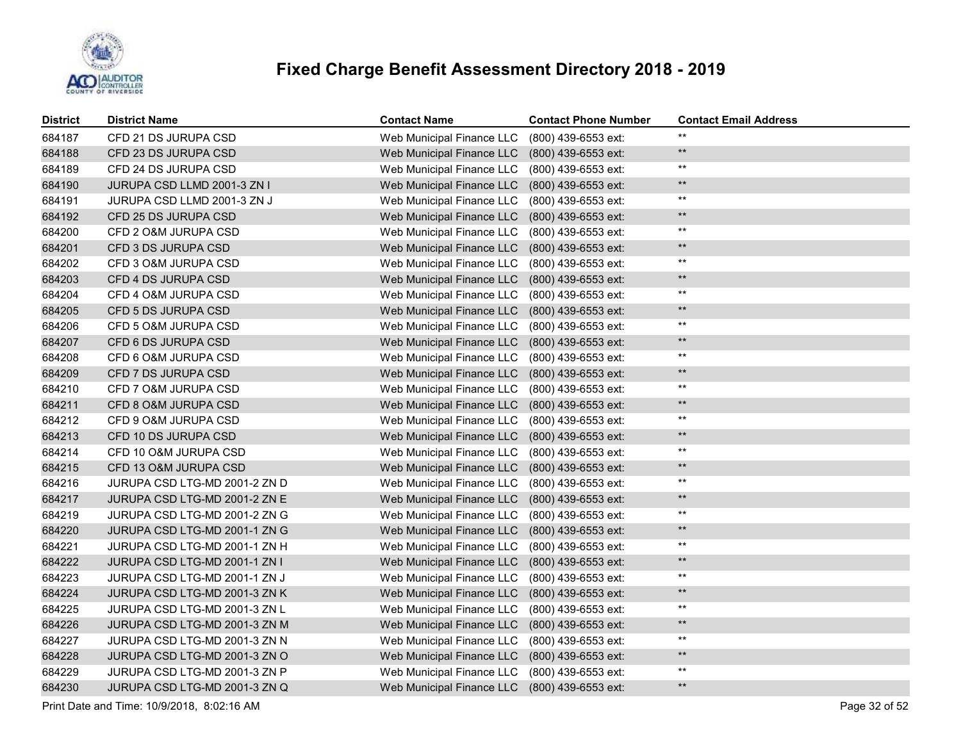

| <b>District</b> | <b>District Name</b>          | <b>Contact Name</b>              | <b>Contact Phone Number</b> | <b>Contact Email Address</b> |
|-----------------|-------------------------------|----------------------------------|-----------------------------|------------------------------|
| 684187          | CFD 21 DS JURUPA CSD          | Web Municipal Finance LLC        | (800) 439-6553 ext:         | $**$                         |
| 684188          | CFD 23 DS JURUPA CSD          | Web Municipal Finance LLC        | (800) 439-6553 ext:         | $**$                         |
| 684189          | CFD 24 DS JURUPA CSD          | Web Municipal Finance LLC        | (800) 439-6553 ext:         | $^{\star\star}$              |
| 684190          | JURUPA CSD LLMD 2001-3 ZN I   | <b>Web Municipal Finance LLC</b> | (800) 439-6553 ext:         | $***$                        |
| 684191          | JURUPA CSD LLMD 2001-3 ZN J   | Web Municipal Finance LLC        | (800) 439-6553 ext:         | $***$                        |
| 684192          | CFD 25 DS JURUPA CSD          | Web Municipal Finance LLC        | (800) 439-6553 ext:         | $***$                        |
| 684200          | CFD 2 O&M JURUPA CSD          | Web Municipal Finance LLC        | (800) 439-6553 ext:         | $^{\star\star}$              |
| 684201          | CFD 3 DS JURUPA CSD           | Web Municipal Finance LLC        | (800) 439-6553 ext:         | $***$                        |
| 684202          | CFD 3 O&M JURUPA CSD          | Web Municipal Finance LLC        | (800) 439-6553 ext:         | $***$                        |
| 684203          | CFD 4 DS JURUPA CSD           | Web Municipal Finance LLC        | (800) 439-6553 ext:         | $***$                        |
| 684204          | CFD 4 O&M JURUPA CSD          | Web Municipal Finance LLC        | (800) 439-6553 ext:         | $***$                        |
| 684205          | CFD 5 DS JURUPA CSD           | Web Municipal Finance LLC        | (800) 439-6553 ext:         | $***$                        |
| 684206          | CFD 5 O&M JURUPA CSD          | Web Municipal Finance LLC        | (800) 439-6553 ext:         | $***$                        |
| 684207          | CFD 6 DS JURUPA CSD           | Web Municipal Finance LLC        | (800) 439-6553 ext:         | $***$                        |
| 684208          | CFD 6 O&M JURUPA CSD          | Web Municipal Finance LLC        | (800) 439-6553 ext:         | $***$                        |
| 684209          | CFD 7 DS JURUPA CSD           | Web Municipal Finance LLC        | (800) 439-6553 ext:         | $***$                        |
| 684210          | CFD 7 O&M JURUPA CSD          | Web Municipal Finance LLC        | (800) 439-6553 ext:         | $***$                        |
| 684211          | CFD 8 O&M JURUPA CSD          | Web Municipal Finance LLC        | (800) 439-6553 ext:         | $**$                         |
| 684212          | CFD 9 O&M JURUPA CSD          | Web Municipal Finance LLC        | (800) 439-6553 ext:         | $***$                        |
| 684213          | CFD 10 DS JURUPA CSD          | Web Municipal Finance LLC        | (800) 439-6553 ext:         | $***$                        |
| 684214          | CFD 10 O&M JURUPA CSD         | Web Municipal Finance LLC        | (800) 439-6553 ext:         | $^{\star\star}$              |
| 684215          | CFD 13 O&M JURUPA CSD         | Web Municipal Finance LLC        | (800) 439-6553 ext:         | $***$                        |
| 684216          | JURUPA CSD LTG-MD 2001-2 ZN D | Web Municipal Finance LLC        | (800) 439-6553 ext:         | $***$                        |
| 684217          | JURUPA CSD LTG-MD 2001-2 ZN E | Web Municipal Finance LLC        | (800) 439-6553 ext:         | $\star\star$                 |
| 684219          | JURUPA CSD LTG-MD 2001-2 ZN G | Web Municipal Finance LLC        | (800) 439-6553 ext:         | $***$                        |
| 684220          | JURUPA CSD LTG-MD 2001-1 ZN G | Web Municipal Finance LLC        | (800) 439-6553 ext:         | $\star\star$                 |
| 684221          | JURUPA CSD LTG-MD 2001-1 ZN H | Web Municipal Finance LLC        | (800) 439-6553 ext:         | $***$                        |
| 684222          | JURUPA CSD LTG-MD 2001-1 ZN I | Web Municipal Finance LLC        | (800) 439-6553 ext:         | $\star\star$                 |
| 684223          | JURUPA CSD LTG-MD 2001-1 ZN J | Web Municipal Finance LLC        | (800) 439-6553 ext:         | $***$                        |
| 684224          | JURUPA CSD LTG-MD 2001-3 ZN K | Web Municipal Finance LLC        | (800) 439-6553 ext:         | $\star\star$                 |
| 684225          | JURUPA CSD LTG-MD 2001-3 ZN L | Web Municipal Finance LLC        | (800) 439-6553 ext:         | $***$                        |
| 684226          | JURUPA CSD LTG-MD 2001-3 ZN M | Web Municipal Finance LLC        | (800) 439-6553 ext:         | $\star\star$                 |
| 684227          | JURUPA CSD LTG-MD 2001-3 ZN N | Web Municipal Finance LLC        | $(800)$ 439-6553 ext:       | $***$                        |
| 684228          | JURUPA CSD LTG-MD 2001-3 ZN O | Web Municipal Finance LLC        | (800) 439-6553 ext:         | $\star\star$                 |
| 684229          | JURUPA CSD LTG-MD 2001-3 ZN P | Web Municipal Finance LLC        | (800) 439-6553 ext:         | $***$                        |
| 684230          | JURUPA CSD LTG-MD 2001-3 ZN Q | Web Municipal Finance LLC        | (800) 439-6553 ext:         | $**$                         |

Print Date and Time: 10/9/2018, 8:02:16 AM Page 32 of 52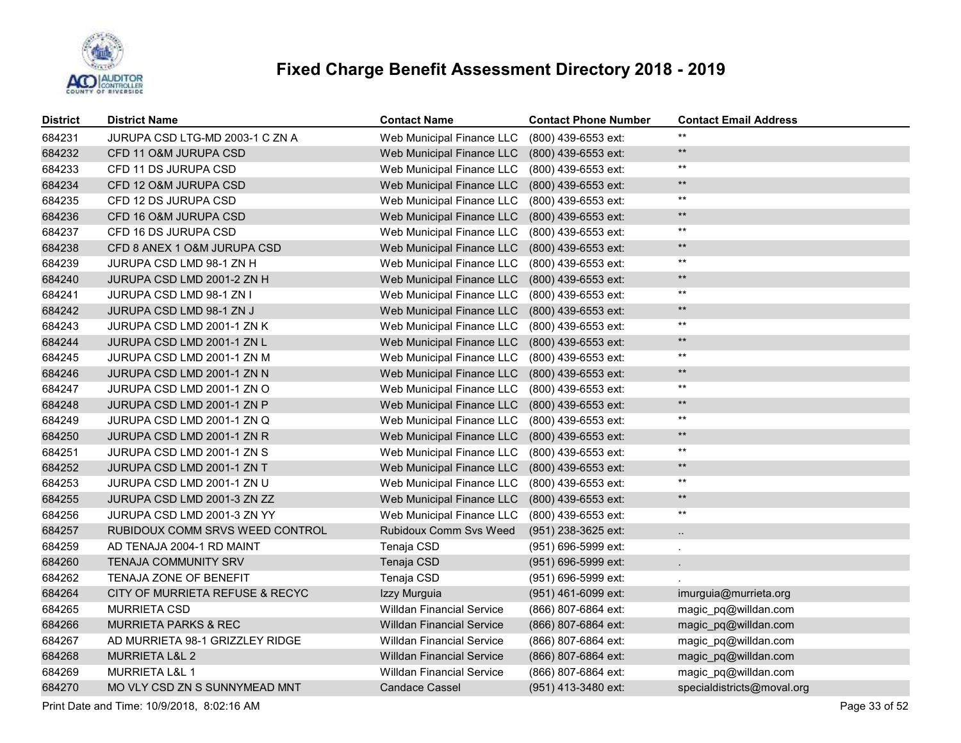

| <b>District</b> | <b>District Name</b>            | <b>Contact Name</b>              | <b>Contact Phone Number</b> | <b>Contact Email Address</b> |
|-----------------|---------------------------------|----------------------------------|-----------------------------|------------------------------|
| 684231          | JURUPA CSD LTG-MD 2003-1 C ZN A | Web Municipal Finance LLC        | (800) 439-6553 ext:         | $***$                        |
| 684232          | CFD 11 O&M JURUPA CSD           | Web Municipal Finance LLC        | (800) 439-6553 ext:         | $***$                        |
| 684233          | CFD 11 DS JURUPA CSD            | Web Municipal Finance LLC        | (800) 439-6553 ext:         | $***$                        |
| 684234          | CFD 12 O&M JURUPA CSD           | Web Municipal Finance LLC        | (800) 439-6553 ext:         | $***$                        |
| 684235          | CFD 12 DS JURUPA CSD            | Web Municipal Finance LLC        | (800) 439-6553 ext:         | $***$                        |
| 684236          | CFD 16 O&M JURUPA CSD           | Web Municipal Finance LLC        | (800) 439-6553 ext:         | $***$                        |
| 684237          | CFD 16 DS JURUPA CSD            | Web Municipal Finance LLC        | (800) 439-6553 ext:         | $***$                        |
| 684238          | CFD 8 ANEX 1 O&M JURUPA CSD     | Web Municipal Finance LLC        | (800) 439-6553 ext:         | $***$                        |
| 684239          | JURUPA CSD LMD 98-1 ZN H        | Web Municipal Finance LLC        | (800) 439-6553 ext:         | $***$                        |
| 684240          | JURUPA CSD LMD 2001-2 ZN H      | Web Municipal Finance LLC        | (800) 439-6553 ext:         | $**$                         |
| 684241          | JURUPA CSD LMD 98-1 ZN I        | Web Municipal Finance LLC        | (800) 439-6553 ext:         | $***$                        |
| 684242          | JURUPA CSD LMD 98-1 ZN J        | Web Municipal Finance LLC        | (800) 439-6553 ext:         | $***$                        |
| 684243          | JURUPA CSD LMD 2001-1 ZN K      | Web Municipal Finance LLC        | (800) 439-6553 ext:         | $***$                        |
| 684244          | JURUPA CSD LMD 2001-1 ZN L      | Web Municipal Finance LLC        | (800) 439-6553 ext:         | $**$                         |
| 684245          | JURUPA CSD LMD 2001-1 ZN M      | Web Municipal Finance LLC        | (800) 439-6553 ext:         | $***$                        |
| 684246          | JURUPA CSD LMD 2001-1 ZN N      | Web Municipal Finance LLC        | (800) 439-6553 ext:         | $**$                         |
| 684247          | JURUPA CSD LMD 2001-1 ZN O      | Web Municipal Finance LLC        | (800) 439-6553 ext:         | $***$                        |
| 684248          | JURUPA CSD LMD 2001-1 ZN P      | Web Municipal Finance LLC        | (800) 439-6553 ext:         | $**$                         |
| 684249          | JURUPA CSD LMD 2001-1 ZN Q      | Web Municipal Finance LLC        | (800) 439-6553 ext:         | $***$                        |
| 684250          | JURUPA CSD LMD 2001-1 ZN R      | Web Municipal Finance LLC        | (800) 439-6553 ext:         | $**$                         |
| 684251          | JURUPA CSD LMD 2001-1 ZN S      | Web Municipal Finance LLC        | (800) 439-6553 ext:         | $***$                        |
| 684252          | JURUPA CSD LMD 2001-1 ZN T      | Web Municipal Finance LLC        | (800) 439-6553 ext:         | $***$                        |
| 684253          | JURUPA CSD LMD 2001-1 ZN U      | Web Municipal Finance LLC        | (800) 439-6553 ext:         | $***$                        |
| 684255          | JURUPA CSD LMD 2001-3 ZN ZZ     | Web Municipal Finance LLC        | (800) 439-6553 ext:         | $***$                        |
| 684256          | JURUPA CSD LMD 2001-3 ZN YY     | Web Municipal Finance LLC        | (800) 439-6553 ext:         | $***$                        |
| 684257          | RUBIDOUX COMM SRVS WEED CONTROL | Rubidoux Comm Svs Weed           | (951) 238-3625 ext:         | μ.                           |
| 684259          | AD TENAJA 2004-1 RD MAINT       | Tenaja CSD                       | (951) 696-5999 ext:         |                              |
| 684260          | <b>TENAJA COMMUNITY SRV</b>     | Tenaja CSD                       | (951) 696-5999 ext:         |                              |
| 684262          | TENAJA ZONE OF BENEFIT          | Tenaja CSD                       | (951) 696-5999 ext:         |                              |
| 684264          | CITY OF MURRIETA REFUSE & RECYC | Izzy Murguia                     | (951) 461-6099 ext:         | imurguia@murrieta.org        |
| 684265          | <b>MURRIETA CSD</b>             | <b>Willdan Financial Service</b> | (866) 807-6864 ext:         | magic_pq@willdan.com         |
| 684266          | <b>MURRIETA PARKS &amp; REC</b> | <b>Willdan Financial Service</b> | (866) 807-6864 ext:         | magic_pq@willdan.com         |
| 684267          | AD MURRIETA 98-1 GRIZZLEY RIDGE | <b>Willdan Financial Service</b> | (866) 807-6864 ext:         | magic_pq@willdan.com         |
| 684268          | MURRIETA L&L 2                  | <b>Willdan Financial Service</b> | (866) 807-6864 ext:         | magic_pq@willdan.com         |
| 684269          | <b>MURRIETA L&amp;L 1</b>       | <b>Willdan Financial Service</b> | (866) 807-6864 ext:         | magic_pq@willdan.com         |
| 684270          | MO VLY CSD ZN S SUNNYMEAD MNT   | <b>Candace Cassel</b>            | (951) 413-3480 ext:         | specialdistricts@moval.org   |

Print Date and Time: 10/9/2018, 8:02:16 AM Page 33 of 52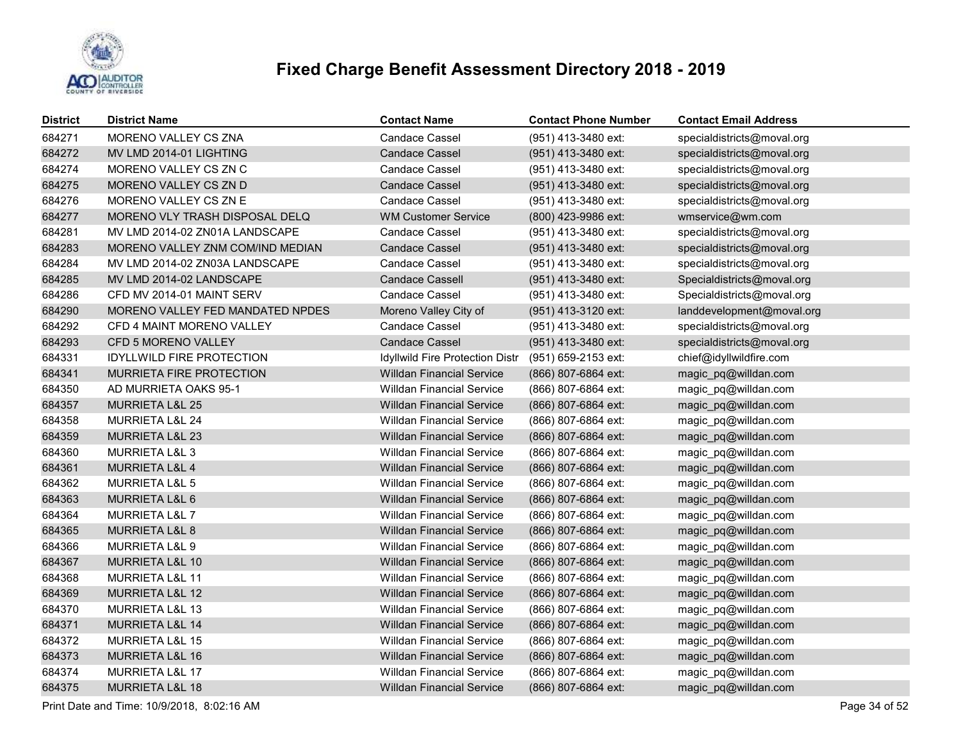

| <b>District</b> | <b>District Name</b>             | <b>Contact Name</b>              | <b>Contact Phone Number</b> | <b>Contact Email Address</b> |
|-----------------|----------------------------------|----------------------------------|-----------------------------|------------------------------|
| 684271          | <b>MORENO VALLEY CS ZNA</b>      | <b>Candace Cassel</b>            | (951) 413-3480 ext:         | specialdistricts@moval.org   |
| 684272          | MV LMD 2014-01 LIGHTING          | <b>Candace Cassel</b>            | (951) 413-3480 ext:         | specialdistricts@moval.org   |
| 684274          | MORENO VALLEY CS ZN C            | Candace Cassel                   | (951) 413-3480 ext:         | specialdistricts@moval.org   |
| 684275          | MORENO VALLEY CS ZN D            | <b>Candace Cassel</b>            | (951) 413-3480 ext:         | specialdistricts@moval.org   |
| 684276          | MORENO VALLEY CS ZN E            | Candace Cassel                   | (951) 413-3480 ext:         | specialdistricts@moval.org   |
| 684277          | MORENO VLY TRASH DISPOSAL DELQ   | <b>WM Customer Service</b>       | (800) 423-9986 ext:         | wmservice@wm.com             |
| 684281          | MV LMD 2014-02 ZN01A LANDSCAPE   | <b>Candace Cassel</b>            | (951) 413-3480 ext:         | specialdistricts@moval.org   |
| 684283          | MORENO VALLEY ZNM COM/IND MEDIAN | <b>Candace Cassel</b>            | (951) 413-3480 ext:         | specialdistricts@moval.org   |
| 684284          | MV LMD 2014-02 ZN03A LANDSCAPE   | Candace Cassel                   | (951) 413-3480 ext:         | specialdistricts@moval.org   |
| 684285          | MV LMD 2014-02 LANDSCAPE         | <b>Candace Cassell</b>           | (951) 413-3480 ext:         | Specialdistricts@moval.org   |
| 684286          | CFD MV 2014-01 MAINT SERV        | Candace Cassel                   | (951) 413-3480 ext:         | Specialdistricts@moval.org   |
| 684290          | MORENO VALLEY FED MANDATED NPDES | Moreno Valley City of            | (951) 413-3120 ext:         | landdevelopment@moval.org    |
| 684292          | CFD 4 MAINT MORENO VALLEY        | Candace Cassel                   | (951) 413-3480 ext:         | specialdistricts@moval.org   |
| 684293          | CFD 5 MORENO VALLEY              | <b>Candace Cassel</b>            | (951) 413-3480 ext:         | specialdistricts@moval.org   |
| 684331          | <b>IDYLLWILD FIRE PROTECTION</b> | Idyllwild Fire Protection Distr  | (951) 659-2153 ext:         | chief@idyllwildfire.com      |
| 684341          | MURRIETA FIRE PROTECTION         | <b>Willdan Financial Service</b> | (866) 807-6864 ext:         | magic_pq@willdan.com         |
| 684350          | AD MURRIETA OAKS 95-1            | <b>Willdan Financial Service</b> | (866) 807-6864 ext:         | magic_pq@willdan.com         |
| 684357          | <b>MURRIETA L&amp;L 25</b>       | <b>Willdan Financial Service</b> | (866) 807-6864 ext:         | magic_pq@willdan.com         |
| 684358          | <b>MURRIETA L&amp;L 24</b>       | <b>Willdan Financial Service</b> | (866) 807-6864 ext:         | magic_pq@willdan.com         |
| 684359          | MURRIETA L&L 23                  | <b>Willdan Financial Service</b> | (866) 807-6864 ext:         | magic_pq@willdan.com         |
| 684360          | MURRIETA L&L 3                   | <b>Willdan Financial Service</b> | (866) 807-6864 ext:         | magic_pq@willdan.com         |
| 684361          | <b>MURRIETA L&amp;L 4</b>        | <b>Willdan Financial Service</b> | (866) 807-6864 ext:         | magic_pq@willdan.com         |
| 684362          | <b>MURRIETA L&amp;L 5</b>        | <b>Willdan Financial Service</b> | (866) 807-6864 ext:         | magic_pq@willdan.com         |
| 684363          | MURRIETA L&L 6                   | <b>Willdan Financial Service</b> | (866) 807-6864 ext:         | magic_pq@willdan.com         |
| 684364          | MURRIETA L&L 7                   | <b>Willdan Financial Service</b> | (866) 807-6864 ext:         | magic_pq@willdan.com         |
| 684365          | MURRIETA L&L 8                   | <b>Willdan Financial Service</b> | (866) 807-6864 ext:         | magic_pq@willdan.com         |
| 684366          | MURRIETA L&L 9                   | <b>Willdan Financial Service</b> | (866) 807-6864 ext:         | magic_pq@willdan.com         |
| 684367          | MURRIETA L&L 10                  | <b>Willdan Financial Service</b> | (866) 807-6864 ext:         | magic_pq@willdan.com         |
| 684368          | MURRIETA L&L 11                  | <b>Willdan Financial Service</b> | (866) 807-6864 ext:         | magic_pq@willdan.com         |
| 684369          | MURRIETA L&L 12                  | <b>Willdan Financial Service</b> | (866) 807-6864 ext:         | magic_pq@willdan.com         |
| 684370          | <b>MURRIETA L&amp;L 13</b>       | <b>Willdan Financial Service</b> | (866) 807-6864 ext:         | magic_pq@willdan.com         |
| 684371          | <b>MURRIETA L&amp;L 14</b>       | <b>Willdan Financial Service</b> | (866) 807-6864 ext:         | magic_pq@willdan.com         |
| 684372          | MURRIETA L&L 15                  | Willdan Financial Service        | (866) 807-6864 ext:         | magic_pq@willdan.com         |
| 684373          | MURRIETA L&L 16                  | <b>Willdan Financial Service</b> | (866) 807-6864 ext:         | magic_pq@willdan.com         |
| 684374          | <b>MURRIETA L&amp;L 17</b>       | <b>Willdan Financial Service</b> | (866) 807-6864 ext:         | magic_pq@willdan.com         |
| 684375          | MURRIETA L&L 18                  | <b>Willdan Financial Service</b> | (866) 807-6864 ext:         | magic_pq@willdan.com         |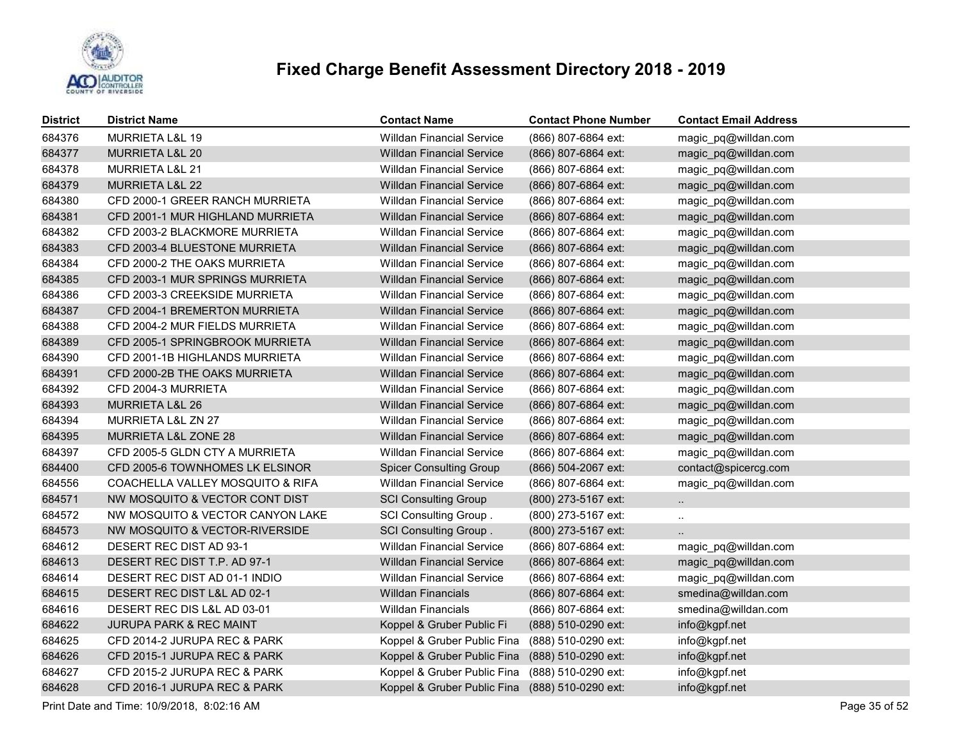

| <b>District</b> | <b>District Name</b>             | <b>Contact Name</b>              | <b>Contact Phone Number</b> | <b>Contact Email Address</b> |
|-----------------|----------------------------------|----------------------------------|-----------------------------|------------------------------|
| 684376          | <b>MURRIETA L&amp;L 19</b>       | <b>Willdan Financial Service</b> | (866) 807-6864 ext:         | magic pq@willdan.com         |
| 684377          | MURRIETA L&L 20                  | <b>Willdan Financial Service</b> | (866) 807-6864 ext:         | magic_pq@willdan.com         |
| 684378          | MURRIETA L&L 21                  | <b>Willdan Financial Service</b> | (866) 807-6864 ext:         | magic_pq@willdan.com         |
| 684379          | <b>MURRIETA L&amp;L 22</b>       | <b>Willdan Financial Service</b> | (866) 807-6864 ext:         | magic_pq@willdan.com         |
| 684380          | CFD 2000-1 GREER RANCH MURRIETA  | <b>Willdan Financial Service</b> | (866) 807-6864 ext:         | magic_pq@willdan.com         |
| 684381          | CFD 2001-1 MUR HIGHLAND MURRIETA | <b>Willdan Financial Service</b> | (866) 807-6864 ext:         | magic_pq@willdan.com         |
| 684382          | CFD 2003-2 BLACKMORE MURRIETA    | <b>Willdan Financial Service</b> | (866) 807-6864 ext:         | magic_pq@willdan.com         |
| 684383          | CFD 2003-4 BLUESTONE MURRIETA    | <b>Willdan Financial Service</b> | (866) 807-6864 ext:         | magic_pq@willdan.com         |
| 684384          | CFD 2000-2 THE OAKS MURRIETA     | <b>Willdan Financial Service</b> | (866) 807-6864 ext:         | magic_pq@willdan.com         |
| 684385          | CFD 2003-1 MUR SPRINGS MURRIETA  | <b>Willdan Financial Service</b> | (866) 807-6864 ext:         | magic_pq@willdan.com         |
| 684386          | CFD 2003-3 CREEKSIDE MURRIETA    | <b>Willdan Financial Service</b> | (866) 807-6864 ext:         | magic_pq@willdan.com         |
| 684387          | CFD 2004-1 BREMERTON MURRIETA    | <b>Willdan Financial Service</b> | (866) 807-6864 ext:         | magic_pq@willdan.com         |
| 684388          | CFD 2004-2 MUR FIELDS MURRIETA   | <b>Willdan Financial Service</b> | (866) 807-6864 ext:         | magic_pq@willdan.com         |
| 684389          | CFD 2005-1 SPRINGBROOK MURRIETA  | <b>Willdan Financial Service</b> | (866) 807-6864 ext:         | magic_pq@willdan.com         |
| 684390          | CFD 2001-1B HIGHLANDS MURRIETA   | <b>Willdan Financial Service</b> | (866) 807-6864 ext:         | magic_pq@willdan.com         |
| 684391          | CFD 2000-2B THE OAKS MURRIETA    | <b>Willdan Financial Service</b> | (866) 807-6864 ext:         | magic_pq@willdan.com         |
| 684392          | CFD 2004-3 MURRIETA              | <b>Willdan Financial Service</b> | (866) 807-6864 ext:         | magic_pq@willdan.com         |
| 684393          | MURRIETA L&L 26                  | <b>Willdan Financial Service</b> | (866) 807-6864 ext:         | magic_pq@willdan.com         |
| 684394          | MURRIETA L&L ZN 27               | <b>Willdan Financial Service</b> | (866) 807-6864 ext:         | magic_pq@willdan.com         |
| 684395          | MURRIETA L&L ZONE 28             | <b>Willdan Financial Service</b> | (866) 807-6864 ext:         | magic_pq@willdan.com         |
| 684397          | CFD 2005-5 GLDN CTY A MURRIETA   | <b>Willdan Financial Service</b> | (866) 807-6864 ext:         | magic_pq@willdan.com         |
| 684400          | CFD 2005-6 TOWNHOMES LK ELSINOR  | <b>Spicer Consulting Group</b>   | (866) 504-2067 ext:         | contact@spicercg.com         |
| 684556          | COACHELLA VALLEY MOSQUITO & RIFA | <b>Willdan Financial Service</b> | (866) 807-6864 ext:         | magic_pq@willdan.com         |
| 684571          | NW MOSQUITO & VECTOR CONT DIST   | <b>SCI Consulting Group</b>      | (800) 273-5167 ext:         | $\ddotsc$                    |
| 684572          | NW MOSQUITO & VECTOR CANYON LAKE | <b>SCI Consulting Group.</b>     | (800) 273-5167 ext:         |                              |
| 684573          | NW MOSQUITO & VECTOR-RIVERSIDE   | <b>SCI Consulting Group.</b>     | (800) 273-5167 ext:         | $\ddotsc$                    |
| 684612          | DESERT REC DIST AD 93-1          | <b>Willdan Financial Service</b> | (866) 807-6864 ext:         | magic_pq@willdan.com         |
| 684613          | DESERT REC DIST T.P. AD 97-1     | <b>Willdan Financial Service</b> | (866) 807-6864 ext:         | magic_pq@willdan.com         |
| 684614          | DESERT REC DIST AD 01-1 INDIO    | <b>Willdan Financial Service</b> | (866) 807-6864 ext:         | magic_pq@willdan.com         |
| 684615          | DESERT REC DIST L&L AD 02-1      | <b>Willdan Financials</b>        | (866) 807-6864 ext:         | smedina@willdan.com          |
| 684616          | DESERT REC DIS L&L AD 03-01      | <b>Willdan Financials</b>        | (866) 807-6864 ext:         | smedina@willdan.com          |
| 684622          | JURUPA PARK & REC MAINT          | Koppel & Gruber Public Fi        | (888) 510-0290 ext:         | info@kgpf.net                |
| 684625          | CFD 2014-2 JURUPA REC & PARK     | Koppel & Gruber Public Fina      | (888) 510-0290 ext:         | info@kgpf.net                |
| 684626          | CFD 2015-1 JURUPA REC & PARK     | Koppel & Gruber Public Fina      | (888) 510-0290 ext:         | info@kgpf.net                |
| 684627          | CFD 2015-2 JURUPA REC & PARK     | Koppel & Gruber Public Fina      | (888) 510-0290 ext:         | info@kgpf.net                |
| 684628          | CFD 2016-1 JURUPA REC & PARK     | Koppel & Gruber Public Fina      | (888) 510-0290 ext:         | info@kgpf.net                |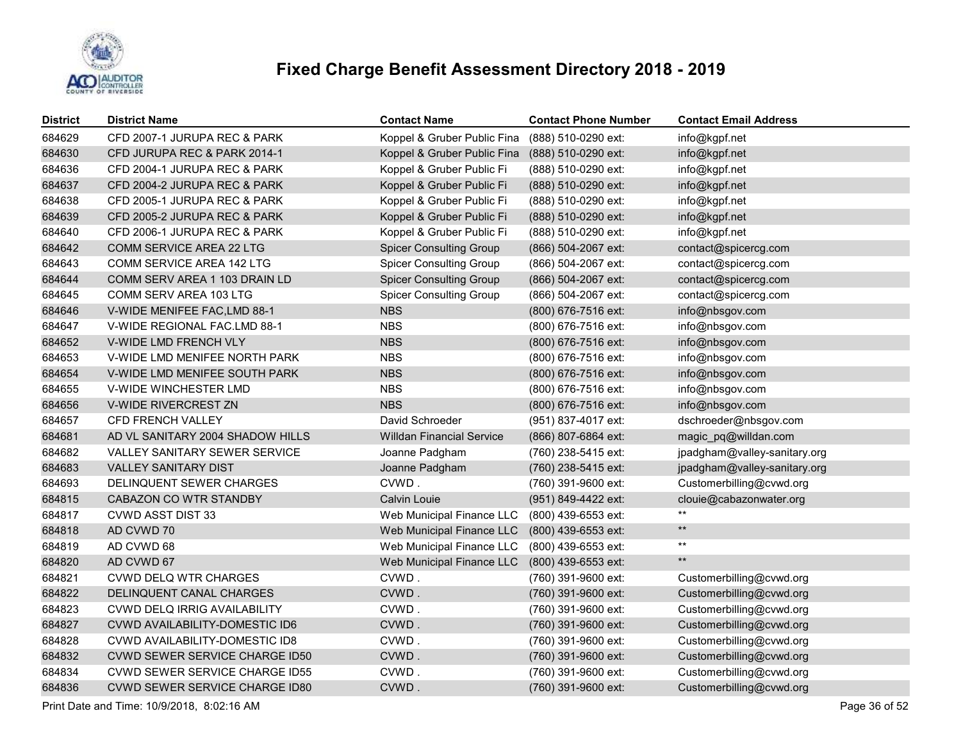

| <b>District</b> | <b>District Name</b>                  | <b>Contact Name</b>              | <b>Contact Phone Number</b> | <b>Contact Email Address</b> |
|-----------------|---------------------------------------|----------------------------------|-----------------------------|------------------------------|
| 684629          | CFD 2007-1 JURUPA REC & PARK          | Koppel & Gruber Public Fina      | (888) 510-0290 ext:         | info@kgpf.net                |
| 684630          | CFD JURUPA REC & PARK 2014-1          | Koppel & Gruber Public Fina      | (888) 510-0290 ext:         | info@kgpf.net                |
| 684636          | CFD 2004-1 JURUPA REC & PARK          | Koppel & Gruber Public Fi        | (888) 510-0290 ext:         | info@kgpf.net                |
| 684637          | CFD 2004-2 JURUPA REC & PARK          | Koppel & Gruber Public Fi        | (888) 510-0290 ext:         | info@kgpf.net                |
| 684638          | CFD 2005-1 JURUPA REC & PARK          | Koppel & Gruber Public Fi        | (888) 510-0290 ext:         | info@kgpf.net                |
| 684639          | CFD 2005-2 JURUPA REC & PARK          | Koppel & Gruber Public Fi        | (888) 510-0290 ext:         | info@kgpf.net                |
| 684640          | CFD 2006-1 JURUPA REC & PARK          | Koppel & Gruber Public Fi        | (888) 510-0290 ext:         | info@kgpf.net                |
| 684642          | COMM SERVICE AREA 22 LTG              | <b>Spicer Consulting Group</b>   | (866) 504-2067 ext:         | contact@spicercg.com         |
| 684643          | COMM SERVICE AREA 142 LTG             | <b>Spicer Consulting Group</b>   | (866) 504-2067 ext:         | contact@spicercg.com         |
| 684644          | COMM SERV AREA 1 103 DRAIN LD         | <b>Spicer Consulting Group</b>   | (866) 504-2067 ext:         | contact@spicercg.com         |
| 684645          | COMM SERV AREA 103 LTG                | <b>Spicer Consulting Group</b>   | (866) 504-2067 ext:         | contact@spicercg.com         |
| 684646          | V-WIDE MENIFEE FAC, LMD 88-1          | <b>NBS</b>                       | (800) 676-7516 ext:         | info@nbsgov.com              |
| 684647          | V-WIDE REGIONAL FAC.LMD 88-1          | <b>NBS</b>                       | (800) 676-7516 ext:         | info@nbsgov.com              |
| 684652          | V-WIDE LMD FRENCH VLY                 | <b>NBS</b>                       | (800) 676-7516 ext:         | info@nbsgov.com              |
| 684653          | V-WIDE LMD MENIFEE NORTH PARK         | <b>NBS</b>                       | (800) 676-7516 ext:         | info@nbsgov.com              |
| 684654          | V-WIDE LMD MENIFEE SOUTH PARK         | <b>NBS</b>                       | (800) 676-7516 ext:         | info@nbsgov.com              |
| 684655          | V-WIDE WINCHESTER LMD                 | <b>NBS</b>                       | (800) 676-7516 ext:         | info@nbsgov.com              |
| 684656          | V-WIDE RIVERCREST ZN                  | <b>NBS</b>                       | (800) 676-7516 ext:         | info@nbsgov.com              |
| 684657          | CFD FRENCH VALLEY                     | David Schroeder                  | (951) 837-4017 ext:         | dschroeder@nbsgov.com        |
| 684681          | AD VL SANITARY 2004 SHADOW HILLS      | <b>Willdan Financial Service</b> | (866) 807-6864 ext:         | magic_pq@willdan.com         |
| 684682          | <b>VALLEY SANITARY SEWER SERVICE</b>  | Joanne Padgham                   | (760) 238-5415 ext:         | jpadgham@valley-sanitary.org |
| 684683          | <b>VALLEY SANITARY DIST</b>           | Joanne Padgham                   | (760) 238-5415 ext:         | jpadgham@valley-sanitary.org |
| 684693          | DELINQUENT SEWER CHARGES              | CVWD.                            | (760) 391-9600 ext:         | Customerbilling@cvwd.org     |
| 684815          | CABAZON CO WTR STANDBY                | Calvin Louie                     | (951) 849-4422 ext:         | clouie@cabazonwater.org      |
| 684817          | <b>CVWD ASST DIST 33</b>              | Web Municipal Finance LLC        | (800) 439-6553 ext:         | $***$                        |
| 684818          | AD CVWD 70                            | Web Municipal Finance LLC        | (800) 439-6553 ext:         | $**$                         |
| 684819          | AD CVWD 68                            | Web Municipal Finance LLC        | (800) 439-6553 ext:         | $***$                        |
| 684820          | AD CVWD 67                            | Web Municipal Finance LLC        | (800) 439-6553 ext:         | $**$                         |
| 684821          | <b>CVWD DELQ WTR CHARGES</b>          | CVWD.                            | (760) 391-9600 ext:         | Customerbilling@cvwd.org     |
| 684822          | DELINQUENT CANAL CHARGES              | CVWD.                            | (760) 391-9600 ext:         | Customerbilling@cvwd.org     |
| 684823          | CVWD DELQ IRRIG AVAILABILITY          | CVWD.                            | (760) 391-9600 ext:         | Customerbilling@cvwd.org     |
| 684827          | <b>CVWD AVAILABILITY-DOMESTIC ID6</b> | CVWD.                            | (760) 391-9600 ext:         | Customerbilling@cvwd.org     |
| 684828          | <b>CVWD AVAILABILITY-DOMESTIC ID8</b> | CVWD.                            | (760) 391-9600 ext:         | Customerbilling@cvwd.org     |
| 684832          | <b>CVWD SEWER SERVICE CHARGE ID50</b> | CVWD.                            | (760) 391-9600 ext:         | Customerbilling@cvwd.org     |
| 684834          | <b>CVWD SEWER SERVICE CHARGE ID55</b> | CVWD.                            | (760) 391-9600 ext:         | Customerbilling@cvwd.org     |
| 684836          | CVWD SEWER SERVICE CHARGE ID80        | CVWD.                            | (760) 391-9600 ext:         | Customerbilling@cvwd.org     |

Print Date and Time: 10/9/2018, 8:02:16 AM Page 36 of 52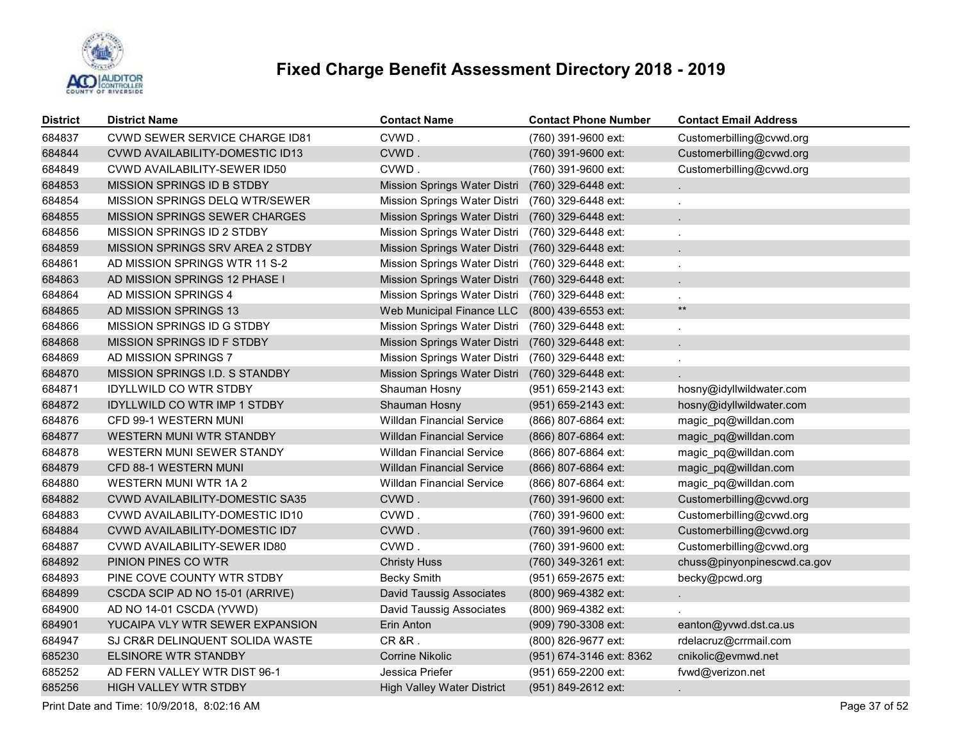

| <b>District</b> | <b>District Name</b>                    | <b>Contact Name</b>               | <b>Contact Phone Number</b> | <b>Contact Email Address</b> |
|-----------------|-----------------------------------------|-----------------------------------|-----------------------------|------------------------------|
| 684837          | <b>CVWD SEWER SERVICE CHARGE ID81</b>   | CVWD.                             | (760) 391-9600 ext:         | Customerbilling@cvwd.org     |
| 684844          | CVWD AVAILABILITY-DOMESTIC ID13         | CVWD.                             | (760) 391-9600 ext:         | Customerbilling@cvwd.org     |
| 684849          | CVWD AVAILABILITY-SEWER ID50            | CVWD.                             | (760) 391-9600 ext:         | Customerbilling@cvwd.org     |
| 684853          | MISSION SPRINGS ID B STDBY              | Mission Springs Water Distri      | (760) 329-6448 ext:         |                              |
| 684854          | MISSION SPRINGS DELQ WTR/SEWER          | Mission Springs Water Distri      | (760) 329-6448 ext:         | $\ddot{\phantom{a}}$         |
| 684855          | <b>MISSION SPRINGS SEWER CHARGES</b>    | Mission Springs Water Distri      | (760) 329-6448 ext:         |                              |
| 684856          | MISSION SPRINGS ID 2 STDBY              | Mission Springs Water Distri      | (760) 329-6448 ext:         |                              |
| 684859          | <b>MISSION SPRINGS SRV AREA 2 STDBY</b> | Mission Springs Water Distri      | (760) 329-6448 ext:         |                              |
| 684861          | AD MISSION SPRINGS WTR 11 S-2           | Mission Springs Water Distri      | (760) 329-6448 ext:         |                              |
| 684863          | AD MISSION SPRINGS 12 PHASE I           | Mission Springs Water Distri      | (760) 329-6448 ext:         |                              |
| 684864          | AD MISSION SPRINGS 4                    | Mission Springs Water Distri      | (760) 329-6448 ext:         |                              |
| 684865          | AD MISSION SPRINGS 13                   | Web Municipal Finance LLC         | (800) 439-6553 ext:         | $\star\star$                 |
| 684866          | MISSION SPRINGS ID G STDBY              | Mission Springs Water Distri      | (760) 329-6448 ext:         | $\mathbf{r}$                 |
| 684868          | <b>MISSION SPRINGS ID F STDBY</b>       | Mission Springs Water Distri      | (760) 329-6448 ext:         |                              |
| 684869          | AD MISSION SPRINGS 7                    | Mission Springs Water Distri      | (760) 329-6448 ext:         |                              |
| 684870          | <b>MISSION SPRINGS I.D. S STANDBY</b>   | Mission Springs Water Distri      | (760) 329-6448 ext:         |                              |
| 684871          | <b>IDYLLWILD CO WTR STDBY</b>           | Shauman Hosny                     | (951) 659-2143 ext:         | hosny@idyllwildwater.com     |
| 684872          | <b>IDYLLWILD CO WTR IMP 1 STDBY</b>     | Shauman Hosny                     | (951) 659-2143 ext:         | hosny@idyllwildwater.com     |
| 684876          | CFD 99-1 WESTERN MUNI                   | <b>Willdan Financial Service</b>  | (866) 807-6864 ext:         | magic_pq@willdan.com         |
| 684877          | <b>WESTERN MUNI WTR STANDBY</b>         | <b>Willdan Financial Service</b>  | (866) 807-6864 ext:         | magic_pq@willdan.com         |
| 684878          | WESTERN MUNI SEWER STANDY               | <b>Willdan Financial Service</b>  | (866) 807-6864 ext:         | magic_pq@willdan.com         |
| 684879          | CFD 88-1 WESTERN MUNI                   | <b>Willdan Financial Service</b>  | (866) 807-6864 ext:         | magic_pq@willdan.com         |
| 684880          | WESTERN MUNI WTR 1A 2                   | <b>Willdan Financial Service</b>  | (866) 807-6864 ext:         | magic_pq@willdan.com         |
| 684882          | <b>CVWD AVAILABILITY-DOMESTIC SA35</b>  | CVWD.                             | (760) 391-9600 ext:         | Customerbilling@cvwd.org     |
| 684883          | CVWD AVAILABILITY-DOMESTIC ID10         | CVWD.                             | (760) 391-9600 ext:         | Customerbilling@cvwd.org     |
| 684884          | CVWD AVAILABILITY-DOMESTIC ID7          | CVWD.                             | (760) 391-9600 ext:         | Customerbilling@cvwd.org     |
| 684887          | CVWD AVAILABILITY-SEWER ID80            | CVWD.                             | (760) 391-9600 ext:         | Customerbilling@cvwd.org     |
| 684892          | PINION PINES CO WTR                     | <b>Christy Huss</b>               | (760) 349-3261 ext:         | chuss@pinyonpinescwd.ca.gov  |
| 684893          | PINE COVE COUNTY WTR STDBY              | <b>Becky Smith</b>                | (951) 659-2675 ext:         | becky@pcwd.org               |
| 684899          | CSCDA SCIP AD NO 15-01 (ARRIVE)         | <b>David Taussig Associates</b>   | (800) 969-4382 ext:         |                              |
| 684900          | AD NO 14-01 CSCDA (YVWD)                | <b>David Taussig Associates</b>   | (800) 969-4382 ext:         |                              |
| 684901          | YUCAIPA VLY WTR SEWER EXPANSION         | Erin Anton                        | (909) 790-3308 ext:         | eanton@yvwd.dst.ca.us        |
| 684947          | SJ CR&R DELINQUENT SOLIDA WASTE         | CR&R.                             | (800) 826-9677 ext:         | rdelacruz@crrmail.com        |
| 685230          | <b>ELSINORE WTR STANDBY</b>             | Corrine Nikolic                   | (951) 674-3146 ext: 8362    | cnikolic@evmwd.net           |
| 685252          | AD FERN VALLEY WTR DIST 96-1            | Jessica Priefer                   | $(951)$ 659-2200 ext:       | fvwd@verizon.net             |
| 685256          | <b>HIGH VALLEY WTR STDBY</b>            | <b>High Valley Water District</b> | (951) 849-2612 ext:         |                              |

Print Date and Time: 10/9/2018, 8:02:16 AM Page 37 of 52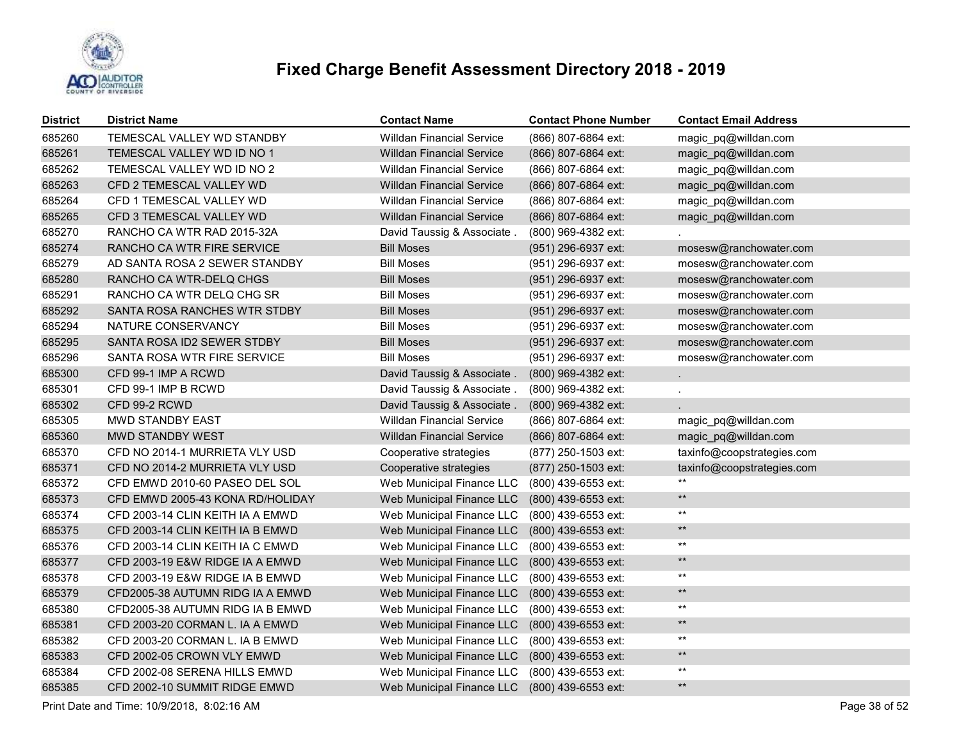

| <b>District</b> | <b>District Name</b>             | <b>Contact Name</b>              | <b>Contact Phone Number</b> | <b>Contact Email Address</b> |
|-----------------|----------------------------------|----------------------------------|-----------------------------|------------------------------|
| 685260          | TEMESCAL VALLEY WD STANDBY       | <b>Willdan Financial Service</b> | (866) 807-6864 ext:         | magic pq@willdan.com         |
| 685261          | TEMESCAL VALLEY WD ID NO 1       | <b>Willdan Financial Service</b> | (866) 807-6864 ext:         | magic_pq@willdan.com         |
| 685262          | TEMESCAL VALLEY WD ID NO 2       | <b>Willdan Financial Service</b> | (866) 807-6864 ext:         | magic pq@willdan.com         |
| 685263          | CFD 2 TEMESCAL VALLEY WD         | <b>Willdan Financial Service</b> | (866) 807-6864 ext:         | magic_pq@willdan.com         |
| 685264          | CFD 1 TEMESCAL VALLEY WD         | <b>Willdan Financial Service</b> | (866) 807-6864 ext:         | magic_pq@willdan.com         |
| 685265          | CFD 3 TEMESCAL VALLEY WD         | <b>Willdan Financial Service</b> | (866) 807-6864 ext:         | magic_pq@willdan.com         |
| 685270          | RANCHO CA WTR RAD 2015-32A       | David Taussig & Associate.       | (800) 969-4382 ext:         |                              |
| 685274          | RANCHO CA WTR FIRE SERVICE       | <b>Bill Moses</b>                | (951) 296-6937 ext:         | mosesw@ranchowater.com       |
| 685279          | AD SANTA ROSA 2 SEWER STANDBY    | <b>Bill Moses</b>                | (951) 296-6937 ext:         | mosesw@ranchowater.com       |
| 685280          | RANCHO CA WTR-DELQ CHGS          | <b>Bill Moses</b>                | (951) 296-6937 ext:         | mosesw@ranchowater.com       |
| 685291          | RANCHO CA WTR DELQ CHG SR        | <b>Bill Moses</b>                | (951) 296-6937 ext:         | mosesw@ranchowater.com       |
| 685292          | SANTA ROSA RANCHES WTR STDBY     | <b>Bill Moses</b>                | (951) 296-6937 ext:         | mosesw@ranchowater.com       |
| 685294          | NATURE CONSERVANCY               | <b>Bill Moses</b>                | (951) 296-6937 ext:         | mosesw@ranchowater.com       |
| 685295          | SANTA ROSA ID2 SEWER STDBY       | <b>Bill Moses</b>                | (951) 296-6937 ext:         | mosesw@ranchowater.com       |
| 685296          | SANTA ROSA WTR FIRE SERVICE      | <b>Bill Moses</b>                | (951) 296-6937 ext:         | mosesw@ranchowater.com       |
| 685300          | CFD 99-1 IMP A RCWD              | David Taussig & Associate        | (800) 969-4382 ext:         |                              |
| 685301          | CFD 99-1 IMP B RCWD              | David Taussig & Associate.       | (800) 969-4382 ext:         |                              |
| 685302          | CFD 99-2 RCWD                    | David Taussig & Associate.       | (800) 969-4382 ext:         |                              |
| 685305          | <b>MWD STANDBY EAST</b>          | Willdan Financial Service        | (866) 807-6864 ext:         | magic_pq@willdan.com         |
| 685360          | MWD STANDBY WEST                 | <b>Willdan Financial Service</b> | (866) 807-6864 ext:         | magic_pq@willdan.com         |
| 685370          | CFD NO 2014-1 MURRIETA VLY USD   | Cooperative strategies           | (877) 250-1503 ext:         | taxinfo@coopstrategies.com   |
| 685371          | CFD NO 2014-2 MURRIETA VLY USD   | Cooperative strategies           | (877) 250-1503 ext:         | taxinfo@coopstrategies.com   |
| 685372          | CFD EMWD 2010-60 PASEO DEL SOL   | Web Municipal Finance LLC        | (800) 439-6553 ext:         | $***$                        |
| 685373          | CFD EMWD 2005-43 KONA RD/HOLIDAY | Web Municipal Finance LLC        | (800) 439-6553 ext:         | $**$                         |
| 685374          | CFD 2003-14 CLIN KEITH IA A EMWD | Web Municipal Finance LLC        | (800) 439-6553 ext:         | $***$                        |
| 685375          | CFD 2003-14 CLIN KEITH IA B EMWD | Web Municipal Finance LLC        | (800) 439-6553 ext:         | $\star\star$                 |
| 685376          | CFD 2003-14 CLIN KEITH IA C EMWD | Web Municipal Finance LLC        | (800) 439-6553 ext:         | $***$                        |
| 685377          | CFD 2003-19 E&W RIDGE IA A EMWD  | Web Municipal Finance LLC        | (800) 439-6553 ext:         | $***$                        |
| 685378          | CFD 2003-19 E&W RIDGE IA B EMWD  | Web Municipal Finance LLC        | (800) 439-6553 ext:         | $***$                        |
| 685379          | CFD2005-38 AUTUMN RIDG IA A EMWD | Web Municipal Finance LLC        | (800) 439-6553 ext:         | $**$                         |
| 685380          | CFD2005-38 AUTUMN RIDG IA B EMWD | Web Municipal Finance LLC        | (800) 439-6553 ext:         | $***$                        |
| 685381          | CFD 2003-20 CORMAN L. IA A EMWD  | Web Municipal Finance LLC        | (800) 439-6553 ext:         | $**$                         |
| 685382          | CFD 2003-20 CORMAN L. IA B EMWD  | Web Municipal Finance LLC        | (800) 439-6553 ext:         | $***$                        |
| 685383          | CFD 2002-05 CROWN VLY EMWD       | Web Municipal Finance LLC        | (800) 439-6553 ext:         | $\star\star$                 |
| 685384          | CFD 2002-08 SERENA HILLS EMWD    | Web Municipal Finance LLC        | (800) 439-6553 ext:         | $***$                        |
| 685385          | CFD 2002-10 SUMMIT RIDGE EMWD    | Web Municipal Finance LLC        | (800) 439-6553 ext:         | $\star\star$                 |

Print Date and Time: 10/9/2018, 8:02:16 AM Page 38 of 52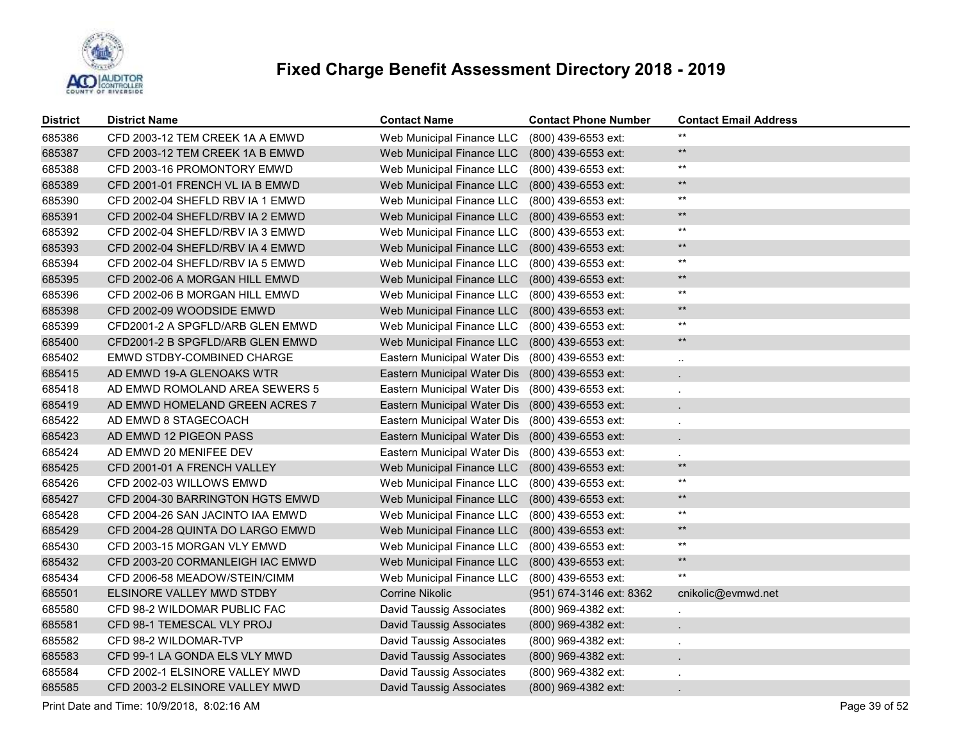

| <b>District</b> | <b>District Name</b>             | <b>Contact Name</b>             | <b>Contact Phone Number</b> | <b>Contact Email Address</b> |
|-----------------|----------------------------------|---------------------------------|-----------------------------|------------------------------|
| 685386          | CFD 2003-12 TEM CREEK 1A A EMWD  | Web Municipal Finance LLC       | (800) 439-6553 ext:         | $***$                        |
| 685387          | CFD 2003-12 TEM CREEK 1A B EMWD  | Web Municipal Finance LLC       | (800) 439-6553 ext:         | $\star\star$                 |
| 685388          | CFD 2003-16 PROMONTORY EMWD      | Web Municipal Finance LLC       | (800) 439-6553 ext:         | $^{\star\star}$              |
| 685389          | CFD 2001-01 FRENCH VL IA B EMWD  | Web Municipal Finance LLC       | (800) 439-6553 ext:         | $***$                        |
| 685390          | CFD 2002-04 SHEFLD RBV IA 1 EMWD | Web Municipal Finance LLC       | (800) 439-6553 ext:         | $***$                        |
| 685391          | CFD 2002-04 SHEFLD/RBV IA 2 EMWD | Web Municipal Finance LLC       | (800) 439-6553 ext:         | $\star\star$                 |
| 685392          | CFD 2002-04 SHEFLD/RBV IA 3 EMWD | Web Municipal Finance LLC       | (800) 439-6553 ext:         | $***$                        |
| 685393          | CFD 2002-04 SHEFLD/RBV IA 4 EMWD | Web Municipal Finance LLC       | $(800)$ 439-6553 ext:       | $\star\star$                 |
| 685394          | CFD 2002-04 SHEFLD/RBV IA 5 EMWD | Web Municipal Finance LLC       | (800) 439-6553 ext:         | $\star\star$                 |
| 685395          | CFD 2002-06 A MORGAN HILL EMWD   | Web Municipal Finance LLC       | (800) 439-6553 ext:         | $\star\star$                 |
| 685396          | CFD 2002-06 B MORGAN HILL EMWD   | Web Municipal Finance LLC       | (800) 439-6553 ext:         | $^{\star\star}$              |
| 685398          | CFD 2002-09 WOODSIDE EMWD        | Web Municipal Finance LLC       | (800) 439-6553 ext:         | $\star\star$                 |
| 685399          | CFD2001-2 A SPGFLD/ARB GLEN EMWD | Web Municipal Finance LLC       | (800) 439-6553 ext:         | $^{\star\star}$              |
| 685400          | CFD2001-2 B SPGFLD/ARB GLEN EMWD | Web Municipal Finance LLC       | (800) 439-6553 ext:         | $\star\star$                 |
| 685402          | EMWD STDBY-COMBINED CHARGE       | Eastern Municipal Water Dis     | (800) 439-6553 ext:         | $\sim$                       |
| 685415          | AD EMWD 19-A GLENOAKS WTR        | Eastern Municipal Water Dis     | (800) 439-6553 ext:         |                              |
| 685418          | AD EMWD ROMOLAND AREA SEWERS 5   | Eastern Municipal Water Dis     | (800) 439-6553 ext:         |                              |
| 685419          | AD EMWD HOMELAND GREEN ACRES 7   | Eastern Municipal Water Dis     | (800) 439-6553 ext:         |                              |
| 685422          | AD EMWD 8 STAGECOACH             | Eastern Municipal Water Dis     | (800) 439-6553 ext:         |                              |
| 685423          | AD EMWD 12 PIGEON PASS           | Eastern Municipal Water Dis     | (800) 439-6553 ext:         |                              |
| 685424          | AD EMWD 20 MENIFEE DEV           | Eastern Municipal Water Dis     | (800) 439-6553 ext:         |                              |
| 685425          | CFD 2001-01 A FRENCH VALLEY      | Web Municipal Finance LLC       | (800) 439-6553 ext:         | $\star\star$                 |
| 685426          | CFD 2002-03 WILLOWS EMWD         | Web Municipal Finance LLC       | (800) 439-6553 ext:         | $^{\star\star}$              |
| 685427          | CFD 2004-30 BARRINGTON HGTS EMWD | Web Municipal Finance LLC       | (800) 439-6553 ext:         | $\star\star$                 |
| 685428          | CFD 2004-26 SAN JACINTO IAA EMWD | Web Municipal Finance LLC       | (800) 439-6553 ext:         | $\star\star$                 |
| 685429          | CFD 2004-28 QUINTA DO LARGO EMWD | Web Municipal Finance LLC       | (800) 439-6553 ext:         | $\star\star$                 |
| 685430          | CFD 2003-15 MORGAN VLY EMWD      | Web Municipal Finance LLC       | (800) 439-6553 ext:         | $\star\star$                 |
| 685432          | CFD 2003-20 CORMANLEIGH IAC EMWD | Web Municipal Finance LLC       | (800) 439-6553 ext:         | $\star\star$                 |
| 685434          | CFD 2006-58 MEADOW/STEIN/CIMM    | Web Municipal Finance LLC       | (800) 439-6553 ext:         | $***$                        |
| 685501          | ELSINORE VALLEY MWD STDBY        | <b>Corrine Nikolic</b>          | (951) 674-3146 ext: 8362    | cnikolic@evmwd.net           |
| 685580          | CFD 98-2 WILDOMAR PUBLIC FAC     | David Taussig Associates        | (800) 969-4382 ext:         | $\sim$                       |
| 685581          | CFD 98-1 TEMESCAL VLY PROJ       | David Taussig Associates        | (800) 969-4382 ext:         |                              |
| 685582          | CFD 98-2 WILDOMAR-TVP            | David Taussig Associates        | (800) 969-4382 ext:         |                              |
| 685583          | CFD 99-1 LA GONDA ELS VLY MWD    | David Taussig Associates        | (800) 969-4382 ext:         |                              |
| 685584          | CFD 2002-1 ELSINORE VALLEY MWD   | David Taussig Associates        | (800) 969-4382 ext:         |                              |
| 685585          | CFD 2003-2 ELSINORE VALLEY MWD   | <b>David Taussig Associates</b> | (800) 969-4382 ext:         |                              |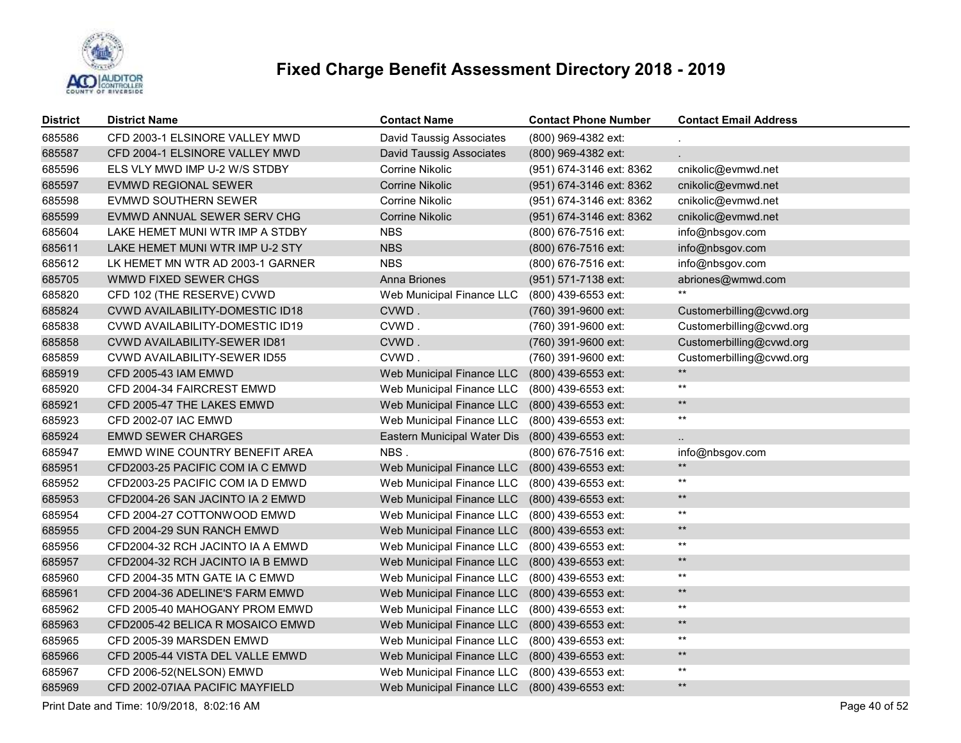

| <b>District</b> | <b>District Name</b>                   | <b>Contact Name</b>             | <b>Contact Phone Number</b> | <b>Contact Email Address</b> |
|-----------------|----------------------------------------|---------------------------------|-----------------------------|------------------------------|
| 685586          | CFD 2003-1 ELSINORE VALLEY MWD         | <b>David Taussig Associates</b> | (800) 969-4382 ext:         |                              |
| 685587          | CFD 2004-1 ELSINORE VALLEY MWD         | <b>David Taussig Associates</b> | (800) 969-4382 ext:         |                              |
| 685596          | ELS VLY MWD IMP U-2 W/S STDBY          | Corrine Nikolic                 | (951) 674-3146 ext: 8362    | cnikolic@evmwd.net           |
| 685597          | EVMWD REGIONAL SEWER                   | Corrine Nikolic                 | (951) 674-3146 ext: 8362    | cnikolic@evmwd.net           |
| 685598          | EVMWD SOUTHERN SEWER                   | Corrine Nikolic                 | (951) 674-3146 ext: 8362    | cnikolic@evmwd.net           |
| 685599          | EVMWD ANNUAL SEWER SERV CHG            | Corrine Nikolic                 | (951) 674-3146 ext: 8362    | cnikolic@evmwd.net           |
| 685604          | LAKE HEMET MUNI WTR IMP A STDBY        | <b>NBS</b>                      | (800) 676-7516 ext:         | info@nbsgov.com              |
| 685611          | LAKE HEMET MUNI WTR IMP U-2 STY        | <b>NBS</b>                      | (800) 676-7516 ext:         | info@nbsgov.com              |
| 685612          | LK HEMET MN WTR AD 2003-1 GARNER       | <b>NBS</b>                      | (800) 676-7516 ext:         | info@nbsgov.com              |
| 685705          | WMWD FIXED SEWER CHGS                  | Anna Briones                    | (951) 571-7138 ext:         | abriones@wmwd.com            |
| 685820          | CFD 102 (THE RESERVE) CVWD             | Web Municipal Finance LLC       | (800) 439-6553 ext:         | $***$                        |
| 685824          | <b>CVWD AVAILABILITY-DOMESTIC ID18</b> | CVWD.                           | (760) 391-9600 ext:         | Customerbilling@cvwd.org     |
| 685838          | CVWD AVAILABILITY-DOMESTIC ID19        | CVWD.                           | (760) 391-9600 ext:         | Customerbilling@cvwd.org     |
| 685858          | <b>CVWD AVAILABILITY-SEWER ID81</b>    | CVWD.                           | (760) 391-9600 ext:         | Customerbilling@cvwd.org     |
| 685859          | CVWD AVAILABILITY-SEWER ID55           | CVWD.                           | (760) 391-9600 ext:         | Customerbilling@cvwd.org     |
| 685919          | CFD 2005-43 IAM EMWD                   | Web Municipal Finance LLC       | (800) 439-6553 ext:         | $\star\star$                 |
| 685920          | CFD 2004-34 FAIRCREST EMWD             | Web Municipal Finance LLC       | (800) 439-6553 ext:         | $\star\star$                 |
| 685921          | CFD 2005-47 THE LAKES EMWD             | Web Municipal Finance LLC       | (800) 439-6553 ext:         | $\star\star$                 |
| 685923          | <b>CFD 2002-07 IAC EMWD</b>            | Web Municipal Finance LLC       | (800) 439-6553 ext:         | $\star\star$                 |
| 685924          | <b>EMWD SEWER CHARGES</b>              | Eastern Municipal Water Dis     | (800) 439-6553 ext:         | $\sim$                       |
| 685947          | EMWD WINE COUNTRY BENEFIT AREA         | NBS.                            | (800) 676-7516 ext:         | info@nbsgov.com              |
| 685951          | CFD2003-25 PACIFIC COM IA C EMWD       | Web Municipal Finance LLC       | (800) 439-6553 ext:         | $\star\star$                 |
| 685952          | CFD2003-25 PACIFIC COM IA D EMWD       | Web Municipal Finance LLC       | (800) 439-6553 ext:         | $^{\star\star}$              |
| 685953          | CFD2004-26 SAN JACINTO IA 2 EMWD       | Web Municipal Finance LLC       | (800) 439-6553 ext:         | $\star\star$                 |
| 685954          | CFD 2004-27 COTTONWOOD EMWD            | Web Municipal Finance LLC       | (800) 439-6553 ext:         | $\star\star$                 |
| 685955          | CFD 2004-29 SUN RANCH EMWD             | Web Municipal Finance LLC       | (800) 439-6553 ext:         | $\star\star$                 |
| 685956          | CFD2004-32 RCH JACINTO IA A EMWD       | Web Municipal Finance LLC       | (800) 439-6553 ext:         | $\star\star$                 |
| 685957          | CFD2004-32 RCH JACINTO IA B EMWD       | Web Municipal Finance LLC       | (800) 439-6553 ext:         | $\star\star$                 |
| 685960          | CFD 2004-35 MTN GATE IA C EMWD         | Web Municipal Finance LLC       | (800) 439-6553 ext:         | $\star\star$                 |
| 685961          | CFD 2004-36 ADELINE'S FARM EMWD        | Web Municipal Finance LLC       | (800) 439-6553 ext:         | $\star\star$                 |
| 685962          | CFD 2005-40 MAHOGANY PROM EMWD         | Web Municipal Finance LLC       | (800) 439-6553 ext:         | $\star\star$                 |
| 685963          | CFD2005-42 BELICA R MOSAICO EMWD       | Web Municipal Finance LLC       | (800) 439-6553 ext:         | $\star\star$                 |
| 685965          | CFD 2005-39 MARSDEN EMWD               | Web Municipal Finance LLC       | (800) 439-6553 ext:         | $^{\star\star}$              |
| 685966          | CFD 2005-44 VISTA DEL VALLE EMWD       | Web Municipal Finance LLC       | (800) 439-6553 ext:         | $\star\star$                 |
| 685967          | CFD 2006-52(NELSON) EMWD               | Web Municipal Finance LLC       | (800) 439-6553 ext:         | $^{\star\star}$              |
| 685969          | CFD 2002-07IAA PACIFIC MAYFIELD        | Web Municipal Finance LLC       | (800) 439-6553 ext:         | $\star\star$                 |

Print Date and Time: 10/9/2018, 8:02:16 AM Page 40 of 52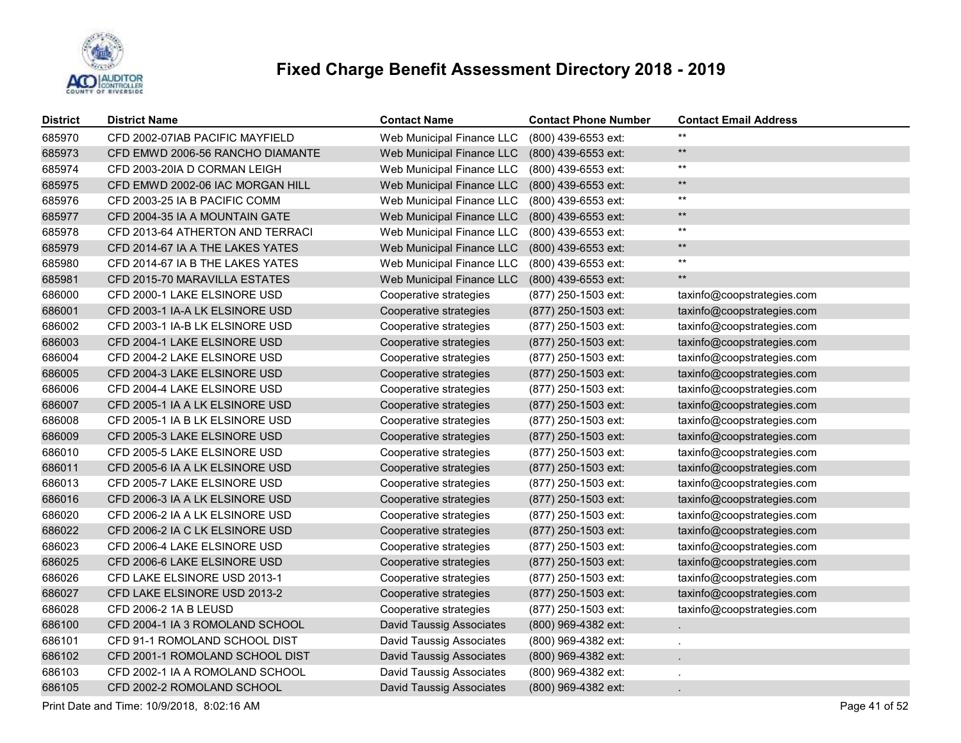

| <b>District</b> | <b>District Name</b>             | <b>Contact Name</b>             | <b>Contact Phone Number</b> | <b>Contact Email Address</b> |
|-----------------|----------------------------------|---------------------------------|-----------------------------|------------------------------|
| 685970          | CFD 2002-07IAB PACIFIC MAYFIELD  | Web Municipal Finance LLC       | (800) 439-6553 ext:         | $***$                        |
| 685973          | CFD EMWD 2006-56 RANCHO DIAMANTE | Web Municipal Finance LLC       | (800) 439-6553 ext:         | $\star\star$                 |
| 685974          | CFD 2003-201A D CORMAN LEIGH     | Web Municipal Finance LLC       | (800) 439-6553 ext:         | $^{\star\star}$              |
| 685975          | CFD EMWD 2002-06 IAC MORGAN HILL | Web Municipal Finance LLC       | (800) 439-6553 ext:         | $\star\star$                 |
| 685976          | CFD 2003-25 IA B PACIFIC COMM    | Web Municipal Finance LLC       | (800) 439-6553 ext:         | $^{\star\star}$              |
| 685977          | CFD 2004-35 IA A MOUNTAIN GATE   | Web Municipal Finance LLC       | (800) 439-6553 ext:         | $\star\star$                 |
| 685978          | CFD 2013-64 ATHERTON AND TERRACI | Web Municipal Finance LLC       | (800) 439-6553 ext:         | $***$                        |
| 685979          | CFD 2014-67 IA A THE LAKES YATES | Web Municipal Finance LLC       | (800) 439-6553 ext:         | $\star\star$                 |
| 685980          | CFD 2014-67 IA B THE LAKES YATES | Web Municipal Finance LLC       | (800) 439-6553 ext:         | $^{\star\star}$              |
| 685981          | CFD 2015-70 MARAVILLA ESTATES    | Web Municipal Finance LLC       | (800) 439-6553 ext:         | $\star\star$                 |
| 686000          | CFD 2000-1 LAKE ELSINORE USD     | Cooperative strategies          | (877) 250-1503 ext:         | taxinfo@coopstrategies.com   |
| 686001          | CFD 2003-1 IA-A LK ELSINORE USD  | Cooperative strategies          | (877) 250-1503 ext:         | taxinfo@coopstrategies.com   |
| 686002          | CFD 2003-1 IA-B LK ELSINORE USD  | Cooperative strategies          | (877) 250-1503 ext:         | taxinfo@coopstrategies.com   |
| 686003          | CFD 2004-1 LAKE ELSINORE USD     | Cooperative strategies          | (877) 250-1503 ext:         | taxinfo@coopstrategies.com   |
| 686004          | CFD 2004-2 LAKE ELSINORE USD     | Cooperative strategies          | (877) 250-1503 ext:         | taxinfo@coopstrategies.com   |
| 686005          | CFD 2004-3 LAKE ELSINORE USD     | Cooperative strategies          | (877) 250-1503 ext:         | taxinfo@coopstrategies.com   |
| 686006          | CFD 2004-4 LAKE ELSINORE USD     | Cooperative strategies          | (877) 250-1503 ext:         | taxinfo@coopstrategies.com   |
| 686007          | CFD 2005-1 IA A LK ELSINORE USD  | Cooperative strategies          | (877) 250-1503 ext:         | taxinfo@coopstrategies.com   |
| 686008          | CFD 2005-1 IA B LK ELSINORE USD  | Cooperative strategies          | (877) 250-1503 ext:         | taxinfo@coopstrategies.com   |
| 686009          | CFD 2005-3 LAKE ELSINORE USD     | Cooperative strategies          | (877) 250-1503 ext:         | taxinfo@coopstrategies.com   |
| 686010          | CFD 2005-5 LAKE ELSINORE USD     | Cooperative strategies          | (877) 250-1503 ext:         | taxinfo@coopstrategies.com   |
| 686011          | CFD 2005-6 IA A LK ELSINORE USD  | Cooperative strategies          | (877) 250-1503 ext:         | taxinfo@coopstrategies.com   |
| 686013          | CFD 2005-7 LAKE ELSINORE USD     | Cooperative strategies          | (877) 250-1503 ext:         | taxinfo@coopstrategies.com   |
| 686016          | CFD 2006-3 IA A LK ELSINORE USD  | Cooperative strategies          | (877) 250-1503 ext:         | taxinfo@coopstrategies.com   |
| 686020          | CFD 2006-2 IA A LK ELSINORE USD  | Cooperative strategies          | (877) 250-1503 ext:         | taxinfo@coopstrategies.com   |
| 686022          | CFD 2006-2 IA C LK ELSINORE USD  | Cooperative strategies          | (877) 250-1503 ext:         | taxinfo@coopstrategies.com   |
| 686023          | CFD 2006-4 LAKE ELSINORE USD     | Cooperative strategies          | (877) 250-1503 ext:         | taxinfo@coopstrategies.com   |
| 686025          | CFD 2006-6 LAKE ELSINORE USD     | Cooperative strategies          | (877) 250-1503 ext:         | taxinfo@coopstrategies.com   |
| 686026          | CFD LAKE ELSINORE USD 2013-1     | Cooperative strategies          | (877) 250-1503 ext:         | taxinfo@coopstrategies.com   |
| 686027          | CFD LAKE ELSINORE USD 2013-2     | Cooperative strategies          | (877) 250-1503 ext:         | taxinfo@coopstrategies.com   |
| 686028          | CFD 2006-2 1A B LEUSD            | Cooperative strategies          | (877) 250-1503 ext:         | taxinfo@coopstrategies.com   |
| 686100          | CFD 2004-1 IA 3 ROMOLAND SCHOOL  | <b>David Taussig Associates</b> | (800) 969-4382 ext:         |                              |
| 686101          | CFD 91-1 ROMOLAND SCHOOL DIST    | <b>David Taussig Associates</b> | (800) 969-4382 ext:         |                              |
| 686102          | CFD 2001-1 ROMOLAND SCHOOL DIST  | <b>David Taussig Associates</b> | (800) 969-4382 ext:         |                              |
| 686103          | CFD 2002-1 IA A ROMOLAND SCHOOL  | <b>David Taussig Associates</b> | (800) 969-4382 ext:         |                              |
| 686105          | CFD 2002-2 ROMOLAND SCHOOL       | <b>David Taussig Associates</b> | (800) 969-4382 ext:         |                              |

Print Date and Time: 10/9/2018, 8:02:16 AM Page 41 of 52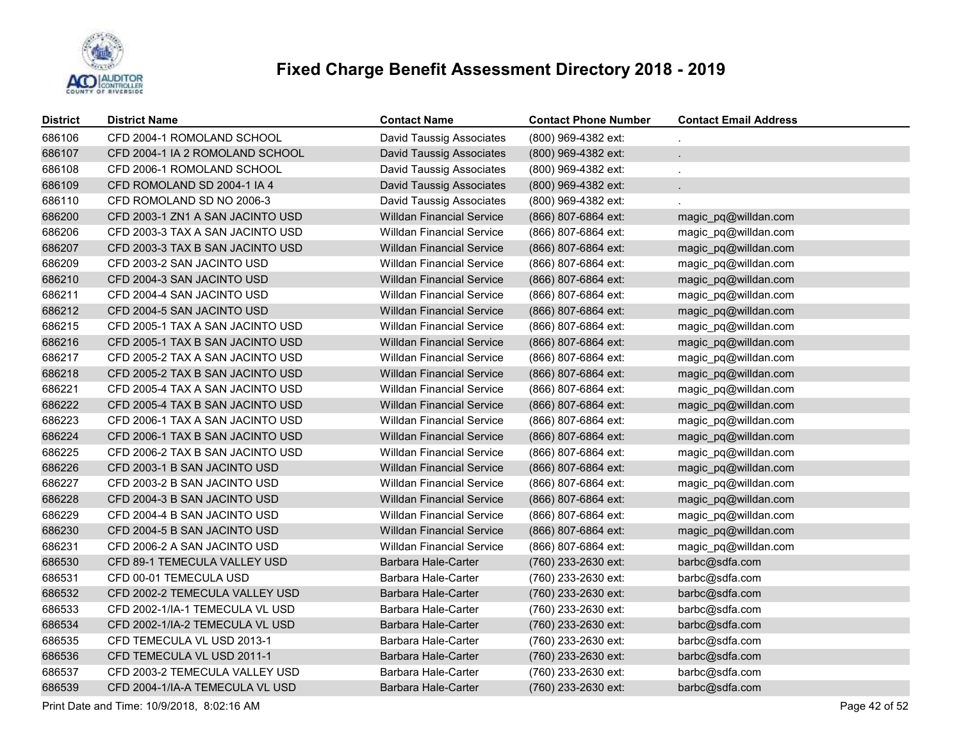

| <b>District</b> | <b>District Name</b>             | <b>Contact Name</b>              | <b>Contact Phone Number</b> | <b>Contact Email Address</b> |
|-----------------|----------------------------------|----------------------------------|-----------------------------|------------------------------|
| 686106          | CFD 2004-1 ROMOLAND SCHOOL       | <b>David Taussig Associates</b>  | (800) 969-4382 ext:         |                              |
| 686107          | CFD 2004-1 IA 2 ROMOLAND SCHOOL  | <b>David Taussig Associates</b>  | (800) 969-4382 ext:         |                              |
| 686108          | CFD 2006-1 ROMOLAND SCHOOL       | <b>David Taussig Associates</b>  | (800) 969-4382 ext:         |                              |
| 686109          | CFD ROMOLAND SD 2004-1 IA 4      | <b>David Taussig Associates</b>  | (800) 969-4382 ext:         |                              |
| 686110          | CFD ROMOLAND SD NO 2006-3        | <b>David Taussig Associates</b>  | (800) 969-4382 ext:         |                              |
| 686200          | CFD 2003-1 ZN1 A SAN JACINTO USD | <b>Willdan Financial Service</b> | (866) 807-6864 ext:         | magic pq@willdan.com         |
| 686206          | CFD 2003-3 TAX A SAN JACINTO USD | <b>Willdan Financial Service</b> | (866) 807-6864 ext:         | magic_pq@willdan.com         |
| 686207          | CFD 2003-3 TAX B SAN JACINTO USD | <b>Willdan Financial Service</b> | (866) 807-6864 ext:         | magic_pq@willdan.com         |
| 686209          | CFD 2003-2 SAN JACINTO USD       | <b>Willdan Financial Service</b> | (866) 807-6864 ext:         | magic_pq@willdan.com         |
| 686210          | CFD 2004-3 SAN JACINTO USD       | <b>Willdan Financial Service</b> | (866) 807-6864 ext:         | magic_pq@willdan.com         |
| 686211          | CFD 2004-4 SAN JACINTO USD       | <b>Willdan Financial Service</b> | (866) 807-6864 ext:         | magic_pq@willdan.com         |
| 686212          | CFD 2004-5 SAN JACINTO USD       | <b>Willdan Financial Service</b> | (866) 807-6864 ext:         | magic_pq@willdan.com         |
| 686215          | CFD 2005-1 TAX A SAN JACINTO USD | <b>Willdan Financial Service</b> | (866) 807-6864 ext:         | magic_pq@willdan.com         |
| 686216          | CFD 2005-1 TAX B SAN JACINTO USD | <b>Willdan Financial Service</b> | (866) 807-6864 ext:         | magic_pq@willdan.com         |
| 686217          | CFD 2005-2 TAX A SAN JACINTO USD | <b>Willdan Financial Service</b> | (866) 807-6864 ext:         | magic_pq@willdan.com         |
| 686218          | CFD 2005-2 TAX B SAN JACINTO USD | <b>Willdan Financial Service</b> | (866) 807-6864 ext:         | magic_pq@willdan.com         |
| 686221          | CFD 2005-4 TAX A SAN JACINTO USD | <b>Willdan Financial Service</b> | (866) 807-6864 ext:         | magic_pq@willdan.com         |
| 686222          | CFD 2005-4 TAX B SAN JACINTO USD | <b>Willdan Financial Service</b> | (866) 807-6864 ext:         | magic_pq@willdan.com         |
| 686223          | CFD 2006-1 TAX A SAN JACINTO USD | <b>Willdan Financial Service</b> | (866) 807-6864 ext:         | magic_pq@willdan.com         |
| 686224          | CFD 2006-1 TAX B SAN JACINTO USD | <b>Willdan Financial Service</b> | (866) 807-6864 ext:         | magic_pq@willdan.com         |
| 686225          | CFD 2006-2 TAX B SAN JACINTO USD | <b>Willdan Financial Service</b> | (866) 807-6864 ext:         | magic_pq@willdan.com         |
| 686226          | CFD 2003-1 B SAN JACINTO USD     | <b>Willdan Financial Service</b> | (866) 807-6864 ext:         | magic_pq@willdan.com         |
| 686227          | CFD 2003-2 B SAN JACINTO USD     | <b>Willdan Financial Service</b> | (866) 807-6864 ext:         | magic_pq@willdan.com         |
| 686228          | CFD 2004-3 B SAN JACINTO USD     | <b>Willdan Financial Service</b> | (866) 807-6864 ext:         | magic_pq@willdan.com         |
| 686229          | CFD 2004-4 B SAN JACINTO USD     | <b>Willdan Financial Service</b> | (866) 807-6864 ext:         | magic_pq@willdan.com         |
| 686230          | CFD 2004-5 B SAN JACINTO USD     | <b>Willdan Financial Service</b> | (866) 807-6864 ext:         | magic_pq@willdan.com         |
| 686231          | CFD 2006-2 A SAN JACINTO USD     | <b>Willdan Financial Service</b> | (866) 807-6864 ext:         | magic pq@willdan.com         |
| 686530          | CFD 89-1 TEMECULA VALLEY USD     | <b>Barbara Hale-Carter</b>       | (760) 233-2630 ext:         | barbc@sdfa.com               |
| 686531          | CFD 00-01 TEMECULA USD           | Barbara Hale-Carter              | (760) 233-2630 ext:         | barbc@sdfa.com               |
| 686532          | CFD 2002-2 TEMECULA VALLEY USD   | Barbara Hale-Carter              | (760) 233-2630 ext:         | barbc@sdfa.com               |
| 686533          | CFD 2002-1/IA-1 TEMECULA VL USD  | Barbara Hale-Carter              | (760) 233-2630 ext:         | barbc@sdfa.com               |
| 686534          | CFD 2002-1/IA-2 TEMECULA VL USD  | Barbara Hale-Carter              | (760) 233-2630 ext:         | barbc@sdfa.com               |
| 686535          | CFD TEMECULA VL USD 2013-1       | Barbara Hale-Carter              | (760) 233-2630 ext:         | barbc@sdfa.com               |
| 686536          | CFD TEMECULA VL USD 2011-1       | <b>Barbara Hale-Carter</b>       | (760) 233-2630 ext:         | barbc@sdfa.com               |
| 686537          | CFD 2003-2 TEMECULA VALLEY USD   | Barbara Hale-Carter              | (760) 233-2630 ext:         | barbc@sdfa.com               |
| 686539          | CFD 2004-1/IA-A TEMECULA VL USD  | Barbara Hale-Carter              | (760) 233-2630 ext:         | barbc@sdfa.com               |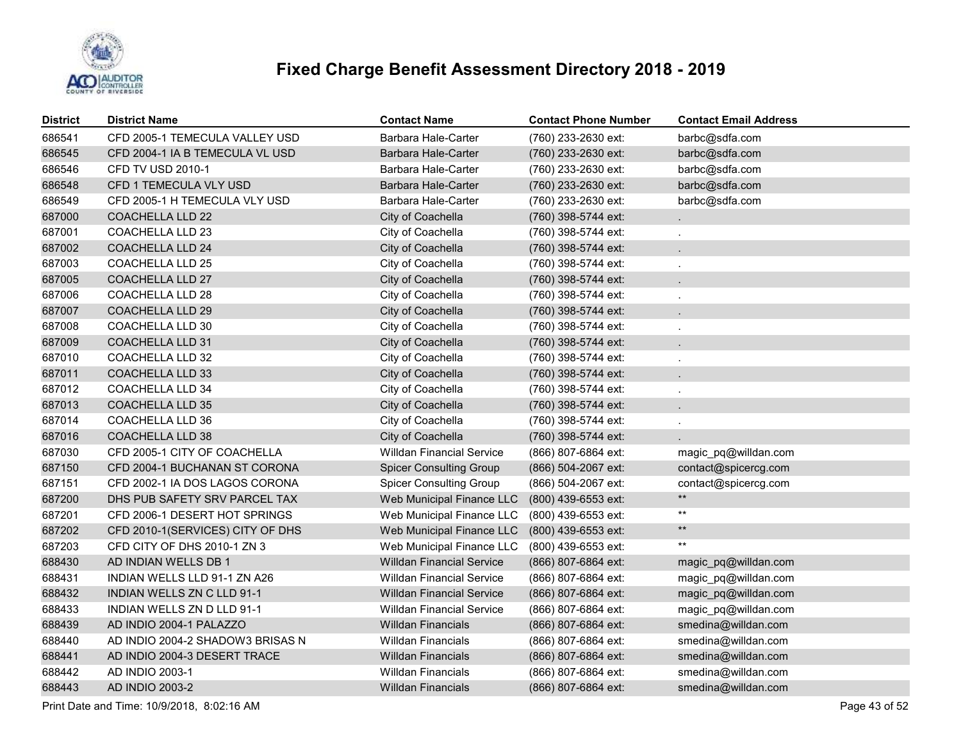

| District | <b>District Name</b>              | <b>Contact Name</b>              | <b>Contact Phone Number</b> | <b>Contact Email Address</b> |
|----------|-----------------------------------|----------------------------------|-----------------------------|------------------------------|
| 686541   | CFD 2005-1 TEMECULA VALLEY USD    | <b>Barbara Hale-Carter</b>       | (760) 233-2630 ext:         | barbc@sdfa.com               |
| 686545   | CFD 2004-1 IA B TEMECULA VL USD   | <b>Barbara Hale-Carter</b>       | (760) 233-2630 ext:         | barbc@sdfa.com               |
| 686546   | <b>CFD TV USD 2010-1</b>          | Barbara Hale-Carter              | (760) 233-2630 ext:         | barbc@sdfa.com               |
| 686548   | CFD 1 TEMECULA VLY USD            | <b>Barbara Hale-Carter</b>       | (760) 233-2630 ext:         | barbc@sdfa.com               |
| 686549   | CFD 2005-1 H TEMECULA VLY USD     | Barbara Hale-Carter              | (760) 233-2630 ext:         | barbc@sdfa.com               |
| 687000   | <b>COACHELLA LLD 22</b>           | City of Coachella                | (760) 398-5744 ext:         |                              |
| 687001   | COACHELLA LLD 23                  | City of Coachella                | (760) 398-5744 ext:         | ä,                           |
| 687002   | <b>COACHELLA LLD 24</b>           | City of Coachella                | (760) 398-5744 ext:         |                              |
| 687003   | <b>COACHELLA LLD 25</b>           | City of Coachella                | (760) 398-5744 ext:         |                              |
| 687005   | <b>COACHELLA LLD 27</b>           | City of Coachella                | (760) 398-5744 ext:         | $\mathbf{r}$                 |
| 687006   | COACHELLA LLD 28                  | City of Coachella                | (760) 398-5744 ext:         | $\overline{\phantom{a}}$     |
| 687007   | <b>COACHELLA LLD 29</b>           | City of Coachella                | (760) 398-5744 ext:         | $\mathbf{r}$                 |
| 687008   | COACHELLA LLD 30                  | City of Coachella                | (760) 398-5744 ext:         | $\overline{\phantom{a}}$     |
| 687009   | <b>COACHELLA LLD 31</b>           | City of Coachella                | (760) 398-5744 ext:         | $\mathbf{r}$                 |
| 687010   | <b>COACHELLA LLD 32</b>           | City of Coachella                | (760) 398-5744 ext:         | $\overline{\phantom{a}}$     |
| 687011   | <b>COACHELLA LLD 33</b>           | City of Coachella                | (760) 398-5744 ext:         | $\mathbf{r}$                 |
| 687012   | <b>COACHELLA LLD 34</b>           | City of Coachella                | (760) 398-5744 ext:         | $\mathbf{r}$                 |
| 687013   | <b>COACHELLA LLD 35</b>           | City of Coachella                | (760) 398-5744 ext:         | ä,                           |
| 687014   | COACHELLA LLD 36                  | City of Coachella                | (760) 398-5744 ext:         | $\mathbf{r}$                 |
| 687016   | <b>COACHELLA LLD 38</b>           | City of Coachella                | (760) 398-5744 ext:         |                              |
| 687030   | CFD 2005-1 CITY OF COACHELLA      | <b>Willdan Financial Service</b> | (866) 807-6864 ext:         | magic_pq@willdan.com         |
| 687150   | CFD 2004-1 BUCHANAN ST CORONA     | <b>Spicer Consulting Group</b>   | (866) 504-2067 ext:         | contact@spicercg.com         |
| 687151   | CFD 2002-1 IA DOS LAGOS CORONA    | <b>Spicer Consulting Group</b>   | (866) 504-2067 ext:         | contact@spicercg.com         |
| 687200   | DHS PUB SAFETY SRV PARCEL TAX     | Web Municipal Finance LLC        | (800) 439-6553 ext:         | $***$                        |
| 687201   | CFD 2006-1 DESERT HOT SPRINGS     | Web Municipal Finance LLC        | (800) 439-6553 ext:         | $**$                         |
| 687202   | CFD 2010-1(SERVICES) CITY OF DHS  | Web Municipal Finance LLC        | (800) 439-6553 ext:         | $**$                         |
| 687203   | CFD CITY OF DHS 2010-1 ZN 3       | Web Municipal Finance LLC        | (800) 439-6553 ext:         | $***$                        |
| 688430   | AD INDIAN WELLS DB 1              | <b>Willdan Financial Service</b> | (866) 807-6864 ext:         | magic_pq@willdan.com         |
| 688431   | INDIAN WELLS LLD 91-1 ZN A26      | <b>Willdan Financial Service</b> | (866) 807-6864 ext:         | magic_pq@willdan.com         |
| 688432   | INDIAN WELLS ZN C LLD 91-1        | <b>Willdan Financial Service</b> | (866) 807-6864 ext:         | magic_pq@willdan.com         |
| 688433   | <b>INDIAN WELLS ZN D LLD 91-1</b> | <b>Willdan Financial Service</b> | (866) 807-6864 ext:         | magic_pq@willdan.com         |
| 688439   | AD INDIO 2004-1 PALAZZO           | <b>Willdan Financials</b>        | (866) 807-6864 ext:         | smedina@willdan.com          |
| 688440   | AD INDIO 2004-2 SHADOW3 BRISAS N  | <b>Willdan Financials</b>        | (866) 807-6864 ext:         | smedina@willdan.com          |
| 688441   | AD INDIO 2004-3 DESERT TRACE      | <b>Willdan Financials</b>        | (866) 807-6864 ext:         | smedina@willdan.com          |
| 688442   | AD INDIO 2003-1                   | <b>Willdan Financials</b>        | (866) 807-6864 ext:         | smedina@willdan.com          |
| 688443   | <b>AD INDIO 2003-2</b>            | <b>Willdan Financials</b>        | (866) 807-6864 ext:         | smedina@willdan.com          |

Print Date and Time: 10/9/2018, 8:02:16 AM Page 43 of 52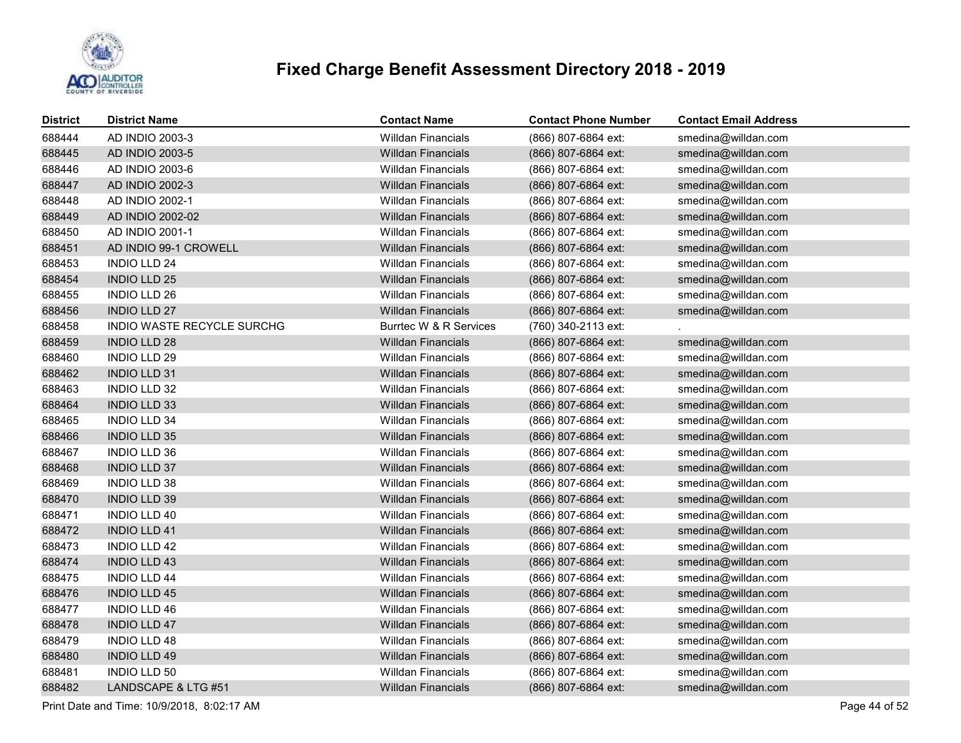

| <b>District</b> | <b>District Name</b>       | <b>Contact Name</b>       | <b>Contact Phone Number</b> | <b>Contact Email Address</b> |
|-----------------|----------------------------|---------------------------|-----------------------------|------------------------------|
| 688444          | AD INDIO 2003-3            | <b>Willdan Financials</b> | (866) 807-6864 ext:         | smedina@willdan.com          |
| 688445          | AD INDIO 2003-5            | <b>Willdan Financials</b> | (866) 807-6864 ext:         | smedina@willdan.com          |
| 688446          | AD INDIO 2003-6            | <b>Willdan Financials</b> | (866) 807-6864 ext:         | smedina@willdan.com          |
| 688447          | AD INDIO 2002-3            | <b>Willdan Financials</b> | (866) 807-6864 ext:         | smedina@willdan.com          |
| 688448          | AD INDIO 2002-1            | <b>Willdan Financials</b> | (866) 807-6864 ext:         | smedina@willdan.com          |
| 688449          | AD INDIO 2002-02           | <b>Willdan Financials</b> | (866) 807-6864 ext:         | smedina@willdan.com          |
| 688450          | AD INDIO 2001-1            | <b>Willdan Financials</b> | (866) 807-6864 ext:         | smedina@willdan.com          |
| 688451          | AD INDIO 99-1 CROWELL      | <b>Willdan Financials</b> | (866) 807-6864 ext:         | smedina@willdan.com          |
| 688453          | <b>INDIO LLD 24</b>        | <b>Willdan Financials</b> | (866) 807-6864 ext:         | smedina@willdan.com          |
| 688454          | <b>INDIO LLD 25</b>        | <b>Willdan Financials</b> | (866) 807-6864 ext:         | smedina@willdan.com          |
| 688455          | <b>INDIO LLD 26</b>        | <b>Willdan Financials</b> | (866) 807-6864 ext:         | smedina@willdan.com          |
| 688456          | <b>INDIO LLD 27</b>        | <b>Willdan Financials</b> | (866) 807-6864 ext:         | smedina@willdan.com          |
| 688458          | INDIO WASTE RECYCLE SURCHG | Burrtec W & R Services    | (760) 340-2113 ext:         |                              |
| 688459          | <b>INDIO LLD 28</b>        | <b>Willdan Financials</b> | (866) 807-6864 ext:         | smedina@willdan.com          |
| 688460          | <b>INDIO LLD 29</b>        | <b>Willdan Financials</b> | (866) 807-6864 ext:         | smedina@willdan.com          |
| 688462          | <b>INDIO LLD 31</b>        | <b>Willdan Financials</b> | (866) 807-6864 ext:         | smedina@willdan.com          |
| 688463          | <b>INDIO LLD 32</b>        | <b>Willdan Financials</b> | (866) 807-6864 ext:         | smedina@willdan.com          |
| 688464          | <b>INDIO LLD 33</b>        | <b>Willdan Financials</b> | (866) 807-6864 ext:         | smedina@willdan.com          |
| 688465          | <b>INDIO LLD 34</b>        | <b>Willdan Financials</b> | (866) 807-6864 ext:         | smedina@willdan.com          |
| 688466          | <b>INDIO LLD 35</b>        | <b>Willdan Financials</b> | (866) 807-6864 ext:         | smedina@willdan.com          |
| 688467          | <b>INDIO LLD 36</b>        | <b>Willdan Financials</b> | (866) 807-6864 ext:         | smedina@willdan.com          |
| 688468          | <b>INDIO LLD 37</b>        | <b>Willdan Financials</b> | (866) 807-6864 ext:         | smedina@willdan.com          |
| 688469          | <b>INDIO LLD 38</b>        | <b>Willdan Financials</b> | (866) 807-6864 ext:         | smedina@willdan.com          |
| 688470          | <b>INDIO LLD 39</b>        | <b>Willdan Financials</b> | (866) 807-6864 ext:         | smedina@willdan.com          |
| 688471          | <b>INDIO LLD 40</b>        | <b>Willdan Financials</b> | (866) 807-6864 ext:         | smedina@willdan.com          |
| 688472          | <b>INDIO LLD 41</b>        | <b>Willdan Financials</b> | (866) 807-6864 ext:         | smedina@willdan.com          |
| 688473          | <b>INDIO LLD 42</b>        | <b>Willdan Financials</b> | (866) 807-6864 ext:         | smedina@willdan.com          |
| 688474          | <b>INDIO LLD 43</b>        | <b>Willdan Financials</b> | (866) 807-6864 ext:         | smedina@willdan.com          |
| 688475          | <b>INDIO LLD 44</b>        | <b>Willdan Financials</b> | (866) 807-6864 ext:         | smedina@willdan.com          |
| 688476          | <b>INDIO LLD 45</b>        | <b>Willdan Financials</b> | (866) 807-6864 ext:         | smedina@willdan.com          |
| 688477          | <b>INDIO LLD 46</b>        | Willdan Financials        | (866) 807-6864 ext:         | smedina@willdan.com          |
| 688478          | <b>INDIO LLD 47</b>        | <b>Willdan Financials</b> | (866) 807-6864 ext:         | smedina@willdan.com          |
| 688479          | <b>INDIO LLD 48</b>        | <b>Willdan Financials</b> | (866) 807-6864 ext:         | smedina@willdan.com          |
| 688480          | <b>INDIO LLD 49</b>        | <b>Willdan Financials</b> | (866) 807-6864 ext:         | smedina@willdan.com          |
| 688481          | <b>INDIO LLD 50</b>        | <b>Willdan Financials</b> | (866) 807-6864 ext:         | smedina@willdan.com          |
| 688482          | LANDSCAPE & LTG #51        | <b>Willdan Financials</b> | (866) 807-6864 ext:         | smedina@willdan.com          |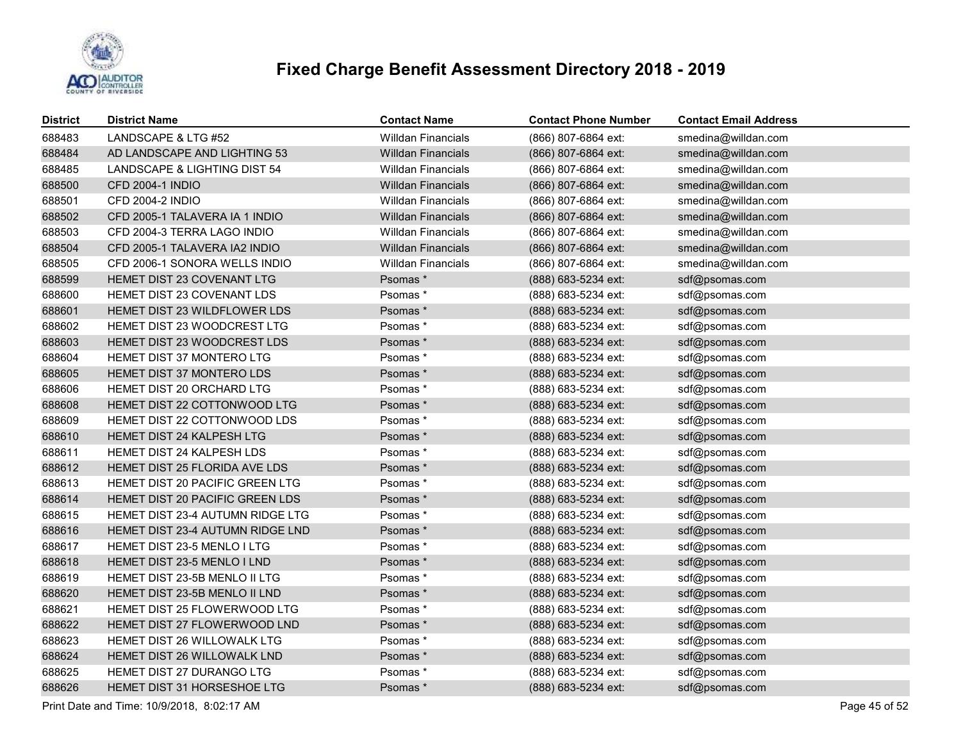

| <b>District</b> | <b>District Name</b>             | <b>Contact Name</b>       | <b>Contact Phone Number</b> | <b>Contact Email Address</b> |
|-----------------|----------------------------------|---------------------------|-----------------------------|------------------------------|
| 688483          | LANDSCAPE & LTG #52              | <b>Willdan Financials</b> | (866) 807-6864 ext:         | smedina@willdan.com          |
| 688484          | AD LANDSCAPE AND LIGHTING 53     | <b>Willdan Financials</b> | (866) 807-6864 ext:         | smedina@willdan.com          |
| 688485          | LANDSCAPE & LIGHTING DIST 54     | Willdan Financials        | (866) 807-6864 ext:         | smedina@willdan.com          |
| 688500          | <b>CFD 2004-1 INDIO</b>          | <b>Willdan Financials</b> | (866) 807-6864 ext:         | smedina@willdan.com          |
| 688501          | <b>CFD 2004-2 INDIO</b>          | <b>Willdan Financials</b> | (866) 807-6864 ext:         | smedina@willdan.com          |
| 688502          | CFD 2005-1 TALAVERA IA 1 INDIO   | <b>Willdan Financials</b> | (866) 807-6864 ext:         | smedina@willdan.com          |
| 688503          | CFD 2004-3 TERRA LAGO INDIO      | <b>Willdan Financials</b> | (866) 807-6864 ext:         | smedina@willdan.com          |
| 688504          | CFD 2005-1 TALAVERA IA2 INDIO    | <b>Willdan Financials</b> | (866) 807-6864 ext:         | smedina@willdan.com          |
| 688505          | CFD 2006-1 SONORA WELLS INDIO    | <b>Willdan Financials</b> | (866) 807-6864 ext:         | smedina@willdan.com          |
| 688599          | HEMET DIST 23 COVENANT LTG       | Psomas*                   | (888) 683-5234 ext:         | sdf@psomas.com               |
| 688600          | HEMET DIST 23 COVENANT LDS       | Psomas*                   | (888) 683-5234 ext:         | sdf@psomas.com               |
| 688601          | HEMET DIST 23 WILDFLOWER LDS     | Psomas *                  | (888) 683-5234 ext:         | sdf@psomas.com               |
| 688602          | HEMET DIST 23 WOODCREST LTG      | Psomas*                   | (888) 683-5234 ext:         | sdf@psomas.com               |
| 688603          | HEMET DIST 23 WOODCREST LDS      | Psomas*                   | (888) 683-5234 ext:         | sdf@psomas.com               |
| 688604          | HEMET DIST 37 MONTERO LTG        | Psomas *                  | (888) 683-5234 ext:         | sdf@psomas.com               |
| 688605          | HEMET DIST 37 MONTERO LDS        | Psomas*                   | (888) 683-5234 ext:         | sdf@psomas.com               |
| 688606          | HEMET DIST 20 ORCHARD LTG        | Psomas*                   | (888) 683-5234 ext:         | sdf@psomas.com               |
| 688608          | HEMET DIST 22 COTTONWOOD LTG     | Psomas*                   | (888) 683-5234 ext:         | sdf@psomas.com               |
| 688609          | HEMET DIST 22 COTTONWOOD LDS     | Psomas *                  | (888) 683-5234 ext:         | sdf@psomas.com               |
| 688610          | HEMET DIST 24 KALPESH LTG        | Psomas*                   | (888) 683-5234 ext:         | sdf@psomas.com               |
| 688611          | HEMET DIST 24 KALPESH LDS        | Psomas*                   | (888) 683-5234 ext:         | sdf@psomas.com               |
| 688612          | HEMET DIST 25 FLORIDA AVE LDS    | Psomas*                   | (888) 683-5234 ext:         | sdf@psomas.com               |
| 688613          | HEMET DIST 20 PACIFIC GREEN LTG  | Psomas*                   | (888) 683-5234 ext:         | sdf@psomas.com               |
| 688614          | HEMET DIST 20 PACIFIC GREEN LDS  | Psomas*                   | (888) 683-5234 ext:         | sdf@psomas.com               |
| 688615          | HEMET DIST 23-4 AUTUMN RIDGE LTG | Psomas*                   | (888) 683-5234 ext:         | sdf@psomas.com               |
| 688616          | HEMET DIST 23-4 AUTUMN RIDGE LND | Psomas*                   | (888) 683-5234 ext:         | sdf@psomas.com               |
| 688617          | HEMET DIST 23-5 MENLO I LTG      | Psomas*                   | (888) 683-5234 ext:         | sdf@psomas.com               |
| 688618          | HEMET DIST 23-5 MENLO I LND      | Psomas*                   | (888) 683-5234 ext:         | sdf@psomas.com               |
| 688619          | HEMET DIST 23-5B MENLO II LTG    | Psomas*                   | (888) 683-5234 ext:         | sdf@psomas.com               |
| 688620          | HEMET DIST 23-5B MENLO II LND    | Psomas*                   | (888) 683-5234 ext:         | sdf@psomas.com               |
| 688621          | HEMET DIST 25 FLOWERWOOD LTG     | Psomas *                  | (888) 683-5234 ext:         | sdf@psomas.com               |
| 688622          | HEMET DIST 27 FLOWERWOOD LND     | Psomas*                   | (888) 683-5234 ext:         | sdf@psomas.com               |
| 688623          | HEMET DIST 26 WILLOWALK LTG      | Psomas*                   | (888) 683-5234 ext:         | sdf@psomas.com               |
| 688624          | HEMET DIST 26 WILLOWALK LND      | Psomas *                  | (888) 683-5234 ext:         | sdf@psomas.com               |
| 688625          | HEMET DIST 27 DURANGO LTG        | Psomas *                  | (888) 683-5234 ext:         | sdf@psomas.com               |
| 688626          | HEMET DIST 31 HORSESHOE LTG      | Psomas*                   | (888) 683-5234 ext:         | sdf@psomas.com               |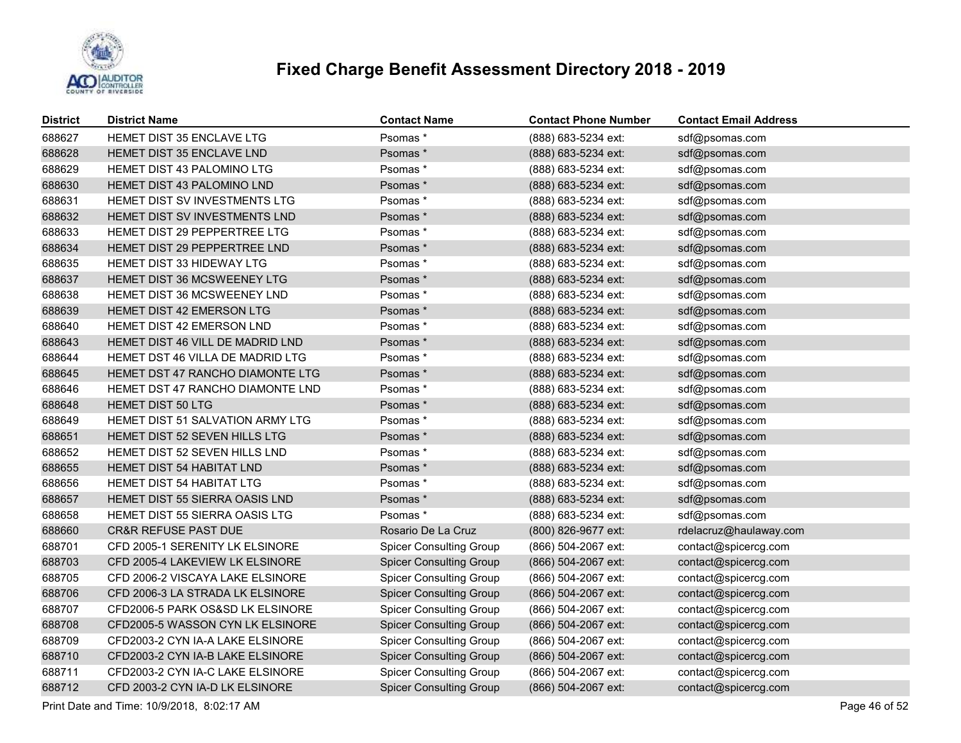

| <b>District</b> | <b>District Name</b>                    | <b>Contact Name</b>            | <b>Contact Phone Number</b> | <b>Contact Email Address</b> |
|-----------------|-----------------------------------------|--------------------------------|-----------------------------|------------------------------|
| 688627          | HEMET DIST 35 ENCLAVE LTG               | Psomas*                        | (888) 683-5234 ext:         | sdf@psomas.com               |
| 688628          | <b>HEMET DIST 35 ENCLAVE LND</b>        | Psomas*                        | (888) 683-5234 ext:         | sdf@psomas.com               |
| 688629          | HEMET DIST 43 PALOMINO LTG              | Psomas *                       | (888) 683-5234 ext:         | sdf@psomas.com               |
| 688630          | <b>HEMET DIST 43 PALOMINO LND</b>       | Psomas*                        | (888) 683-5234 ext:         | sdf@psomas.com               |
| 688631          | <b>HEMET DIST SV INVESTMENTS LTG</b>    | Psomas *                       | (888) 683-5234 ext:         | sdf@psomas.com               |
| 688632          | <b>HEMET DIST SV INVESTMENTS LND</b>    | Psomas*                        | (888) 683-5234 ext:         | sdf@psomas.com               |
| 688633          | HEMET DIST 29 PEPPERTREE LTG            | Psomas*                        | (888) 683-5234 ext:         | sdf@psomas.com               |
| 688634          | HEMET DIST 29 PEPPERTREE LND            | Psomas *                       | (888) 683-5234 ext:         | sdf@psomas.com               |
| 688635          | <b>HEMET DIST 33 HIDEWAY LTG</b>        | Psomas *                       | (888) 683-5234 ext:         | sdf@psomas.com               |
| 688637          | HEMET DIST 36 MCSWEENEY LTG             | Psomas*                        | (888) 683-5234 ext:         | sdf@psomas.com               |
| 688638          | <b>HEMET DIST 36 MCSWEENEY LND</b>      | Psomas*                        | (888) 683-5234 ext:         | sdf@psomas.com               |
| 688639          | <b>HEMET DIST 42 EMERSON LTG</b>        | Psomas*                        | (888) 683-5234 ext:         | sdf@psomas.com               |
| 688640          | <b>HEMET DIST 42 EMERSON LND</b>        | Psomas *                       | (888) 683-5234 ext:         | sdf@psomas.com               |
| 688643          | <b>HEMET DIST 46 VILL DE MADRID LND</b> | Psomas*                        | (888) 683-5234 ext:         | sdf@psomas.com               |
| 688644          | HEMET DST 46 VILLA DE MADRID LTG        | Psomas *                       | (888) 683-5234 ext:         | sdf@psomas.com               |
| 688645          | <b>HEMET DST 47 RANCHO DIAMONTE LTG</b> | Psomas *                       | (888) 683-5234 ext:         | sdf@psomas.com               |
| 688646          | HEMET DST 47 RANCHO DIAMONTE LND        | Psomas *                       | (888) 683-5234 ext:         | sdf@psomas.com               |
| 688648          | <b>HEMET DIST 50 LTG</b>                | Psomas *                       | (888) 683-5234 ext:         | sdf@psomas.com               |
| 688649          | <b>HEMET DIST 51 SALVATION ARMY LTG</b> | Psomas *                       | (888) 683-5234 ext:         | sdf@psomas.com               |
| 688651          | HEMET DIST 52 SEVEN HILLS LTG           | Psomas *                       | (888) 683-5234 ext:         | sdf@psomas.com               |
| 688652          | HEMET DIST 52 SEVEN HILLS LND           | Psomas *                       | (888) 683-5234 ext:         | sdf@psomas.com               |
| 688655          | HEMET DIST 54 HABITAT LND               | Psomas*                        | (888) 683-5234 ext:         | sdf@psomas.com               |
| 688656          | HEMET DIST 54 HABITAT LTG               | Psomas *                       | (888) 683-5234 ext:         | sdf@psomas.com               |
| 688657          | HEMET DIST 55 SIERRA OASIS LND          | Psomas*                        | (888) 683-5234 ext:         | sdf@psomas.com               |
| 688658          | <b>HEMET DIST 55 SIERRA OASIS LTG</b>   | Psomas *                       | (888) 683-5234 ext:         | sdf@psomas.com               |
| 688660          | <b>CR&amp;R REFUSE PAST DUE</b>         | Rosario De La Cruz             | (800) 826-9677 ext:         | rdelacruz@haulaway.com       |
| 688701          | CFD 2005-1 SERENITY LK ELSINORE         | <b>Spicer Consulting Group</b> | (866) 504-2067 ext:         | contact@spicercg.com         |
| 688703          | CFD 2005-4 LAKEVIEW LK ELSINORE         | <b>Spicer Consulting Group</b> | (866) 504-2067 ext:         | contact@spicercg.com         |
| 688705          | CFD 2006-2 VISCAYA LAKE ELSINORE        | <b>Spicer Consulting Group</b> | (866) 504-2067 ext:         | contact@spicercg.com         |
| 688706          | CFD 2006-3 LA STRADA LK ELSINORE        | <b>Spicer Consulting Group</b> | (866) 504-2067 ext:         | contact@spicercg.com         |
| 688707          | CFD2006-5 PARK OS&SD LK ELSINORE        | <b>Spicer Consulting Group</b> | (866) 504-2067 ext:         | contact@spicercg.com         |
| 688708          | CFD2005-5 WASSON CYN LK ELSINORE        | <b>Spicer Consulting Group</b> | (866) 504-2067 ext:         | contact@spicercg.com         |
| 688709          | CFD2003-2 CYN IA-A LAKE ELSINORE        | <b>Spicer Consulting Group</b> | (866) 504-2067 ext:         | contact@spicercg.com         |
| 688710          | CFD2003-2 CYN IA-B LAKE ELSINORE        | <b>Spicer Consulting Group</b> | (866) 504-2067 ext:         | contact@spicercg.com         |
| 688711          | CFD2003-2 CYN IA-C LAKE ELSINORE        | <b>Spicer Consulting Group</b> | (866) 504-2067 ext:         | contact@spicercg.com         |
| 688712          | CFD 2003-2 CYN IA-D LK ELSINORE         | <b>Spicer Consulting Group</b> | (866) 504-2067 ext:         | contact@spicercg.com         |
|                 |                                         |                                |                             |                              |

Print Date and Time: 10/9/2018, 8:02:17 AM Page 46 of 52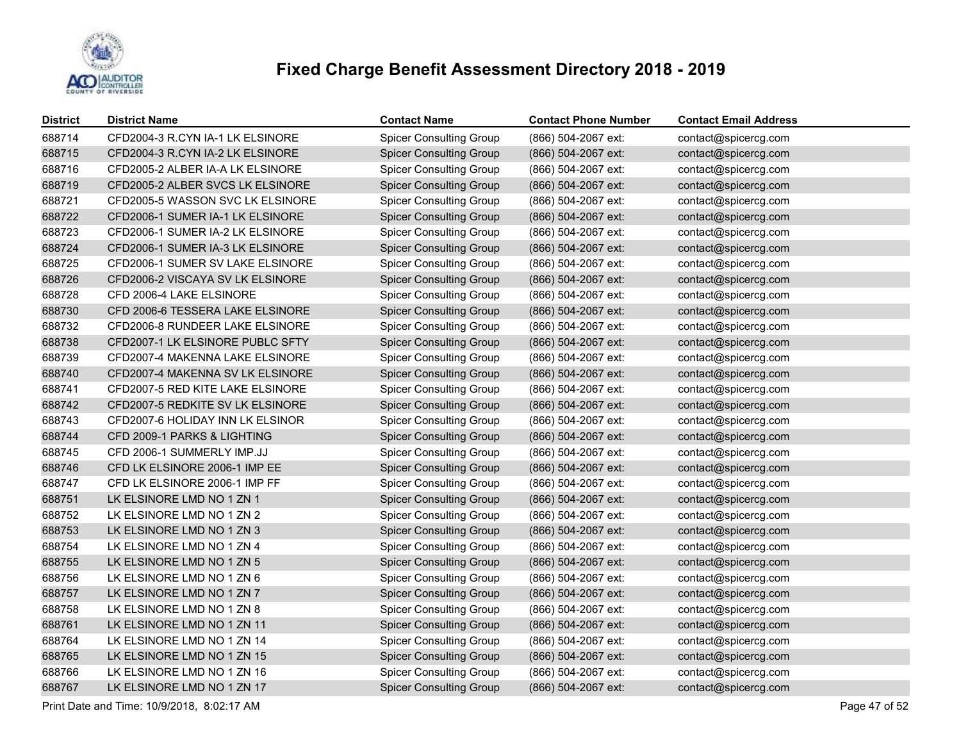

| <b>District</b> | <b>District Name</b>             | <b>Contact Name</b>            | <b>Contact Phone Number</b> | <b>Contact Email Address</b> |
|-----------------|----------------------------------|--------------------------------|-----------------------------|------------------------------|
| 688714          | CFD2004-3 R.CYN IA-1 LK ELSINORE | <b>Spicer Consulting Group</b> | (866) 504-2067 ext:         | contact@spicercg.com         |
| 688715          | CFD2004-3 R.CYN IA-2 LK ELSINORE | <b>Spicer Consulting Group</b> | (866) 504-2067 ext:         | contact@spicercg.com         |
| 688716          | CFD2005-2 ALBER IA-A LK ELSINORE | <b>Spicer Consulting Group</b> | (866) 504-2067 ext:         | contact@spicercg.com         |
| 688719          | CFD2005-2 ALBER SVCS LK ELSINORE | <b>Spicer Consulting Group</b> | (866) 504-2067 ext:         | contact@spicercg.com         |
| 688721          | CFD2005-5 WASSON SVC LK ELSINORE | <b>Spicer Consulting Group</b> | (866) 504-2067 ext:         | contact@spicercg.com         |
| 688722          | CFD2006-1 SUMER IA-1 LK ELSINORE | <b>Spicer Consulting Group</b> | (866) 504-2067 ext:         | contact@spicercg.com         |
| 688723          | CFD2006-1 SUMER IA-2 LK ELSINORE | <b>Spicer Consulting Group</b> | (866) 504-2067 ext:         | contact@spicercg.com         |
| 688724          | CFD2006-1 SUMER IA-3 LK ELSINORE | <b>Spicer Consulting Group</b> | (866) 504-2067 ext:         | contact@spicercg.com         |
| 688725          | CFD2006-1 SUMER SV LAKE ELSINORE | <b>Spicer Consulting Group</b> | (866) 504-2067 ext:         | contact@spicercg.com         |
| 688726          | CFD2006-2 VISCAYA SV LK ELSINORE | <b>Spicer Consulting Group</b> | (866) 504-2067 ext:         | contact@spicercg.com         |
| 688728          | CFD 2006-4 LAKE ELSINORE         | <b>Spicer Consulting Group</b> | (866) 504-2067 ext:         | contact@spicercg.com         |
| 688730          | CFD 2006-6 TESSERA LAKE ELSINORE | <b>Spicer Consulting Group</b> | (866) 504-2067 ext:         | contact@spicercg.com         |
| 688732          | CFD2006-8 RUNDEER LAKE ELSINORE  | <b>Spicer Consulting Group</b> | (866) 504-2067 ext:         | contact@spicercg.com         |
| 688738          | CFD2007-1 LK ELSINORE PUBLC SFTY | <b>Spicer Consulting Group</b> | (866) 504-2067 ext:         | contact@spicercg.com         |
| 688739          | CFD2007-4 MAKENNA LAKE ELSINORE  | <b>Spicer Consulting Group</b> | (866) 504-2067 ext:         | contact@spicercg.com         |
| 688740          | CFD2007-4 MAKENNA SV LK ELSINORE | <b>Spicer Consulting Group</b> | (866) 504-2067 ext:         | contact@spicercg.com         |
| 688741          | CFD2007-5 RED KITE LAKE ELSINORE | <b>Spicer Consulting Group</b> | (866) 504-2067 ext:         | contact@spicercg.com         |
| 688742          | CFD2007-5 REDKITE SV LK ELSINORE | <b>Spicer Consulting Group</b> | (866) 504-2067 ext:         | contact@spicercg.com         |
| 688743          | CFD2007-6 HOLIDAY INN LK ELSINOR | <b>Spicer Consulting Group</b> | (866) 504-2067 ext:         | contact@spicercg.com         |
| 688744          | CFD 2009-1 PARKS & LIGHTING      | <b>Spicer Consulting Group</b> | (866) 504-2067 ext:         | contact@spicercg.com         |
| 688745          | CFD 2006-1 SUMMERLY IMP.JJ       | <b>Spicer Consulting Group</b> | (866) 504-2067 ext:         | contact@spicercg.com         |
| 688746          | CFD LK ELSINORE 2006-1 IMP EE    | <b>Spicer Consulting Group</b> | (866) 504-2067 ext:         | contact@spicercg.com         |
| 688747          | CFD LK ELSINORE 2006-1 IMP FF    | <b>Spicer Consulting Group</b> | (866) 504-2067 ext:         | contact@spicercg.com         |
| 688751          | LK ELSINORE LMD NO 1 ZN 1        | <b>Spicer Consulting Group</b> | (866) 504-2067 ext:         | contact@spicercg.com         |
| 688752          | LK ELSINORE LMD NO 1 ZN 2        | <b>Spicer Consulting Group</b> | (866) 504-2067 ext:         | contact@spicercg.com         |
| 688753          | LK ELSINORE LMD NO 1 ZN 3        | <b>Spicer Consulting Group</b> | (866) 504-2067 ext:         | contact@spicercg.com         |
| 688754          | LK ELSINORE LMD NO 1 ZN 4        | <b>Spicer Consulting Group</b> | (866) 504-2067 ext:         | contact@spicercg.com         |
| 688755          | LK ELSINORE LMD NO 1 ZN 5        | <b>Spicer Consulting Group</b> | (866) 504-2067 ext:         | contact@spicercg.com         |
| 688756          | LK ELSINORE LMD NO 1 ZN 6        | <b>Spicer Consulting Group</b> | (866) 504-2067 ext:         | contact@spicercg.com         |
| 688757          | LK ELSINORE LMD NO 1 ZN 7        | <b>Spicer Consulting Group</b> | (866) 504-2067 ext:         | contact@spicercg.com         |
| 688758          | LK ELSINORE LMD NO 1 ZN 8        | <b>Spicer Consulting Group</b> | (866) 504-2067 ext:         | contact@spicercg.com         |
| 688761          | LK ELSINORE LMD NO 1 ZN 11       | <b>Spicer Consulting Group</b> | (866) 504-2067 ext:         | contact@spicercg.com         |
| 688764          | LK ELSINORE LMD NO 1 ZN 14       | <b>Spicer Consulting Group</b> | (866) 504-2067 ext:         | contact@spicercg.com         |
| 688765          | LK ELSINORE LMD NO 1 ZN 15       | <b>Spicer Consulting Group</b> | (866) 504-2067 ext:         | contact@spicercg.com         |
| 688766          | LK ELSINORE LMD NO 1 ZN 16       | <b>Spicer Consulting Group</b> | (866) 504-2067 ext:         | contact@spicercg.com         |
| 688767          | LK ELSINORE LMD NO 1 ZN 17       | <b>Spicer Consulting Group</b> | (866) 504-2067 ext:         | contact@spicercg.com         |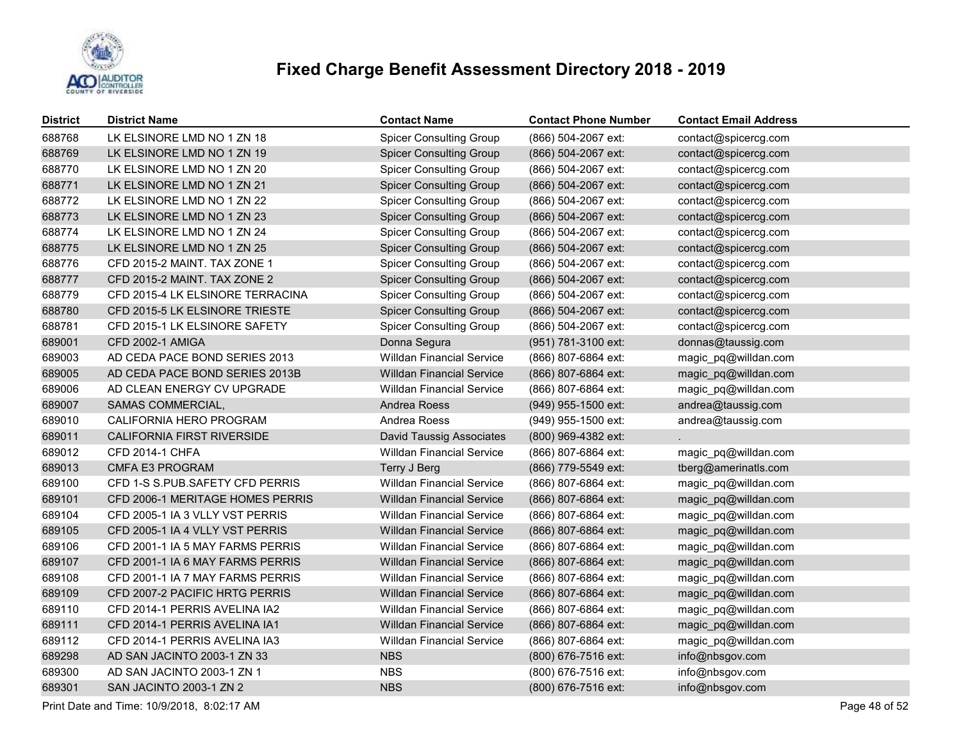

| <b>District</b> | <b>District Name</b>             | <b>Contact Name</b>              | <b>Contact Phone Number</b> | <b>Contact Email Address</b> |
|-----------------|----------------------------------|----------------------------------|-----------------------------|------------------------------|
| 688768          | LK ELSINORE LMD NO 1 ZN 18       | <b>Spicer Consulting Group</b>   | (866) 504-2067 ext:         | contact@spicercg.com         |
| 688769          | LK ELSINORE LMD NO 1 ZN 19       | <b>Spicer Consulting Group</b>   | (866) 504-2067 ext:         | contact@spicercg.com         |
| 688770          | LK ELSINORE LMD NO 1 ZN 20       | <b>Spicer Consulting Group</b>   | (866) 504-2067 ext:         | contact@spicercg.com         |
| 688771          | LK ELSINORE LMD NO 1 ZN 21       | <b>Spicer Consulting Group</b>   | (866) 504-2067 ext:         | contact@spicercg.com         |
| 688772          | LK ELSINORE LMD NO 1 ZN 22       | <b>Spicer Consulting Group</b>   | (866) 504-2067 ext:         | contact@spicercg.com         |
| 688773          | LK ELSINORE LMD NO 1 ZN 23       | <b>Spicer Consulting Group</b>   | (866) 504-2067 ext:         | contact@spicercg.com         |
| 688774          | LK ELSINORE LMD NO 1 ZN 24       | <b>Spicer Consulting Group</b>   | (866) 504-2067 ext:         | contact@spicercg.com         |
| 688775          | LK ELSINORE LMD NO 1 ZN 25       | <b>Spicer Consulting Group</b>   | (866) 504-2067 ext:         | contact@spicercg.com         |
| 688776          | CFD 2015-2 MAINT. TAX ZONE 1     | <b>Spicer Consulting Group</b>   | (866) 504-2067 ext:         | contact@spicercg.com         |
| 688777          | CFD 2015-2 MAINT. TAX ZONE 2     | <b>Spicer Consulting Group</b>   | (866) 504-2067 ext:         | contact@spicercg.com         |
| 688779          | CFD 2015-4 LK ELSINORE TERRACINA | <b>Spicer Consulting Group</b>   | (866) 504-2067 ext:         | contact@spicercg.com         |
| 688780          | CFD 2015-5 LK ELSINORE TRIESTE   | <b>Spicer Consulting Group</b>   | (866) 504-2067 ext:         | contact@spicercg.com         |
| 688781          | CFD 2015-1 LK ELSINORE SAFETY    | <b>Spicer Consulting Group</b>   | (866) 504-2067 ext:         | contact@spicercg.com         |
| 689001          | <b>CFD 2002-1 AMIGA</b>          | Donna Segura                     | (951) 781-3100 ext:         | donnas@taussig.com           |
| 689003          | AD CEDA PACE BOND SERIES 2013    | <b>Willdan Financial Service</b> | (866) 807-6864 ext:         | magic_pq@willdan.com         |
| 689005          | AD CEDA PACE BOND SERIES 2013B   | <b>Willdan Financial Service</b> | (866) 807-6864 ext:         | magic_pq@willdan.com         |
| 689006          | AD CLEAN ENERGY CV UPGRADE       | <b>Willdan Financial Service</b> | (866) 807-6864 ext:         | magic_pq@willdan.com         |
| 689007          | SAMAS COMMERCIAL,                | Andrea Roess                     | (949) 955-1500 ext:         | andrea@taussig.com           |
| 689010          | CALIFORNIA HERO PROGRAM          | Andrea Roess                     | (949) 955-1500 ext:         | andrea@taussig.com           |
| 689011          | CALIFORNIA FIRST RIVERSIDE       | <b>David Taussig Associates</b>  | (800) 969-4382 ext:         |                              |
| 689012          | <b>CFD 2014-1 CHFA</b>           | <b>Willdan Financial Service</b> | (866) 807-6864 ext:         | magic_pq@willdan.com         |
| 689013          | <b>CMFA E3 PROGRAM</b>           | Terry J Berg                     | (866) 779-5549 ext:         | tberg@amerinatls.com         |
| 689100          | CFD 1-S S.PUB.SAFETY CFD PERRIS  | <b>Willdan Financial Service</b> | (866) 807-6864 ext:         | magic_pq@willdan.com         |
| 689101          | CFD 2006-1 MERITAGE HOMES PERRIS | <b>Willdan Financial Service</b> | (866) 807-6864 ext:         | magic_pq@willdan.com         |
| 689104          | CFD 2005-1 IA 3 VLLY VST PERRIS  | <b>Willdan Financial Service</b> | (866) 807-6864 ext:         | magic_pq@willdan.com         |
| 689105          | CFD 2005-1 IA 4 VLLY VST PERRIS  | <b>Willdan Financial Service</b> | (866) 807-6864 ext:         | magic_pq@willdan.com         |
| 689106          | CFD 2001-1 IA 5 MAY FARMS PERRIS | <b>Willdan Financial Service</b> | (866) 807-6864 ext:         | magic_pq@willdan.com         |
| 689107          | CFD 2001-1 IA 6 MAY FARMS PERRIS | <b>Willdan Financial Service</b> | (866) 807-6864 ext:         | magic_pq@willdan.com         |
| 689108          | CFD 2001-1 IA 7 MAY FARMS PERRIS | <b>Willdan Financial Service</b> | (866) 807-6864 ext:         | magic_pq@willdan.com         |
| 689109          | CFD 2007-2 PACIFIC HRTG PERRIS   | <b>Willdan Financial Service</b> | (866) 807-6864 ext:         | magic_pq@willdan.com         |
| 689110          | CFD 2014-1 PERRIS AVELINA IA2    | <b>Willdan Financial Service</b> | (866) 807-6864 ext:         | magic_pq@willdan.com         |
| 689111          | CFD 2014-1 PERRIS AVELINA IA1    | <b>Willdan Financial Service</b> | (866) 807-6864 ext:         | magic_pq@willdan.com         |
| 689112          | CFD 2014-1 PERRIS AVELINA IA3    | <b>Willdan Financial Service</b> | (866) 807-6864 ext:         | magic_pq@willdan.com         |
| 689298          | AD SAN JACINTO 2003-1 ZN 33      | <b>NBS</b>                       | (800) 676-7516 ext:         | info@nbsgov.com              |
| 689300          | AD SAN JACINTO 2003-1 ZN 1       | <b>NBS</b>                       | (800) 676-7516 ext:         | info@nbsgov.com              |
| 689301          | SAN JACINTO 2003-1 ZN 2          | <b>NBS</b>                       | (800) 676-7516 ext:         | info@nbsgov.com              |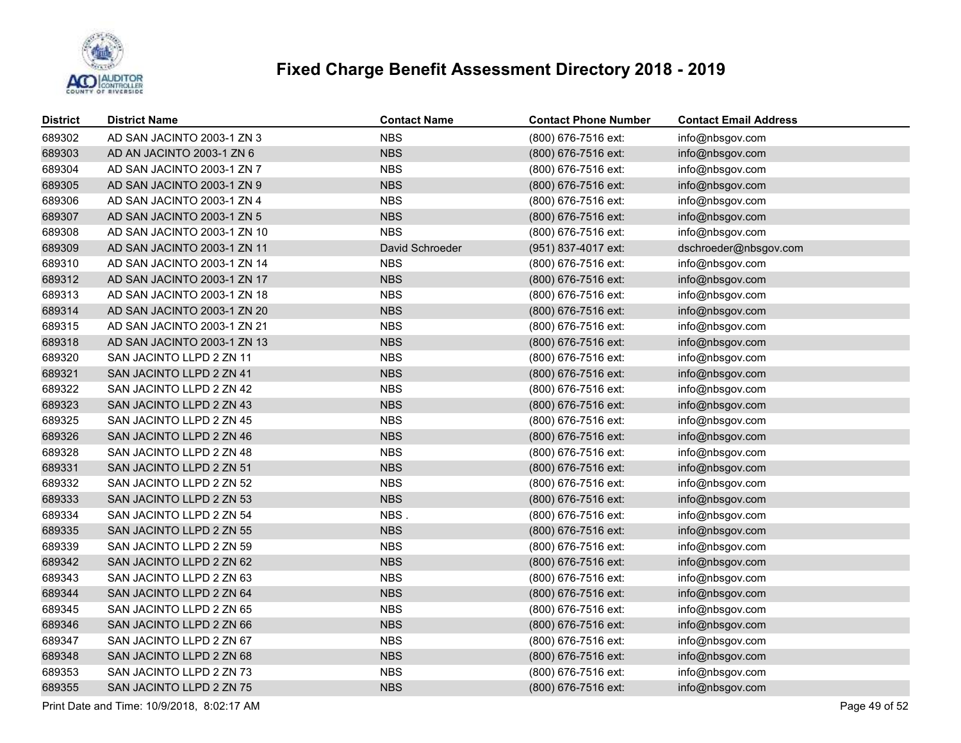

| <b>District</b> | <b>District Name</b>        | <b>Contact Name</b> | <b>Contact Phone Number</b> | <b>Contact Email Address</b> |
|-----------------|-----------------------------|---------------------|-----------------------------|------------------------------|
| 689302          | AD SAN JACINTO 2003-1 ZN 3  | <b>NBS</b>          | (800) 676-7516 ext:         | info@nbsgov.com              |
| 689303          | AD AN JACINTO 2003-1 ZN 6   | <b>NBS</b>          | (800) 676-7516 ext:         | info@nbsgov.com              |
| 689304          | AD SAN JACINTO 2003-1 ZN 7  | <b>NBS</b>          | (800) 676-7516 ext:         | info@nbsgov.com              |
| 689305          | AD SAN JACINTO 2003-1 ZN 9  | <b>NBS</b>          | (800) 676-7516 ext:         | info@nbsgov.com              |
| 689306          | AD SAN JACINTO 2003-1 ZN 4  | <b>NBS</b>          | (800) 676-7516 ext:         | info@nbsgov.com              |
| 689307          | AD SAN JACINTO 2003-1 ZN 5  | <b>NBS</b>          | (800) 676-7516 ext:         | info@nbsgov.com              |
| 689308          | AD SAN JACINTO 2003-1 ZN 10 | <b>NBS</b>          | (800) 676-7516 ext:         | info@nbsgov.com              |
| 689309          | AD SAN JACINTO 2003-1 ZN 11 | David Schroeder     | (951) 837-4017 ext:         | dschroeder@nbsgov.com        |
| 689310          | AD SAN JACINTO 2003-1 ZN 14 | <b>NBS</b>          | (800) 676-7516 ext:         | info@nbsgov.com              |
| 689312          | AD SAN JACINTO 2003-1 ZN 17 | <b>NBS</b>          | (800) 676-7516 ext:         | info@nbsgov.com              |
| 689313          | AD SAN JACINTO 2003-1 ZN 18 | <b>NBS</b>          | (800) 676-7516 ext:         | info@nbsgov.com              |
| 689314          | AD SAN JACINTO 2003-1 ZN 20 | <b>NBS</b>          | (800) 676-7516 ext:         | info@nbsgov.com              |
| 689315          | AD SAN JACINTO 2003-1 ZN 21 | <b>NBS</b>          | (800) 676-7516 ext:         | info@nbsgov.com              |
| 689318          | AD SAN JACINTO 2003-1 ZN 13 | <b>NBS</b>          | (800) 676-7516 ext:         | info@nbsgov.com              |
| 689320          | SAN JACINTO LLPD 2 ZN 11    | <b>NBS</b>          | (800) 676-7516 ext:         | info@nbsgov.com              |
| 689321          | SAN JACINTO LLPD 2 ZN 41    | <b>NBS</b>          | (800) 676-7516 ext:         | info@nbsgov.com              |
| 689322          | SAN JACINTO LLPD 2 ZN 42    | <b>NBS</b>          | (800) 676-7516 ext:         | info@nbsgov.com              |
| 689323          | SAN JACINTO LLPD 2 ZN 43    | <b>NBS</b>          | (800) 676-7516 ext:         | info@nbsgov.com              |
| 689325          | SAN JACINTO LLPD 2 ZN 45    | <b>NBS</b>          | (800) 676-7516 ext:         | info@nbsgov.com              |
| 689326          | SAN JACINTO LLPD 2 ZN 46    | <b>NBS</b>          | (800) 676-7516 ext:         | info@nbsgov.com              |
| 689328          | SAN JACINTO LLPD 2 ZN 48    | <b>NBS</b>          | (800) 676-7516 ext:         | info@nbsgov.com              |
| 689331          | SAN JACINTO LLPD 2 ZN 51    | <b>NBS</b>          | (800) 676-7516 ext:         | info@nbsgov.com              |
| 689332          | SAN JACINTO LLPD 2 ZN 52    | <b>NBS</b>          | (800) 676-7516 ext:         | info@nbsgov.com              |
| 689333          | SAN JACINTO LLPD 2 ZN 53    | <b>NBS</b>          | (800) 676-7516 ext:         | info@nbsgov.com              |
| 689334          | SAN JACINTO LLPD 2 ZN 54    | NBS.                | (800) 676-7516 ext:         | info@nbsgov.com              |
| 689335          | SAN JACINTO LLPD 2 ZN 55    | <b>NBS</b>          | (800) 676-7516 ext:         | info@nbsgov.com              |
| 689339          | SAN JACINTO LLPD 2 ZN 59    | <b>NBS</b>          | (800) 676-7516 ext:         | info@nbsgov.com              |
| 689342          | SAN JACINTO LLPD 2 ZN 62    | <b>NBS</b>          | (800) 676-7516 ext:         | info@nbsgov.com              |
| 689343          | SAN JACINTO LLPD 2 ZN 63    | <b>NBS</b>          | (800) 676-7516 ext:         | info@nbsgov.com              |
| 689344          | SAN JACINTO LLPD 2 ZN 64    | <b>NBS</b>          | (800) 676-7516 ext:         | info@nbsgov.com              |
| 689345          | SAN JACINTO LLPD 2 ZN 65    | <b>NBS</b>          | (800) 676-7516 ext:         | info@nbsgov.com              |
| 689346          | SAN JACINTO LLPD 2 ZN 66    | <b>NBS</b>          | (800) 676-7516 ext:         | info@nbsgov.com              |
| 689347          | SAN JACINTO LLPD 2 ZN 67    | <b>NBS</b>          | (800) 676-7516 ext:         | info@nbsgov.com              |
| 689348          | SAN JACINTO LLPD 2 ZN 68    | <b>NBS</b>          | (800) 676-7516 ext:         | info@nbsgov.com              |
| 689353          | SAN JACINTO LLPD 2 ZN 73    | <b>NBS</b>          | (800) 676-7516 ext:         | info@nbsgov.com              |
| 689355          | SAN JACINTO LLPD 2 ZN 75    | <b>NBS</b>          | (800) 676-7516 ext:         | info@nbsgov.com              |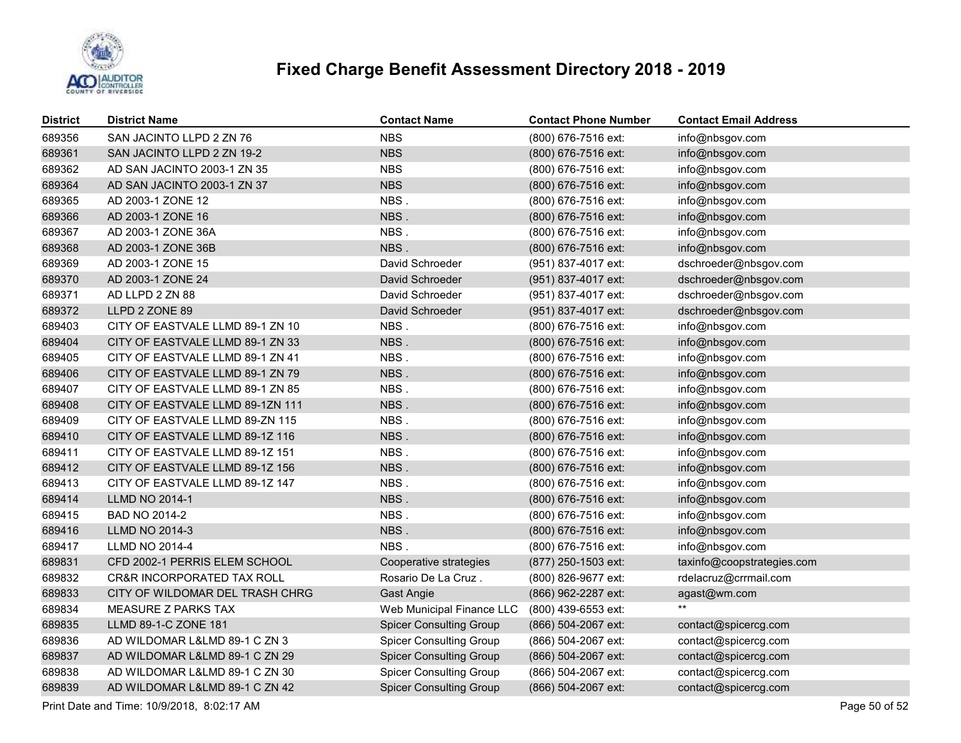

| <b>District</b> | <b>District Name</b>             | <b>Contact Name</b>            | <b>Contact Phone Number</b> | <b>Contact Email Address</b> |
|-----------------|----------------------------------|--------------------------------|-----------------------------|------------------------------|
| 689356          | SAN JACINTO LLPD 2 ZN 76         | <b>NBS</b>                     | (800) 676-7516 ext:         | info@nbsgov.com              |
| 689361          | SAN JACINTO LLPD 2 ZN 19-2       | <b>NBS</b>                     | (800) 676-7516 ext:         | info@nbsgov.com              |
| 689362          | AD SAN JACINTO 2003-1 ZN 35      | <b>NBS</b>                     | (800) 676-7516 ext:         | info@nbsgov.com              |
| 689364          | AD SAN JACINTO 2003-1 ZN 37      | <b>NBS</b>                     | (800) 676-7516 ext:         | info@nbsgov.com              |
| 689365          | AD 2003-1 ZONE 12                | NBS.                           | (800) 676-7516 ext:         | info@nbsgov.com              |
| 689366          | AD 2003-1 ZONE 16                | NBS.                           | (800) 676-7516 ext:         | info@nbsgov.com              |
| 689367          | AD 2003-1 ZONE 36A               | NBS.                           | (800) 676-7516 ext:         | info@nbsgov.com              |
| 689368          | AD 2003-1 ZONE 36B               | NBS.                           | (800) 676-7516 ext:         | info@nbsgov.com              |
| 689369          | AD 2003-1 ZONE 15                | David Schroeder                | (951) 837-4017 ext:         | dschroeder@nbsgov.com        |
| 689370          | AD 2003-1 ZONE 24                | David Schroeder                | (951) 837-4017 ext:         | dschroeder@nbsgov.com        |
| 689371          | AD LLPD 2 ZN 88                  | David Schroeder                | (951) 837-4017 ext:         | dschroeder@nbsgov.com        |
| 689372          | LLPD 2 ZONE 89                   | David Schroeder                | (951) 837-4017 ext:         | dschroeder@nbsgov.com        |
| 689403          | CITY OF EASTVALE LLMD 89-1 ZN 10 | NBS.                           | (800) 676-7516 ext:         | info@nbsgov.com              |
| 689404          | CITY OF EASTVALE LLMD 89-1 ZN 33 | NBS.                           | (800) 676-7516 ext:         | info@nbsgov.com              |
| 689405          | CITY OF EASTVALE LLMD 89-1 ZN 41 | NBS.                           | (800) 676-7516 ext:         | info@nbsgov.com              |
| 689406          | CITY OF EASTVALE LLMD 89-1 ZN 79 | NBS.                           | (800) 676-7516 ext:         | info@nbsgov.com              |
| 689407          | CITY OF EASTVALE LLMD 89-1 ZN 85 | NBS.                           | (800) 676-7516 ext:         | info@nbsgov.com              |
| 689408          | CITY OF EASTVALE LLMD 89-1ZN 111 | NBS.                           | (800) 676-7516 ext:         | info@nbsgov.com              |
| 689409          | CITY OF EASTVALE LLMD 89-ZN 115  | NBS.                           | (800) 676-7516 ext:         | info@nbsgov.com              |
| 689410          | CITY OF EASTVALE LLMD 89-1Z 116  | NBS.                           | (800) 676-7516 ext:         | info@nbsgov.com              |
| 689411          | CITY OF EASTVALE LLMD 89-1Z 151  | NBS.                           | (800) 676-7516 ext:         | info@nbsgov.com              |
| 689412          | CITY OF EASTVALE LLMD 89-1Z 156  | NBS.                           | (800) 676-7516 ext:         | info@nbsgov.com              |
| 689413          | CITY OF EASTVALE LLMD 89-1Z 147  | NBS.                           | (800) 676-7516 ext:         | info@nbsgov.com              |
| 689414          | <b>LLMD NO 2014-1</b>            | NBS.                           | (800) 676-7516 ext:         | info@nbsgov.com              |
| 689415          | BAD NO 2014-2                    | NBS.                           | (800) 676-7516 ext:         | info@nbsgov.com              |
| 689416          | <b>LLMD NO 2014-3</b>            | NBS.                           | (800) 676-7516 ext:         | info@nbsgov.com              |
| 689417          | LLMD NO 2014-4                   | NBS.                           | (800) 676-7516 ext:         | info@nbsgov.com              |
| 689831          | CFD 2002-1 PERRIS ELEM SCHOOL    | Cooperative strategies         | (877) 250-1503 ext:         | taxinfo@coopstrategies.com   |
| 689832          | CR&R INCORPORATED TAX ROLL       | Rosario De La Cruz.            | (800) 826-9677 ext:         | rdelacruz@crrmail.com        |
| 689833          | CITY OF WILDOMAR DEL TRASH CHRG  | Gast Angie                     | (866) 962-2287 ext:         | agast@wm.com                 |
| 689834          | <b>MEASURE Z PARKS TAX</b>       | Web Municipal Finance LLC      | (800) 439-6553 ext:         | $***$                        |
| 689835          | LLMD 89-1-C ZONE 181             | <b>Spicer Consulting Group</b> | (866) 504-2067 ext:         | contact@spicercg.com         |
| 689836          | AD WILDOMAR L&LMD 89-1 C ZN 3    | <b>Spicer Consulting Group</b> | (866) 504-2067 ext:         | contact@spicercg.com         |
| 689837          | AD WILDOMAR L&LMD 89-1 C ZN 29   | <b>Spicer Consulting Group</b> | (866) 504-2067 ext:         | contact@spicercg.com         |
| 689838          | AD WILDOMAR L&LMD 89-1 C ZN 30   | <b>Spicer Consulting Group</b> | (866) 504-2067 ext:         | contact@spicercg.com         |
| 689839          | AD WILDOMAR L&LMD 89-1 C ZN 42   | <b>Spicer Consulting Group</b> | (866) 504-2067 ext:         | contact@spicercg.com         |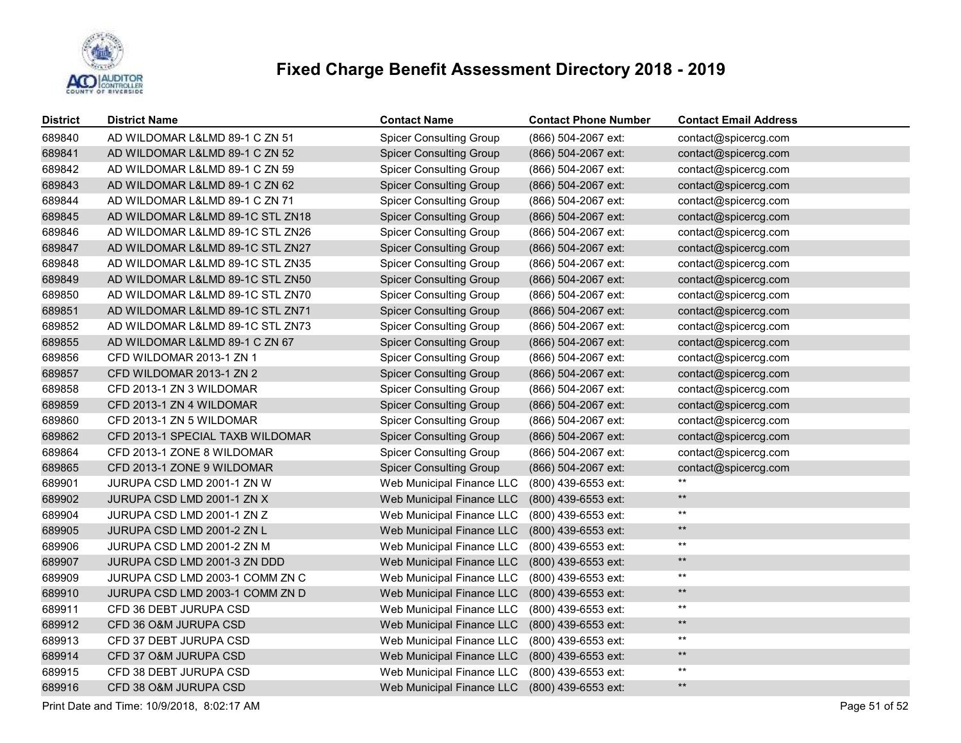

| <b>District</b> | <b>District Name</b>             | <b>Contact Name</b>            | <b>Contact Phone Number</b> | <b>Contact Email Address</b> |
|-----------------|----------------------------------|--------------------------------|-----------------------------|------------------------------|
| 689840          | AD WILDOMAR L&LMD 89-1 C ZN 51   | <b>Spicer Consulting Group</b> | (866) 504-2067 ext:         | contact@spicercg.com         |
| 689841          | AD WILDOMAR L&LMD 89-1 C ZN 52   | <b>Spicer Consulting Group</b> | (866) 504-2067 ext:         | contact@spicercg.com         |
| 689842          | AD WILDOMAR L&LMD 89-1 C ZN 59   | <b>Spicer Consulting Group</b> | (866) 504-2067 ext:         | contact@spicercg.com         |
| 689843          | AD WILDOMAR L&LMD 89-1 C ZN 62   | <b>Spicer Consulting Group</b> | (866) 504-2067 ext:         | contact@spicercg.com         |
| 689844          | AD WILDOMAR L&LMD 89-1 C ZN 71   | <b>Spicer Consulting Group</b> | (866) 504-2067 ext:         | contact@spicercg.com         |
| 689845          | AD WILDOMAR L&LMD 89-1C STL ZN18 | <b>Spicer Consulting Group</b> | (866) 504-2067 ext:         | contact@spicercg.com         |
| 689846          | AD WILDOMAR L&LMD 89-1C STL ZN26 | <b>Spicer Consulting Group</b> | (866) 504-2067 ext:         | contact@spicercg.com         |
| 689847          | AD WILDOMAR L&LMD 89-1C STL ZN27 | <b>Spicer Consulting Group</b> | (866) 504-2067 ext:         | contact@spicercg.com         |
| 689848          | AD WILDOMAR L&LMD 89-1C STL ZN35 | <b>Spicer Consulting Group</b> | (866) 504-2067 ext:         | contact@spicercg.com         |
| 689849          | AD WILDOMAR L&LMD 89-1C STL ZN50 | <b>Spicer Consulting Group</b> | (866) 504-2067 ext:         | contact@spicercg.com         |
| 689850          | AD WILDOMAR L&LMD 89-1C STL ZN70 | <b>Spicer Consulting Group</b> | (866) 504-2067 ext:         | contact@spicercg.com         |
| 689851          | AD WILDOMAR L&LMD 89-1C STL ZN71 | <b>Spicer Consulting Group</b> | (866) 504-2067 ext:         | contact@spicercg.com         |
| 689852          | AD WILDOMAR L&LMD 89-1C STL ZN73 | <b>Spicer Consulting Group</b> | (866) 504-2067 ext:         | contact@spicercg.com         |
| 689855          | AD WILDOMAR L&LMD 89-1 C ZN 67   | <b>Spicer Consulting Group</b> | (866) 504-2067 ext:         | contact@spicercg.com         |
| 689856          | CFD WILDOMAR 2013-1 ZN 1         | <b>Spicer Consulting Group</b> | (866) 504-2067 ext:         | contact@spicercg.com         |
| 689857          | CFD WILDOMAR 2013-1 ZN 2         | <b>Spicer Consulting Group</b> | (866) 504-2067 ext:         | contact@spicercg.com         |
| 689858          | CFD 2013-1 ZN 3 WILDOMAR         | <b>Spicer Consulting Group</b> | (866) 504-2067 ext:         | contact@spicercg.com         |
| 689859          | CFD 2013-1 ZN 4 WILDOMAR         | <b>Spicer Consulting Group</b> | (866) 504-2067 ext:         | contact@spicercg.com         |
| 689860          | CFD 2013-1 ZN 5 WILDOMAR         | <b>Spicer Consulting Group</b> | (866) 504-2067 ext:         | contact@spicercg.com         |
| 689862          | CFD 2013-1 SPECIAL TAXB WILDOMAR | <b>Spicer Consulting Group</b> | (866) 504-2067 ext:         | contact@spicercg.com         |
| 689864          | CFD 2013-1 ZONE 8 WILDOMAR       | <b>Spicer Consulting Group</b> | (866) 504-2067 ext:         | contact@spicercg.com         |
| 689865          | CFD 2013-1 ZONE 9 WILDOMAR       | <b>Spicer Consulting Group</b> | (866) 504-2067 ext:         | contact@spicercg.com         |
| 689901          | JURUPA CSD LMD 2001-1 ZN W       | Web Municipal Finance LLC      | (800) 439-6553 ext:         | $***$                        |
| 689902          | JURUPA CSD LMD 2001-1 ZN X       | Web Municipal Finance LLC      | (800) 439-6553 ext:         | $\star\star$                 |
| 689904          | JURUPA CSD LMD 2001-1 ZN Z       | Web Municipal Finance LLC      | (800) 439-6553 ext:         | $^{\star\star}$              |
| 689905          | JURUPA CSD LMD 2001-2 ZN L       | Web Municipal Finance LLC      | (800) 439-6553 ext:         | $\star\star$                 |
| 689906          | JURUPA CSD LMD 2001-2 ZN M       | Web Municipal Finance LLC      | (800) 439-6553 ext:         | $^{\star\star}$              |
| 689907          | JURUPA CSD LMD 2001-3 ZN DDD     | Web Municipal Finance LLC      | (800) 439-6553 ext:         | $\star\star$                 |
| 689909          | JURUPA CSD LMD 2003-1 COMM ZN C  | Web Municipal Finance LLC      | (800) 439-6553 ext:         | $^{\star\star}$              |
| 689910          | JURUPA CSD LMD 2003-1 COMM ZN D  | Web Municipal Finance LLC      | (800) 439-6553 ext:         | $\star\star$                 |
| 689911          | CFD 36 DEBT JURUPA CSD           | Web Municipal Finance LLC      | (800) 439-6553 ext:         | $^{\star\star}$              |
| 689912          | CFD 36 O&M JURUPA CSD            | Web Municipal Finance LLC      | (800) 439-6553 ext:         | $\star\star$                 |
| 689913          | CFD 37 DEBT JURUPA CSD           | Web Municipal Finance LLC      | (800) 439-6553 ext:         | $^{\star\star}$              |
| 689914          | CFD 37 O&M JURUPA CSD            | Web Municipal Finance LLC      | (800) 439-6553 ext:         | $\star\star$                 |
| 689915          | CFD 38 DEBT JURUPA CSD           | Web Municipal Finance LLC      | (800) 439-6553 ext:         | $\star\star$                 |
| 689916          | CFD 38 O&M JURUPA CSD            | Web Municipal Finance LLC      | (800) 439-6553 ext:         | $\star\star$                 |

Print Date and Time: 10/9/2018, 8:02:17 AM Page 51 of 52